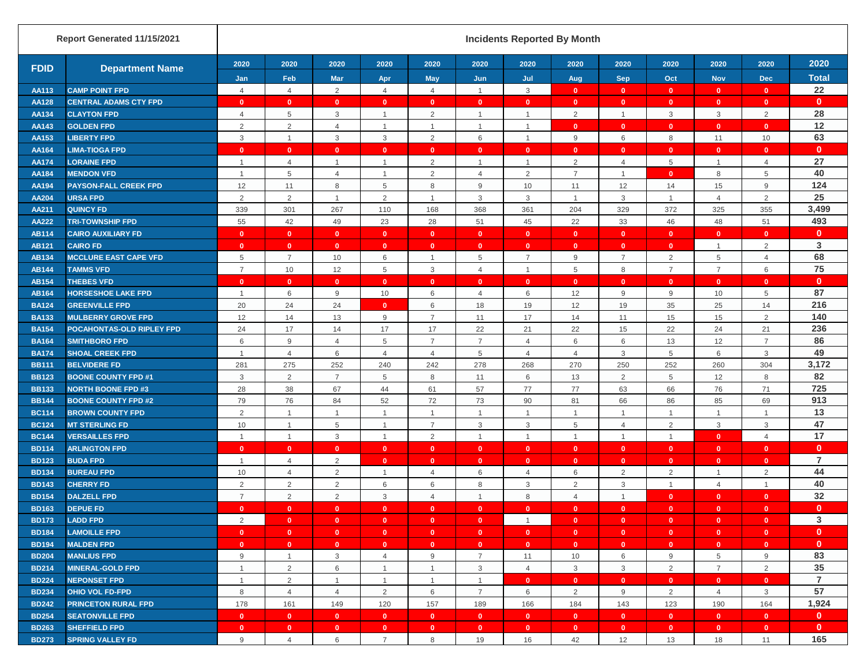|              | Report Generated 11/15/2021  |                |                         |                         |                |                |                         | <b>Incidents Reported By Month</b> |                |                |                |                |                |                |
|--------------|------------------------------|----------------|-------------------------|-------------------------|----------------|----------------|-------------------------|------------------------------------|----------------|----------------|----------------|----------------|----------------|----------------|
| <b>FDID</b>  | <b>Department Name</b>       | 2020           | 2020                    | 2020                    | 2020           | 2020           | 2020                    | 2020                               | 2020           | 2020           | 2020           | 2020           | 2020           | 2020           |
|              |                              | Jan            | Feb                     | <b>Mar</b>              | Apr            | May            | Jun                     | Jul                                | Aug            | <b>Sep</b>     | Oct            | <b>Nov</b>     | <b>Dec</b>     | <b>Total</b>   |
| AA113        | <b>CAMP POINT FPD</b>        | 4              | $\overline{4}$          | $\overline{2}$          | $\overline{4}$ | $\overline{4}$ | $\overline{1}$          | 3                                  | $\mathbf{0}$   | $\mathbf{0}$   | $\mathbf{0}$   | $\mathbf{0}$   | $\mathbf{0}$   | 22             |
| <b>AA128</b> | <b>CENTRAL ADAMS CTY FPD</b> | $\mathbf{0}$   | $\mathbf{0}$            | $\mathbf{0}$            | $\mathbf{0}$   | $\mathbf{0}$   | $\mathbf{0}$            | $\mathbf{0}$                       | $\mathbf{0}$   | $\mathbf{0}$   | $\mathbf{0}$   | $\mathbf{0}$   | $\mathbf{0}$   | $\mathbf{0}$   |
| AA134        | <b>CLAYTON FPD</b>           | $\overline{4}$ | 5                       | 3                       | $\mathbf{1}$   | 2              | $\overline{1}$          | $\overline{1}$                     | $\overline{2}$ | $\mathbf{1}$   | 3              | 3              | $\overline{2}$ | 28             |
| AA143        | <b>GOLDEN FPD</b>            | $\overline{2}$ | $\overline{c}$          | $\overline{4}$          | $\mathbf{1}$   | $\overline{1}$ | $\overline{1}$          | $\overline{1}$                     | $\mathbf{0}$   | $\mathbf{0}$   | $\mathbf{0}$   | $\mathbf{0}$   | $\mathbf{0}$   | 12             |
| AA153        | <b>LIBERTY FPD</b>           | 3              | $\mathbf{1}$            | 3                       | 3              | 2              | 6                       | $\overline{1}$                     | 9              | 6              | 8              | 11             | 10             | 63             |
| AA164        | <b>LIMA-TIOGA FPD</b>        | $\mathbf{0}$   | $\mathbf{0}$            | $\mathbf{0}$            | $\mathbf{0}$   | $\mathbf{0}$   | $\mathbf{0}$            | $\mathbf{0}$                       | $\mathbf{0}$   | $\mathbf{0}$   | $\mathbf{0}$   | $\mathbf{0}$   | $\mathbf{0}$   | $\mathbf{0}$   |
| <b>AA174</b> | <b>LORAINE FPD</b>           | $\overline{1}$ | $\overline{4}$          | $\overline{1}$          | $\mathbf{1}$   | 2              | $\overline{1}$          | $\overline{1}$                     | $\overline{2}$ | 4              | 5              | $\mathbf{1}$   | $\overline{4}$ | 27             |
| AA184        | <b>MENDON VFD</b>            |                | 5                       | $\overline{4}$          | $\overline{1}$ | 2              | $\overline{4}$          | $\overline{2}$                     | $\overline{7}$ | $\mathbf{1}$   | $\mathbf{0}$   | 8              | 5              | 40             |
| AA194        | <b>PAYSON-FALL CREEK FPD</b> | 12             | 11                      | 8                       | 5              | 8              | 9                       | 10                                 | 11             | 12             | 14             | 15             | $9\,$          | 124            |
| AA204        | <b>URSA FPD</b>              | $\overline{2}$ | $\overline{2}$          | $\mathbf{1}$            | 2              | $\overline{1}$ | 3                       | 3                                  | $\mathbf{1}$   | 3              | $\mathbf{1}$   | $\overline{4}$ | 2              | 25             |
| AA211        | <b>QUINCY FD</b>             | 339            | 301                     | 267                     | 110            | 168            | 368                     | 361                                | 204            | 329            | 372            | 325            | 355            | 3,499          |
| <b>AA222</b> | <b>TRI-TOWNSHIP FPD</b>      | 55             | 42                      | 49                      | 23             | 28             | 51                      | 45                                 | 22             | 33             | 46             | 48             | 51             | 493            |
| <b>AB114</b> | <b>CAIRO AUXILIARY FD</b>    | $\mathbf{0}$   | $\overline{\mathbf{0}}$ | $\mathbf{0}$            | $\mathbf{0}$   | $\mathbf{0}$   | $\mathbf{0}$            | $\mathbf{0}$                       | $\mathbf{0}$   | $\mathbf{0}$   | $\mathbf{0}$   | $\mathbf{0}$   | $\mathbf{0}$   | $\mathbf{0}$   |
| <b>AB121</b> | <b>CAIRO FD</b>              | $\mathbf{0}$   | $\mathbf{0}$            | $\mathbf{0}$            | $\mathbf{0}$   | $\mathbf{0}$   | $\mathbf{0}$            | $\mathbf{0}$                       | $\mathbf{0}$   | $\mathbf{0}$   | $\mathbf{0}$   | $\mathbf{1}$   | $\sqrt{2}$     | 3              |
| <b>AB134</b> | <b>MCCLURE EAST CAPE VFD</b> | 5              | $\overline{7}$          | 10                      | 6              | $\overline{1}$ | 5                       | $\overline{7}$                     | $9\,$          | $\overline{7}$ | 2              | 5              | $\overline{4}$ | 68             |
| <b>AB144</b> | <b>TAMMS VFD</b>             | $\overline{7}$ | 10                      | 12                      | 5              | $\mathbf{3}$   | $\overline{4}$          | $\overline{1}$                     | 5              | 8              | $\overline{7}$ | $\overline{7}$ | 6              | 75             |
| <b>AB154</b> | <b>THEBES VFD</b>            | $\mathbf{0}$   | $\mathbf{0}$            | $\mathbf{0}$            | $\mathbf{0}$   | $\mathbf{0}$   | $\mathbf{0}$            | $\mathbf{0}$                       | $\mathbf{0}$   | $\mathbf{0}$   | $\mathbf{0}$   | $\mathbf{0}$   | $\mathbf{0}$   | $\mathbf{0}$   |
| <b>AB164</b> | <b>HORSESHOE LAKE FPD</b>    | $\overline{1}$ | 6                       | 9                       | 10             | 6              | 4                       | 6                                  | 12             | 9              | 9              | 10             | 5              | 87             |
| <b>BA124</b> | <b>GREENVILLE FPD</b>        | 20             | 24                      | 24                      | $\mathbf{0}$   | 6              | 18                      | 19                                 | 12             | 19             | 35             | 25             | 14             | 216            |
| <b>BA133</b> | <b>MULBERRY GROVE FPD</b>    | 12             | 14                      | 13                      | 9              | $\overline{7}$ | 11                      | 17                                 | 14             | 11             | 15             | 15             | $\overline{2}$ | 140            |
| <b>BA154</b> | POCAHONTAS-OLD RIPLEY FPD    | 24             | 17                      | 14                      | 17             | 17             | 22                      | 21                                 | 22             | 15             | 22             | 24             | 21             | 236            |
| <b>BA164</b> | <b>SMITHBORO FPD</b>         | 6              | 9                       | $\overline{4}$          | 5              | $\overline{7}$ | $\overline{7}$          | $\overline{4}$                     | 6              | 6              | 13             | 12             | $\overline{7}$ | 86             |
| <b>BA174</b> | <b>SHOAL CREEK FPD</b>       | $\overline{1}$ | $\overline{4}$          | 6                       | $\overline{4}$ | $\overline{4}$ | 5                       | $\overline{4}$                     | $\overline{4}$ | 3              | 5              | 6              | $\mathbf{3}$   | 49             |
| <b>BB111</b> | <b>BELVIDERE FD</b>          | 281            | 275                     | 252                     | 240            | 242            | 278                     | 268                                | 270            | 250            | 252            | 260            | 304            | 3,172          |
| <b>BB123</b> | <b>BOONE COUNTY FPD #1</b>   | 3              | $\overline{2}$          | $\overline{7}$          | 5              | 8              | 11                      | 6                                  | 13             | $\overline{2}$ | 5              | 12             | 8              | 82             |
| <b>BB133</b> | <b>NORTH BOONE FPD #3</b>    | 28             | 38                      | 67                      | 44             | 61             | 57                      | 77                                 | 77             | 63             | 66             | 76             | 71             | 725            |
| <b>BB144</b> | <b>BOONE COUNTY FPD #2</b>   | 79             | 76                      | 84                      | 52             | 72             | 73                      | 90                                 | 81             | 66             | 86             | 85             | 69             | 913            |
| <b>BC114</b> | <b>BROWN COUNTY FPD</b>      | 2              | $\mathbf{1}$            | $\overline{1}$          |                | $\mathbf{1}$   | $\overline{1}$          |                                    | $\mathbf{1}$   | 1              | $\overline{1}$ | $\mathbf{1}$   | $\overline{1}$ | 13             |
| <b>BC124</b> | <b>MT STERLING FD</b>        | 10             | $\mathbf{1}$            | 5                       | $\mathbf{1}$   | $\overline{7}$ | 3                       | 3                                  | $\overline{5}$ | $\overline{4}$ | 2              | 3              | 3              | 47             |
| <b>BC144</b> | <b>VERSAILLES FPD</b>        | $\overline{1}$ | $\overline{1}$          | 3                       | $\overline{1}$ | 2              | $\overline{1}$          | $\overline{1}$                     | $\mathbf{1}$   | $\mathbf{1}$   | $\mathbf{1}$   | $\mathbf{0}$   | $\overline{4}$ | 17             |
| <b>BD114</b> | <b>ARLINGTON FPD</b>         | $\mathbf{0}$   | $\mathbf{0}$            | $\mathbf{0}$            | $\mathbf{0}$   | $\mathbf{0}$   | $\mathbf{0}$            | $\mathbf{0}$                       | $\mathbf{0}$   | $\mathbf{0}$   | $\mathbf{0}$   | $\mathbf{0}$   | $\mathbf{0}$   | $\mathbf{0}$   |
| <b>BD123</b> | <b>BUDA FPD</b>              | $\overline{1}$ | $\overline{4}$          | $\overline{2}$          | $\mathbf{0}$   | $\mathbf{0}$   | $\mathbf{0}$            | $\mathbf{0}$                       | $\mathbf{0}$   | $\mathbf{0}$   | $\mathbf{0}$   | $\mathbf{0}$   | $\mathbf{0}$   | $\overline{7}$ |
| <b>BD134</b> | <b>BUREAU FPD</b>            | 10             | $\overline{4}$          | $\overline{2}$          | $\mathbf{1}$   | $\overline{4}$ | 6                       | $\overline{4}$                     | 6              | $\overline{2}$ | 2              | $\mathbf{1}$   | $\overline{2}$ | 44             |
| <b>BD143</b> | <b>CHERRY FD</b>             | $\overline{2}$ | $\overline{2}$          | $\overline{2}$          | 6              | 6              | 8                       | 3                                  | $\overline{2}$ | $\mathbf{3}$   | $\mathbf{1}$   | $\overline{4}$ | $\overline{1}$ | 40             |
| <b>BD154</b> | <b>DALZELL FPD</b>           | $\overline{7}$ | $\overline{2}$          | $\overline{2}$          | 3              | $\overline{4}$ | $\overline{1}$          | 8                                  | $\overline{4}$ | $\overline{1}$ | $\mathbf{0}$   | $\mathbf{0}$   | $\mathbf{0}$   | 32             |
| <b>BD163</b> | <b>DEPUE FD</b>              | $\mathbf{0}$   | $\mathbf{0}$            | $\mathbf{0}$            | $\mathbf{0}$   | $\mathbf{0}$   | $\mathbf{0}$            | $\mathbf{0}$                       | $\mathbf{0}$   | $\mathbf{0}$   | $\mathbf{0}$   | $\mathbf{0}$   | $\mathbf{0}$   | $\mathbf{0}$   |
| <b>BD173</b> | <b>LADD FPD</b>              | $\overline{2}$ | $\bullet$               | $\bullet$               | $\bullet$      | $\bullet$      | $\mathbf{0}$            | $\overline{1}$                     | $\mathbf{0}$   | $\bullet$      | $\mathbf{0}$   | $\mathbf{0}$   | $\mathbf{0}$   | 3              |
| <b>BD184</b> | <b>LAMOILLE FPD</b>          | $\mathbf{0}$   | $\bullet$               | $\overline{\mathbf{0}}$ | $\bullet$      | $\bullet$      | $\mathbf{0}$            | $\mathbf{0}$                       | $\bullet$      | $\bullet$      | $\bullet$      | $\mathbf{0}$   | $\mathbf{0}$   | $\mathbf{0}$   |
| <b>BD194</b> | <b>MALDEN FPD</b>            | $\mathbf{0}$   | $\bullet$               | $\bullet$               | $\mathbf{0}$   | $\bullet$      | $\mathbf{0}$            | $\mathbf{0}$                       | $\mathbf{0}$   | $\overline{0}$ | $\bullet$      | $\mathbf{0}$   | $\mathbf{0}$   | $\mathbf{0}$   |
| <b>BD204</b> | <b>MANLIUS FPD</b>           | 9              | $\mathbf{1}$            | 3                       | $\overline{4}$ | 9              | $\overline{7}$          | 11                                 | 10             | 6              | 9              | 5              | 9              | 83             |
| <b>BD214</b> | <b>MINERAL-GOLD FPD</b>      | $\overline{1}$ | $\overline{2}$          | 6                       | $\mathbf{1}$   | $\overline{1}$ | 3                       | $\overline{4}$                     | $\mathbf{3}$   | $\mathbf{3}$   | 2              | $\overline{7}$ | 2              | 35             |
| <b>BD224</b> | <b>NEPONSET FPD</b>          | $\overline{1}$ | $\overline{2}$          | $\overline{1}$          | $\mathbf{1}$   | $\overline{1}$ | $\overline{1}$          | $\mathbf{0}$                       | $\mathbf{0}$   | $\mathbf{0}$   | $\mathbf{0}$   | $\mathbf{0}$   | $\mathbf{0}$   | $\overline{7}$ |
| <b>BD234</b> | <b>OHIO VOL FD-FPD</b>       | 8              | $\overline{4}$          | $\overline{4}$          | $\overline{2}$ | 6              | $\overline{7}$          | 6                                  | $\overline{2}$ | 9              | $\overline{2}$ | $\overline{4}$ | $\mathbf{3}$   | 57             |
| <b>BD242</b> | <b>PRINCETON RURAL FPD</b>   | 178            | 161                     | 149                     | 120            | 157            | 189                     | 166                                | 184            | 143            | 123            | 190            | 164            | 1,924          |
| <b>BD254</b> | <b>SEATONVILLE FPD</b>       | $\mathbf{0}$   | $\bullet$               | $\bullet$               | $\bullet$      | $\bullet$      | $\mathbf{0}$            | $\mathbf{0}$                       | $\mathbf{0}$   | $\bullet$      | $\bullet$      | $\mathbf{0}$   | $\mathbf{0}$   | $\mathbf{0}$   |
| <b>BD263</b> | <b>SHEFFIELD FPD</b>         | $\mathbf{0}$   | $\mathbf{0}$            | $\overline{\mathbf{0}}$ | $\mathbf{0}$   | $\mathbf{0}$   | $\overline{\mathbf{0}}$ | $\mathbf{0}$                       | $\mathbf{0}$   | $\bullet$      | $\mathbf{0}$   | $\mathbf{0}$   | $\mathbf{0}$   | $\mathbf{0}$   |
| <b>BD273</b> | <b>SPRING VALLEY FD</b>      | 9              | $\overline{4}$          | 6                       | $\overline{7}$ | 8              | 19                      | 16                                 | 42             | 12             | 13             | 18             | 11             | 165            |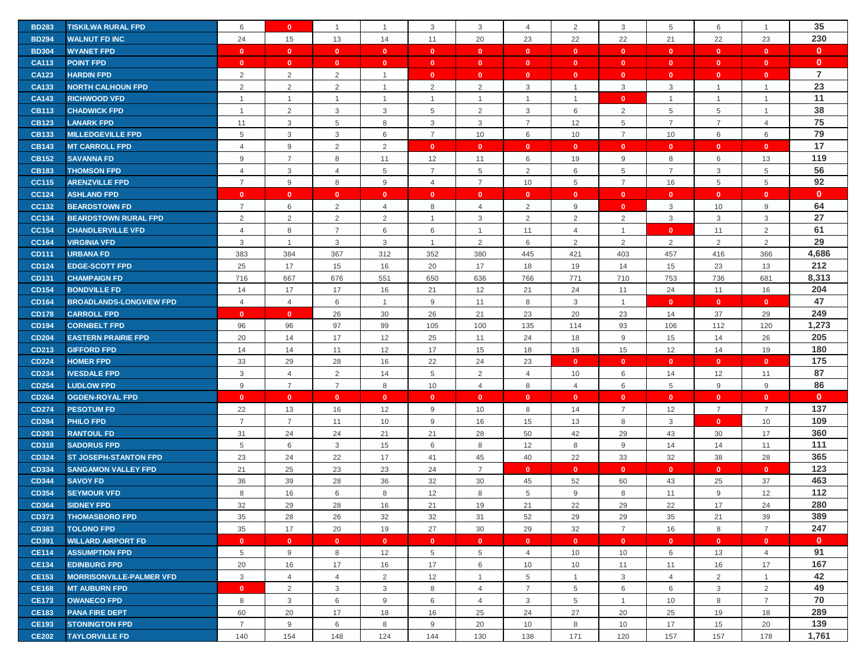| <b>BD283</b> | <b>TISKILWA RURAL FPD</b>       | 6              | $\mathbf{0}$    | $\mathbf{1}$   | $\mathbf{1}$   | 3              | 3              | $\overline{4}$ | 2              | $\mathbf{3}$   | 5              | 6              | $\mathbf{1}$   | 35             |
|--------------|---------------------------------|----------------|-----------------|----------------|----------------|----------------|----------------|----------------|----------------|----------------|----------------|----------------|----------------|----------------|
| <b>BD294</b> | <b>WALNUT FD INC</b>            | 24             | 15              | 13             | 14             | 11             | 20             | 23             | 22             | 22             | 21             | 22             | 23             | 230            |
| <b>BD304</b> | <b>WYANET FPD</b>               | $\mathbf{0}$   | $\mathbf{0}$    | $\mathbf{0}$   | $\mathbf{0}$   | $\mathbf{0}$   | $\mathbf{0}$   | $\mathbf{0}$   | $\mathbf{0}$   | $\mathbf{0}$   | $\overline{0}$ | $\mathbf{0}$   | $\mathbf{0}$   | $\mathbf{0}$   |
| <b>CA113</b> | <b>POINT FPD</b>                | $\mathbf{0}$   | $\mathbf{0}$    | $\mathbf{0}$   | $\mathbf{0}$   | $\mathbf{0}$   | $\mathbf{0}$   | $\mathbf{0}$   | $\mathbf{0}$   | $\mathbf{0}$   | $\mathbf{0}$   | $\mathbf{0}$   | $\mathbf{0}$   | $\mathbf{0}$   |
| <b>CA123</b> | <b>HARDIN FPD</b>               | $\overline{2}$ | $\overline{2}$  | $\overline{2}$ | $\mathbf{1}$   | $\mathbf{0}$   | $\mathbf{0}$   | $\mathbf{0}$   | $\mathbf{0}$   | $\mathbf{0}$   | $\mathbf{0}$   | $\mathbf{0}$   | $\mathbf{0}$   | $\overline{7}$ |
| <b>CA133</b> | <b>NORTH CALHOUN FPD</b>        | $\overline{2}$ | 2               | 2              | $\overline{1}$ | 2              | 2              | 3              |                | $\mathbf{3}$   | 3              | $\mathbf{1}$   | $\mathbf{1}$   | 23             |
| <b>CA143</b> | <b>RICHWOOD VFD</b>             | $\overline{1}$ | $\mathbf{1}$    | $\overline{1}$ | $\mathbf{1}$   | $\mathbf{1}$   | $\overline{1}$ | $\overline{1}$ | $\mathbf{1}$   | $\mathbf{0}$   | $\mathbf{1}$   | $\mathbf{1}$   | $\mathbf{1}$   | 11             |
| <b>CB113</b> | <b>CHADWICK FPD</b>             | $\overline{1}$ | 2               | 3              | 3              | 5              | 2              | 3              | 6              | 2              | 5              | 5              | $\mathbf{1}$   | 38             |
| <b>CB123</b> | <b>LANARK FPD</b>               | 11             | $\mathbf{3}$    | 5              | 8              | 3              | 3              | $\overline{7}$ | 12             | $\overline{5}$ | $\overline{7}$ | $\overline{7}$ | $\overline{4}$ | 75             |
| <b>CB133</b> | <b>MILLEDGEVILLE FPD</b>        | 5              | 3               | 3              | 6              | $\overline{7}$ | 10             | 6              | 10             | $\overline{7}$ | 10             | 6              | 6              | 79             |
| <b>CB143</b> | <b>MT CARROLL FPD</b>           | $\overline{4}$ | 9               | 2              | 2              | $\mathbf{0}$   | $\mathbf{0}$   | $\mathbf{0}$   | $\mathbf{0}$   | $\mathbf{0}$   | $\mathbf{0}$   | $\mathbf{0}$   | $\mathbf{0}$   | 17             |
| <b>CB152</b> | <b>SAVANNA FD</b>               | 9              | $\overline{7}$  | 8              | 11             | 12             | 11             | 6              | 19             | 9              | 8              | 6              | 13             | 119            |
| <b>CB183</b> | <b>THOMSON FPD</b>              | 4              | 3               | 4              | 5              | $\overline{7}$ | 5              | 2              | 6              | 5              | $\overline{7}$ | 3              | 5              | 56             |
| <b>CC115</b> | <b>ARENZVILLE FPD</b>           | $\overline{7}$ | 9               | 8              | 9              | $\overline{4}$ | $\overline{7}$ | 10             | 5              | $\overline{7}$ | 16             | 5              | 5              | 92             |
| <b>CC124</b> | <b>ASHLAND FPD</b>              | $\mathbf{0}$   | $\mathbf{0}$    | $\mathbf{0}$   | $\mathbf{0}$   | $\mathbf{0}$   | $\mathbf{0}$   | $\mathbf{0}$   | $\mathbf{0}$   | $\mathbf{0}$   | $\mathbf{0}$   | $\mathbf{0}$   | $\mathbf{0}$   | $\mathbf{0}$   |
| CC132        | <b>BEARDSTOWN FD</b>            | $\overline{7}$ | $6\phantom{1}6$ | $\overline{2}$ | 4              | 8              | $\overline{4}$ | $\overline{2}$ | 9              | $\mathbf{0}$   | $\mathbf{3}$   | 10             | $\mathsf g$    | 64             |
| CC134        | <b>BEARDSTOWN RURAL FPD</b>     | 2              | 2               | $\overline{2}$ | 2              | $\mathbf{1}$   | $\mathbf{3}$   | 2              | 2              | $\overline{2}$ | 3              | 3              | $\mathsf 3$    | 27             |
| <b>CC154</b> | <b>CHANDLERVILLE VFD</b>        | 4              | 8               | $\overline{7}$ | 6              | 6              | $\overline{1}$ | 11             | $\overline{4}$ | $\mathbf{1}$   | $\mathbf{0}$   | 11             | $\overline{2}$ | 61             |
|              |                                 | 3              | $\overline{1}$  |                | 3              | $\mathbf{1}$   | 2              |                |                |                |                | 2              | 2              | 29             |
| <b>CC164</b> | <b>VIRGINIA VFD</b>             |                |                 | 3              |                |                |                | 6              | 2              | $\overline{2}$ | 2              |                |                | 4,686          |
| <b>CD111</b> | <b>URBANA FD</b>                | 383            | 384             | 367            | 312            | 352            | 380            | 445            | 421            | 403            | 457            | 416            | 366            | 212            |
| <b>CD124</b> | <b>EDGE-SCOTT FPD</b>           | 25             | 17              | 15             | 16             | 20             | 17             | 18             | 19             | 14             | 15             | 23             | 13             |                |
| <b>CD131</b> | <b>CHAMPAIGN FD</b>             | 716            | 667             | 676            | 551            | 650            | 636            | 766            | 771            | 710            | 753            | 736            | 681            | 8,313          |
| <b>CD154</b> | <b>BONDVILLE FD</b>             | 14             | 17              | 17             | 16             | 21             | 12             | 21             | 24             | 11             | 24             | 11             | 16             | 204<br>47      |
| <b>CD164</b> | <b>BROADLANDS-LONGVIEW FPD</b>  | $\overline{4}$ | $\overline{4}$  | 6              | $\mathbf{1}$   | 9              | 11             | 8              | 3              | $\overline{1}$ | $\mathbf{0}$   | $\mathbf{0}$   | $\mathbf{0}$   | 249            |
| <b>CD178</b> | <b>CARROLL FPD</b>              | $\mathbf{0}$   | $\mathbf{0}$    | 26             | 30             | 26             | 21             | 23             | 20             | 23             | 14             | 37             | 29             |                |
| <b>CD194</b> | <b>CORNBELT FPD</b>             | 96             | 96              | 97             | 99             | 105            | 100            | 135            | 114            | 93             | 106            | 112            | 120            | 1,273          |
| <b>CD204</b> | <b>EASTERN PRAIRIE FPD</b>      | 20             | 14              | 17             | 12             | 25             | 11             | 24             | 18             | $9\,$          | 15             | 14             | 26             | 205            |
| CD213        | <b>GIFFORD FPD</b>              | 14             | 14              | 11             | 12             | 17             | 15             | 18             | 19             | 15             | 12             | 14             | 19             | 180            |
| <b>CD224</b> | <b>HOMER FPD</b>                | 33             | 29              | 28             | 16             | 22             | 24             | 23             | $\mathbf{0}$   | $\mathbf{0}$   | $\mathbf{0}$   | $\mathbf{0}$   | $\mathbf{0}$   | 175            |
| <b>CD234</b> | <b>IVESDALE FPD</b>             | 3              | $\overline{4}$  | $\overline{2}$ | 14             | 5              | $\overline{2}$ | $\overline{4}$ | 10             | 6              | 14             | 12             | 11             | 87             |
| <b>CD254</b> | <b>LUDLOW FPD</b>               | 9              | $\overline{7}$  | $\overline{7}$ | 8              | 10             | $\overline{4}$ | 8              | 4              | 6              | 5              | 9              | 9              | 86             |
| <b>CD264</b> | <b>OGDEN-ROYAL FPD</b>          | $\mathbf{0}$   | $\mathbf{0}$    | $\mathbf{0}$   | $\mathbf{0}$   | $\mathbf{0}$   | $\mathbf{0}$   | $\mathbf{0}$   | $\mathbf{0}$   | $\mathbf{0}$   | $\mathbf{0}$   | $\mathbf{0}$   | $\mathbf{0}$   | $\mathbf{0}$   |
| <b>CD274</b> | <b>PESOTUM FD</b>               | 22             | 13              | 16             | 12             | 9              | 10             | 8              | 14             | $\overline{7}$ | 12             | $\overline{7}$ | $\overline{7}$ | 137            |
| <b>CD284</b> | <b>PHILO FPD</b>                | $\overline{7}$ | $\overline{7}$  | 11             | 10             | 9              | 16             | 15             | 13             | 8              | 3              | $\mathbf{0}$   | 10             | 109            |
| <b>CD293</b> | <b>RANTOUL FD</b>               | 31             | 24              | 24             | 21             | 21             | 28             | 50             | 42             | 29             | 43             | 30             | 17             | 360            |
| <b>CD318</b> | <b>SADORUS FPD</b>              | 5              | 6               | 3              | 15             | 6              | 8              | 12             | 8              | 9              | 14             | 14             | 11             | 111            |
| <b>CD324</b> | <b>ST JOSEPH-STANTON FPD</b>    | 23             | 24              | 22             | 17             | 41             | 45             | 40             | 22             | 33             | 32             | 38             | 28             | 365            |
| CD334        | <b>SANGAMON VALLEY FPD</b>      | 21             | 25              | 23             | 23             | 24             | $\overline{7}$ | $\mathbf{0}$   | $\mathbf{0}$   | $\mathbf{0}$   | $\mathbf{0}$   | $\mathbf{0}$   | $\mathbf{0}$   | 123            |
| <b>CD344</b> | <b>SAVOY FD</b>                 | 36             | 39              | 28             | 36             | 32             | 30             | 45             | 52             | 60             | 43             | 25             | 37             | 463            |
| <b>CD354</b> | <b>SEYMOUR VFD</b>              | 8              | 16              | 6              | 8              | 12             | 8              | 5              | 9              | 8              | 11             | 9              | 12             | 112            |
| <b>CD364</b> | <b>SIDNEY FPD</b>               | 32             | 29              | 28             | 16             | 21             | 19             | 21             | 22             | 29             | 22             | 17             | 24             | 280            |
| <b>CD373</b> | <b>THOMASBORO FPD</b>           | 35             | 28              | 26             | 32             | 32             | 31             | 52             | 29             | 29             | 35             | 21             | 39             | 389            |
| <b>CD383</b> | <b>TOLONO FPD</b>               | 35             | 17              | 20             | 19             | 27             | 30             | 29             | 32             | $\overline{7}$ | 16             | 8              | $\overline{7}$ | 247            |
| CD391        | <b>WILLARD AIRPORT FD</b>       | $\mathbf{0}$   | $\mathbf{0}$    | $\mathbf{0}$   | $\mathbf{0}$   | $\mathbf{0}$   | $\mathbf{0}$   | $\mathbf{0}$   | $\mathbf{0}$   | $\mathbf{0}$   | $\mathbf{0}$   | $\mathbf{0}$   | $\mathbf{0}$   | $\mathbf{0}$   |
| <b>CE114</b> | <b>ASSUMPTION FPD</b>           | 5              | 9               | 8              | 12             | 5              | 5              | 4              | 10             | 10             | 6              | 13             | $\overline{4}$ | 91             |
| <b>CE134</b> | <b>EDINBURG FPD</b>             | 20             | 16              | 17             | 16             | 17             | 6              | 10             | 10             | 11             | 11             | 16             | 17             | 167            |
| <b>CE153</b> | <b>MORRISONVILLE-PALMER VFD</b> | 3              | $\overline{4}$  | $\overline{4}$ | 2              | 12             | $\overline{1}$ | 5              | 1              | 3              | $\overline{4}$ | 2              | $\mathbf{1}$   | 42             |
| <b>CE168</b> | <b>MT AUBURN FPD</b>            | $\mathbf{0}$   | 2               | 3              | 3              | 8              | $\overline{4}$ | $\overline{7}$ | 5              | 6              | 6              | 3              | 2              | 49             |
| <b>CE173</b> | <b>OWANECO FPD</b>              | 8              | 3               | 6              | 9              | 6              | $\overline{4}$ | 3              | 5              | $\overline{1}$ | 10             | 8              | $\overline{7}$ | 70             |
| <b>CE183</b> | <b>PANA FIRE DEPT</b>           | 60             | 20              | 17             | 18             | 16             | 25             | 24             | 27             | 20             | 25             | 19             | 18             | 289            |
| <b>CE193</b> | <b>STONINGTON FPD</b>           | $\overline{7}$ | 9               | 6              | 8              | 9              | 20             | 10             | 8              | 10             | 17             | 15             | 20             | 139            |
| <b>CE202</b> | <b>TAYLORVILLE FD</b>           | 140            | 154             | 148            | 124            | 144            | 130            | 138            | 171            | 120            | 157            | 157            | 178            | 1,761          |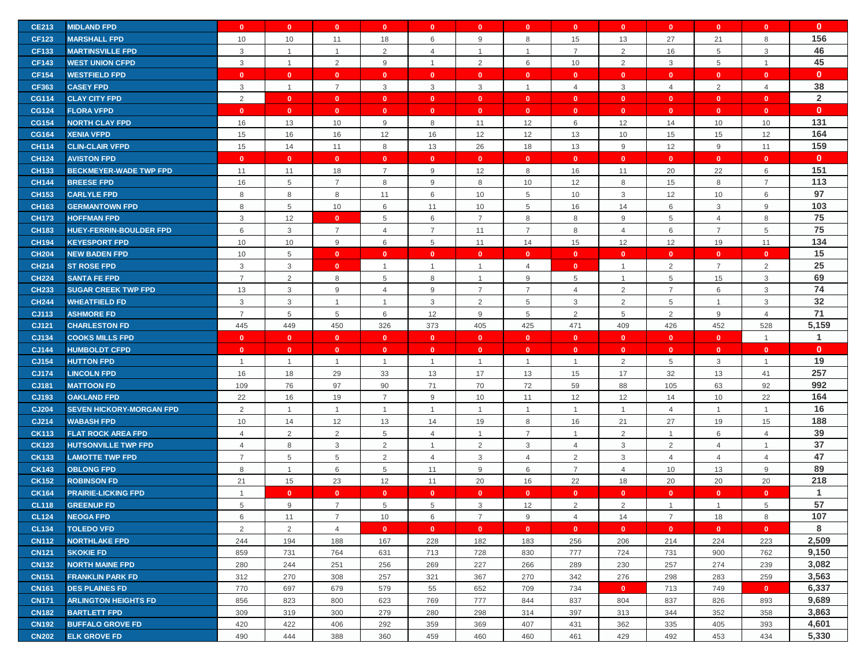| <b>CE213</b>                 | <b>MIDLAND FPD</b>                             | $\mathbf{0}$   | $\mathbf{0}$   | $\mathbf{0}$   | $\mathbf{0}$    | $\mathbf{0}$      | $\mathbf{0}$   | $\mathbf{0}$      | $\mathbf{0}$   | $\mathbf{0}$       | $\mathbf{0}$                   | $\mathbf{0}$       | $\mathbf{0}$      | $\mathbf{0}$   |
|------------------------------|------------------------------------------------|----------------|----------------|----------------|-----------------|-------------------|----------------|-------------------|----------------|--------------------|--------------------------------|--------------------|-------------------|----------------|
| <b>CF123</b>                 | <b>MARSHALL FPD</b>                            | 10             | 10             | 11             | 18              | 6                 | 9              | 8                 | 15             | 13                 | 27                             | 21                 | 8                 | 156            |
| <b>CF133</b>                 | <b>MARTINSVILLE FPD</b>                        | 3              | $\overline{1}$ | $\overline{1}$ | 2               | $\overline{4}$    | $\overline{1}$ |                   | $\overline{7}$ | $\overline{2}$     | 16                             | 5                  | 3                 | 46             |
| <b>CF143</b>                 | <b>WEST UNION CFPD</b>                         | 3              | $\mathbf{1}$   | 2              | 9               | $\mathbf{1}$      | 2              | 6                 | 10             | $\overline{2}$     | $\mathbf{3}$                   | 5                  | $\mathbf{1}$      | 45             |
|                              |                                                |                |                |                |                 |                   |                |                   |                |                    |                                |                    |                   |                |
| <b>CF154</b>                 | <b>WESTFIELD FPD</b>                           | $\mathbf{0}$   | $\mathbf{0}$   | $\mathbf{0}$   | $\mathbf{0}$    | $\mathbf{0}$      | $\mathbf{0}$   | $\mathbf{0}$      | $\mathbf{0}$   | $\mathbf{0}$       | $\mathbf{0}$                   | $\mathbf{0}$       | $\mathbf{0}$      | $\mathbf{0}$   |
| <b>CF363</b>                 | <b>CASEY FPD</b>                               | 3              | $\mathbf{1}$   | $\overline{7}$ | 3               | $\mathbf{3}$      | $\mathbf{3}$   | $\overline{1}$    | $\overline{4}$ | $\mathsf 3$        | $\overline{4}$                 | $\overline{2}$     | $\overline{4}$    | 38             |
| <b>CG114</b>                 | <b>CLAY CITY FPD</b>                           | 2              | $\mathbf{0}$   | $\mathbf{0}$   | $\mathbf{0}$    | $\mathbf{0}$      | $\mathbf{0}$   | $\mathbf{0}$      | $\mathbf{0}$   | $\mathbf{0}$       | $\mathbf{0}$                   | $\mathbf{0}$       | $\mathbf{0}$      | $\overline{2}$ |
| <b>CG124</b>                 | <b>FLORA VFPD</b>                              | $\mathbf{0}$   | $\mathbf{0}$   | $\mathbf{0}$   | $\mathbf{0}$    | $\mathbf{0}$      | $\mathbf{0}$   | $\mathbf{0}$      | $\mathbf{0}$   | $\mathbf{0}$       | $\mathbf{0}$                   | $\mathbf{0}$       | $\mathbf{0}$      | $\mathbf{0}$   |
| <b>CG154</b>                 | <b>NORTH CLAY FPD</b>                          | 16             | 13             | 10             | 9               | 8                 | 11             | 12                | 6              | 12                 | 14                             | 10                 | 10                | 131            |
| <b>CG164</b>                 | <b>XENIA VFPD</b>                              | 15             | 16             | 16             | 12              | 16                | 12             | 12                | 13             | 10                 | 15                             | 15                 | 12                | 164            |
| <b>CH114</b>                 | <b>CLIN-CLAIR VFPD</b>                         | 15             | 14             | 11             | 8               | 13                | 26             | 18                | 13             | 9                  | 12                             | 9                  | 11                | 159            |
| <b>CH124</b>                 | <b>AVISTON FPD</b>                             | $\mathbf{0}$   | $\mathbf{0}$   | $\mathbf{0}$   | $\mathbf{0}$    | $\mathbf{0}$      | $\mathbf{0}$   | $\mathbf{0}$      | $\mathbf{0}$   | $\mathbf{0}$       | $\mathbf{0}$                   | $\mathbf{0}$       | $\mathbf{0}$      | $\mathbf{0}$   |
| <b>CH133</b>                 | <b>BECKMEYER-WADE TWP FPD</b>                  | 11             | 11             | 18             | $\overline{7}$  | 9                 | 12             | 8                 | 16             | 11                 | 20                             | 22                 | 6                 | 151            |
| <b>CH144</b>                 | <b>BREESE FPD</b>                              | 16             | 5              | $\overline{7}$ | 8               | 9                 | 8              | 10                | 12             | 8                  | 15                             | 8                  | $\overline{7}$    | 113            |
| <b>CH153</b>                 | <b>CARLYLE FPD</b>                             | 8              | 8              | 8              | 11              | 6                 | 10             | 5                 | 10             | $\mathbf{3}$       | 12                             | 10                 | 6                 | 97             |
| <b>CH163</b>                 | <b>GERMANTOWN FPD</b>                          | 8              | $\overline{5}$ | 10             | 6               | 11                | 10             | 5                 | 16             | 14                 | 6                              | 3                  | 9                 | 103            |
| <b>CH173</b>                 | <b>HOFFMAN FPD</b>                             | 3              | 12             | $\mathbf{0}$   | 5               | 6                 | $\overline{7}$ | 8                 | 8              | 9                  | 5                              | 4                  | 8                 | 75             |
| <b>CH183</b>                 | <b>HUEY-FERRIN-BOULDER FPD</b>                 | 6              | $\mathbf{3}$   | $\overline{7}$ | 4               | $\overline{7}$    | 11             | $\overline{7}$    | 8              | $\overline{4}$     | 6                              | $\overline{7}$     | 5                 | 75             |
| <b>CH194</b>                 | <b>KEYESPORT FPD</b>                           | 10             | 10             | 9              | 6               | 5                 | 11             | 14                | 15             | 12                 | 12                             | 19                 | 11                | 134            |
| <b>CH204</b>                 | <b>NEW BADEN FPD</b>                           | 10             | $\overline{5}$ | $\mathbf{0}$   | $\mathbf{0}$    | $\mathbf{0}$      | $\mathbf{0}$   | $\mathbf{0}$      | $\mathbf{0}$   | $\mathbf{0}$       | $\mathbf{0}$                   | $\mathbf{0}$       | $\mathbf{0}$      | 15             |
| <b>CH214</b>                 | <b>ST ROSE FPD</b>                             | 3              | 3              | $\mathbf{0}$   | $\overline{1}$  | $\overline{1}$    | $\overline{1}$ | $\overline{4}$    | $\mathbf{0}$   | $\mathbf{1}$       | 2                              | $\overline{7}$     | $\overline{2}$    | 25             |
| <b>CH224</b>                 | <b>SANTA FE FPD</b>                            | $\overline{7}$ | 2              | 8              | 5               | 8                 | $\mathbf{1}$   | 9                 | 5              | $\mathbf{1}$       | 5                              | 15                 | 3                 | 69             |
|                              | <b>SUGAR CREEK TWP FPD</b>                     |                |                | 9              |                 | 9                 | $\overline{7}$ | $\overline{7}$    | $\overline{4}$ |                    | $\overline{7}$                 |                    |                   | 74             |
| <b>CH233</b>                 |                                                | 13             | $\mathbf{3}$   |                | $\overline{4}$  |                   |                |                   |                | $\overline{2}$     |                                | 6                  | 3                 |                |
| <b>CH244</b>                 | <b>WHEATFIELD FD</b>                           | 3              | $\mathbf{3}$   | $\overline{1}$ | $\mathbf 1$     | 3                 | $\overline{2}$ | 5                 | 3              | $\overline{2}$     | 5                              | $\mathbf{1}$       | 3                 | 32             |
| CJ113                        | <b>ASHMORE FD</b>                              | $\overline{7}$ | 5              | 5              | 6               | 12                | 9              | 5                 | $\overline{2}$ | 5                  | 2                              | 9                  | $\overline{4}$    | 71<br>5,159    |
| CJ121                        | <b>CHARLESTON FD</b>                           | 445            | 449            | 450            | 326             | 373               | 405            | 425               | 471            | 409                | 426                            | 452                | 528               |                |
|                              |                                                |                |                |                |                 |                   |                |                   |                |                    |                                |                    |                   |                |
| CJ134                        | <b>COOKS MILLS FPD</b>                         | $\mathbf{0}$   | $\mathbf{0}$   | $\mathbf{0}$   | $\mathbf{0}$    | $\mathbf{0}$      | $\mathbf{0}$   | $\mathbf{0}$      | $\mathbf{0}$   | $\mathbf{0}$       | $\mathbf{0}$                   | $\mathbf{0}$       | $\overline{1}$    | $\mathbf{1}$   |
| CJ144                        | <b>HUMBOLDT CFPD</b>                           | $\mathbf{0}$   | $\mathbf{0}$   | $\mathbf{0}$   | $\mathbf{0}$    | $\mathbf{0}$      | $\mathbf{0}$   | $\mathbf{0}$      | $\mathbf{0}$   | $\mathbf{0}$       | $\mathbf{0}$                   | $\mathbf{0}$       | $\mathbf{0}$      | $\mathbf{0}$   |
| CJ154                        | <b>HUTTON FPD</b>                              | $\overline{1}$ | $\mathbf{1}$   | $\overline{1}$ | $\mathbf{1}$    | $\mathbf{1}$      | $\overline{1}$ | $\overline{1}$    | $\mathbf{1}$   | $\overline{2}$     | 5                              | 3                  | $\overline{1}$    | 19             |
| <b>CJ174</b>                 | <b>LINCOLN FPD</b>                             | 16             | 18             | 29             | 33              | 13                | 17             | 13                | 15             | 17                 | 32                             | 13                 | 41                | 257            |
| CJ181                        | <b>MATTOON FD</b>                              | 109            | 76             | 97             | 90              | 71                | 70             | 72                | 59             | 88                 | 105                            | 63                 | 92                | 992            |
| CJ193                        | <b>OAKLAND FPD</b>                             | 22             | 16             | 19             | $\overline{7}$  | 9                 | 10             | 11                | 12             | 12                 | 14                             | 10                 | 22                | 164            |
| <b>CJ204</b>                 | <b>SEVEN HICKORY-MORGAN FPD</b>                | 2              | $\mathbf{1}$   | $\overline{1}$ | $\overline{1}$  | $\mathbf{1}$      | $\overline{1}$ | $\overline{1}$    | $\mathbf{1}$   | $\mathbf{1}$       | $\overline{4}$                 | $\overline{1}$     | $\mathbf{1}$      | 16             |
| CJ214                        | <b>WABASH FPD</b>                              | 10             | 14             | 12             | 13              | 14                | 19             | 8                 | 16             | 21                 | 27                             | 19                 | 15                | 188            |
| <b>CK113</b>                 | <b>FLAT ROCK AREA FPD</b>                      | 4              | $\overline{2}$ | 2              | 5               | $\overline{4}$    | $\overline{1}$ | $\overline{7}$    | $\mathbf{1}$   | $\overline{2}$     | $\overline{1}$                 | 6                  | $\overline{4}$    | 39             |
| <b>CK123</b>                 | <b>HUTSONVILLE TWP FPD</b>                     | $\overline{4}$ | 8              | $\mathbf{3}$   | 2               | $\mathbf{1}$      | 2              | 3                 | $\overline{4}$ | 3                  | 2                              | $\overline{4}$     | $\overline{1}$    | 37             |
| <b>CK133</b>                 | <b>LAMOTTE TWP FPD</b>                         | $\overline{7}$ | 5              | 5              | 2               | $\overline{4}$    | $\mathbf{3}$   | $\overline{4}$    | $\overline{2}$ | $\mathsf 3$        | $\overline{4}$                 | $\overline{4}$     | $\overline{4}$    | 47             |
| <b>CK143</b>                 | <b>OBLONG FPD</b>                              | 8              | $\mathbf{1}$   | 6              | 5               | 11                | 9              | 6                 | $\overline{7}$ | $\overline{4}$     | 10                             | 13                 | 9                 | 89             |
| <b>CK152</b>                 | <b>ROBINSON FD</b>                             | 21             | 15             | 23             | 12              | 11                | 20             | 16                | 22             | 18                 | 20                             | 20                 | 20                | 218            |
| <b>CK164</b>                 | <b>PRAIRIE-LICKING FPD</b>                     | $\overline{1}$ | $\mathbf{0}$   | $\mathbf{0}$   | $\mathbf{0}$    | $\mathbf{0}$      | $\mathbf{0}$   | $\mathbf{0}$      | $\mathbf{0}$   | $\mathbf{0}$       | $\mathbf{0}$                   | $\mathbf{0}$       | $\mathbf{0}$      | 1              |
| <b>CL118</b>                 | <b>GREENUP FD</b>                              | 5              | 9              | $\overline{7}$ | 5               | 5                 | 3              | 12                | 2              | 2                  | $\overline{1}$                 | $\overline{1}$     | 5                 | 57             |
| <b>CL124</b>                 |                                                | 6              | 11             | 7              |                 |                   | 7              |                   | 4              |                    |                                |                    |                   | 107            |
| <b>CL134</b>                 | <b>NEOGA FPD</b><br><b>TOLEDO VFD</b>          |                |                | $\overline{4}$ | 10<br>$\bullet$ | 6<br>$\mathbf{0}$ | $\mathbf{0}$   | 9<br>$\mathbf{0}$ | $\mathbf{0}$   | 14<br>$\mathbf{0}$ | $\overline{7}$<br>$\mathbf{0}$ | 18<br>$\mathbf{0}$ | 8<br>$\mathbf{0}$ | 8              |
|                              |                                                | $\overline{2}$ | $\overline{2}$ |                |                 |                   |                |                   |                |                    |                                |                    |                   |                |
| <b>CN112</b>                 | <b>NORTHLAKE FPD</b>                           | 244            | 194            | 188            | 167             | 228               | 182            | 183               | 256            | 206                | 214                            | 224                | 223               | 2,509          |
| <b>CN121</b>                 | <b>SKOKIE FD</b>                               | 859            | 731            | 764            | 631             | 713               | 728            | 830               | 777            | 724                | 731                            | 900                | 762               | 9,150          |
| <b>CN132</b>                 | <b>NORTH MAINE FPD</b>                         | 280            | 244            | 251            | 256             | 269               | 227            | 266               | 289            | 230                | 257                            | 274                | 239               | 3,082          |
| <b>CN151</b>                 | <b>FRANKLIN PARK FD</b>                        | 312            | 270            | 308            | 257             | 321               | 367            | 270               | 342            | 276                | 298                            | 283                | 259               | 3,563          |
| <b>CN161</b>                 | <b>DES PLAINES FD</b>                          | 770            | 697            | 679            | 579             | 55                | 652            | 709               | 734            | $\mathbf{0}$       | 713                            | 749                | $\mathbf{0}$      | 6,337          |
| <b>CN171</b>                 | <b>ARLINGTON HEIGHTS FD</b>                    | 856            | 823            | 800            | 623             | 769               | 777            | 844               | 837            | 804                | 837                            | 826                | 893               | 9,689          |
| <b>CN182</b>                 | <b>BARTLETT FPD</b>                            | 309            | 319            | 300            | 279             | 280               | 298            | 314               | 397            | 313                | 344                            | 352                | 358               | 3,863          |
| <b>CN192</b><br><b>CN202</b> | <b>BUFFALO GROVE FD</b><br><b>ELK GROVE FD</b> | 420<br>490     | 422<br>444     | 406<br>388     | 292<br>360      | 359<br>459        | 369<br>460     | 407<br>460        | 431<br>461     | 362<br>429         | 335<br>492                     | 405<br>453         | 393<br>434        | 4,601<br>5,330 |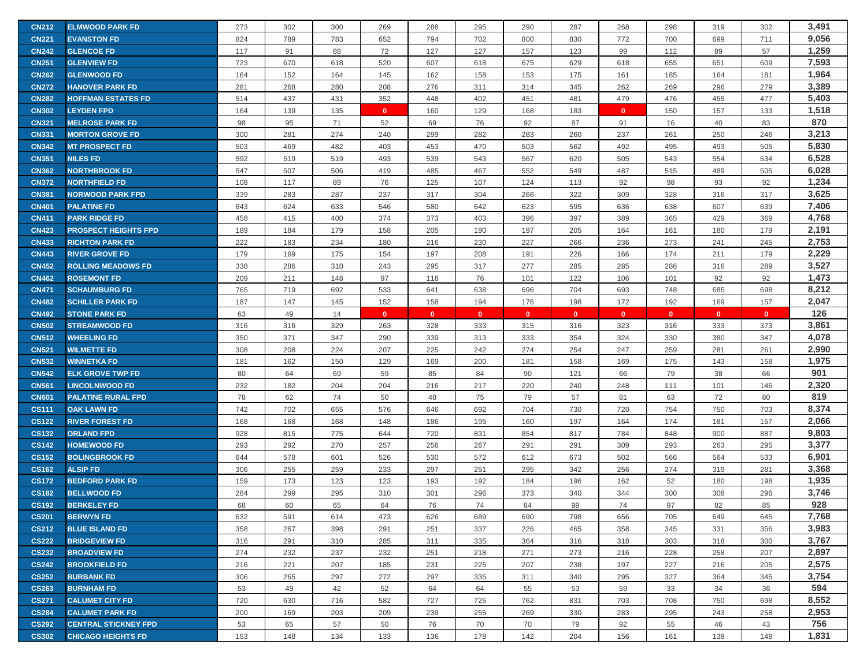| <b>CN212</b> | <b>ELMWOOD PARK FD</b>      | 273 | 302 | 300 | 269          | 288          | 295          | 290          | 287          | 268          | 298          | 319          | 302          | 3,491 |
|--------------|-----------------------------|-----|-----|-----|--------------|--------------|--------------|--------------|--------------|--------------|--------------|--------------|--------------|-------|
| <b>CN221</b> | <b>EVANSTON FD</b>          | 824 | 789 | 783 | 652          | 794          | 702          | 800          | 830          | 772          | 700          | 699          | 711          | 9,056 |
| <b>CN242</b> | <b>GLENCOE FD</b>           | 117 | 91  | 88  | 72           | 127          | 127          | 157          | 123          | 99           | 112          | 89           | 57           | 1,259 |
| <b>CN251</b> | <b>GLENVIEW FD</b>          | 723 | 670 | 618 | 520          | 607          | 618          | 675          | 629          | 618          | 655          | 651          | 609          | 7,593 |
| <b>CN262</b> | <b>GLENWOOD FD</b>          | 164 | 152 | 164 | 145          | 162          | 158          | 153          | 175          | 161          | 185          | 164          | 181          | 1,964 |
| <b>CN272</b> | <b>HANOVER PARK FD</b>      | 281 | 268 | 280 | 208          | 276          | 311          | 314          | 345          | 262          | 269          | 296          | 279          | 3,389 |
| <b>CN282</b> | <b>HOFFMAN ESTATES FD</b>   | 514 | 437 | 431 | 352          | 448          | 402          | 451          | 481          | 479          | 476          | 455          | 477          | 5,403 |
| <b>CN302</b> | <b>LEYDEN FPD</b>           | 164 | 139 | 135 | $\mathbf{0}$ | 160          | 129          | 168          | 183          | $\mathbf{0}$ | 150          | 157          | 133          | 1,518 |
| <b>CN321</b> | <b>MELROSE PARK FD</b>      | 98  | 95  | 71  | 52           | 69           | 76           | 92           | 87           | 91           | 16           | 40           | 83           | 870   |
| <b>CN331</b> | <b>MORTON GROVE FD</b>      | 300 | 281 | 274 | 240          | 299          | 282          | 283          | 260          | 237          | 261          | 250          | 246          | 3,213 |
| <b>CN342</b> | <b>MT PROSPECT FD</b>       | 503 | 469 | 482 | 403          | 453          | 470          | 503          | 562          | 492          | 495          | 493          | 505          | 5,830 |
| <b>CN351</b> | <b>NILES FD</b>             | 592 | 519 | 519 | 493          | 539          | 543          | 567          | 620          | 505          | 543          | 554          | 534          | 6,528 |
| <b>CN362</b> | <b>NORTHBROOK FD</b>        | 547 | 507 | 506 | 419          | 485          | 467          | 552          | 549          | 487          | 515          | 489          | 505          | 6,028 |
| <b>CN372</b> | <b>NORTHFIELD FD</b>        | 108 | 117 | 89  | 76           | 125          | 107          | 124          | 113          | 92           | 98           | 93           | 92           | 1,234 |
| <b>CN381</b> | <b>NORWOOD PARK FPD</b>     | 339 | 283 | 287 | 237          | 317          | 304          | 266          | 322          | 309          | 328          | 316          | 317          | 3,625 |
| <b>CN401</b> | <b>PALATINE FD</b>          | 643 | 624 | 633 | 546          | 580          | 642          | 623          | 595          | 636          | 638          | 607          | 639          | 7,406 |
| <b>CN411</b> | <b>PARK RIDGE FD</b>        | 458 | 415 | 400 | 374          | 373          | 403          | 396          | 397          | 389          | 365          | 429          | 369          | 4,768 |
| <b>CN423</b> | <b>PROSPECT HEIGHTS FPD</b> | 189 | 184 | 179 | 158          | 205          | 190          | 197          | 205          | 164          | 161          | 180          | 179          | 2,191 |
| <b>CN433</b> | <b>RICHTON PARK FD</b>      | 222 | 183 | 234 | 180          | 216          | 230          | 227          | 266          | 236          | 273          | 241          | 245          | 2,753 |
| <b>CN443</b> | <b>RIVER GROVE FD</b>       | 179 | 169 | 175 | 154          | 197          | 208          | 191          | 226          | 166          | 174          | 211          | 179          | 2,229 |
| <b>CN452</b> | <b>ROLLING MEADOWS FD</b>   | 338 | 286 | 310 | 243          | 295          | 317          | 277          | 285          | 285          | 286          | 316          | 289          | 3,527 |
| <b>CN462</b> | <b>ROSEMONT FD</b>          | 209 | 211 | 148 | 97           | 118          | 76           | 101          | 122          | 106          | 101          | 92           | 92           | 1,473 |
| <b>CN471</b> | <b>SCHAUMBURG FD</b>        | 765 | 719 | 692 | 533          | 641          | 638          | 696          | 704          | 693          | 748          | 685          | 698          | 8,212 |
| <b>CN482</b> | <b>SCHILLER PARK FD</b>     | 187 | 147 | 145 | 152          | 158          | 194          | 176          | 198          | 172          | 192          | 169          | 157          | 2,047 |
| <b>CN492</b> | <b>STONE PARK FD</b>        | 63  | 49  | 14  | $\mathbf{0}$ | $\mathbf{0}$ | $\mathbf{0}$ | $\mathbf{0}$ | $\mathbf{0}$ | $\mathbf{0}$ | $\mathbf{0}$ | $\mathbf{0}$ | $\mathbf{0}$ | 126   |
| <b>CN502</b> | <b>STREAMWOOD FD</b>        | 316 | 316 | 329 | 263          | 328          | 333          | 315          | 316          | 323          | 316          | 333          | 373          | 3,861 |
| <b>CN512</b> | <b>WHEELING FD</b>          | 350 | 371 | 347 | 290          | 339          | 313          | 333          | 354          | 324          | 330          | 380          | 347          | 4,078 |
| <b>CN521</b> | <b>WILMETTE FD</b>          | 308 | 208 | 224 | 207          | 225          | 242          | 274          | 254          | 247          | 259          | 281          | 261          | 2,990 |
| <b>CN532</b> | <b>WINNETKA FD</b>          | 181 | 162 | 150 | 129          | 169          | 200          | 181          | 158          | 169          | 175          | 143          | 158          | 1,975 |
| <b>CN542</b> | <b>ELK GROVE TWP FD</b>     | 80  | 64  | 69  | 59           | 85           | 84           | 90           | 121          | 66           | 79           | 38           | 66           | 901   |
| <b>CN561</b> | <b>LINCOLNWOOD FD</b>       | 232 | 182 | 204 | 204          | 216          | 217          | 220          | 240          | 248          | 111          | 101          | 145          | 2,320 |
| <b>CN601</b> | <b>PALATINE RURAL FPD</b>   | 78  | 62  | 74  | 50           | 48           | 75           | 79           | 57           | 81           | 63           | 72           | 80           | 819   |
| <b>CS111</b> | <b>OAK LAWN FD</b>          | 742 | 702 | 655 | 576          | 646          | 692          | 704          | 730          | 720          | 754          | 750          | 703          | 8,374 |
| <b>CS122</b> | <b>RIVER FOREST FD</b>      | 168 | 168 | 168 | 148          | 186          | 195          | 160          | 197          | 164          | 174          | 181          | 157          | 2,066 |
| <b>CS132</b> | <b>ORLAND FPD</b>           | 928 | 815 | 775 | 644          | 720          | 831          | 854          | 817          | 784          | 848          | 900          | 887          | 9,803 |
| <b>CS142</b> | <b>HOMEWOOD FD</b>          | 293 | 292 | 270 | 257          | 256          | 267          | 291          | 291          | 309          | 293          | 263          | 295          | 3,377 |
| <b>CS152</b> | <b>BOLINGBROOK FD</b>       | 644 | 578 | 601 | 526          | 530          | 572          | 612          | 673          | 502          | 566          | 564          | 533          | 6,901 |
| <b>CS162</b> | <b>ALSIP FD</b>             | 306 | 255 | 259 | 233          | 297          | 251          | 295          | 342          | 256          | 274          | 319          | 281          | 3,368 |
| <b>CS172</b> | <b>BEDFORD PARK FD</b>      | 159 | 173 | 123 | 123          | 193          | 192          | 184          | 196          | 162          | 52           | 180          | 198          | 1,935 |
| <b>CS182</b> | <b>BELLWOOD FD</b>          | 284 | 299 | 295 | 310          | 301          | 296          | 373          | 340          | 344          | 300          | 308          | 296          | 3,746 |
| <b>CS192</b> | <b>BERKELEY FD</b>          | 68  | 60  | 65  | 64           | 76           | 74           | 84           | 99           | 74           | 97           | 82           | 85           | 928   |
| <b>CS201</b> | <b>BERWYN FD</b>            | 632 | 591 | 614 | 473          | 626          | 689          | 690          | 798          | 656          | 705          | 649          | 645          | 7,768 |
| <b>CS212</b> | <b>BLUE ISLAND FD</b>       | 358 | 267 | 398 | 291          | 251          | 337          | 226          | 465          | 358          | 345          | 331          | 356          | 3,983 |
| <b>CS222</b> | <b>BRIDGEVIEW FD</b>        | 316 | 291 | 310 | 285          | 311          | 335          | 364          | 316          | 318          | 303          | 318          | 300          | 3,767 |
| <b>CS232</b> | <b>BROADVIEW FD</b>         | 274 | 232 | 237 | 232          | 251          | 218          | 271          | 273          | 216          | 228          | 258          | 207          | 2,897 |
| <b>CS242</b> | <b>BROOKFIELD FD</b>        | 216 | 221 | 207 | 185          | 231          | 225          | 207          | 238          | 197          | 227          | 216          | 205          | 2,575 |
| <b>CS252</b> | <b>BURBANK FD</b>           | 306 | 265 | 297 | 272          | 297          | 335          | 311          | 340          | 295          | 327          | 364          | 345          | 3,754 |
| <b>CS263</b> | <b>BURNHAM FD</b>           | 53  | 49  | 42  | 52           | 64           | 64           | 55           | 53           | 59           | 33           | 34           | 36           | 594   |
| <b>CS271</b> | <b>CALUMET CITY FD</b>      | 720 | 630 | 716 | 582          | 727          | 725          | 762          | 831          | 703          | 708          | 750          | 698          | 8,552 |
| <b>CS284</b> | <b>CALUMET PARK FD</b>      | 200 | 169 | 203 | 209          | 239          | 255          | 269          | 330          | 283          | 295          | 243          | 258          | 2,953 |
| <b>CS292</b> | <b>CENTRAL STICKNEY FPD</b> | 53  | 65  | 57  | 50           | 76           | 70           | 70           | 79           | 92           | 55           | 46           | 43           | 756   |
| <b>CS302</b> | <b>CHICAGO HEIGHTS FD</b>   | 153 | 148 | 134 | 133          | 136          | 178          | 142          | 204          | 156          | 161          | 138          | 148          | 1,831 |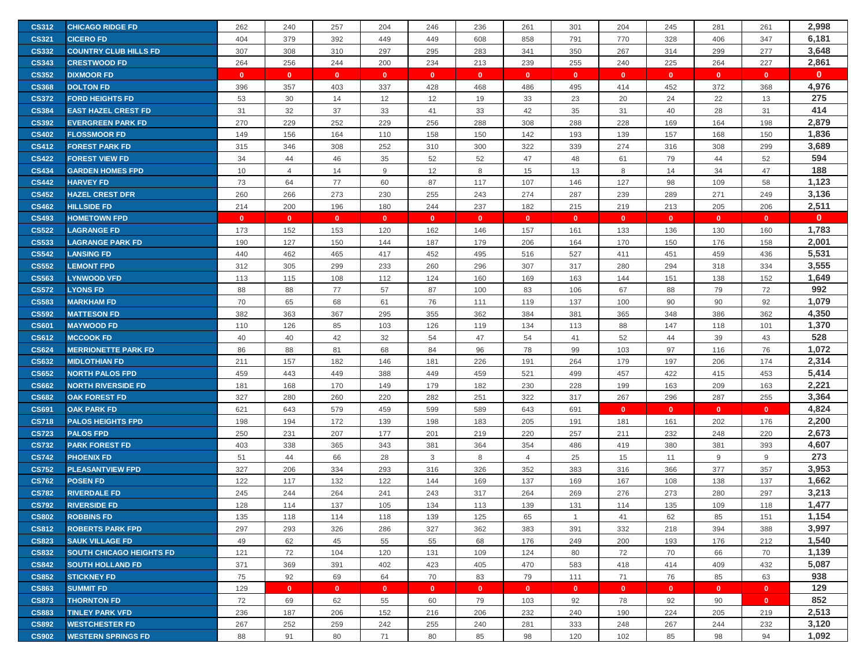| <b>CS312</b> | <b>CHICAGO RIDGE FD</b>         | 262          | 240            | 257          | 204          | 246          | 236          | 261            | 301          | 204          | 245            | 281          | 261          | 2,998        |
|--------------|---------------------------------|--------------|----------------|--------------|--------------|--------------|--------------|----------------|--------------|--------------|----------------|--------------|--------------|--------------|
| <b>CS321</b> | <b>CICERO FD</b>                | 404          | 379            | 392          | 449          | 449          | 608          | 858            | 791          | 770          | 328            | 406          | 347          | 6,181        |
| <b>CS332</b> | <b>COUNTRY CLUB HILLS FD</b>    | 307          | 308            | 310          | 297          | 295          | 283          | 341            | 350          | 267          | 314            | 299          | 277          | 3,648        |
| <b>CS343</b> | <b>CRESTWOOD FD</b>             | 264          | 256            | 244          | 200          | 234          | 213          | 239            | 255          | 240          | 225            | 264          | 227          | 2,861        |
| <b>CS352</b> | <b>DIXMOOR FD</b>               | $\mathbf{0}$ | $\mathbf{0}$   | $\mathbf{0}$ | $\mathbf{0}$ | $\mathbf{0}$ | $\mathbf{0}$ | $\mathbf{0}$   | $\mathbf{0}$ | $\mathbf{0}$ | $\mathbf{0}$   | $\mathbf{0}$ | $\mathbf{0}$ | $\mathbf{0}$ |
| <b>CS368</b> | <b>DOLTON FD</b>                | 396          | 357            | 403          | 337          | 428          | 468          | 486            | 495          | 414          | 452            | 372          | 368          | 4,976        |
| <b>CS372</b> | <b>FORD HEIGHTS FD</b>          | 53           | 30             | 14           | 12           | 12           | 19           | 33             | 23           | 20           | 24             | 22           | 13           | 275          |
| <b>CS384</b> | <b>EAST HAZEL CREST FD</b>      | 31           | 32             | 37           | 33           | 41           | 33           | 42             | 35           | 31           | 40             | 28           | 31           | 414          |
| <b>CS392</b> | <b>EVERGREEN PARK FD</b>        | 270          | 229            | 252          | 229          | 256          | 288          | 308            | 288          | 228          | 169            | 164          | 198          | 2,879        |
| <b>CS402</b> | <b>FLOSSMOOR FD</b>             | 149          | 156            | 164          | 110          | 158          | 150          | 142            | 193          | 139          | 157            | 168          | 150          | 1,836        |
| <b>CS412</b> | <b>FOREST PARK FD</b>           | 315          | 346            | 308          | 252          | 310          | 300          | 322            | 339          | 274          | 316            | 308          | 299          | 3,689        |
| <b>CS422</b> | <b>FOREST VIEW FD</b>           | 34           | 44             | 46           | 35           | 52           | 52           | 47             | 48           | 61           | 79             | 44           | 52           | 594          |
| <b>CS434</b> | <b>GARDEN HOMES FPD</b>         | 10           | $\overline{4}$ | 14           | 9            | 12           | 8            | 15             | 13           | 8            | 14             | 34           | 47           | 188          |
| <b>CS442</b> | <b>HARVEY FD</b>                | 73           | 64             | 77           | 60           | 87           | 117          | 107            | 146          | 127          | 98             | 109          | 58           | 1,123        |
| <b>CS452</b> | <b>HAZEL CREST DFR</b>          | 260          | 266            | 273          | 230          | 255          | 243          | 274            | 287          | 239          | 289            | 271          | 249          | 3,136        |
| <b>CS462</b> | <b>HILLSIDE FD</b>              | 214          | 200            | 196          | 180          | 244          | 237          | 182            | 215          | 219          | 213            | 205          | 206          | 2,511        |
| <b>CS493</b> | <b>HOMETOWN FPD</b>             | $\mathbf{0}$ | $\mathbf{0}$   | $\mathbf{0}$ | $\mathbf{0}$ | $\mathbf{0}$ | $\mathbf{0}$ | $\mathbf{0}$   | $\mathbf{0}$ | $\mathbf{0}$ | $\overline{0}$ | $\mathbf{0}$ | $\mathbf{0}$ | $\mathbf{0}$ |
| <b>CS522</b> | <b>LAGRANGE FD</b>              | 173          | 152            | 153          | 120          | 162          | 146          | 157            | 161          | 133          | 136            | 130          | 160          | 1,783        |
| <b>CS533</b> | <b>LAGRANGE PARK FD</b>         | 190          | 127            | 150          | 144          | 187          | 179          | 206            | 164          | 170          | 150            | 176          | 158          | 2,001        |
| <b>CS542</b> | <b>LANSING FD</b>               | 440          | 462            | 465          | 417          | 452          | 495          | 516            | 527          | 411          | 451            | 459          | 436          | 5,531        |
| <b>CS552</b> | <b>LEMONT FPD</b>               | 312          | 305            | 299          | 233          | 260          | 296          | 307            | 317          | 280          | 294            | 318          | 334          | 3,555        |
| <b>CS563</b> | <b>LYNWOOD VFD</b>              | 113          | 115            | 108          | 112          | 124          | 160          | 169            | 163          | 144          | 151            | 138          | 152          | 1,649        |
| <b>CS572</b> | <b>LYONS FD</b>                 | 88           | 88             | 77           | 57           | 87           | 100          | 83             | 106          | 67           | 88             | 79           | 72           | 992          |
| <b>CS583</b> | <b>MARKHAM FD</b>               | 70           | 65             | 68           | 61           | 76           | 111          | 119            | 137          | 100          | 90             | 90           | 92           | 1,079        |
| <b>CS592</b> | <b>MATTESON FD</b>              | 382          | 363            | 367          | 295          | 355          | 362          | 384            | 381          | 365          | 348            | 386          | 362          | 4,350        |
| <b>CS601</b> | <b>MAYWOOD FD</b>               | 110          | 126            | 85           | 103          | 126          | 119          | 134            | 113          | 88           | 147            | 118          | 101          | 1,370        |
| <b>CS612</b> | <b>MCCOOK FD</b>                | 40           | 40             | 42           | 32           | 54           | 47           | 54             | 41           | 52           | 44             | 39           | 43           | 528          |
| <b>CS624</b> | <b>MERRIONETTE PARK FD</b>      | 86           | 88             | 81           | 68           | 84           | 96           | 78             | 99           | 103          | 97             | 116          | 76           | 1,072        |
| <b>CS632</b> | <b>MIDLOTHIAN FD</b>            | 211          | 157            | 182          | 146          | 181          | 226          | 191            | 264          | 179          | 197            | 206          | 174          | 2,314        |
| <b>CS652</b> | <b>NORTH PALOS FPD</b>          | 459          | 443            | 449          | 388          | 449          | 459          | 521            | 499          | 457          | 422            | 415          | 453          | 5,414        |
| <b>CS662</b> | <b>NORTH RIVERSIDE FD</b>       | 181          | 168            | 170          | 149          | 179          | 182          | 230            | 228          | 199          | 163            | 209          | 163          | 2,221        |
| <b>CS682</b> | <b>OAK FOREST FD</b>            | 327          | 280            | 260          | 220          | 282          | 251          | 322            | 317          | 267          | 296            | 287          | 255          | 3,364        |
| <b>CS691</b> | <b>OAK PARK FD</b>              | 621          | 643            | 579          | 459          | 599          | 589          | 643            | 691          | $\mathbf{0}$ | $\mathbf{0}$   | $\mathbf{0}$ | $\mathbf{0}$ | 4,824        |
| <b>CS718</b> | <b>PALOS HEIGHTS FPD</b>        | 198          | 194            | 172          | 139          | 198          | 183          | 205            | 191          | 181          | 161            | 202          | 176          | 2,200        |
| <b>CS723</b> | <b>PALOS FPD</b>                | 250          | 231            | 207          | 177          | 201          | 219          | 220            | 257          | 211          | 232            | 248          | 220          | 2,673        |
| <b>CS732</b> | <b>PARK FOREST FD</b>           | 403          | 338            | 365          | 343          | 381          | 364          | 354            | 486          | 419          | 380            | 381          | 393          | 4,607        |
| <b>CS742</b> | <b>PHOENIX FD</b>               | 51           | 44             | 66           | 28           | 3            | 8            | $\overline{4}$ | 25           | 15           | 11             | 9            | 9            | 273          |
| <b>CS752</b> | <b>PLEASANTVIEW FPD</b>         | 327          | 206            | 334          | 293          | 316          | 326          | 352            | 383          | 316          | 366            | 377          | 357          | 3,953        |
| <b>CS762</b> | <b>POSEN FD</b>                 | 122          | 117            | 132          | 122          | 144          | 169          | 137            | 169          | 167          | 108            | 138          | 137          | 1,662        |
| <b>CS782</b> | <b>RIVERDALE FD</b>             | 245          | 244            | 264          | 241          | 243          | 317          | 264            | 269          | 276          | 273            | 280          | 297          | 3,213        |
| <b>CS792</b> | <b>RIVERSIDE FD</b>             | 128          | 114            | 137          | 105          | 134          | 113          | 139            | 131          | 114          | 135            | 109          | 118          | 1,477        |
| <b>CS802</b> | <b>ROBBINS FD</b>               | 135          | 118            | 114          | 118          | 139          | 125          | 65             | $\mathbf{1}$ | 41           | 62             | 85           | 151          | 1,154        |
| <b>CS812</b> | <b>ROBERTS PARK FPD</b>         | 297          | 293            | 326          | 286          | 327          | 362          | 383            | 391          | 332          | 218            | 394          | 388          | 3,997        |
| <b>CS823</b> | <b>SAUK VILLAGE FD</b>          | 49           | 62             | 45           | 55           | 55           | 68           | 176            | 249          | 200          | 193            | 176          | 212          | 1,540        |
| <b>CS832</b> | <b>SOUTH CHICAGO HEIGHTS FD</b> | 121          | 72             | 104          | 120          | 131          | 109          | 124            | 80           | 72           | 70             | 66           | 70           | 1,139        |
| <b>CS842</b> | <b>SOUTH HOLLAND FD</b>         | 371          | 369            | 391          | 402          | 423          | 405          | 470            | 583          | 418          | 414            | 409          | 432          | 5,087        |
| <b>CS852</b> | <b>STICKNEY FD</b>              | 75           | 92             | 69           | 64           | 70           | 83           | 79             | 111          | 71           | 76             | 85           | 63           | 938          |
| <b>CS863</b> | <b>SUMMIT FD</b>                | 129          | $\mathbf{0}$   | $\mathbf{0}$ | $\mathbf{0}$ | $\mathbf{0}$ | $\mathbf{0}$ | $\mathbf{0}$   | $\mathbf{0}$ | $\mathbf{0}$ | $\mathbf{0}$   | $\mathbf{0}$ | $\mathbf{0}$ | 129          |
| <b>CS873</b> | <b>THORNTON FD</b>              | 72           | 69             | 62           | 55           | 60           | 79           | 103            | 92           | 78           | 92             | 90           | $\mathbf{0}$ | 852          |
| <b>CS883</b> | <b>TINLEY PARK VFD</b>          | 236          | 187            | 206          | 152          | 216          | 206          | 232            | 240          | 190          | 224            | 205          | 219          | 2,513        |
| <b>CS892</b> | <b>WESTCHESTER FD</b>           | 267          | 252            | 259          | 242          | 255          | 240          | 281            | 333          | 248          | 267            | 244          | 232          | 3,120        |
| <b>CS902</b> | <b>WESTERN SPRINGS FD</b>       | 88           | 91             | 80           | 71           | 80           | 85           | 98             | 120          | 102          | 85             | 98           | 94           | 1,092        |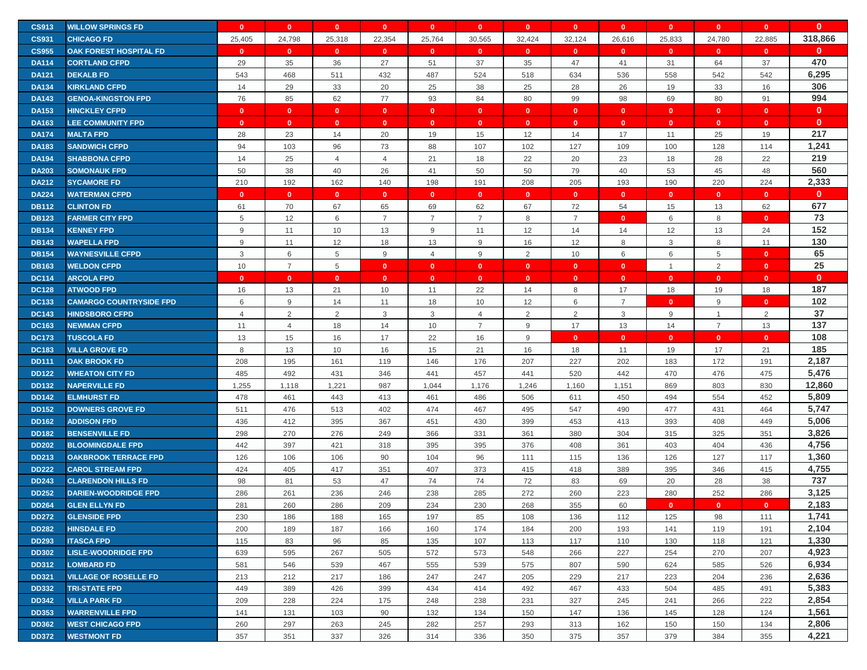| <b>CS913</b> | <b>WILLOW SPRINGS FD</b>       | $\mathbf{0}$   | $\mathbf{0}$   | $\mathbf{0}$    | $\mathbf{0}$   | $\mathbf{0}$   | $\mathbf{0}$   | $\mathbf{0}$ | $\mathbf{0}$   | $\mathbf{0}$   | $\mathbf{0}$   | $\mathbf{0}$   | $\mathbf{0}$   | $\mathbf{0}$ |
|--------------|--------------------------------|----------------|----------------|-----------------|----------------|----------------|----------------|--------------|----------------|----------------|----------------|----------------|----------------|--------------|
| <b>CS931</b> | <b>CHICAGO FD</b>              | 25,405         | 24,798         | 25,318          | 22,354         | 25,764         | 30,565         | 32,424       | 32,124         | 26,616         | 25,833         | 24,780         | 22,885         | 318,866      |
| <b>CS955</b> | <b>OAK FOREST HOSPITAL FD</b>  | $\mathbf{0}$   | $\mathbf{0}$   | $\mathbf{0}$    | $\mathbf{0}$   | $\mathbf{0}$   | $\bullet$      | $\mathbf{0}$ | $\mathbf{0}$   | $\mathbf{0}$   | $\bullet$      | $\mathbf{0}$   | $\mathbf{0}$   | $\bf{0}$     |
| <b>DA114</b> | <b>CORTLAND CFPD</b>           | 29             | 35             | 36              | 27             | 51             | 37             | 35           | 47             | 41             | 31             | 64             | 37             | 470          |
| <b>DA121</b> | <b>DEKALB FD</b>               | 543            | 468            | 511             | 432            | 487            | 524            | 518          | 634            | 536            | 558            | 542            | 542            | 6,295        |
| <b>DA134</b> | <b>KIRKLAND CFPD</b>           | 14             | 29             | 33              | 20             | 25             | 38             | 25           | 28             | 26             | 19             | 33             | 16             | 306          |
| <b>DA143</b> | <b>GENOA-KINGSTON FPD</b>      | 76             | 85             | 62              | 77             | 93             | 84             | 80           | 99             | 98             | 69             | 80             | 91             | 994          |
| <b>DA153</b> | <b>HINCKLEY CFPD</b>           | $\mathbf{0}$   | $\mathbf{0}$   | $\mathbf{0}$    | $\mathbf{0}$   | $\mathbf{0}$   | $\bullet$      | $\mathbf{0}$ | $\mathbf{0}$   | $\mathbf{0}$   | $\mathbf{0}$   | $\mathbf{0}$   | $\mathbf{0}$   | $\mathbf{0}$ |
| <b>DA163</b> | <b>LEE COMMUNITY FPD</b>       | $\mathbf{0}$   | $\mathbf{0}$   | $\mathbf{0}$    | $\mathbf{0}$   | $\mathbf{0}$   | $\bullet$      | $\mathbf{0}$ | $\mathbf{0}$   | $\mathbf{0}$   | $\mathbf{0}$   | $\mathbf{0}$   | $\mathbf{0}$   | $\mathbf{0}$ |
| <b>DA174</b> | <b>MALTA FPD</b>               | 28             | 23             | 14              | 20             | 19             | 15             | 12           | 14             | 17             | 11             | 25             | 19             | 217          |
| <b>DA183</b> | <b>SANDWICH CFPD</b>           | 94             | 103            | 96              | 73             | 88             | 107            | 102          | 127            | 109            | 100            | 128            | 114            | 1,241        |
| <b>DA194</b> | <b>SHABBONA CFPD</b>           | 14             | 25             | 4               | $\overline{4}$ | 21             | 18             | 22           | 20             | 23             | 18             | 28             | 22             | 219          |
| <b>DA203</b> | <b>SOMONAUK FPD</b>            | 50             | 38             | 40              | 26             | 41             | 50             | 50           | 79             | 40             | 53             | 45             | 48             | 560          |
| <b>DA212</b> | <b>SYCAMORE FD</b>             | 210            | 192            | 162             | 140            | 198            | 191            | 208          | 205            | 193            | 190            | 220            | 224            | 2,333        |
| <b>DA224</b> | <b>WATERMAN CFPD</b>           | $\mathbf{0}$   | $\mathbf{0}$   | $\overline{0}$  | $\mathbf{0}$   | $\mathbf{0}$   | $\mathbf{0}$   | $\mathbf{0}$ | $\mathbf{0}$   | $\mathbf{0}$   | $\mathbf{0}$   | $\mathbf{0}$   | $\mathbf{0}$   | $\mathbf{0}$ |
| <b>DB112</b> | <b>CLINTON FD</b>              | 61             | 70             | 67              | 65             | 69             | 62             | 67           | 72             | 54             | 15             | 13             | 62             | 677          |
| <b>DB123</b> | <b>FARMER CITY FPD</b>         | 5              | 12             | 6               | $\overline{7}$ | $\overline{7}$ | $\overline{7}$ | 8            | $\overline{7}$ | $\mathbf{0}$   | 6              | 8              | $\mathbf{0}$   | 73           |
| <b>DB134</b> | <b>KENNEY FPD</b>              | 9              | 11             | 10              | 13             | 9              | 11             | 12           | 14             | 14             | 12             | 13             | 24             | 152          |
| <b>DB143</b> | <b>WAPELLA FPD</b>             | 9              | 11             | 12              | 18             | 13             | 9              | 16           | 12             | 8              | 3              | 8              | 11             | 130          |
| <b>DB154</b> | <b>WAYNESVILLE CFPD</b>        | $\mathbf{3}$   | 6              | $5\phantom{.0}$ | 9              | $\overline{4}$ | 9              | 2            | 10             | 6              | 6              | 5              | $\mathbf{0}$   | 65           |
| <b>DB163</b> | <b>WELDON CFPD</b>             | 10             | $\overline{7}$ | 5               | $\mathbf{0}$   | $\mathbf{0}$   | $\mathbf{0}$   | $\mathbf{0}$ | $\mathbf{0}$   | $\mathbf{0}$   | $\overline{1}$ | $\overline{2}$ | $\mathbf{0}$   | 25           |
| <b>DC114</b> | <b>ARCOLA FPD</b>              | $\mathbf{0}$   | $\mathbf{0}$   | $\mathbf{0}$    | $\mathbf{0}$   | $\mathbf{0}$   | $\mathbf{0}$   | $\mathbf{0}$ | $\mathbf{0}$   | $\mathbf{0}$   | $\mathbf{0}$   | $\mathbf{0}$   | $\mathbf{0}$   | $\mathbf{0}$ |
| <b>DC128</b> | <b>ATWOOD FPD</b>              | 16             | 13             | 21              | 10             | 11             | 22             | 14           | 8              | 17             | 18             | 19             | 18             | 187          |
| <b>DC133</b> | <b>CAMARGO COUNTRYSIDE FPD</b> | 6              | 9              | 14              | 11             | 18             | 10             | 12           | 6              | $\overline{7}$ | $\mathbf{0}$   | 9              | $\mathbf{0}$   | 102          |
| <b>DC143</b> | <b>HINDSBORO CFPD</b>          | $\overline{4}$ | $\overline{2}$ | 2               | 3              | 3              | $\overline{4}$ | 2            | $\overline{2}$ | $\mathbf{3}$   | 9              | $\mathbf{1}$   | $\overline{2}$ | 37           |
| <b>DC163</b> | <b>NEWMAN CFPD</b>             | 11             | $\overline{4}$ | 18              | 14             | 10             | $\overline{7}$ | 9            | 17             | 13             | 14             | $\overline{7}$ | 13             | 137          |
| <b>DC173</b> | <b>TUSCOLA FD</b>              | 13             | 15             | 16              | 17             | 22             | 16             | 9            | $\mathbf{0}$   | $\mathbf{0}$   | $\mathbf{0}$   | $\mathbf{0}$   | $\mathbf{0}$   | 108          |
| <b>DC183</b> | <b>VILLA GROVE FD</b>          | 8              | 13             | 10              | 16             | 15             | 21             | 16           | 18             | 11             | 19             | 17             | 21             | 185          |
| <b>DD111</b> | <b>OAK BROOK FD</b>            | 208            | 195            | 161             | 119            | 146            | 176            | 207          | 227            | 202            | 183            | 172            | 191            | 2,187        |
| <b>DD122</b> | <b>WHEATON CITY FD</b>         | 485            | 492            | 431             | 346            | 441            | 457            | 441          | 520            | 442            | 470            | 476            | 475            | 5,476        |
| <b>DD132</b> | <b>NAPERVILLE FD</b>           | 1,255          | 1,118          | 1,221           | 987            | 1,044          | 1,176          | 1,246        | 1,160          | 1,151          | 869            | 803            | 830            | 12,860       |
| <b>DD142</b> | <b>ELMHURST FD</b>             | 478            | 461            | 443             | 413            | 461            | 486            | 506          | 611            | 450            | 494            | 554            | 452            | 5,809        |
| <b>DD152</b> | <b>DOWNERS GROVE FD</b>        | 511            | 476            | 513             | 402            | 474            | 467            | 495          | 547            | 490            | 477            | 431            | 464            | 5,747        |
| <b>DD162</b> | <b>ADDISON FPD</b>             | 436            | 412            | 395             | 367            | 451            | 430            | 399          | 453            | 413            | 393            | 408            | 449            | 5,006        |
| <b>DD182</b> | <b>BENSENVILLE FD</b>          | 298            | 270            | 276             | 249            | 366            | 331            | 361          | 380            | 304            | 315            | 325            | 351            | 3,826        |
| <b>DD202</b> | <b>BLOOMINGDALE FPD</b>        | 442            | 397            | 421             | 318            | 395            | 395            | 376          | 408            | 361            | 403            | 404            | 436            | 4,756        |
| <b>DD213</b> | <b>OAKBROOK TERRACE FPD</b>    | 126            | 106            | 106             | 90             | 104            | 96             | 111          | 115            | 136            | 126            | 127            | 117            | 1,360        |
| <b>DD222</b> | <b>CAROL STREAM FPD</b>        | 424            | 405            | 417             | 351            | 407            | 373            | 415          | 418            | 389            | 395            | 346            | 415            | 4,755        |
| <b>DD243</b> | <b>CLARENDON HILLS FD</b>      | 98             | 81             | 53              | 47             | 74             | 74             | 72           | 83             | 69             | 20             | 28             | 38             | 737          |
| <b>DD252</b> | <b>DARIEN-WOODRIDGE FPD</b>    | 286            | 261            | 236             | 246            | 238            | 285            | 272          | 260            | 223            | 280            | 252            | 286            | 3,125        |
| <b>DD264</b> | <b>GLEN ELLYN FD</b>           | 281            | 260            | 286             | 209            | 234            | 230            | 268          | 355            | 60             | $\mathbf{0}$   | $\mathbf{0}$   | $\mathbf{0}$   | 2,183        |
| <b>DD272</b> | <b>GLENSIDE FPD</b>            | 230            | 186            | 188             | 165            | 197            | 85             | 108          | 136            | 112            | 125            | 98             | 111            | 1,741        |
| <b>DD282</b> | <b>HINSDALE FD</b>             | 200            | 189            | 187             | 166            | 160            | 174            | 184          | 200            | 193            | 141            | 119            | 191            | 2,104        |
| <b>DD293</b> | <b>ITASCA FPD</b>              | 115            | 83             | 96              | 85             | 135            | 107            | 113          | 117            | 110            | 130            | 118            | 121            | 1,330        |
| <b>DD302</b> | <b>LISLE-WOODRIDGE FPD</b>     | 639            | 595            | 267             | 505            | 572            | 573            | 548          | 266            | 227            | 254            | 270            | 207            | 4,923        |
| <b>DD312</b> | <b>LOMBARD FD</b>              | 581            | 546            | 539             | 467            | 555            | 539            | 575          | 807            | 590            | 624            | 585            | 526            | 6,934        |
| <b>DD321</b> | <b>VILLAGE OF ROSELLE FD</b>   | 213            | 212            | 217             | 186            | 247            | 247            | 205          | 229            | 217            | 223            | 204            | 236            | 2,636        |
| <b>DD332</b> | <b>TRI-STATE FPD</b>           | 449            | 389            | 426             | 399            | 434            | 414            | 492          | 467            | 433            | 504            | 485            | 491            | 5,383        |
| <b>DD342</b> | <b>VILLA PARK FD</b>           | 209            | 228            | 224             | 175            | 248            | 238            | 231          | 327            | 245            | 241            | 266            | 222            | 2,854        |
| <b>DD353</b> | <b>WARRENVILLE FPD</b>         | 141            | 131            | 103             | 90             | 132            | 134            | 150          | 147            | 136            | 145            | 128            | 124            | 1,561        |
| <b>DD362</b> | <b>WEST CHICAGO FPD</b>        | 260            | 297            | 263             | 245            | 282            | 257            | 293          | 313            | 162            | 150            | 150            | 134            | 2,806        |
| <b>DD372</b> | <b>WESTMONT FD</b>             | 357            | 351            | 337             | 326            | 314            | 336            | 350          | 375            | 357            | 379            | 384            | 355            | 4,221        |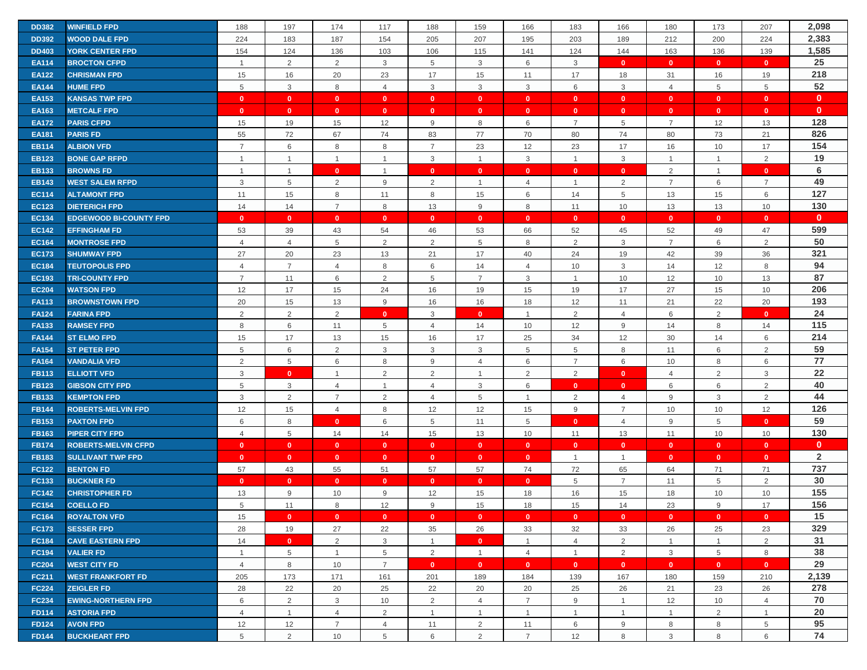| <b>DD382</b> | <b>WINFIELD FPD</b>           | 188            | 197             | 174            | 117            | 188            | 159            | 166            | 183            | 166            | 180            | 173            | 207            | 2,098          |
|--------------|-------------------------------|----------------|-----------------|----------------|----------------|----------------|----------------|----------------|----------------|----------------|----------------|----------------|----------------|----------------|
| <b>DD392</b> | <b>WOOD DALE FPD</b>          | 224            | 183             | 187            | 154            | 205            | 207            | 195            | 203            | 189            | 212            | 200            | 224            | 2,383          |
| <b>DD403</b> | <b>YORK CENTER FPD</b>        | 154            | 124             | 136            | 103            | 106            | 115            | 141            | 124            | 144            | 163            | 136            | 139            | 1,585          |
| <b>EA114</b> | <b>BROCTON CFPD</b>           | $\overline{1}$ | $\overline{2}$  | 2              | 3              | 5              | $\mathbf{3}$   | 6              | 3              | $\mathbf{0}$   | $\mathbf{0}$   | $\mathbf{0}$   | $\mathbf{0}$   | 25             |
| <b>EA122</b> | <b>CHRISMAN FPD</b>           | 15             | 16              | 20             | 23             | 17             | 15             | 11             | 17             | 18             | 31             | 16             | 19             | 218            |
| <b>EA144</b> | <b>HUME FPD</b>               | 5              | 3               | 8              | $\overline{4}$ | 3              | $\mathbf{3}$   | $\mathbf{3}$   | 6              | $\mathbf{3}$   | $\overline{4}$ | 5              | 5              | 52             |
| <b>EA153</b> | <b>KANSAS TWP FPD</b>         | $\mathbf{0}$   | $\mathbf{0}$    | $\mathbf{0}$   | $\mathbf{0}$   | $\mathbf{0}$   | $\mathbf{0}$   | $\mathbf{0}$   | $\mathbf{0}$   | $\mathbf{0}$   | $\bullet$      | $\mathbf{0}$   | $\mathbf{0}$   | $\mathbf{0}$   |
| <b>EA163</b> | <b>METCALF FPD</b>            | $\mathbf{0}$   | $\mathbf{0}$    | $\mathbf{0}$   | $\mathbf{0}$   | $\mathbf{0}$   | $\mathbf{0}$   | $\mathbf{0}$   | $\mathbf{0}$   | $\mathbf{0}$   | $\mathbf{0}$   | $\mathbf{0}$   | $\mathbf{0}$   | $\mathbf{0}$   |
| <b>EA172</b> | <b>PARIS CFPD</b>             | 15             | 19              | 15             | 12             | 9              | 8              | 6              | $\overline{7}$ | 5              | $\overline{7}$ | 12             | 13             | 128            |
| <b>EA181</b> | <b>PARIS FD</b>               | 55             | 72              | 67             | 74             | 83             | 77             | 70             | 80             | 74             | 80             | 73             | 21             | 826            |
| <b>EB114</b> | <b>ALBION VFD</b>             | $\overline{7}$ | 6               | 8              | 8              | $\overline{7}$ | 23             | 12             | 23             | 17             | 16             | 10             | 17             | 154            |
| <b>EB123</b> | <b>BONE GAP RFPD</b>          | $\overline{1}$ | $\mathbf{1}$    | $\overline{1}$ | $\overline{1}$ | 3              | $\overline{1}$ | 3              | $\mathbf{1}$   | 3              | $\overline{1}$ | $\mathbf{1}$   | 2              | 19             |
| <b>EB133</b> | <b>BROWNS FD</b>              | $\overline{1}$ | $\mathbf{1}$    | $\mathbf{0}$   | $\overline{1}$ | $\mathbf{0}$   | $\mathbf{0}$   | $\mathbf{0}$   | $\mathbf{0}$   | $\mathbf{0}$   | 2              | $\mathbf{1}$   | $\mathbf{0}$   | 6              |
| <b>EB143</b> | <b>WEST SALEM RFPD</b>        | 3              | $\overline{5}$  | 2              | 9              | 2              | $\overline{1}$ | $\overline{4}$ | $\mathbf{1}$   | 2              | $\overline{7}$ | 6              | $\overline{7}$ | 49             |
| <b>EC114</b> | <b>ALTAMONT FPD</b>           | 11             | 15              | 8              | 11             | 8              | 15             | 6              | 14             | 5              | 13             | 15             | 6              | 127            |
| <b>EC123</b> | <b>DIETERICH FPD</b>          | 14             | 14              | $\overline{7}$ | 8              | 13             | 9              | 8              | 11             | 10             | 13             | 13             | 10             | 130            |
| <b>EC134</b> | <b>EDGEWOOD BI-COUNTY FPD</b> | $\mathbf{0}$   | $\mathbf{0}$    | $\mathbf{0}$   | $\mathbf{0}$   | $\mathbf{0}$   | $\mathbf{0}$   | $\overline{0}$ | $\mathbf{0}$   | $\mathbf{0}$   | $\mathbf{0}$   | $\mathbf{0}$   | $\mathbf{0}$   | $\mathbf{0}$   |
| <b>EC142</b> | <b>EFFINGHAM FD</b>           | 53             | 39              | 43             | 54             | 46             | 53             | 66             | 52             | 45             | 52             | 49             | 47             | 599            |
| <b>EC164</b> | <b>MONTROSE FPD</b>           | $\overline{4}$ | $\overline{4}$  | 5              | 2              | 2              | 5              | 8              | 2              | 3              | $\overline{7}$ | 6              | 2              | 50             |
| <b>EC173</b> | <b>SHUMWAY FPD</b>            | 27             | 20              | 23             | 13             | 21             | 17             | 40             | 24             | 19             | 42             | 39             | 36             | 321            |
| <b>EC184</b> | <b>TEUTOPOLIS FPD</b>         | $\overline{4}$ | $\overline{7}$  | $\overline{4}$ | 8              | 6              | 14             | $\overline{4}$ | 10             | $\mathbf{3}$   | 14             | 12             | 8              | 94             |
| <b>EC193</b> | <b>TRI-COUNTY FPD</b>         | $\overline{7}$ | 11              | 6              | $\overline{2}$ | 5              | $\overline{7}$ | 3              | $\mathbf{1}$   | 10             | 12             | 10             | 13             | 87             |
| <b>EC204</b> | <b>WATSON FPD</b>             | 12             | 17              | 15             | 24             | 16             | 19             | 15             | 19             | 17             | 27             | 15             | 10             | 206            |
| <b>FA113</b> | <b>BROWNSTOWN FPD</b>         | 20             | 15              | 13             | 9              | 16             | 16             | 18             | 12             | 11             | 21             | 22             | 20             | 193            |
| <b>FA124</b> | <b>FARINA FPD</b>             | 2              | 2               | 2              | $\mathbf{0}$   | 3              | $\mathbf{0}$   | $\overline{1}$ | 2              | $\overline{4}$ | 6              | $\overline{2}$ | $\mathbf{0}$   | 24             |
| <b>FA133</b> | <b>RAMSEY FPD</b>             | 8              | 6               | 11             | 5              | $\overline{4}$ | 14             | 10             | 12             | 9              | 14             | 8              | 14             | 115            |
| <b>FA144</b> | <b>ST ELMO FPD</b>            | 15             | 17              | 13             | 15             | 16             | 17             | 25             | 34             | 12             | 30             | 14             | 6              | 214            |
| <b>FA154</b> | <b>ST PETER FPD</b>           | 5              | 6               | 2              | 3              | 3              | 3              | 5              | 5              | 8              | 11             | 6              | 2              | 59             |
| <b>FA164</b> | <b>VANDALIA VFD</b>           | 2              | $\overline{5}$  | 6              | 8              | $9$            | $\overline{4}$ | 6              | $\overline{7}$ | $\,6\,$        | 10             | 8              | 6              | 77             |
| <b>FB113</b> | <b>ELLIOTT VFD</b>            | 3              | $\mathbf{0}$    | $\overline{1}$ | 2              | 2              | $\overline{1}$ | 2              | 2              | $\mathbf{0}$   | $\overline{4}$ | 2              | 3              | 22             |
| <b>FB123</b> | <b>GIBSON CITY FPD</b>        | 5              | 3               | $\overline{4}$ | $\overline{1}$ | $\overline{4}$ | 3              | 6              | $\mathbf{0}$   | $\mathbf{0}$   | 6              | 6              | 2              | 40             |
| <b>FB133</b> | <b>KEMPTON FPD</b>            | 3              | $\overline{2}$  | $\overline{7}$ | 2              | $\overline{4}$ | 5              | $\overline{1}$ | 2              | $\overline{4}$ | 9              | 3              | 2              | 44             |
| <b>FB144</b> | <b>ROBERTS-MELVIN FPD</b>     | 12             | 15              | 4              | 8              | 12             | 12             | 15             | 9              | $\overline{7}$ | 10             | 10             | 12             | 126            |
| <b>FB153</b> | <b>PAXTON FPD</b>             | 6              | 8               | $\mathbf{0}$   | 6              | 5              | 11             | 5              | $\mathbf{0}$   | $\overline{4}$ | 9              | 5              | $\mathbf{0}$   | 59             |
| <b>FB163</b> | <b>PIPER CITY FPD</b>         | 4              | 5               | 14             | 14             | 15             | 13             | 10             | 11             | 13             | 11             | 10             | 10             | 130            |
| <b>FB174</b> | <b>ROBERTS-MELVIN CFPD</b>    | $\mathbf{0}$   | $\mathbf{0}$    | $\mathbf{0}$   | $\mathbf{0}$   | $\mathbf{0}$   | $\mathbf{0}$   | $\mathbf{0}$   | $\mathbf{0}$   | $\mathbf{0}$   | $\mathbf{0}$   | $\mathbf{0}$   | $\mathbf{0}$   | $\mathbf{0}$   |
| <b>FB183</b> | <b>SULLIVANT TWP FPD</b>      | $\mathbf{0}$   | $\mathbf{0}$    | $\mathbf{0}$   | $\mathbf{0}$   | $\mathbf{0}$   | $\mathbf{0}$   | $\mathbf{0}$   | $\mathbf{1}$   | $\overline{1}$ | $\mathbf{0}$   | $\mathbf{0}$   | $\mathbf{0}$   | $\overline{2}$ |
| <b>FC122</b> | <b>BENTON FD</b>              | 57             | 43              | 55             | 51             | 57             | 57             | 74             | 72             | 65             | 64             | 71             | 71             | 737            |
| FC133        | <b>BUCKNER FD</b>             | $\mathbf{0}$   | $\mathbf{0}$    | $\mathbf{0}$   | $\mathbf{0}$   | $\mathbf{0}$   | $\mathbf{0}$   | $\mathbf{0}$   | 5              | $\overline{7}$ | 11             | 5              | 2              | 30             |
| <b>FC142</b> | <b>CHRISTOPHER FD</b>         | 13             | 9               | 10             | 9              | 12             | 15             | 18             | 16             | 15             | 18             | 10             | 10             | 155            |
| <b>FC154</b> | <b>COELLO FD</b>              | 5              | 11              | 8              | 12             | 9              | 15             | 18             | 15             | 14             | 23             | 9              | 17             | 156            |
| <b>FC164</b> | <b>ROYALTON VFD</b>           | 15             | $\mathbf{0}$    | $\mathbf{0}$   | $\mathbf{0}$   | $\mathbf{0}$   | $\mathbf{0}$   | $\mathbf{0}$   | $\mathbf{0}$   | $\mathbf{0}$   | $\mathbf{0}$   | $\mathbf{0}$   | $\mathbf{0}$   | 15             |
| <b>FC173</b> | <b>SESSER FPD</b>             | 28             | 19              | 27             | 22             | 35             | 26             | 33             | 32             | 33             | 26             | 25             | 23             | 329            |
| <b>FC184</b> | <b>CAVE EASTERN FPD</b>       | 14             | $\mathbf{0}$    | 2              | 3              | $\mathbf{1}$   | $\mathbf{0}$   | $\overline{1}$ | $\overline{4}$ | $\overline{2}$ | $\overline{1}$ | $\overline{1}$ | 2              | 31             |
| <b>FC194</b> | <b>VALIER FD</b>              | $\mathbf{1}$   | $5\phantom{.0}$ | $\mathbf{1}$   | 5              | 2              | $\overline{1}$ | $\overline{4}$ | $\mathbf{1}$   | $\overline{2}$ | $\mathbf{3}$   | 5              | 8              | 38             |
| <b>FC204</b> | <b>WEST CITY FD</b>           | $\overline{4}$ | 8               | 10             | $\overline{7}$ | $\mathbf{0}$   | $\mathbf{0}$   | $\mathbf{0}$   | $\bullet$      | $\mathbf{0}$   | $\mathbf{0}$   | $\mathbf{0}$   | $\mathbf{0}$   | 29             |
| <b>FC211</b> | <b>WEST FRANKFORT FD</b>      | 205            | 173             | 171            | 161            | 201            | 189            | 184            | 139            | 167            | 180            | 159            | 210            | 2,139          |
| <b>FC224</b> | <b>ZEIGLER FD</b>             | 28             | 22              | 20             | 25             | 22             | 20             | 20             | 25             | 26             | 21             | 23             | 26             | 278            |
| <b>FC234</b> | <b>EWING-NORTHERN FPD</b>     | 6              | 2               | $\mathbf{3}$   | 10             | 2              | $\overline{4}$ | $\overline{7}$ | 9              | $\mathbf{1}$   | 12             | 10             | $\overline{4}$ | 70             |
| <b>FD114</b> | <b>ASTORIA FPD</b>            | 4              | $\mathbf{1}$    | $\overline{4}$ | 2              | $\mathbf{1}$   | $\overline{1}$ | $\overline{1}$ | $\mathbf{1}$   | $\overline{1}$ | $\overline{1}$ | $\overline{2}$ | $\mathbf{1}$   | 20             |
| <b>FD124</b> | <b>AVON FPD</b>               | 12             | 12              | $\overline{7}$ | 4              | 11             | $\overline{2}$ | 11             | 6              | 9              | 8              | 8              | 5              | 95             |
| <b>FD144</b> | <b>BUCKHEART FPD</b>          | 5              | 2               | 10             | 5              | 6              | 2              | $\overline{7}$ | 12             | 8              | $\mathbf{3}$   | 8              | 6              | 74             |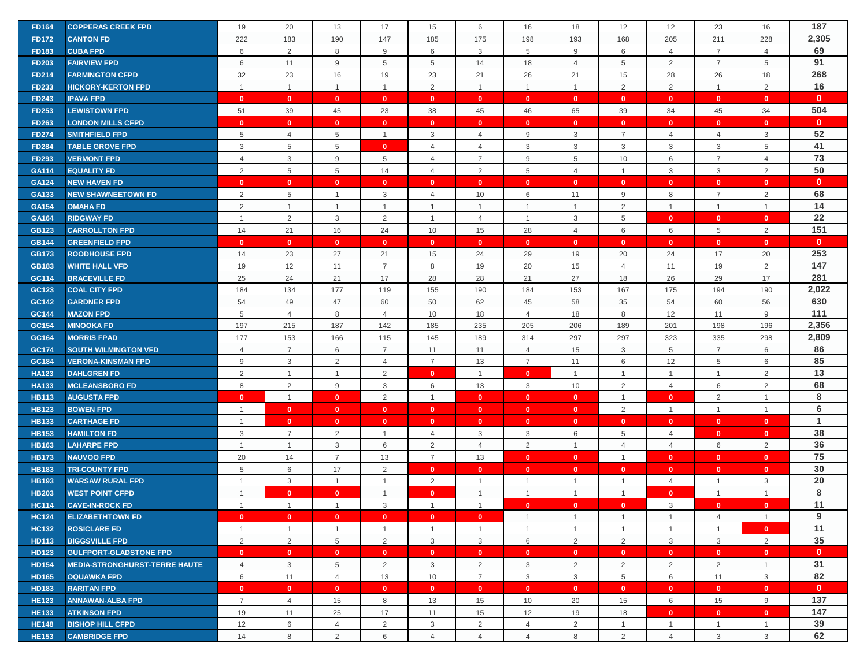| <b>FD164</b> | <b>COPPERAS CREEK FPD</b>            | 19             | 20             | 13              | 17             | 15             | 6              | 16             | 18             | 12              | 12             | 23             | 16             | 187          |
|--------------|--------------------------------------|----------------|----------------|-----------------|----------------|----------------|----------------|----------------|----------------|-----------------|----------------|----------------|----------------|--------------|
| <b>FD172</b> | <b>CANTON FD</b>                     | 222            | 183            | 190             | 147            | 185            | 175            | 198            | 193            | 168             | 205            | 211            | 228            | 2,305        |
| <b>FD183</b> | <b>CUBA FPD</b>                      | 6              | 2              | 8               | 9              | 6              | $\mathbf{3}$   | 5              | 9              | 6               | $\overline{4}$ | $\overline{7}$ | $\overline{4}$ | 69           |
| <b>FD203</b> | <b>FAIRVIEW FPD</b>                  | 6              | 11             | 9               | 5              | 5              | 14             | 18             | $\overline{4}$ | 5               | 2              | $\overline{7}$ | 5              | 91           |
| <b>FD214</b> | <b>FARMINGTON CFPD</b>               | 32             | 23             | 16              | 19             | 23             | 21             | 26             | 21             | 15              | 28             | 26             | 18             | 268          |
| <b>FD233</b> | <b>HICKORY-KERTON FPD</b>            | $\overline{1}$ | $\mathbf{1}$   | $\overline{1}$  | $\overline{1}$ | 2              | $\overline{1}$ | $\overline{1}$ | $\mathbf{1}$   | 2               | 2              | $\mathbf{1}$   | 2              | 16           |
| <b>FD243</b> | <b>IPAVA FPD</b>                     | $\mathbf{0}$   | $\mathbf{0}$   | $\mathbf{0}$    | $\mathbf{0}$   | $\mathbf{0}$   | $\mathbf{0}$   | $\mathbf{0}$   | $\mathbf{0}$   | $\mathbf{0}$    | $\mathbf{0}$   | $\mathbf{0}$   | $\mathbf{0}$   | $\mathbf{0}$ |
| <b>FD253</b> | <b>LEWISTOWN FPD</b>                 | 51             | 39             | 45              | 23             | 38             | 45             | 46             | 65             | 39              | 34             | 45             | 34             | 504          |
| <b>FD263</b> | <b>LONDON MILLS CFPD</b>             | $\mathbf{0}$   | $\mathbf{0}$   | $\mathbf{0}$    | $\mathbf{0}$   | $\mathbf{0}$   | $\mathbf{0}$   | $\mathbf{0}$   | $\mathbf{0}$   | $\mathbf{0}$    | $\mathbf{0}$   | $\mathbf{0}$   | $\mathbf{0}$   | $\mathbf{0}$ |
| <b>FD274</b> | <b>SMITHFIELD FPD</b>                | 5              | $\overline{4}$ | $5\phantom{.0}$ | $\overline{1}$ | 3              | $\overline{4}$ | 9              | 3              | $\overline{7}$  | $\overline{4}$ | $\overline{4}$ | 3              | 52           |
| <b>FD284</b> | <b>TABLE GROVE FPD</b>               | 3              | $\overline{5}$ | 5               | $\mathbf{0}$   | $\overline{4}$ | $\overline{4}$ | 3              | 3              | 3               | $\mathbf{3}$   | 3              | 5              | 41           |
| <b>FD293</b> | <b>VERMONT FPD</b>                   | $\overline{4}$ | 3              | 9               | 5              | 4              | $\overline{7}$ | 9              | 5              | 10              | 6              | $\overline{7}$ | $\overline{4}$ | 73           |
| GA114        | <b>EQUALITY FD</b>                   | 2              | $\overline{5}$ | 5               | 14             | $\overline{4}$ | 2              | 5              | $\overline{4}$ | $\mathbf{1}$    | $\mathbf{3}$   | 3              | $\overline{2}$ | 50           |
| <b>GA124</b> | <b>NEW HAVEN FD</b>                  | $\mathbf{0}$   | $\mathbf{0}$   | $\mathbf{0}$    | $\mathbf{0}$   | $\mathbf{0}$   | $\mathbf{0}$   | $\mathbf{0}$   | $\mathbf{0}$   | $\mathbf{0}$    | $\mathbf{0}$   | $\mathbf{0}$   | $\mathbf{0}$   | $\mathbf{0}$ |
| GA133        | <b>NEW SHAWNEETOWN FD</b>            | 2              | 5              | $\overline{1}$  | 3              | $\overline{4}$ | 10             | 6              | 11             | 9               | 8              | $\overline{7}$ | $\overline{2}$ | 68           |
| GA154        | <b>OMAHA FD</b>                      | 2              | $\mathbf{1}$   | $\overline{1}$  | $\overline{1}$ | $\mathbf{1}$   | $\overline{1}$ | $\overline{1}$ | $\mathbf{1}$   | $\overline{2}$  | $\overline{1}$ | $\overline{1}$ | $\mathbf{1}$   | 14           |
| GA164        | <b>RIDGWAY FD</b>                    | $\overline{1}$ | $\overline{2}$ | 3               | 2              | $\overline{1}$ | $\overline{4}$ | $\overline{1}$ | 3              | $5\phantom{.0}$ | $\bullet$      | $\mathbf{0}$   | $\mathbf{0}$   | 22           |
| <b>GB123</b> | <b>CARROLLTON FPD</b>                | 14             | 21             | 16              | 24             | 10             | 15             | 28             | $\overline{4}$ | 6               | 6              | 5              | $\overline{2}$ | 151          |
| <b>GB144</b> | <b>GREENFIELD FPD</b>                | $\Omega$       | $\mathbf{0}$   | $\mathbf{0}$    | $\mathbf{0}$   | $\mathbf{0}$   | $\mathbf{0}$   | $\mathbf{0}$   | $\mathbf{0}$   | $\mathbf{0}$    | $\mathbf{0}$   | $\mathbf{0}$   | $\mathbf{0}$   | $\mathbf{0}$ |
| <b>GB173</b> | <b>ROODHOUSE FPD</b>                 | 14             | 23             | 27              | 21             | 15             | 24             | 29             | 19             | 20              | 24             | 17             | 20             | 253          |
| <b>GB183</b> | <b>WHITE HALL VFD</b>                | 19             | 12             | 11              | $\overline{7}$ | 8              | 19             | 20             | 15             | $\overline{4}$  | 11             | 19             | $\overline{2}$ | 147          |
| GC114        | <b>BRACEVILLE FD</b>                 | 25             | 24             | 21              | 17             | 28             | 28             | 21             | 27             | 18              | 26             | 29             | 17             | 281          |
| GC123        | <b>COAL CITY FPD</b>                 | 184            | 134            | 177             | 119            | 155            | 190            | 184            | 153            | 167             | 175            | 194            | 190            | 2,022        |
| GC142        | <b>GARDNER FPD</b>                   | 54             | 49             | 47              | 60             | 50             | 62             | 45             | 58             | 35              | 54             | 60             | 56             | 630          |
| GC144        | <b>MAZON FPD</b>                     | 5              | $\overline{4}$ | 8               | $\overline{4}$ | 10             | 18             | $\overline{4}$ | 18             | 8               | 12             | 11             | 9              | 111          |
| GC154        | <b>MINOOKA FD</b>                    | 197            | 215            | 187             | 142            | 185            | 235            | 205            | 206            | 189             | 201            | 198            | 196            | 2,356        |
| GC164        | <b>MORRIS FPAD</b>                   | 177            | 153            | 166             | 115            | 145            | 189            | 314            | 297            | 297             | 323            | 335            | 298            | 2,809        |
| GC174        | <b>SOUTH WILMINGTON VFD</b>          | $\overline{4}$ | $\overline{7}$ | 6               | $\overline{7}$ | 11             | 11             | $\overline{4}$ | 15             | $\mathbf{3}$    | 5              | $\overline{7}$ | 6              | 86           |
| GC184        | <b>VERONA-KINSMAN FPD</b>            | 9              | $\mathbf{3}$   | $\overline{2}$  | $\overline{4}$ | $\overline{7}$ | 13             | $\overline{7}$ | 11             | 6               | 12             | 5              | 6              | 85           |
| <b>HA123</b> | <b>DAHLGREN FD</b>                   | 2              | $\mathbf{1}$   | $\overline{1}$  | 2              | $\mathbf{0}$   | $\overline{1}$ | $\mathbf{0}$   | $\mathbf{1}$   | $\overline{1}$  | $\overline{1}$ | $\mathbf{1}$   | 2              | 13           |
| <b>HA133</b> | <b>MCLEANSBORO FD</b>                | 8              | 2              | 9               | 3              | 6              | 13             | 3              | 10             | 2               | $\overline{4}$ | 6              | 2              | 68           |
| <b>HB113</b> | <b>AUGUSTA FPD</b>                   | $\mathbf{0}$   | $\mathbf{1}$   | $\mathbf{0}$    | 2              | $\mathbf{1}$   | $\mathbf{0}$   | $\mathbf{0}$   | $\mathbf{0}$   | $\overline{1}$  | $\mathbf{0}$   | $\overline{2}$ | $\overline{1}$ | 8            |
| <b>HB123</b> | <b>BOWEN FPD</b>                     | $\overline{1}$ | $\mathbf{0}$   | $\mathbf{0}$    | $\mathbf{0}$   | $\mathbf{0}$   | $\mathbf{0}$   | $\mathbf{0}$   | $\mathbf{0}$   | $\overline{2}$  | $\overline{1}$ | $\overline{1}$ | $\mathbf{1}$   | 6            |
| <b>HB133</b> | <b>CARTHAGE FD</b>                   | $\overline{1}$ | $\mathbf{0}$   | $\mathbf{0}$    | $\mathbf{0}$   | $\mathbf{0}$   | $\mathbf{0}$   | $\mathbf{0}$   | $\mathbf{0}$   | $\mathbf{0}$    | $\mathbf{0}$   | $\mathbf{0}$   | $\mathbf{0}$   | $\mathbf{1}$ |
| <b>HB153</b> | <b>HAMILTON FD</b>                   | 3              | $\overline{7}$ | 2               | $\overline{1}$ | $\overline{4}$ | 3              | 3              | 6              | $5\phantom{.0}$ | $\overline{4}$ | $\mathbf{0}$   | $\mathbf{0}$   | 38           |
| <b>HB163</b> | <b>LAHARPE FPD</b>                   | $\overline{1}$ | $\mathbf{1}$   | $\mathbf{3}$    | 6              | 2              | $\overline{4}$ | 2              | $\mathbf{1}$   | $\overline{4}$  | $\overline{4}$ | 6              | 2              | 36           |
| <b>HB173</b> | <b>NAUVOO FPD</b>                    | 20             | 14             | $\overline{7}$  | 13             | $\overline{7}$ | 13             | $\mathbf{0}$   | $\mathbf{0}$   | $\overline{1}$  | $\mathbf{0}$   | $\mathbf{0}$   | $\mathbf{0}$   | 75           |
| <b>HB183</b> | <b>TRI-COUNTY FPD</b>                | 5              | 6              | 17              | 2              | $\mathbf{0}$   | $\mathbf{0}$   | $\mathbf{0}$   | $\mathbf{0}$   | $\mathbf{0}$    | $\mathbf{0}$   | $\mathbf{0}$   | $\mathbf{0}$   | 30           |
| <b>HB193</b> | <b>WARSAW RURAL FPD</b>              | $\overline{1}$ | $\mathbf{3}$   | $\overline{1}$  | $\overline{1}$ | 2              | $\overline{1}$ | $\overline{1}$ | $\mathbf{1}$   | $\mathbf{1}$    | $\overline{4}$ | $\mathbf{1}$   | 3              | 20           |
| <b>HB203</b> | <b>WEST POINT CFPD</b>               | $\overline{1}$ | $\mathbf{0}$   | $\mathbf{0}$    | $\mathbf 1$    | $\mathbf{0}$   | $\overline{1}$ | $\mathbf 1$    | $\mathbf{1}$   | $\overline{1}$  | $\mathbf{0}$   | $\mathbf{1}$   | $\overline{1}$ | 8            |
| <b>HC114</b> | <b>CAVE-IN-ROCK FD</b>               | $\overline{1}$ | $\mathbf{1}$   | $\overline{1}$  | 3              | $\mathbf{1}$   | $\mathbf{1}$   | $\mathbf{0}$   | $\mathbf{0}$   | $\mathbf{0}$    | 3              | $\mathbf{0}$   | $\mathbf{0}$   | 11           |
| <b>HC124</b> | <b>ELIZABETHTOWN FD</b>              | $\mathbf{0}$   | $\mathbf{0}$   | $\mathbf{0}$    | $\bullet$      | $\mathbf{0}$   | $\mathbf{0}$   | $\overline{1}$ | $\mathbf{1}$   | $\overline{1}$  | $\overline{1}$ | $\overline{4}$ | $\overline{1}$ | 9            |
| <b>HC132</b> | <b>ROSICLARE FD</b>                  | $\mathbf{1}$   | $\overline{1}$ | $\overline{1}$  | $\overline{1}$ | $\mathbf{1}$   | $\overline{1}$ | 1              | $\mathbf{1}$   | $\mathbf{1}$    | $\overline{1}$ | $\mathbf{1}$   | $\mathbf{0}$   | 11           |
| <b>HD113</b> | <b>BIGGSVILLE FPD</b>                | 2              | $\overline{2}$ | 5               | 2              | $\mathbf{3}$   | $\mathbf{3}$   | 6              | $\overline{2}$ | $\overline{2}$  | $\mathbf{3}$   | $\mathbf{3}$   | $\overline{2}$ | 35           |
| <b>HD123</b> | <b>GULFPORT-GLADSTONE FPD</b>        | $\mathbf{0}$   | $\mathbf{0}$   | $\mathbf{0}$    | $\mathbf{0}$   | $\mathbf{0}$   | $\mathbf{0}$   | $\mathbf{0}$   | $\mathbf{0}$   | $\mathbf{0}$    | $\mathbf{0}$   | $\mathbf{0}$   | $\mathbf{0}$   | $\mathbf{0}$ |
| <b>HD154</b> | <b>MEDIA-STRONGHURST-TERRE HAUTE</b> | $\overline{4}$ | $\mathbf{3}$   | 5               | 2              | 3              | $\overline{2}$ | 3              | $\overline{2}$ | $\overline{2}$  | 2              | $\overline{2}$ | $\mathbf{1}$   | 31           |
| <b>HD165</b> | <b>OQUAWKA FPD</b>                   | 6              | 11             | $\overline{4}$  | 13             | 10             | $\overline{7}$ | 3              | 3              | 5               | 6              | 11             | 3              | 82           |
| HD183        | <b>RARITAN FPD</b>                   | $\mathbf{0}$   | $\mathbf{0}$   | $\mathbf{0}$    | $\mathbf{0}$   | $\mathbf{0}$   | $\mathbf{0}$   | $\mathbf{0}$   | $\mathbf{0}$   | $\mathbf{0}$    | $\mathbf{0}$   | $\mathbf{0}$   | $\mathbf{0}$   | $\mathbf{0}$ |
| <b>HE123</b> | <b>ANNAWAN-ALBA FPD</b>              | $\overline{7}$ | $\overline{4}$ | 15              | 8              | 13             | 15             | 10             | 20             | 15              | 6              | 15             | 9              | 137          |
| <b>HE133</b> | <b>ATKINSON FPD</b>                  | 19             | 11             | 25              | 17             | 11             | 15             | 12             | 19             | 18              | $\mathbf{0}$   | $\mathbf{0}$   | $\mathbf{0}$   | 147          |
| <b>HE148</b> | <b>BISHOP HILL CFPD</b>              | 12             | 6              | $\overline{4}$  | $\overline{2}$ | $\mathbf{3}$   | $\overline{2}$ | $\overline{4}$ | $\overline{2}$ | $\overline{1}$  | $\overline{1}$ | $\mathbf{1}$   | $\overline{1}$ | 39           |
| <b>HE153</b> | <b>CAMBRIDGE FPD</b>                 | 14             | 8              | $\overline{2}$  | 6              | $\overline{4}$ | $\overline{4}$ | $\overline{4}$ | 8              | $\overline{2}$  | $\overline{4}$ | 3              | 3              | 62           |
|              |                                      |                |                |                 |                |                |                |                |                |                 |                |                |                |              |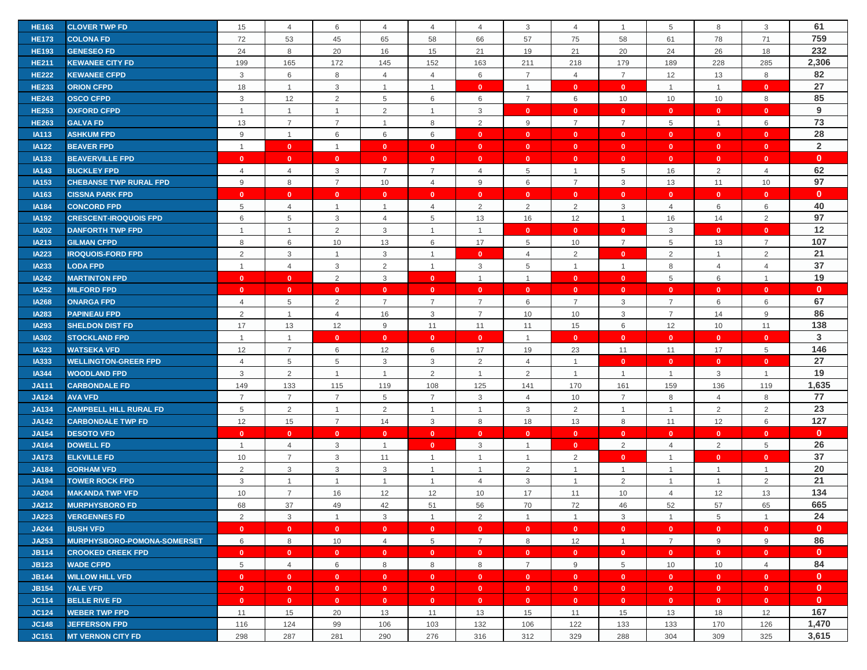| <b>HE163</b> | <b>CLOVER TWP FD</b>          | 15             | $\overline{4}$ | 6                       | $\overline{4}$ | 4                            | 4              | 3              | 4                            | $\overline{1}$ | 5              | 8              | 3              | 61             |
|--------------|-------------------------------|----------------|----------------|-------------------------|----------------|------------------------------|----------------|----------------|------------------------------|----------------|----------------|----------------|----------------|----------------|
| <b>HE173</b> | <b>COLONA FD</b>              | 72             | 53             | 45                      | 65             | 58                           | 66             | 57             | 75                           | 58             | 61             | 78             | 71             | 759            |
| <b>HE193</b> | <b>GENESEO FD</b>             | 24             | 8              | 20                      | 16             | 15                           | 21             | 19             | 21                           | 20             | 24             | 26             | 18             | 232            |
| <b>HE211</b> | <b>KEWANEE CITY FD</b>        | 199            | 165            | 172                     | 145            | 152                          | 163            | 211            | 218                          | 179            | 189            | 228            | 285            | 2,306          |
| <b>HE222</b> | <b>KEWANEE CFPD</b>           | 3              | 6              | 8                       | $\overline{4}$ | $\overline{4}$               | 6              | $\overline{7}$ | $\overline{4}$               | $\overline{7}$ | 12             | 13             | 8              | 82             |
| <b>HE233</b> | <b>ORION CFPD</b>             | 18             | $\overline{1}$ | $\mathbf{3}$            | $\mathbf{1}$   | $\mathbf{1}$                 | $\mathbf{0}$   | $\overline{1}$ | $\mathbf{0}$                 | $\mathbf{0}$   | $\overline{1}$ | $\mathbf{1}$   | $\mathbf{0}$   | 27             |
| <b>HE243</b> | <b>OSCO CFPD</b>              | 3              | 12             | $\overline{2}$          | 5              | 6                            | 6              | $\overline{7}$ | 6                            | 10             | 10             | 10             | 8              | 85             |
| <b>HE253</b> | <b>OXFORD CFPD</b>            | $\mathbf{1}$   | $\overline{1}$ | $\mathbf{1}$            | 2              | $\mathbf{1}$                 | 3              | $\Omega$       | $\mathbf{0}$                 | $\mathbf{0}$   | $\mathbf{0}$   | $\mathbf{0}$   | $\mathbf{0}$   | 9              |
| <b>HE263</b> | <b>GALVA FD</b>               | 13             | $\overline{7}$ | $\overline{7}$          | $\mathbf{1}$   | 8                            | 2              | 9              | $\overline{7}$               | $\overline{7}$ | 5              | $\mathbf{1}$   | 6              | 73             |
| <b>IA113</b> | <b>ASHKUM FPD</b>             | $9\,$          | $\overline{1}$ | 6                       | 6              | 6                            | $\mathbf{0}$   | $\mathbf{0}$   | $\mathbf{0}$                 | $\mathbf{0}$   | $\mathbf{0}$   | $\mathbf{0}$   | $\mathbf{0}$   | 28             |
| <b>IA122</b> | <b>BEAVER FPD</b>             | $\overline{1}$ | $\mathbf{0}$   | $\overline{1}$          | $\mathbf{0}$   | $\mathbf{0}$                 | $\mathbf{0}$   | $\mathbf{0}$   | $\mathbf{0}$                 | $\mathbf{0}$   | $\mathbf{0}$   | $\mathbf{0}$   | $\mathbf{0}$   | $\overline{2}$ |
| <b>IA133</b> | <b>BEAVERVILLE FPD</b>        | $\mathbf{0}$   | $\mathbf{0}$   | $\overline{\mathbf{0}}$ | $\mathbf{0}$   | $\mathbf{0}$                 | $\mathbf{0}$   | $\mathbf{0}$   | $\mathbf{0}$                 | $\mathbf{0}$   | $\bullet$      | $\mathbf{0}$   | $\mathbf{0}$   | $\mathbf{0}$   |
| <b>IA143</b> | <b>BUCKLEY FPD</b>            | $\overline{4}$ | $\overline{4}$ | 3                       | $\overline{7}$ | $\overline{7}$               | $\overline{4}$ | 5              | $\mathbf{1}$                 | 5              | 16             | $\overline{2}$ | $\overline{4}$ | 62             |
| IA153        | <b>CHEBANSE TWP RURAL FPD</b> | 9              | 8              | $\overline{7}$          | 10             | $\overline{4}$               | 9              | 6              | $\overline{7}$               | $\mathbf{3}$   | 13             | 11             | 10             | 97             |
| IA163        | <b>CISSNA PARK FPD</b>        | $\mathbf{0}$   | $\mathbf{0}$   | $\mathbf{0}$            | $\mathbf{0}$   | $\mathbf{0}$                 | $\mathbf{0}$   | $\mathbf{0}$   | $\mathbf{0}$                 | $\mathbf{0}$   | $\mathbf{0}$   | $\mathbf{0}$   | $\mathbf{0}$   | $\mathbf{0}$   |
| <b>IA184</b> | <b>CONCORD FPD</b>            | 5              | $\overline{4}$ | $\overline{1}$          | $\overline{1}$ | $\overline{4}$               | $\overline{2}$ | $\overline{2}$ | 2                            | $\mathbf{3}$   | $\overline{4}$ | 6              | 6              | 40             |
| <b>IA192</b> | <b>CRESCENT-IROQUOIS FPD</b>  | 6              | 5              | 3                       | $\overline{4}$ | 5                            | 13             | 16             | 12                           | $\mathbf{1}$   | 16             | 14             | 2              | 97             |
| <b>IA202</b> | <b>DANFORTH TWP FPD</b>       | $\overline{1}$ | $\mathbf{1}$   | $\overline{2}$          | 3              | $\overline{1}$               | $\overline{1}$ | $\mathbf{0}$   | $\mathbf{0}$                 | $\mathbf{0}$   | 3              | $\mathbf{0}$   | $\mathbf{0}$   | 12             |
| IA213        | <b>GILMAN CFPD</b>            | 8              | 6              | 10                      | 13             | 6                            | 17             | 5              | 10                           | $\overline{7}$ | 5              | 13             | $\overline{7}$ | 107            |
| <b>IA223</b> | <b>IROQUOIS-FORD FPD</b>      | 2              | 3              | $\overline{1}$          | 3              | $\mathbf{1}$                 | $\mathbf{0}$   | $\overline{4}$ | 2                            | $\mathbf{0}$   | 2              | $\mathbf{1}$   | 2              | 21             |
| <b>IA233</b> | <b>LODA FPD</b>               | $\overline{1}$ | $\overline{4}$ | 3                       | 2              | $\mathbf{1}$                 | $\mathbf{3}$   | 5              | $\mathbf{1}$                 | $\overline{1}$ | 8              | $\overline{4}$ | $\overline{4}$ | 37             |
| <b>IA242</b> | <b>MARTINTON FPD</b>          | $\mathbf{0}$   | $\mathbf{0}$   | 2                       | 3              | $\mathbf{0}$                 | $\overline{1}$ | $\overline{1}$ | $\mathbf{0}$                 | $\mathbf{0}$   | 5              | 6              | $\mathbf{1}$   | 19             |
| <b>IA252</b> | <b>MILFORD FPD</b>            | $\mathbf{0}$   | $\mathbf{0}$   | $\overline{\mathbf{0}}$ | $\mathbf{0}$   | $\mathbf{0}$                 | $\mathbf{0}$   | $\mathbf{0}$   | $\mathbf{0}$                 | $\mathbf{0}$   | $\bullet$      | $\mathbf{0}$   | $\mathbf{0}$   | $\mathbf{0}$   |
| <b>IA268</b> | <b>ONARGA FPD</b>             | $\overline{4}$ | 5              | 2                       | $\overline{7}$ | $\overline{7}$               | $\overline{7}$ | 6              | $\overline{7}$               | 3              | $\overline{7}$ | 6              | 6              | 67             |
| <b>IA283</b> | <b>PAPINEAU FPD</b>           | $\overline{2}$ | $\overline{1}$ | $\overline{4}$          | 16             | 3                            | $\overline{7}$ | 10             | 10                           | 3              | $\overline{7}$ | 14             | 9              | 86             |
| <b>IA293</b> | <b>SHELDON DIST FD</b>        | 17             | 13             | 12                      | 9              | 11                           | 11             | 11             | 15                           | $6\,$          | 12             | 10             | 11             | 138            |
| <b>IA302</b> | <b>STOCKLAND FPD</b>          | $\overline{1}$ | $\overline{1}$ | $\mathbf{0}$            | $\mathbf{0}$   | $\mathbf{0}$                 | $\bullet$      | $\overline{1}$ | $\mathbf{0}$                 | $\mathbf{0}$   | $\mathbf{0}$   | $\mathbf{0}$   | $\mathbf{0}$   | 3              |
| <b>IA323</b> | <b>WATSEKA VFD</b>            | 12             | $\overline{7}$ | 6                       | 12             | 6                            | 17             | 19             | 23                           | 11             | 11             | 17             | 5              | 146            |
| <b>IA333</b> | <b>WELLINGTON-GREER FPD</b>   | 4              | 5              | 5                       | 3              | 3                            | 2              | 4              | $\mathbf{1}$                 | $\mathbf{0}$   | $\mathbf{0}$   | $\mathbf{0}$   | $\mathbf{0}$   | 27             |
| <b>IA344</b> | <b>WOODLAND FPD</b>           | 3              | 2              | $\mathbf{1}$            | $\mathbf{1}$   | 2                            | $\overline{1}$ | 2              | $\mathbf{1}$                 | $\mathbf{1}$   | $\overline{1}$ | 3              | $\mathbf{1}$   | 19             |
| <b>JA111</b> | <b>CARBONDALE FD</b>          | 149            | 133            | 115                     | 119            | 108                          | 125            | 141            | 170                          | 161            | 159            | 136            | 119            | 1,635          |
| <b>JA124</b> | <b>AVA VFD</b>                | $\overline{7}$ | $\overline{7}$ | $\overline{7}$          | 5              | $\overline{7}$               | $\mathbf{3}$   | $\overline{4}$ | 10                           | $\overline{7}$ | 8              | $\overline{4}$ | 8              | 77             |
| <b>JA134</b> | <b>CAMPBELL HILL RURAL FD</b> | $\,$ 5 $\,$    | $\overline{2}$ | $\mathbf{1}$            | 2              | $\overline{1}$               | $\overline{1}$ | 3              | $\overline{2}$               | $\mathbf{1}$   | $\overline{1}$ | $\overline{2}$ | 2              | 23             |
| <b>JA142</b> | <b>CARBONDALE TWP FD</b>      | 12             | 15             | $\overline{7}$          | 14             | 3                            | 8              | 18             | 13                           | 8              | 11             | 12             | 6              | 127            |
| <b>JA154</b> | <b>DESOTO VFD</b>             | $\mathbf{0}$   | $\mathbf{0}$   | $\mathbf{0}$            | $\mathbf{0}$   |                              | $\mathbf{0}$   | $\mathbf{0}$   |                              | $\mathbf{0}$   | $\mathbf{0}$   | $\mathbf{0}$   | $\mathbf{0}$   | $\mathbf{0}$   |
| <b>JA164</b> | <b>DOWELL FD</b>              | $\mathbf{1}$   | $\overline{4}$ | 3                       | $\overline{1}$ | $\mathbf{0}$<br>$\mathbf{0}$ | 3              | $\overline{1}$ | $\mathbf{0}$<br>$\mathbf{0}$ | 2              | $\overline{4}$ | 2              | 5              | 26             |
| <b>JA173</b> | <b>ELKVILLE FD</b>            | 10             | $\overline{7}$ | 3                       | 11             | $\mathbf{1}$                 | $\overline{1}$ | $\overline{1}$ | 2                            | $\mathbf{0}$   | $\overline{1}$ | $\mathbf{0}$   | $\mathbf{0}$   | 37             |
| <b>JA184</b> | <b>GORHAM VFD</b>             | 2              | $\mathbf{3}$   | 3                       | 3              | $\mathbf{1}$                 | $\overline{1}$ | 2              | $\mathbf{1}$                 | $\mathbf{1}$   | $\overline{1}$ | $\mathbf{1}$   | $\mathbf{1}$   | 20             |
| <b>JA194</b> | <b>TOWER ROCK FPD</b>         | 3              | $\overline{1}$ | $\overline{1}$          | $\mathbf{1}$   | $\mathbf{1}$                 | $\overline{4}$ | 3              | $\mathbf{1}$                 | $\overline{2}$ | $\overline{1}$ | $\mathbf{1}$   | 2              | 21             |
| <b>JA204</b> | <b>MAKANDA TWP VFD</b>        | 10             | $\overline{7}$ | 16                      | 12             | 12                           | 10             | 17             | 11                           | 10             | $\overline{4}$ | 12             | 13             | 134            |
| <b>JA212</b> | <b>MURPHYSBORO FD</b>         | 68             | 37             | 49                      | 42             | 51                           | 56             | 70             |                              | 46             | 52             | 57             | 65             | 665            |
|              |                               | 2              | $\mathbf{3}$   | $\overline{1}$          |                | $\overline{1}$               |                | $\overline{1}$ | 72                           |                |                |                | $\mathbf{1}$   | 24             |
| <b>JA223</b> | <b>VERGENNES FD</b>           |                |                |                         | 3              |                              | 2              |                | $\mathbf{1}$                 | 3              | $\overline{1}$ | 5              |                | $\mathbf{0}$   |
| <b>JA244</b> | <b>BUSH VFD</b>               | $\mathbf{0}$   | $\mathbf{0}$   | $\overline{\mathbf{0}}$ | $\bullet$      | $\bullet$                    | $\mathbf{0}$   | $\mathbf{0}$   | $\mathbf{0}$                 | $\mathbf{0}$   | $\bullet$      | $\mathbf{0}$   | $\mathbf{0}$   |                |
| JA253        | MURPHYSBORO-POMONA-SOMERSET   | 6              | 8              | 10                      | $\overline{4}$ | $5\overline{)}$              | $\overline{7}$ | 8              | 12                           | $\mathbf{1}$   | $\overline{7}$ | 9              | 9              | 86             |
| <b>JB114</b> | <b>CROOKED CREEK FPD</b>      | $\mathbf{0}$   | $\mathbf{0}$   | $\mathbf{0}$            | $\mathbf{0}$   | $\mathbf{0}$                 | $\mathbf{0}$   | $\mathbf{0}$   | $\mathbf{0}$                 | $\mathbf{0}$   | $\mathbf{0}$   | $\mathbf{0}$   | $\mathbf{0}$   | $\mathbf{0}$   |
| <b>JB123</b> | <b>WADE CFPD</b>              | $\,$ 5 $\,$    | $\overline{4}$ | 6                       | 8              | 8                            | 8              | $\overline{7}$ | 9                            | 5              | 10             | 10             | $\overline{4}$ | 84             |
| <b>JB144</b> | <b>WILLOW HILL VFD</b>        | $\mathbf{0}$   | $\mathbf{0}$   | $\mathbf{0}$            | $\mathbf{0}$   | $\mathbf{0}$                 | $\mathbf{0}$   | $\mathbf{0}$   | $\mathbf{0}$                 | $\mathbf{0}$   | $\mathbf{0}$   | $\mathbf{0}$   | $\mathbf{0}$   | $\mathbf{0}$   |
| <b>JB154</b> | <b>YALE VFD</b>               | $\mathbf{0}$   | $\mathbf{0}$   | $\mathbf{0}$            | $\mathbf{0}$   | $\mathbf{0}$                 | $\mathbf{0}$   | $\mathbf{0}$   | $\mathbf{0}$                 | $\mathbf{0}$   | $\mathbf{0}$   | $\bullet$      | $\mathbf{0}$   | $\mathbf{0}$   |
| <b>JC114</b> | <b>BELLE RIVE FD</b>          | $\mathbf{0}$   | $\mathbf{0}$   | $\mathbf{0}$            | $\mathbf{0}$   | $\mathbf{0}$                 | $\mathbf{0}$   | $\mathbf{0}$   | $\mathbf{0}$                 | $\mathbf{0}$   | $\mathbf{0}$   | $\mathbf{0}$   | $\mathbf{0}$   | $\mathbf{0}$   |
| <b>JC124</b> | <b>WEBER TWP FPD</b>          | 11             | 15             | 20                      | 13             | 11                           | 13             | 15             | 11                           | 15             | 13             | 18             | 12             | 167            |
| <b>JC148</b> | <b>JEFFERSON FPD</b>          | 116            | 124            | 99                      | 106            | 103                          | 132            | 106            | 122                          | 133            | 133            | 170            | 126            | 1,470          |
| <b>JC151</b> | <b>MT VERNON CITY FD</b>      | 298            | 287            | 281                     | 290            | 276                          | 316            | 312            | 329                          | 288            | 304            | 309            | 325            | 3,615          |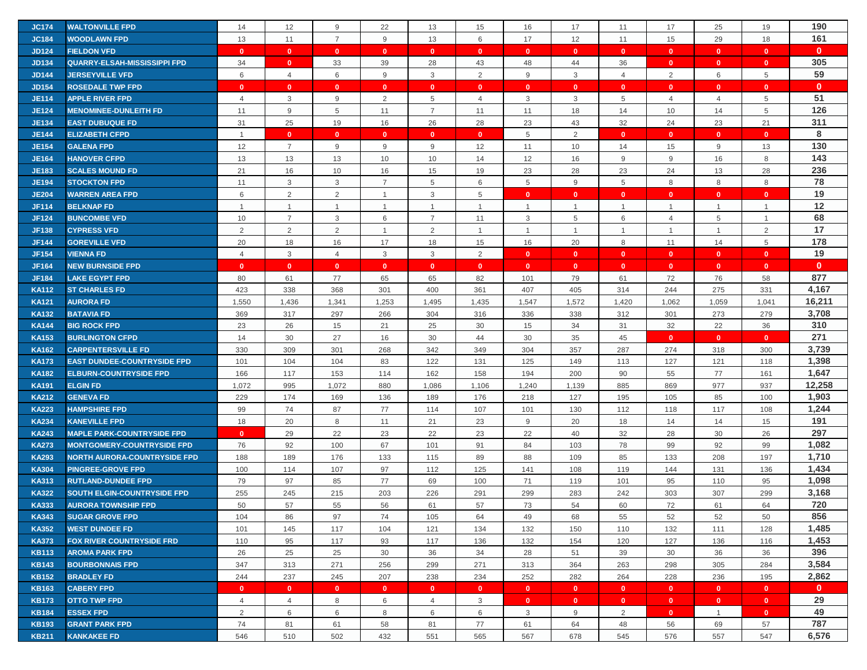| <b>JC174</b> | <b>WALTONVILLE FPD</b>              | 14             | 12                      | 9              | 22             | 13              | 15             | 16           | 17             | 11             | 17             | 25           | 19             | 190          |
|--------------|-------------------------------------|----------------|-------------------------|----------------|----------------|-----------------|----------------|--------------|----------------|----------------|----------------|--------------|----------------|--------------|
| <b>JC184</b> | <b>WOODLAWN FPD</b>                 | 13             | 11                      | $\overline{7}$ | 9              | 13              | 6              | 17           | 12             | 11             | 15             | 29           | 18             | 161          |
| <b>JD124</b> | <b>FIELDON VFD</b>                  | $\mathbf{0}$   | $\overline{\mathbf{0}}$ | $\mathbf{0}$   | $\mathbf{0}$   | $\mathbf{0}$    | $\mathbf{0}$   | $\mathbf{0}$ | $\mathbf{0}$   | $\mathbf{0}$   | $\mathbf{0}$   | $\mathbf{0}$ | $\mathbf{0}$   | $\mathbf{0}$ |
| <b>JD134</b> | <b>QUARRY-ELSAH-MISSISSIPPI FPD</b> | 34             | $\mathbf{0}$            | 33             | 39             | 28              | 43             | 48           | 44             | 36             | $\mathbf{0}$   | $\mathbf{0}$ | $\mathbf{0}$   | 305          |
|              |                                     |                |                         |                |                |                 |                |              |                |                |                |              |                | 59           |
| <b>JD144</b> | <b>JERSEYVILLE VFD</b>              | 6              | $\overline{4}$          | 6              | 9              | $\mathbf{3}$    | 2              | 9            | 3              | $\overline{4}$ | 2              | 6            | 5              |              |
| <b>JD154</b> | <b>ROSEDALE TWP FPD</b>             | $\mathbf{0}$   | $\mathbf{0}$            | $\mathbf{0}$   | $\mathbf{0}$   | $\mathbf{0}$    | $\mathbf{0}$   | $\mathbf{0}$ | $\mathbf{0}$   | $\mathbf{0}$   | $\mathbf{0}$   | $\mathbf{0}$ | $\mathbf{0}$   | $\mathbf{0}$ |
| <b>JE114</b> | <b>APPLE RIVER FPD</b>              | 4              | 3                       | 9              | 2              | $5\phantom{.0}$ | 4              | 3            | 3              | 5              | 4              | 4            | 5              | 51           |
| <b>JE124</b> | <b>MENOMINEE-DUNLEITH FD</b>        | 11             | 9                       | 5              | 11             | $\overline{7}$  | 11             | 11           | 18             | 14             | 10             | 14           | 5              | 126          |
| <b>JE134</b> | <b>EAST DUBUQUE FD</b>              | 31             | 25                      | 19             | 16             | 26              | 28             | 23           | 43             | 32             | 24             | 23           | 21             | 311          |
| <b>JE144</b> | <b>ELIZABETH CFPD</b>               | $\overline{1}$ | $\mathbf{0}$            | $\mathbf{0}$   | $\mathbf{0}$   | $\mathbf{0}$    | $\mathbf{0}$   | 5            | $\overline{2}$ | $\mathbf{0}$   | $\mathbf{0}$   | $\mathbf{0}$ | $\mathbf{0}$   | 8            |
| <b>JE154</b> | <b>GALENA FPD</b>                   | 12             | $\overline{7}$          | 9              | 9              | 9               | 12             | 11           | 10             | 14             | 15             | 9            | 13             | 130          |
| <b>JE164</b> | <b>HANOVER CFPD</b>                 | 13             | 13                      | 13             | 10             | 10              | 14             | 12           | 16             | $9\,$          | 9              | 16           | 8              | 143          |
| <b>JE183</b> | <b>SCALES MOUND FD</b>              | 21             | 16                      | 10             | 16             | 15              | 19             | 23           | 28             | 23             | 24             | 13           | 28             | 236          |
| <b>JE194</b> | <b>STOCKTON FPD</b>                 | 11             | 3                       | 3              | $\overline{7}$ | 5               | 6              | 5            | 9              | 5              | 8              | 8            | 8              | 78           |
| <b>JE204</b> | <b>WARREN AREA FPD</b>              | 6              | 2                       | $\overline{2}$ | $\mathbf{1}$   | 3               | 5              | $\mathbf{0}$ | $\mathbf{0}$   | $\mathbf{0}$   | $\overline{0}$ | $\mathbf{0}$ | $\mathbf{0}$   | 19           |
| <b>JF114</b> | <b>BELKNAP FD</b>                   | $\overline{1}$ | $\mathbf{1}$            | $\mathbf{1}$   | $\mathbf{1}$   | $\mathbf{1}$    | $\overline{1}$ | $\mathbf{1}$ | $\mathbf{1}$   | $\overline{1}$ | $\overline{1}$ | $\mathbf{1}$ | $\mathbf{1}$   | 12           |
| <b>JF124</b> | <b>BUNCOMBE VFD</b>                 | 10             | $\overline{7}$          | 3              | 6              | 7               | 11             | 3            | 5              | 6              | 4              | 5            | $\overline{1}$ | 68           |
| <b>JF138</b> | <b>CYPRESS VFD</b>                  | 2              | $\overline{2}$          | 2              | $\overline{1}$ | 2               | $\overline{1}$ | $\mathbf{1}$ | $\mathbf{1}$   | $\overline{1}$ | $\overline{1}$ | $\mathbf{1}$ | $\overline{2}$ | 17           |
| <b>JF144</b> | <b>GOREVILLE VFD</b>                | 20             | 18                      | 16             | 17             | 18              | 15             | 16           | 20             | 8              | 11             | 14           | 5              | 178          |
| <b>JF154</b> | <b>VIENNA FD</b>                    | $\overline{4}$ | 3                       | $\overline{4}$ | 3              | 3               | $\overline{2}$ | $\mathbf{0}$ | $\mathbf{0}$   | $\mathbf{0}$   | $\mathbf{0}$   | $\mathbf{0}$ | $\mathbf{0}$   | 19           |
| <b>JF164</b> | <b>NEW BURNSIDE FPD</b>             | $\mathbf{0}$   | $\mathbf{0}$            | $\mathbf{0}$   | $\mathbf{0}$   | $\mathbf{0}$    | $\mathbf{0}$   | $\mathbf{0}$ | $\mathbf{0}$   | $\mathbf{0}$   | $\mathbf{0}$   | $\mathbf{0}$ | $\mathbf{0}$   | $\mathbf{0}$ |
| <b>JF184</b> | <b>LAKE EGYPT FPD</b>               | 80             | 61                      | 77             | 65             | 65              | 82             | 101          | 79             | 61             | 72             | 76           | 58             | 877          |
| <b>KA112</b> | <b>ST CHARLES FD</b>                | 423            | 338                     | 368            | 301            | 400             | 361            | 407          | 405            | 314            | 244            | 275          | 331            | 4,167        |
| <b>KA121</b> | <b>AURORA FD</b>                    | 1,550          | 1,436                   | 1,341          | 1,253          | 1,495           | 1,435          | 1,547        | 1,572          | 1,420          | 1,062          | 1,059        | 1,041          | 16,211       |
| <b>KA132</b> | <b>BATAVIA FD</b>                   | 369            | 317                     | 297            | 266            | 304             | 316            | 336          | 338            | 312            | 301            | 273          | 279            | 3,708        |
| <b>KA144</b> | <b>BIG ROCK FPD</b>                 | 23             | 26                      | 15             | 21             | 25              | 30             | 15           | 34             | 31             | 32             | 22           | 36             | 310          |
|              |                                     |                |                         |                |                |                 |                |              |                |                |                | $\mathbf{0}$ | $\mathbf{0}$   | 271          |
| <b>KA153</b> | <b>BURLINGTON CFPD</b>              | 14             | 30                      | 27             | 16             | 30              | 44             | 30           | 35             | 45             | $\mathbf{0}$   |              |                | 3,739        |
| <b>KA162</b> | <b>CARPENTERSVILLE FD</b>           | 330            | 309                     | 301            | 268            | 342             | 349            | 304          | 357            | 287            | 274            | 318          | 300            |              |
| <b>KA173</b> | <b>EAST DUNDEE-COUNTRYSIDE FPD</b>  | 101            | 104                     | 104            | 83             | 122             | 131            | 125          | 149            | 113            | 127            | 121          | 118            | 1,398        |
| <b>KA182</b> | <b>ELBURN-COUNTRYSIDE FPD</b>       | 166            | 117                     | 153            | 114            | 162             | 158            | 194          | 200            | 90             | 55             | 77           | 161            | 1,647        |
| <b>KA191</b> | <b>ELGIN FD</b>                     | 1,072          | 995                     | 1,072          | 880            | 1,086           | 1,106          | 1,240        | 1,139          | 885            | 869            | 977          | 937            | 12,258       |
| <b>KA212</b> | <b>GENEVA FD</b>                    | 229            | 174                     | 169            | 136            | 189             | 176            | 218          | 127            | 195            | 105            | 85           | 100            | 1,903        |
| <b>KA223</b> | <b>HAMPSHIRE FPD</b>                | 99             | 74                      | 87             | 77             | 114             | 107            | 101          | 130            | 112            | 118            | 117          | 108            | 1,244        |
| <b>KA234</b> | <b>KANEVILLE FPD</b>                | 18             | 20                      | 8              | 11             | 21              | 23             | 9            | 20             | 18             | 14             | 14           | 15             | 191          |
| <b>KA243</b> | <b>MAPLE PARK-COUNTRYSIDE FPD</b>   | $\mathbf{0}$   | 29                      | 22             | 23             | 22              | 23             | 22           | 40             | 32             | 28             | 30           | 26             | 297          |
| <b>KA273</b> | <b>MONTGOMERY-COUNTRYSIDE FPD</b>   | 76             | 92                      | 100            | 67             | 101             | 91             | 84           | 103            | 78             | 99             | 92           | 99             | 1,082        |
| <b>KA293</b> | <b>NORTH AURORA-COUNTRYSIDE FPD</b> | 188            | 189                     | 176            | 133            | 115             | 89             | 88           | 109            | 85             | 133            | 208          | 197            | 1,710        |
| <b>KA304</b> | <b>PINGREE-GROVE FPD</b>            | 100            | 114                     | 107            | 97             | 112             | 125            | 141          | 108            | 119            | 144            | 131          | 136            | 1,434        |
| <b>KA313</b> | <b>RUTLAND-DUNDEE FPD</b>           | 79             | 97                      | 85             | 77             | 69              | 100            | 71           | 119            | 101            | 95             | 110          | 95             | 1,098        |
| <b>KA322</b> | <b>SOUTH ELGIN-COUNTRYSIDE FPD</b>  | 255            | 245                     | 215            | 203            | 226             | 291            | 299          | 283            | 242            | 303            | 307          | 299            | 3,168        |
| <b>KA333</b> | <b>AURORA TOWNSHIP FPD</b>          | 50             | 57                      | 55             | 56             | 61              | 57             | 73           | 54             | 60             | 72             | 61           | 64             | 720          |
| <b>KA343</b> | <b>SUGAR GROVE FPD</b>              | 104            | 86                      | 97             | 74             | 105             | 64             | 49           | 68             | 55             | 52             | 52           | 50             | 856          |
| <b>KA352</b> | <b>WEST DUNDEE FD</b>               | 101            | 145                     | 117            | 104            | 121             | 134            | 132          | 150            | 110            | 132            | 111          | 128            | 1,485        |
| <b>KA373</b> | <b>FOX RIVER COUNTRYSIDE FRD</b>    | 110            | 95                      | 117            | 93             | 117             | 136            | 132          | 154            | 120            | 127            | 136          | 116            | 1,453        |
| <b>KB113</b> | <b>AROMA PARK FPD</b>               | 26             | 25                      | 25             | 30             | 36              | 34             | 28           | 51             | 39             | 30             | 36           | 36             | 396          |
| <b>KB143</b> | <b>BOURBONNAIS FPD</b>              | 347            | 313                     | 271            | 256            | 299             | 271            | 313          | 364            | 263            | 298            | 305          | 284            | 3,584        |
| <b>KB152</b> | <b>BRADLEY FD</b>                   | 244            | 237                     | 245            | 207            | 238             | 234            | 252          | 282            | 264            | 228            | 236          | 195            | 2,862        |
|              |                                     |                |                         |                |                | $\mathbf{0}$    | $\mathbf{0}$   | $\mathbf{0}$ | $\mathbf{0}$   | $\mathbf{0}$   | $\mathbf{0}$   | $\bullet$    | $\mathbf{0}$   | $\mathbf{0}$ |
| <b>KB163</b> | <b>CABERY FPD</b>                   | $\mathbf{0}$   | $\overline{0}$          | $\mathbf{0}$   | $\mathbf{0}$   |                 |                |              |                |                |                |              |                |              |
| <b>KB173</b> | <b>OTTO TWP FPD</b>                 | $\overline{4}$ | $\overline{4}$          | 8              | 6              | $\overline{4}$  | 3              | $\mathbf{0}$ | $\mathbf{0}$   | $\mathbf{0}$   | $\bullet$      | $\mathbf{0}$ | $\mathbf{0}$   | 29           |
| <b>KB184</b> | <b>ESSEX FPD</b>                    | 2              | 6                       | 6              | 8              | 6               | 6              | 3            | 9              | 2              | $\overline{0}$ | $\mathbf{1}$ | $\mathbf{0}$   | 49           |
| <b>KB193</b> | <b>GRANT PARK FPD</b>               | 74             | 81                      | 61             | 58             | 81              | 77             | 61           | 64             | 48             | 56             | 69           | 57             | 787          |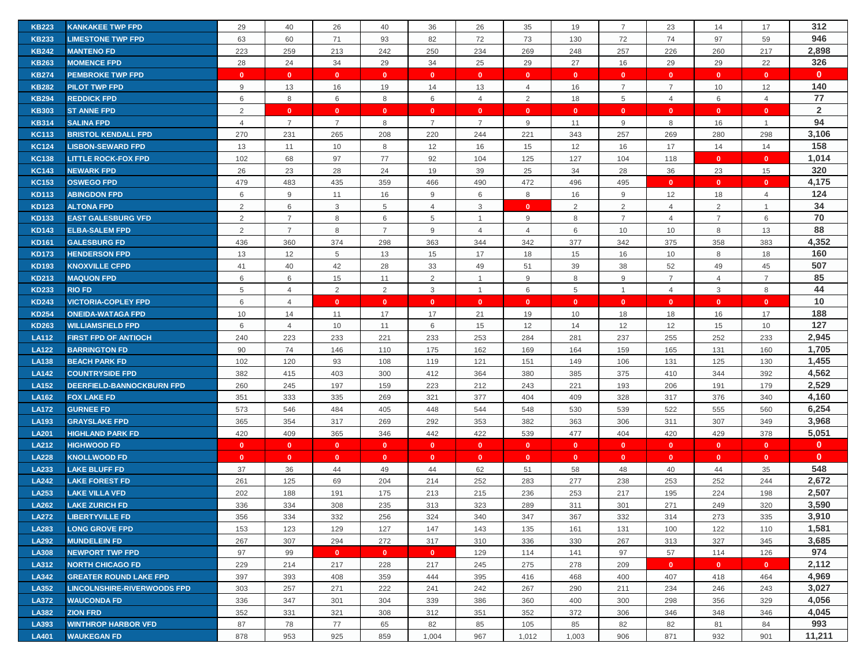| <b>KB223</b> | <b>KANKAKEE TWP FPD</b>            | 29             | 40             | 26             | 40             | 36             | 26             | 35             | 19           | $\overline{7}$ | 23             | 14             | 17             | 312            |
|--------------|------------------------------------|----------------|----------------|----------------|----------------|----------------|----------------|----------------|--------------|----------------|----------------|----------------|----------------|----------------|
| <b>KB233</b> | <b>LIMESTONE TWP FPD</b>           | 63             | 60             | 71             | 93             | 82             | 72             | 73             | 130          | 72             | 74             | 97             | 59             | 946            |
| <b>KB242</b> | <b>MANTENO FD</b>                  | 223            | 259            | 213            | 242            | 250            | 234            | 269            | 248          | 257            | 226            | 260            | 217            | 2,898          |
| <b>KB263</b> | <b>MOMENCE FPD</b>                 | 28             | 24             | 34             | 29             | 34             | 25             | 29             | 27           | 16             | 29             | 29             | 22             | 326            |
| <b>KB274</b> | <b>PEMBROKE TWP FPD</b>            | $\mathbf{0}$   | $\mathbf{0}$   | $\mathbf{0}$   | $\mathbf{0}$   | $\mathbf{0}$   | $\mathbf{0}$   | $\mathbf{0}$   | $\mathbf{0}$ | $\mathbf{0}$   | $\mathbf{0}$   | $\mathbf{0}$   | $\mathbf{0}$   | $\mathbf{0}$   |
| <b>KB282</b> | <b>PILOT TWP FPD</b>               | 9              | 13             | 16             | 19             | 14             | 13             | $\overline{4}$ | 16           | $\overline{7}$ | 7              | 10             | 12             | 140            |
| <b>KB294</b> | <b>REDDICK FPD</b>                 | 6              | 8              | 6              | 8              | 6              | $\overline{4}$ | 2              | 18           | 5              | $\overline{4}$ | 6              | $\overline{4}$ | 77             |
| <b>KB303</b> | <b>ST ANNE FPD</b>                 | 2              | $\mathbf{0}$   | $\mathbf{0}$   | $\mathbf{0}$   | $\mathbf{0}$   | $\mathbf{0}$   | $\mathbf{0}$   | $\mathbf{0}$ | $\mathbf{0}$   | $\mathbf{0}$   | $\mathbf{0}$   | $\mathbf{0}$   | $\overline{2}$ |
| <b>KB314</b> | <b>SALINA FPD</b>                  | $\overline{4}$ | $\overline{7}$ | $\overline{7}$ | 8              | $\overline{7}$ | $\overline{7}$ | 9              | 11           | 9              | 8              | 16             | $\overline{1}$ | 94             |
| <b>KC113</b> | <b>BRISTOL KENDALL FPD</b>         | 270            | 231            | 265            | 208            | 220            | 244            | 221            | 343          | 257            | 269            | 280            | 298            | 3,106          |
| <b>KC124</b> | <b>LISBON-SEWARD FPD</b>           | 13             | 11             | 10             | 8              | 12             | 16             | 15             | 12           | 16             | 17             | 14             | 14             | 158            |
| <b>KC138</b> | <b>LITTLE ROCK-FOX FPD</b>         | 102            | 68             | 97             | 77             | 92             | 104            | 125            | 127          | 104            | 118            | $\mathbf{0}$   | $\mathbf{0}$   | 1,014          |
| <b>KC143</b> | <b>NEWARK FPD</b>                  | 26             | 23             | 28             | 24             | 19             | 39             | 25             | 34           | 28             | 36             | 23             | 15             | 320            |
| <b>KC153</b> | <b>OSWEGO FPD</b>                  | 479            | 483            | 435            | 359            | 466            | 490            | 472            | 496          | 495            | $\mathbf{0}$   | $\mathbf{0}$   | $\mathbf{0}$   | 4,175          |
| <b>KD113</b> | <b>ABINGDON FPD</b>                | 6              | 9              | 11             | 16             | 9              | 6              | 8              | 16           | 9              | 12             | 18             | $\overline{4}$ | 124            |
| <b>KD123</b> | <b>ALTONA FPD</b>                  | $\overline{2}$ | $\,6\,$        | 3              | 5              | $\overline{4}$ | 3              | $\Omega$       | 2            | $\overline{2}$ | 4              | 2              | $\overline{1}$ | 34             |
| <b>KD133</b> | <b>EAST GALESBURG VFD</b>          | 2              | $\overline{7}$ | 8              | 6              | 5              | $\overline{1}$ | 9              | 8            | $\overline{7}$ | $\overline{4}$ | $\overline{7}$ | 6              | 70             |
| <b>KD143</b> | <b>ELBA-SALEM FPD</b>              | $\overline{2}$ | $\overline{7}$ | 8              | $\overline{7}$ | 9              | $\overline{4}$ | $\overline{4}$ | 6            | 10             | 10             | 8              | 13             | 88             |
| <b>KD161</b> | <b>GALESBURG FD</b>                | 436            | 360            | 374            | 298            | 363            | 344            | 342            | 377          | 342            | 375            | 358            | 383            | 4,352          |
| <b>KD173</b> | <b>HENDERSON FPD</b>               | 13             | 12             | 5              | 13             | 15             | 17             | 18             | 15           | 16             | 10             | 8              | 18             | 160            |
| <b>KD193</b> | <b>KNOXVILLE CFPD</b>              | 41             | 40             | 42             | 28             | 33             | 49             | 51             | 39           | 38             | 52             | 49             | 45             | 507            |
| <b>KD213</b> | <b>MAQUON FPD</b>                  | 6              | 6              | 15             | 11             | 2              | $\overline{1}$ | 9              | 8            | 9              | $\overline{7}$ | $\overline{4}$ | $\overline{7}$ | 85             |
| <b>KD233</b> | <b>RIO FD</b>                      | 5              | 4              | $\overline{2}$ | 2              | 3              | $\overline{1}$ | 6              | 5            | $\mathbf{1}$   | 4              | 3              | 8              | 44             |
| <b>KD243</b> | <b>VICTORIA-COPLEY FPD</b>         | 6              | $\overline{4}$ | $\mathbf{0}$   | $\mathbf{0}$   | $\mathbf{0}$   | $\mathbf{0}$   | $\Omega$       | $\mathbf{0}$ | $\mathbf{0}$   | $\mathbf{0}$   | $\mathbf{0}$   | $\mathbf{0}$   | 10             |
| <b>KD254</b> | <b>ONEIDA-WATAGA FPD</b>           | 10             | 14             | 11             | 17             | 17             | 21             | 19             | 10           | 18             | 18             | 16             | 17             | 188            |
| <b>KD263</b> | <b>WILLIAMSFIELD FPD</b>           | 6              | $\overline{4}$ | 10             | 11             | 6              | 15             | 12             | 14           | 12             | 12             | 15             | 10             | 127            |
| <b>LA112</b> | <b>FIRST FPD OF ANTIOCH</b>        | 240            | 223            | 233            | 221            | 233            | 253            | 284            | 281          | 237            | 255            | 252            | 233            | 2,945          |
| <b>LA122</b> | <b>BARRINGTON FD</b>               | 90             | 74             | 146            | 110            | 175            | 162            | 169            | 164          | 159            | 165            | 131            | 160            | 1,705          |
| <b>LA138</b> | <b>BEACH PARK FD</b>               | 102            | 120            | 93             | 108            | 119            | 121            | 151            | 149          | 106            | 131            | 125            | 130            | 1,455          |
| <b>LA142</b> | <b>COUNTRYSIDE FPD</b>             | 382            | 415            | 403            | 300            | 412            | 364            | 380            | 385          | 375            | 410            | 344            | 392            | 4,562          |
| <b>LA152</b> | <b>DEERFIELD-BANNOCKBURN FPD</b>   | 260            | 245            | 197            | 159            | 223            | 212            | 243            | 221          | 193            | 206            | 191            | 179            | 2,529          |
| <b>LA162</b> | <b>FOX LAKE FD</b>                 | 351            | 333            | 335            | 269            | 321            | 377            | 404            | 409          | 328            | 317            | 376            | 340            | 4,160          |
| <b>LA172</b> | <b>GURNEE FD</b>                   | 573            | 546            | 484            | 405            | 448            | 544            | 548            | 530          | 539            | 522            | 555            | 560            | 6,254          |
| LA193        | <b>GRAYSLAKE FPD</b>               | 365            | 354            | 317            | 269            | 292            | 353            | 382            | 363          | 306            | 311            | 307            | 349            | 3,968          |
| <b>LA201</b> | <b>HIGHLAND PARK FD</b>            | 420            | 409            | 365            | 346            | 442            | 422            | 539            | 477          | 404            | 420            | 429            | 378            | 5,051          |
| <b>LA212</b> | <b>HIGHWOOD FD</b>                 | $\mathbf{0}$   | $\mathbf{0}$   | $\mathbf{0}$   | $\mathbf{0}$   | $\mathbf{0}$   | $\mathbf{0}$   | $\mathbf{0}$   | $\mathbf{0}$ | $\mathbf{0}$   | $\mathbf{0}$   | $\mathbf{0}$   | $\mathbf{0}$   | $\mathbf{0}$   |
| <b>LA228</b> | <b>KNOLLWOOD FD</b>                | $\mathbf{0}$   | $\mathbf{0}$   | $\mathbf{0}$   | $\mathbf{0}$   | $\mathbf{0}$   | $\mathbf{0}$   | $\mathbf{0}$   | $\mathbf{0}$ | $\mathbf{0}$   | $\mathbf{0}$   | $\mathbf{0}$   | $\mathbf{0}$   | $\mathbf{0}$   |
| LA233        | <b>LAKE BLUFF FD</b>               | 37             | 36             | 44             | 49             | 44             | 62             | 51             | 58           | 48             | 40             | 44             | 35             | 548            |
| <b>LA242</b> | <b>LAKE FOREST FD</b>              | 261            | 125            | 69             | 204            | 214            | 252            | 283            | 277          | 238            | 253            | 252            | 244            | 2,672          |
| LA253        | <b>LAKE VILLA VFD</b>              | 202            | 188            | 191            | 175            | 213            | 215            | 236            | 253          | 217            | 195            | 224            | 198            | 2,507          |
| <b>LA262</b> | <b>LAKE ZURICH FD</b>              | 336            | 334            | 308            | 235            | 313            | 323            | 289            | 311          | 301            | 271            | 249            | 320            | 3,590          |
| <b>LA272</b> | <b>LIBERTYVILLE FD</b>             | 356            | 334            | 332            | 256            | 324            | 340            | 347            | 367          | 332            | 314            | 273            | 335            | 3,910          |
| LA283        | <b>LONG GROVE FPD</b>              | 153            | 123            | 129            | 127            | 147            | 143            | 135            | 161          | 131            | 100            | 122            | 110            | 1,581          |
| <b>LA292</b> | <b>MUNDELEIN FD</b>                | 267            | 307            | 294            | 272            | 317            | 310            | 336            | 330          | 267            | 313            | 327            | 345            | 3,685          |
| <b>LA308</b> | <b>NEWPORT TWP FPD</b>             | 97             | 99             | $\mathbf{0}$   | $\bullet$      | $\bullet$      | 129            | 114            | 141          | 97             | 57             | 114            | 126            | 974            |
| LA312        | <b>NORTH CHICAGO FD</b>            | 229            | 214            | 217            | 228            | 217            | 245            | 275            | 278          | 209            | $\mathbf{0}$   | $\mathbf{0}$   | $\mathbf{0}$   | 2,112          |
| LA342        | <b>GREATER ROUND LAKE FPD</b>      | 397            | 393            | 408            | 359            | 444            | 395            | 416            | 468          | 400            | 407            | 418            | 464            | 4,969          |
| LA352        | <b>LINCOLNSHIRE-RIVERWOODS FPD</b> | 303            | 257            | 271            | 222            | 241            | 242            | 267            | 290          | 211            | 234            | 246            | 243            | 3,027          |
| <b>LA372</b> | <b>WAUCONDA FD</b>                 | 336            | 347            | 301            | 304            | 339            | 386            | 360            | 400          | 300            | 298            | 356            | 329            | 4,056          |
| LA382        | <b>ZION FRD</b>                    | 352            | 331            | 321            | 308            | 312            | 351            | 352            | 372          | 306            | 346            | 348            | 346            | 4,045          |
| LA393        | <b>WINTHROP HARBOR VFD</b>         | 87             | 78             | 77             | 65             | 82             | 85             | 105            | 85           | 82             | 82             | 81             | 84             | 993            |
| <b>LA401</b> | <b>WAUKEGAN FD</b>                 | 878            | 953            | 925            | 859            | 1,004          | 967            | 1,012          | 1,003        | 906            | 871            | 932            | 901            | 11,211         |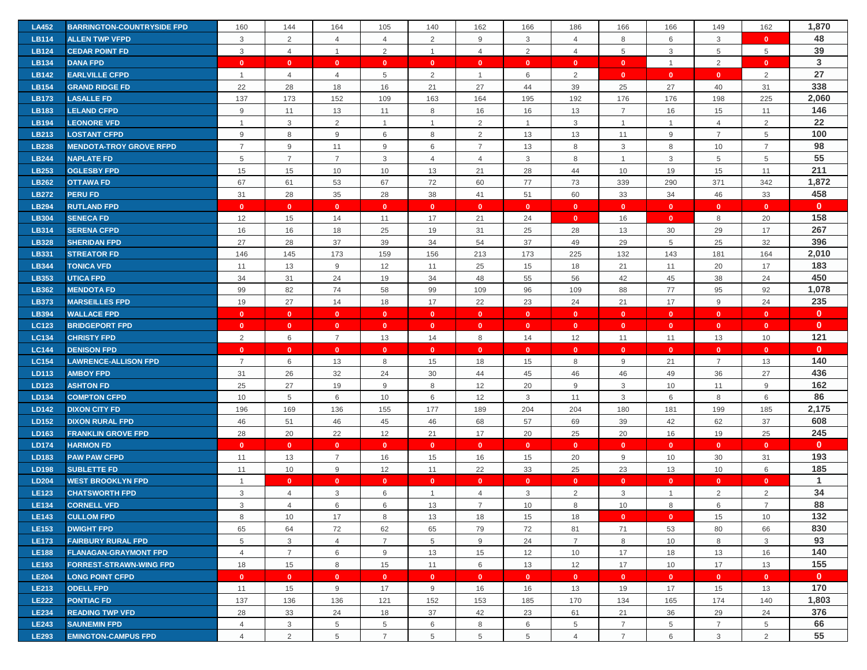| <b>LA452</b>                 | <b>BARRINGTON-COUNTRYSIDE FPD</b>        | 160                            | 144               | 164                            | 105                | 140                | 162                          | 166                | 186                | 166                | 166                | 149                | 162                | 1,870               |
|------------------------------|------------------------------------------|--------------------------------|-------------------|--------------------------------|--------------------|--------------------|------------------------------|--------------------|--------------------|--------------------|--------------------|--------------------|--------------------|---------------------|
| <b>LB114</b>                 | <b>ALLEN TWP VFPD</b>                    | 3                              | 2                 | $\overline{4}$                 | $\overline{4}$     | 2                  | 9                            | 3                  | $\overline{4}$     | 8                  | 6                  | 3                  | $\mathbf{0}$       | 48                  |
| <b>LB124</b>                 | <b>CEDAR POINT FD</b>                    | 3                              | $\overline{4}$    | $\overline{1}$                 | $\overline{2}$     | $\overline{1}$     | $\overline{4}$               | 2                  | $\overline{4}$     | 5                  | $\mathbf{3}$       | 5                  | 5                  | 39                  |
| <b>LB134</b>                 | <b>DANA FPD</b>                          | $\mathbf{0}$                   | $\mathbf{0}$      | $\mathbf{0}$                   | $\mathbf{0}$       | $\mathbf{0}$       | $\mathbf{0}$                 | $\mathbf{0}$       | $\mathbf{0}$       | $\mathbf{0}$       | $\overline{1}$     | 2                  | $\mathbf{0}$       | 3                   |
| <b>LB142</b>                 | <b>EARLVILLE CFPD</b>                    |                                | $\overline{4}$    | $\overline{4}$                 | 5                  | 2                  | $\overline{1}$               | 6                  | 2                  | $\mathbf{0}$       | $\mathbf{0}$       | $\mathbf{0}$       | $\overline{2}$     | 27                  |
| <b>LB154</b>                 | <b>GRAND RIDGE FD</b>                    | 22                             | 28                | 18                             | 16                 | 21                 | 27                           | 44                 | 39                 | 25                 | 27                 | 40                 | 31                 | 338                 |
| LB173                        | <b>LASALLE FD</b>                        | 137                            | 173               | 152                            | 109                | 163                | 164                          | 195                | 192                | 176                | 176                | 198                | 225                | 2,060               |
| <b>LB183</b>                 | <b>LELAND CFPD</b>                       | $9$                            | 11                | 13                             | 11                 | 8                  | 16                           | 16                 | 13                 | $\overline{7}$     | 16                 | 15                 | 11                 | 146                 |
| <b>LB194</b>                 | <b>LEONORE VFD</b>                       | $\overline{1}$                 | 3                 | $\overline{2}$                 | $\mathbf{1}$       | $\overline{1}$     | $\overline{2}$               | $\overline{1}$     | 3                  | $\overline{1}$     | $\overline{1}$     | $\overline{4}$     | 2                  | 22                  |
| LB213                        | <b>LOSTANT CFPD</b>                      | 9                              | 8                 | 9                              | 6                  | 8                  | 2                            | 13                 | 13                 | 11                 | 9                  | $\overline{7}$     | 5                  | 100                 |
| <b>LB238</b>                 | <b>MENDOTA-TROY GROVE RFPD</b>           | $\overline{7}$                 | 9                 | 11                             | 9                  | 6                  | $\overline{7}$               | 13                 | 8                  | 3                  | 8                  | 10                 | $\overline{7}$     | 98                  |
| <b>LB244</b>                 | <b>NAPLATE FD</b>                        | 5                              | $\overline{7}$    | $\overline{7}$                 | 3                  | $\overline{4}$     | $\overline{4}$               | 3                  | 8                  | $\mathbf{1}$       | 3                  | 5                  | 5                  | 55                  |
| LB253                        | <b>OGLESBY FPD</b>                       | 15                             | 15                | 10                             | 10                 | 13                 | 21                           | 28                 | 44                 | 10                 | 19                 | 15                 | 11                 | 211                 |
| <b>LB262</b>                 | <b>OTTAWA FD</b>                         | 67                             | 61                | 53                             | 67                 | 72                 | 60                           | 77                 | 73                 | 339                | 290                | 371                | 342                | 1,872               |
| <b>LB272</b>                 | <b>PERU FD</b>                           | 31                             | 28                | 35                             | 28                 | 38                 | 41                           | 51                 | 60                 | 33                 | 34                 | 46                 | 33                 | 458                 |
| <b>LB294</b>                 | <b>RUTLAND FPD</b>                       | $\mathbf{0}$                   | $\mathbf{0}$      | $\mathbf{0}$                   | $\mathbf{0}$       | $\mathbf{0}$       | $\mathbf{0}$                 | $\mathbf{0}$       | $\mathbf{0}$       | $\mathbf{0}$       | $\bullet$          | $\mathbf{0}$       | $\mathbf{0}$       | $\mathbf{0}$        |
| <b>LB304</b>                 | <b>SENECA FD</b>                         | 12                             | 15                | 14                             | 11                 | 17                 | 21                           | 24                 | $\mathbf{0}$       | 16                 | $\mathbf{0}$       | 8                  | 20                 | 158                 |
| <b>LB314</b>                 | <b>SERENA CFPD</b>                       | 16                             | 16                | 18                             | 25                 | 19                 | 31                           | 25                 | 28                 | 13                 | 30                 | 29                 | 17                 | 267                 |
| <b>LB328</b>                 | <b>SHERIDAN FPD</b>                      | 27                             | 28                | 37                             | 39                 | 34                 | 54                           | 37                 | 49                 | 29                 | 5                  | 25                 | 32                 | 396                 |
| <b>LB331</b>                 | <b>STREATOR FD</b>                       | 146                            | 145               | 173                            | 159                | 156                | 213                          | 173                | 225                | 132                | 143                | 181                | 164                | 2,010               |
| <b>LB344</b>                 | <b>TONICA VFD</b>                        | 11                             | 13                | 9                              | 12                 | 11                 | 25                           | 15                 | 18                 | 21                 | 11                 | 20                 | 17                 | 183                 |
| LB353                        | <b>UTICA FPD</b>                         | 34                             | 31                | 24                             | 19                 | 34                 | 48                           | 55                 | 56                 | 42                 | 45                 | 38                 | 24                 | 450                 |
| <b>LB362</b>                 | <b>MENDOTA FD</b>                        | 99                             | 82                | 74                             | 58                 | 99                 | 109                          | 96                 | 109                | 88                 | 77                 | 95                 | 92                 | 1,078               |
| LB373                        | <b>MARSEILLES FPD</b>                    | 19                             | 27                | 14                             | 18                 | 17                 | 22                           | 23                 | 24                 | 21                 | 17                 | 9                  | 24                 | 235                 |
| <b>LB394</b>                 | <b>WALLACE FPD</b>                       | $\mathbf{0}$                   | $\mathbf{0}$      | $\overline{\mathbf{0}}$        | $\mathbf{0}$       | $\mathbf{0}$       | $\mathbf{0}$                 | $\mathbf{0}$       | $\mathbf{0}$       | $\mathbf{0}$       | $\mathbf{0}$       | $\mathbf{0}$       | $\mathbf{0}$       | $\mathbf{0}$        |
| <b>LC123</b>                 | <b>BRIDGEPORT FPD</b>                    | $\mathbf{0}$                   | $\mathbf{0}$      | $\mathbf{0}$                   | $\mathbf{0}$       | $\mathbf{0}$       | $\mathbf{0}$                 | $\mathbf{0}$       | $\mathbf{0}$       | $\mathbf{0}$       | $\mathbf{0}$       | $\mathbf{0}$       | $\mathbf{0}$       | $\mathbf{0}$        |
|                              |                                          |                                |                   |                                |                    |                    |                              |                    |                    |                    |                    |                    |                    |                     |
|                              |                                          |                                |                   |                                |                    |                    |                              |                    |                    |                    |                    |                    |                    |                     |
| <b>LC134</b><br><b>LC144</b> | <b>CHRISTY FPD</b><br><b>DENISON FPD</b> | $\overline{2}$<br>$\mathbf{0}$ | 6<br>$\mathbf{0}$ | $\overline{7}$<br>$\mathbf{0}$ | 13<br>$\mathbf{0}$ | 14<br>$\mathbf{0}$ | 8<br>$\overline{\mathbf{0}}$ | 14<br>$\mathbf{0}$ | 12<br>$\mathbf{0}$ | 11<br>$\mathbf{0}$ | 11<br>$\mathbf{0}$ | 13<br>$\mathbf{0}$ | 10<br>$\mathbf{0}$ | 121<br>$\mathbf{0}$ |
|                              | <b>LAWRENCE-ALLISON FPD</b>              | $\overline{7}$                 |                   |                                | 8                  |                    |                              |                    |                    |                    |                    | $\overline{7}$     |                    | 140                 |
| <b>LC154</b><br>LD113        | <b>AMBOY FPD</b>                         | 31                             | $\,6\,$<br>26     | 13<br>32                       | 24                 | 15<br>30           | 18<br>44                     | 15<br>45           | 8<br>46            | $9\,$<br>46        | 21<br>49           | 36                 | 13<br>27           | 436                 |
| LD123                        | <b>ASHTON FD</b>                         | 25                             | 27                | 19                             | 9                  | 8                  | 12                           | 20                 | 9                  | 3                  | 10                 | 11                 | 9                  | 162                 |
| LD134                        | <b>COMPTON CFPD</b>                      | 10                             | $\overline{5}$    | 6                              | 10                 | 6                  | 12                           | 3                  | 11                 | $\mathbf{3}$       | 6                  | 8                  | 6                  | 86                  |
| LD142                        | <b>DIXON CITY FD</b>                     | 196                            | 169               | 136                            | 155                | 177                | 189                          | 204                | 204                | 180                | 181                | 199                | 185                | 2,175               |
| LD152                        | <b>DIXON RURAL FPD</b>                   | 46                             | 51                | 46                             | 45                 | 46                 | 68                           | 57                 | 69                 | 39                 | 42                 | 62                 | 37                 | 608                 |
| LD163                        | <b>FRANKLIN GROVE FPD</b>                | 28                             | 20                | 22                             | 12                 | 21                 | 17                           | 20                 | 25                 | 20                 | 16                 | 19                 | 25                 | 245                 |
| <b>LD174</b>                 | <b>HARMON FD</b>                         | $\mathbf{0}$                   | $\mathbf{0}$      | $\mathbf{0}$                   | $\mathbf{0}$       | $\mathbf{0}$       | $\mathbf{0}$                 | $\mathbf{0}$       | $\mathbf{0}$       | $\mathbf{0}$       | $\overline{0}$     | $\mathbf{0}$       | $\mathbf{0}$       | $\mathbf{0}$        |
| LD183                        | <b>PAW PAW CFPD</b>                      | 11                             | 13                | $\overline{7}$                 | 16                 | 15                 | 16                           | 15                 | 20                 | 9                  | 10                 | 30                 | 31                 | 193                 |
| <b>LD198</b>                 | <b>SUBLETTE FD</b>                       | 11                             | 10                | 9                              | 12                 | 11                 | 22                           | 33                 | 25                 | 23                 | 13                 | 10                 | 6                  | 185                 |
| <b>LD204</b>                 | <b>WEST BROOKLYN FPD</b>                 |                                | $\mathbf{0}$      | $\mathbf{0}$                   | $\mathbf{0}$       | $\mathbf{0}$       | $\mathbf{0}$                 | $\mathbf{0}$       | $\mathbf{0}$       | $\mathbf{0}$       | $\mathbf{0}$       | $\mathbf{0}$       | $\mathbf{0}$       | $\mathbf{1}$        |
| <b>LE123</b>                 | <b>CHATSWORTH FPD</b>                    | 3                              | $\overline{4}$    | 3                              | 6                  | $\mathbf{1}$       | 4                            | 3                  | $\overline{2}$     | 3                  | $\mathbf{1}$       | 2                  | $\overline{2}$     | 34                  |
| <b>LE134</b>                 | <b>CORNELL VFD</b>                       | 3                              | $\overline{4}$    | 6                              | 6                  | 13                 | $\overline{7}$               | 10                 | 8                  | 10                 | 8                  | 6                  | $\overline{7}$     | 88                  |
| <b>LE143</b>                 | <b>CULLOM FPD</b>                        | 8                              | 10                | 17                             | 8                  | 13                 | 18                           | 15                 | 18                 | $\mathbf{0}$       | $\bullet$          | 15                 | 10                 | 132                 |
| <b>LE153</b>                 | <b>DWIGHT FPD</b>                        | 65                             | 64                | 72                             | 62                 | 65                 | 79                           | 72                 | 81                 | 71                 | 53                 | 80                 | 66                 | 830                 |
| <b>LE173</b>                 | <b>FAIRBURY RURAL FPD</b>                | 5                              | 3                 | $\overline{4}$                 | $\overline{7}$     | 5                  | 9                            | 24                 | $\overline{7}$     | 8                  | 10                 | 8                  | 3                  | 93                  |
| <b>LE188</b>                 | <b>FLANAGAN-GRAYMONT FPD</b>             | $\overline{4}$                 | $\overline{7}$    | 6                              | 9                  | 13                 | 15                           | 12                 | 10                 | 17                 | 18                 | 13                 | 16                 | 140                 |
| LE193                        | <b>FORREST-STRAWN-WING FPD</b>           | 18                             | 15                | 8                              | 15                 | 11                 | 6                            | 13                 | 12                 | 17                 | 10                 | 17                 | 13                 | 155                 |
| <b>LE204</b>                 | <b>LONG POINT CFPD</b>                   | $\bullet$                      | $\mathbf{0}$      | $\mathbf{0}$                   | $\mathbf{0}$       | $\mathbf{0}$       | $\mathbf{0}$                 | $\overline{0}$     | $\mathbf{0}$       | $\mathbf{0}$       | $\bullet$          | $\mathbf{0}$       | $\mathbf{0}$       | $\mathbf{0}$        |
| <b>LE213</b>                 | <b>ODELL FPD</b>                         | 11                             | 15                | 9                              | 17                 | 9                  | 16                           | 16                 | 13                 | 19                 | 17                 | 15                 | 13                 | 170                 |
| <b>LE222</b>                 | <b>PONTIAC FD</b>                        | 137                            | 136               | 136                            | 121                | 152                | 153                          | 185                | 170                | 134                | 165                | 174                | 140                | 1,803               |
| <b>LE234</b>                 | <b>READING TWP VFD</b>                   | 28                             | 33                | 24                             | 18                 | 37                 | 42                           | 23                 | 61                 | 21                 | 36                 | 29                 | 24                 | 376                 |
| <b>LE243</b>                 | <b>SAUNEMIN FPD</b>                      | $\overline{4}$                 | $\mathbf{3}$      | 5                              | 5                  | 6                  | 8                            | 6                  | 5                  | $\overline{7}$     | 5                  | $\overline{7}$     | 5                  | 66                  |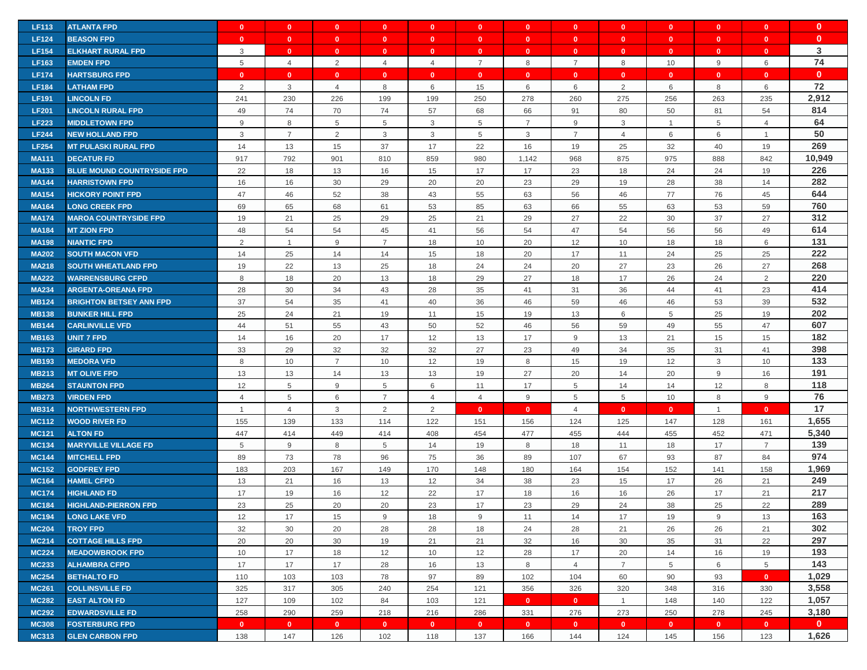| <b>LF113</b> | <b>ATLANTA FPD</b>                | $\mathbf{0}$   | $\mathbf{0}$   | $\mathbf{0}$   | $\mathbf{0}$   | $\mathbf{0}$   | $\mathbf{0}$   | $\mathbf{0}$   | $\mathbf{0}$   | $\mathbf{0}$    | $\mathbf{0}$   | $\mathbf{0}$ | $\mathbf{0}$   | $\mathbf{0}$ |
|--------------|-----------------------------------|----------------|----------------|----------------|----------------|----------------|----------------|----------------|----------------|-----------------|----------------|--------------|----------------|--------------|
| <b>LF124</b> | <b>BEASON FPD</b>                 | $\mathbf{0}$   | $\mathbf{0}$   | $\mathbf{0}$   | $\mathbf{0}$   | $\mathbf{0}$   | $\mathbf{0}$   | $\mathbf{0}$   | $\mathbf{0}$   | $\mathbf{0}$    | $\mathbf{0}$   | $\mathbf{0}$ | $\mathbf{0}$   | $\mathbf{0}$ |
| <b>LF154</b> | <b>ELKHART RURAL FPD</b>          | 3              | $\mathbf{0}$   | $\mathbf{0}$   | $\mathbf{0}$   | $\mathbf{0}$   | $\mathbf{0}$   | $\mathbf{0}$   | $\mathbf{0}$   | $\mathbf{0}$    | $\mathbf{0}$   | $\mathbf{0}$ | $\mathbf{0}$   | 3            |
| <b>LF163</b> | <b>EMDEN FPD</b>                  | 5              | $\overline{4}$ | 2              | $\overline{4}$ | $\overline{4}$ | $\overline{7}$ | 8              | $\overline{7}$ | 8               | 10             | 9            | 6              | 74           |
| <b>LF174</b> | <b>HARTSBURG FPD</b>              | $\mathbf{0}$   | $\mathbf{0}$   | $\mathbf{0}$   | $\mathbf{0}$   | $\mathbf{0}$   | $\mathbf{0}$   | $\mathbf{0}$   | $\mathbf{0}$   | $\mathbf{0}$    | $\mathbf{0}$   | $\mathbf{0}$ | $\mathbf{0}$   | $\mathbf{0}$ |
| <b>LF184</b> | <b>LATHAM FPD</b>                 | 2              | $\mathbf{3}$   | $\overline{4}$ | 8              | 6              | 15             | 6              | 6              | $\overline{2}$  | 6              | 8            | 6              | 72           |
| <b>LF191</b> | <b>LINCOLN FD</b>                 | 241            | 230            | 226            | 199            | 199            | 250            | 278            | 260            | 275             | 256            | 263          | 235            | 2,912        |
| <b>LF201</b> | <b>LINCOLN RURAL FPD</b>          | 49             | 74             | 70             | 74             | 57             | 68             | 66             | 91             | 80              | 50             | 81           | 54             | 814          |
| <b>LF223</b> | <b>MIDDLETOWN FPD</b>             | 9              | 8              | 5              | 5              | 3              | 5              | $\overline{7}$ | 9              | $\mathbf{3}$    | $\overline{1}$ | 5            | $\overline{4}$ | 64           |
| <b>LF244</b> | <b>NEW HOLLAND FPD</b>            | 3              | $\overline{7}$ | $\overline{2}$ | 3              | 3              | 5              | 3              | $\overline{7}$ | $\overline{4}$  | 6              | 6            | $\overline{1}$ | 50           |
| <b>LF254</b> | <b>MT PULASKI RURAL FPD</b>       | 14             | 13             | 15             | 37             | 17             | 22             | 16             | 19             | 25              | 32             | 40           | 19             | 269          |
| <b>MA111</b> | <b>DECATUR FD</b>                 | 917            | 792            | 901            | 810            | 859            | 980            | 1,142          | 968            | 875             | 975            | 888          | 842            | 10,949       |
| <b>MA133</b> | <b>BLUE MOUND COUNTRYSIDE FPD</b> | 22             | 18             | 13             | 16             | 15             | 17             | 17             | 23             | 18              | 24             | 24           | 19             | 226          |
| <b>MA144</b> | <b>HARRISTOWN FPD</b>             | 16             | 16             | 30             | 29             | 20             | 20             | 23             | 29             | 19              | 28             | 38           | 14             | 282          |
| <b>MA154</b> | <b>HICKORY POINT FPD</b>          | 47             | 46             | 52             | 38             | 43             | 55             | 63             | 56             | 46              | 77             | 76           | 45             | 644          |
| <b>MA164</b> | <b>LONG CREEK FPD</b>             | 69             | 65             | 68             | 61             | 53             | 85             | 63             | 66             | 55              | 63             | 53           | 59             | 760          |
| <b>MA174</b> | <b>MAROA COUNTRYSIDE FPD</b>      | 19             | 21             | 25             | 29             | 25             | 21             | 29             | 27             | 22              | 30             | 37           | 27             | 312          |
| <b>MA184</b> | <b>MT ZION FPD</b>                | 48             | 54             | 54             | 45             | 41             | 56             | 54             | 47             | 54              | 56             | 56           | 49             | 614          |
| <b>MA198</b> | <b>NIANTIC FPD</b>                | 2              | $\mathbf{1}$   | 9              | $\overline{7}$ | 18             | 10             | 20             | 12             | 10              | 18             | 18           | 6              | 131          |
| <b>MA202</b> | <b>SOUTH MACON VFD</b>            | 14             | 25             | 14             | 14             | 15             | 18             | 20             | 17             | 11              | 24             | 25           | 25             | 222          |
| <b>MA218</b> | <b>SOUTH WHEATLAND FPD</b>        | 19             | 22             | 13             | 25             | 18             | 24             | 24             | 20             | 27              | 23             | 26           | 27             | 268          |
| <b>MA222</b> | <b>WARRENSBURG CFPD</b>           | 8              | 18             | 20             | 13             | 18             | 29             | 27             | 18             | 17              | 26             | 24           | 2              | 220          |
| <b>MA234</b> | <b>ARGENTA-OREANA FPD</b>         | 28             | 30             | 34             | 43             | 28             | 35             | 41             | 31             | 36              | 44             | 41           | 23             | 414          |
| <b>MB124</b> | <b>BRIGHTON BETSEY ANN FPD</b>    | 37             | 54             | 35             | 41             | 40             | 36             | 46             | 59             | 46              | 46             | 53           | 39             | 532          |
| <b>MB138</b> | <b>BUNKER HILL FPD</b>            | 25             | 24             | 21             | 19             | 11             | 15             | 19             | 13             | 6               | 5              | 25           | 19             | 202          |
| <b>MB144</b> | <b>CARLINVILLE VFD</b>            | 44             | 51             | 55             | 43             | 50             | 52             | 46             | 56             | 59              | 49             | 55           | 47             | 607          |
| <b>MB163</b> | <b>UNIT 7 FPD</b>                 | 14             | 16             | 20             | 17             | 12             | 13             | 17             | $9\,$          | 13              | 21             | 15           | 15             | 182          |
| <b>MB173</b> | <b>GIRARD FPD</b>                 | 33             | 29             | 32             | 32             | 32             | 27             | 23             | 49             | 34              | 35             | 31           | 41             | 398          |
| <b>MB193</b> | <b>MEDORA VFD</b>                 | 8              | 10             | $\overline{7}$ | 10             | 12             | 19             | 8              | 15             | 19              | 12             | 3            | 10             | 133          |
| <b>MB213</b> | <b>MT OLIVE FPD</b>               | 13             | 13             | 14             | 13             | 13             | 19             | 27             | 20             | 14              | 20             | 9            | 16             | 191          |
| <b>MB264</b> | <b>STAUNTON FPD</b>               | 12             | 5              | 9              | 5              | 6              | 11             | 17             | 5              | 14              | 14             | 12           | 8              | 118          |
| <b>MB273</b> | <b>VIRDEN FPD</b>                 | $\overline{4}$ | $\overline{5}$ | 6              | $\overline{7}$ | $\overline{4}$ | $\overline{4}$ | 9              | 5              | $5\phantom{.0}$ | 10             | 8            | 9              | 76           |
| <b>MB314</b> | <b>NORTHWESTERN FPD</b>           | $\overline{1}$ | $\overline{4}$ | $\mathbf{3}$   | 2              | 2              | $\mathbf{0}$   | $\mathbf{0}$   | $\overline{4}$ | $\mathbf{0}$    | $\mathbf{0}$   | $\mathbf{1}$ | $\mathbf{0}$   | 17           |
| <b>MC112</b> | <b>WOOD RIVER FD</b>              | 155            | 139            | 133            | 114            | 122            | 151            | 156            | 124            | 125             | 147            | 128          | 161            | 1,655        |
| <b>MC121</b> | <b>ALTON FD</b>                   | 447            | 414            | 449            | 414            | 408            | 454            | 477            | 455            | 444             | 455            | 452          | 471            | 5,340        |
| <b>MC134</b> | <b>MARYVILLE VILLAGE FD</b>       | 5              | 9              | 8              | 5              | 14             | 19             | 8              | 18             | 11              | 18             | 17           | $\overline{7}$ | 139          |
| <b>MC144</b> | <b>MITCHELL FPD</b>               | 89             | 73             | 78             | 96             | 75             | 36             | 89             | 107            | 67              | 93             | 87           | 84             | 974          |
| <b>MC152</b> | <b>GODFREY FPD</b>                | 183            | 203            | 167            | 149            | 170            | 148            | 180            | 164            | 154             | 152            | 141          | 158            | 1,969        |
| <b>MC164</b> | <b>HAMEL CFPD</b>                 | 13             | 21             | 16             | 13             | 12             | 34             | 38             | 23             | 15              | 17             | 26           | 21             | 249          |
| <b>MC174</b> | <b>HIGHLAND FD</b>                | 17             | 19             | 16             | 12             | 22             | 17             | 18             | 16             | 16              | 26             | 17           | 21             | 217          |
| <b>MC184</b> | <b>HIGHLAND-PIERRON FPD</b>       | 23             | 25             | 20             | 20             | 23             | 17             | 23             | 29             | 24              | 38             | 25           | 22             | 289          |
| <b>MC194</b> | <b>LONG LAKE VFD</b>              | 12             | 17             | 15             | 9              | 18             | 9              | 11             | 14             | 17              | 19             | 9            | 13             | 163          |
| <b>MC204</b> | <b>TROY FPD</b>                   | 32             | 30             | 20             | 28             | 28             | 18             | 24             | 28             | 21              | 26             | 26           | 21             | 302          |
| <b>MC214</b> | <b>COTTAGE HILLS FPD</b>          | 20             | 20             | 30             | 19             | 21             | 21             | 32             | 16             | 30              | 35             | 31           | 22             | 297          |
| <b>MC224</b> | <b>MEADOWBROOK FPD</b>            | 10             | 17             | 18             | 12             | 10             | 12             | 28             | 17             | 20              | 14             | 16           | 19             | 193          |
| <b>MC233</b> | <b>ALHAMBRA CFPD</b>              | 17             | 17             | 17             | 28             | 16             | 13             | 8              | $\overline{4}$ | $\overline{7}$  | 5              | 6            | 5              | 143          |
| <b>MC254</b> | <b>BETHALTO FD</b>                | 110            | 103            | 103            | 78             | 97             | 89             | 102            | 104            | 60              | 90             | 93           | $\mathbf{0}$   | 1,029        |
| <b>MC261</b> | <b>COLLINSVILLE FD</b>            | 325            | 317            | 305            | 240            | 254            | 121            | 356            | 326            | 320             | 348            | 316          | 330            | 3,558        |
| <b>MC282</b> | <b>EAST ALTON FD</b>              | 127            | 109            | 102            | 84             | 103            | 121            | $\mathbf{0}$   | $\mathbf{0}$   | $\overline{1}$  | 148            | 140          | 122            | 1,057        |
| <b>MC292</b> | <b>EDWARDSVILLE FD</b>            | 258            | 290            | 259            | 218            | 216            | 286            | 331            | 276            | 273             | 250            | 278          | 245            | 3,180        |
| <b>MC308</b> | <b>FOSTERBURG FPD</b>             | $\mathbf{0}$   | $\mathbf{0}$   | $\bullet$      | $\mathbf{0}$   | $\mathbf{0}$   | $\mathbf{0}$   | $\mathbf{0}$   | $\mathbf{0}$   | $\bullet$       | $\mathbf{0}$   | $\mathbf{0}$ | $\bullet$      | $\mathbf{0}$ |
| <b>MC313</b> | <b>GLEN CARBON FPD</b>            | 138            | 147            | 126            | 102            | 118            | 137            | 166            | 144            | 124             | 145            | 156          | 123            | 1,626        |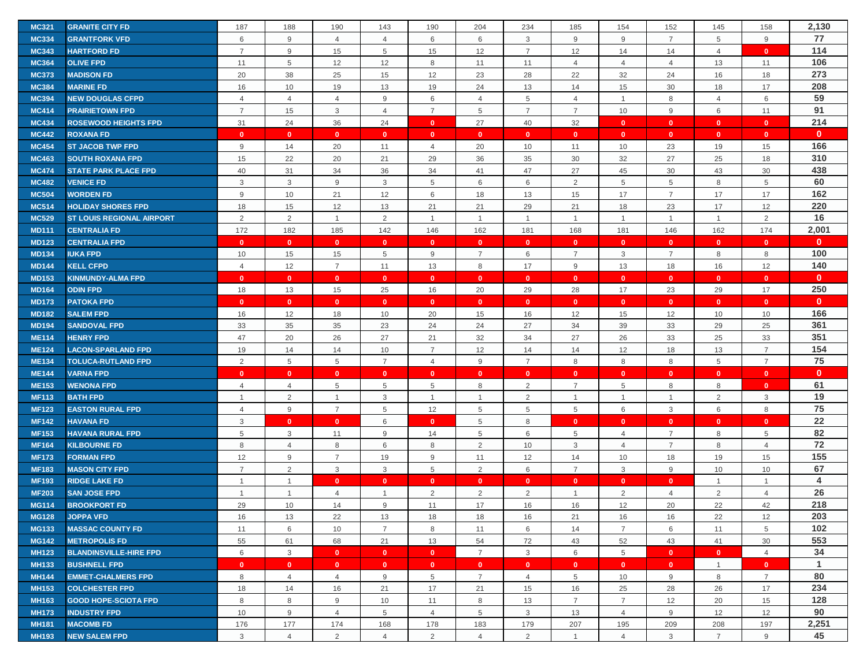| 2,130<br>187<br>190<br>204<br>152<br>158<br><b>MC321</b><br><b>GRANITE CITY FD</b><br>188<br>143<br>190<br>234<br>185<br>154<br>145<br>77<br>$9\,$<br>6<br>9<br>$9\,$<br>$\overline{7}$<br><b>MC334</b><br><b>GRANTFORK VFD</b><br>6<br>6<br>3<br>5<br>9<br>4<br>$\overline{4}$<br>114<br>$\overline{7}$<br>9<br>15<br>12<br>$\overline{7}$<br>12<br>14<br>14<br><b>MC343</b><br><b>HARTFORD FD</b><br>5<br>15<br>$\overline{4}$<br>$\mathbf{0}$<br>106<br>5<br>12<br>12<br>8<br><b>MC364</b><br><b>OLIVE FPD</b><br>11<br>11<br>11<br>$\overline{4}$<br>$\overline{4}$<br>$\overline{4}$<br>13<br>11<br>273<br>38<br>25<br>12<br>23<br>28<br>22<br>32<br>24<br>18<br><b>MC373</b><br><b>MADISON FD</b><br>20<br>15<br>16<br>208<br><b>MC384</b><br><b>MARINE FD</b><br>16<br>10<br>19<br>13<br>19<br>24<br>13<br>14<br>15<br>30<br>18<br>17<br>59<br>6<br>6<br><b>MC394</b><br><b>NEW DOUGLAS CFPD</b><br>$\overline{4}$<br>$\overline{4}$<br>$\overline{4}$<br>9<br>$\overline{4}$<br>5<br>$\overline{4}$<br>$\mathbf{1}$<br>8<br>$\overline{4}$<br>91<br>$\mathbf{3}$<br>$\overline{7}$<br>10<br><b>MC414</b><br><b>PRAIRIETOWN FPD</b><br>$\overline{7}$<br>15<br>5<br>$\overline{7}$<br>$\overline{7}$<br>9<br>6<br>11<br>$\overline{4}$<br>214<br>31<br>24<br>36<br>24<br>27<br>40<br>32<br><b>MC434</b><br><b>ROSEWOOD HEIGHTS FPD</b><br>$\mathbf{0}$<br>$\mathbf{0}$<br>$\mathbf{0}$<br>$\mathbf{0}$<br>$\mathbf{0}$<br>$\mathbf{0}$<br><b>MC442</b><br><b>ROXANA FD</b><br>$\mathbf{0}$<br>$\mathbf{0}$<br>$\mathbf{0}$<br>$\mathbf{0}$<br>$\mathbf{0}$<br>$\mathbf{0}$<br>$\mathbf{0}$<br>$\mathbf{0}$<br>$\mathbf{0}$<br>$\mathbf{0}$<br>$\mathbf{0}$<br>$\mathbf{0}$<br>166<br><b>MC454</b><br><b>ST JACOB TWP FPD</b><br>9<br>14<br>20<br>11<br>$\overline{4}$<br>20<br>10<br>11<br>10<br>23<br>19<br>15<br>310<br>35<br>15<br>22<br>20<br>21<br>29<br>36<br>30<br>32<br>27<br>25<br>18<br><b>MC463</b><br><b>SOUTH ROXANA FPD</b><br>438<br><b>MC474</b><br><b>STATE PARK PLACE FPD</b><br>40<br>31<br>34<br>36<br>34<br>41<br>47<br>27<br>45<br>30<br>43<br>30<br>60<br>$\mathbf{3}$<br>3<br>9<br>3<br>5<br>6<br>6<br>2<br>5<br>5<br>5<br><b>MC482</b><br><b>VENICE FD</b><br>8<br>162<br>$\overline{7}$<br><b>MC504</b><br>$9\,$<br>10<br>21<br>12<br>6<br>18<br>13<br>15<br>17<br>17<br>17<br><b>WORDEN FD</b><br>220<br>15<br>12<br>13<br>21<br>29<br>21<br>18<br>23<br>17<br>12<br><b>MC514</b><br><b>HOLIDAY SHORES FPD</b><br>18<br>21<br>16<br>$\overline{2}$<br>2<br>$\overline{2}$<br>2<br><b>MC529</b><br><b>ST LOUIS REGIONAL AIRPORT</b><br>$\mathbf{1}$<br>$\mathbf{1}$<br>$\overline{1}$<br>$\mathbf{1}$<br>$\mathbf{1}$<br>$\overline{1}$<br>$\mathbf{1}$<br>$\mathbf{1}$<br>2,001<br>172<br>174<br><b>MD111</b><br><b>CENTRALIA FD</b><br>182<br>185<br>142<br>146<br>162<br>181<br>168<br>181<br>146<br>162<br>$\mathbf{0}$<br><b>MD123</b><br><b>CENTRALIA FPD</b><br>$\mathbf{0}$<br>$\mathbf{0}$<br>$\mathbf{0}$<br>$\mathbf{0}$<br>$\mathbf{0}$<br>$\mathbf{0}$<br>$\mathbf{0}$<br>$\mathbf{0}$<br>$\mathbf{0}$<br>$\mathbf{0}$<br>$\mathbf{0}$<br>$\mathbf{0}$<br>100<br>8<br><b>MD134</b><br><b>IUKA FPD</b><br>10<br>15<br>15<br>5<br>9<br>$\overline{7}$<br>$\overline{7}$<br>3<br>$\overline{7}$<br>8<br>6<br>140<br>12<br>12<br>$\overline{7}$<br>11<br>13<br>8<br>17<br>9<br>13<br>18<br>16<br><b>MD144</b><br><b>KELL CFPD</b><br>$\overline{4}$<br>$\mathbf{0}$<br><b>MD153</b><br><b>KINMUNDY-ALMA FPD</b><br>$\mathbf{0}$<br>$\mathbf{0}$<br>$\mathbf{0}$<br>$\mathbf{0}$<br>$\mathbf{0}$<br>$\mathbf{0}$<br>$\mathbf{0}$<br>$\mathbf{0}$<br>$\mathbf{0}$<br>$\mathbf{0}$<br>$\mathbf{0}$<br>$\mathbf{0}$<br>250<br>13<br>15<br>25<br>20<br>29<br>28<br>29<br>17<br><b>MD164</b><br><b>ODIN FPD</b><br>18<br>16<br>17<br>23<br>$\mathbf{0}$<br><b>MD173</b><br><b>PATOKA FPD</b><br>$\mathbf{0}$<br>$\mathbf{0}$<br>$\mathbf{0}$<br>$\Omega$<br>$\mathbf{0}$<br>$\mathbf{0}$<br>$\mathbf{0}$<br>$\mathbf{0}$<br>$\mathbf{0}$<br>$\mathbf{0}$<br>$\mathbf{0}$<br>$\mathbf{0}$<br>166<br><b>MD182</b><br><b>SALEM FPD</b><br>16<br>12<br>18<br>10<br>20<br>15<br>16<br>12<br>15<br>12<br>10<br>10<br>361<br>33<br>27<br>35<br>35<br>23<br>24<br>24<br>34<br>39<br>33<br>29<br>25<br><b>MD194</b><br><b>SANDOVAL FPD</b><br>351<br>47<br>20<br>26<br>27<br>21<br>32<br>34<br>27<br>26<br>33<br>25<br>33<br><b>ME114</b><br><b>HENRY FPD</b><br>154<br><b>ME124</b><br>19<br>14<br>$\overline{7}$<br>12<br>12<br>$\overline{7}$<br><b>LACON-SPARLAND FPD</b><br>14<br>10<br>14<br>14<br>18<br>13<br>75<br><b>ME134</b><br>2<br>5<br>5<br>9<br>$\overline{7}$<br>8<br>8<br>8<br>$\overline{7}$<br><b>TOLUCA-RUTLAND FPD</b><br>$\overline{7}$<br>$\overline{4}$<br>5<br>$\mathbf{0}$<br><b>ME144</b><br><b>VARNA FPD</b><br>$\mathbf{0}$<br>$\mathbf{0}$<br>$\mathbf{0}$<br>$\mathbf{0}$<br>$\mathbf{0}$<br>$\mathbf{0}$<br>$\mathbf{0}$<br>$\mathbf{0}$<br>$\mathbf{0}$<br>$\mathbf{0}$<br>$\mathbf{0}$<br>$\mathbf{0}$<br>61<br>5<br>8<br>5<br><b>ME153</b><br><b>WENONA FPD</b><br>$\overline{4}$<br>5<br>5<br>2<br>$\overline{7}$<br>8<br>8<br>$\mathbf{0}$<br>$\overline{4}$<br>19<br>$\overline{2}$<br>3<br>$\overline{1}$<br>2<br>2<br>$\mathbf{3}$<br><b>MF113</b><br><b>BATH FPD</b><br>$\overline{1}$<br>$\overline{1}$<br>$\mathbf{1}$<br>$\mathbf{1}$<br>$\overline{1}$<br>$\mathbf{1}$<br>75<br>$\overline{7}$<br><b>MF123</b><br>9<br>12<br>5<br>5<br>5<br>6<br>3<br>6<br>8<br><b>EASTON RURAL FPD</b><br>5<br>$\overline{4}$<br>22<br><b>MF142</b><br><b>HAVANA FD</b><br>3<br>$\mathbf{0}$<br>6<br>$\mathbf{0}$<br>5<br>8<br>$\mathbf{0}$<br>$\mathbf{0}$<br>$\mathbf{0}$<br>$\mathbf{0}$<br>$\mathbf{0}$<br>$\mathbf{0}$<br>82<br>3<br>5<br><b>MF153</b><br><b>HAVANA RURAL FPD</b><br>5<br>11<br>9<br>14<br>6<br>5<br>$\overline{4}$<br>$\overline{7}$<br>8<br>5<br>72<br><b>MF164</b><br>8<br>8<br>2<br>3<br>$\overline{7}$<br>$\overline{4}$<br><b>KILBOURNE FD</b><br>8<br>$\overline{4}$<br>6<br>10<br>$\overline{4}$<br>8<br>155<br>$\boldsymbol{9}$<br>$\overline{7}$<br>12<br>19<br>$9\,$<br>11<br>12<br>14<br>10<br>18<br>15<br><b>MF173</b><br><b>FORMAN FPD</b><br>19<br>67<br>2<br>2<br><b>MF183</b><br><b>MASON CITY FPD</b><br>$\overline{7}$<br>3<br>3<br>5<br>6<br>$\overline{7}$<br>3<br>9<br>10<br>10<br>$\overline{4}$<br><b>MF193</b><br><b>RIDGE LAKE FD</b><br>$\mathbf{0}$<br>$\mathbf{0}$<br>$\mathbf{0}$<br>$\mathbf{0}$<br>$\mathbf{0}$<br>$\mathbf{0}$<br>$\mathbf{0}$<br>$\mathbf{0}$<br>$\overline{1}$<br>$\overline{1}$<br>$\mathbf{1}$<br>$\mathbf{1}$<br>26<br><b>MF203</b><br>2<br>2<br>$\overline{2}$<br>$\overline{2}$<br>2<br><b>SAN JOSE FPD</b><br>$\overline{4}$<br>$\overline{4}$<br>1<br>$\overline{1}$<br>$\overline{4}$<br>$\mathbf 1$<br>$\mathbf{1}$<br>218<br>12<br><b>MG114</b><br><b>BROOKPORT FD</b><br>29<br>10<br>14<br>9<br>11<br>17<br>16<br>16<br>20<br>22<br>42<br>203<br><b>MG128</b><br><b>JOPPA VFD</b><br>16<br>13<br>22<br>13<br>18<br>18<br>16<br>21<br>16<br>16<br>22<br>12<br>102<br>6<br>$\overline{7}$<br>8<br>6<br>$\overline{7}$<br>6<br>5<br><b>MG133</b><br><b>MASSAC COUNTY FD</b><br>11<br>10<br>11<br>14<br>11<br>553<br>68<br>21<br>13<br>54<br>52<br>41<br>30<br><b>MG142</b><br><b>METROPOLIS FD</b><br>55<br>61<br>72<br>43<br>43<br>34<br><b>MH123</b><br><b>BLANDINSVILLE-HIRE FPD</b><br>6<br>3<br>$\bullet$<br>$\overline{7}$<br>3<br>6<br>5<br>$\mathbf{0}$<br>$\overline{4}$<br>$\mathbf{0}$<br>$\mathbf{0}$<br>$\bullet$<br>$\mathbf{1}$<br><b>MH133</b><br><b>BUSHNELL FPD</b><br>$\mathbf{0}$<br>$\mathbf{0}$<br>$\mathbf{0}$<br>$\mathbf{0}$<br>$\mathbf{0}$<br>$\mathbf{0}$<br>$\mathbf{0}$<br>$\mathbf{0}$<br>$\mathbf{0}$<br>$\mathbf{0}$<br>$\mathbf{0}$<br>$\mathbf{1}$<br>80<br><b>EMMET-CHALMERS FPD</b><br>8<br>$\overline{4}$<br>$\overline{4}$<br>9<br>5<br>$\overline{7}$<br>5<br>10<br>9<br>8<br>$\overline{7}$<br><b>MH144</b><br>4<br>234<br><b>MH153</b><br><b>COLCHESTER FPD</b><br>18<br>14<br>16<br>21<br>17<br>21<br>16<br>25<br>28<br>26<br>17<br>15<br>128<br>9<br>8<br>$\overline{7}$<br>$\overline{7}$<br>12<br><b>MH163</b><br><b>GOOD HOPE-SCIOTA FPD</b><br>8<br>8<br>10<br>11<br>13<br>20<br>15<br>90<br>9<br>$\overline{4}$<br>5<br>$\overline{4}$<br>12<br><b>MH173</b><br><b>INDUSTRY FPD</b><br>10<br>5<br>$\overline{4}$<br>3<br>13<br>9<br>12<br>2,251<br>176<br>174<br>179<br>207<br>197<br><b>MACOMB FD</b><br>177<br>168<br>178<br>183<br>195<br>209<br>208<br><b>MH181</b><br>45<br><b>MH193</b><br><b>NEW SALEM FPD</b><br>3<br>$\overline{4}$<br>2<br>$\overline{4}$<br>2<br>$\overline{4}$<br>2<br>$\overline{4}$<br>3<br>$\overline{7}$<br>9<br>$\overline{1}$ |  |  |  |  |  |  |  |  |
|-----------------------------------------------------------------------------------------------------------------------------------------------------------------------------------------------------------------------------------------------------------------------------------------------------------------------------------------------------------------------------------------------------------------------------------------------------------------------------------------------------------------------------------------------------------------------------------------------------------------------------------------------------------------------------------------------------------------------------------------------------------------------------------------------------------------------------------------------------------------------------------------------------------------------------------------------------------------------------------------------------------------------------------------------------------------------------------------------------------------------------------------------------------------------------------------------------------------------------------------------------------------------------------------------------------------------------------------------------------------------------------------------------------------------------------------------------------------------------------------------------------------------------------------------------------------------------------------------------------------------------------------------------------------------------------------------------------------------------------------------------------------------------------------------------------------------------------------------------------------------------------------------------------------------------------------------------------------------------------------------------------------------------------------------------------------------------------------------------------------------------------------------------------------------------------------------------------------------------------------------------------------------------------------------------------------------------------------------------------------------------------------------------------------------------------------------------------------------------------------------------------------------------------------------------------------------------------------------------------------------------------------------------------------------------------------------------------------------------------------------------------------------------------------------------------------------------------------------------------------------------------------------------------------------------------------------------------------------------------------------------------------------------------------------------------------------------------------------------------------------------------------------------------------------------------------------------------------------------------------------------------------------------------------------------------------------------------------------------------------------------------------------------------------------------------------------------------------------------------------------------------------------------------------------------------------------------------------------------------------------------------------------------------------------------------------------------------------------------------------------------------------------------------------------------------------------------------------------------------------------------------------------------------------------------------------------------------------------------------------------------------------------------------------------------------------------------------------------------------------------------------------------------------------------------------------------------------------------------------------------------------------------------------------------------------------------------------------------------------------------------------------------------------------------------------------------------------------------------------------------------------------------------------------------------------------------------------------------------------------------------------------------------------------------------------------------------------------------------------------------------------------------------------------------------------------------------------------------------------------------------------------------------------------------------------------------------------------------------------------------------------------------------------------------------------------------------------------------------------------------------------------------------------------------------------------------------------------------------------------------------------------------------------------------------------------------------------------------------------------------------------------------------------------------------------------------------------------------------------------------------------------------------------------------------------------------------------------------------------------------------------------------------------------------------------------------------------------------------------------------------------------------------------------------------------------------------------------------------------------------------------------------------------------------------------------------------------------------------------------------------------------------------------------------------------------------------------------------------------------------------------------------------------------------------------------------------------------------------------------------------------------------------------------------------------------------------------------------------------------------------------------------------------------------------------------------------------------------------------------------------------------------------------------------------------------------------------------------------------------------------------------------------------------------------------------------------------------------------------------------------------------------------------------------------------------------------------------------------------------------------------------------------------------------------------------------------------------------------------------------------------------------------------------------------------------------------------------------------------------------------------------------------------------------------------------------------------------------------------------------------------------------------------------------------------------------------------------------------------------------------------------------------------------------------------------------------------------------------------------------------------------------------------------------------------------------------------------------------------------------------------------------------------------------------------------------------------------------------------------------------------------------------------------------------------------------------------------------------------------------------------------------------------------------------------------------------------------------------------------------------------------------------------------------------------------------------------------------------------------------------------------------------------------------------------------------------------------------------------------------------------------------------------------------------------------------------------------------------------------------------------------------------------------------------------------------------------------------------------------------------------------------------------------------------------------------------------------------------------------------------------------------------------|--|--|--|--|--|--|--|--|
|                                                                                                                                                                                                                                                                                                                                                                                                                                                                                                                                                                                                                                                                                                                                                                                                                                                                                                                                                                                                                                                                                                                                                                                                                                                                                                                                                                                                                                                                                                                                                                                                                                                                                                                                                                                                                                                                                                                                                                                                                                                                                                                                                                                                                                                                                                                                                                                                                                                                                                                                                                                                                                                                                                                                                                                                                                                                                                                                                                                                                                                                                                                                                                                                                                                                                                                                                                                                                                                                                                                                                                                                                                                                                                                                                                                                                                                                                                                                                                                                                                                                                                                                                                                                                                                                                                                                                                                                                                                                                                                                                                                                                                                                                                                                                                                                                                                                                                                                                                                                                                                                                                                                                                                                                                                                                                                                                                                                                                                                                                                                                                                                                                                                                                                                                                                                                                                                                                                                                                                                                                                                                                                                                                                                                                                                                                                                                                                                                                                                                                                                                                                                                                                                                                                                                                                                                                                                                                                                                                                                                                                                                                                                                                                                                                                                                                                                                                                                                                                                                                                                                                                                                                                                                                                                                                                                                                                                                                                                                                                                                                                                                                                                                                                                                                                                                                                                                                                                                                                                                                                                                                                                                                                           |  |  |  |  |  |  |  |  |
|                                                                                                                                                                                                                                                                                                                                                                                                                                                                                                                                                                                                                                                                                                                                                                                                                                                                                                                                                                                                                                                                                                                                                                                                                                                                                                                                                                                                                                                                                                                                                                                                                                                                                                                                                                                                                                                                                                                                                                                                                                                                                                                                                                                                                                                                                                                                                                                                                                                                                                                                                                                                                                                                                                                                                                                                                                                                                                                                                                                                                                                                                                                                                                                                                                                                                                                                                                                                                                                                                                                                                                                                                                                                                                                                                                                                                                                                                                                                                                                                                                                                                                                                                                                                                                                                                                                                                                                                                                                                                                                                                                                                                                                                                                                                                                                                                                                                                                                                                                                                                                                                                                                                                                                                                                                                                                                                                                                                                                                                                                                                                                                                                                                                                                                                                                                                                                                                                                                                                                                                                                                                                                                                                                                                                                                                                                                                                                                                                                                                                                                                                                                                                                                                                                                                                                                                                                                                                                                                                                                                                                                                                                                                                                                                                                                                                                                                                                                                                                                                                                                                                                                                                                                                                                                                                                                                                                                                                                                                                                                                                                                                                                                                                                                                                                                                                                                                                                                                                                                                                                                                                                                                                                                           |  |  |  |  |  |  |  |  |
|                                                                                                                                                                                                                                                                                                                                                                                                                                                                                                                                                                                                                                                                                                                                                                                                                                                                                                                                                                                                                                                                                                                                                                                                                                                                                                                                                                                                                                                                                                                                                                                                                                                                                                                                                                                                                                                                                                                                                                                                                                                                                                                                                                                                                                                                                                                                                                                                                                                                                                                                                                                                                                                                                                                                                                                                                                                                                                                                                                                                                                                                                                                                                                                                                                                                                                                                                                                                                                                                                                                                                                                                                                                                                                                                                                                                                                                                                                                                                                                                                                                                                                                                                                                                                                                                                                                                                                                                                                                                                                                                                                                                                                                                                                                                                                                                                                                                                                                                                                                                                                                                                                                                                                                                                                                                                                                                                                                                                                                                                                                                                                                                                                                                                                                                                                                                                                                                                                                                                                                                                                                                                                                                                                                                                                                                                                                                                                                                                                                                                                                                                                                                                                                                                                                                                                                                                                                                                                                                                                                                                                                                                                                                                                                                                                                                                                                                                                                                                                                                                                                                                                                                                                                                                                                                                                                                                                                                                                                                                                                                                                                                                                                                                                                                                                                                                                                                                                                                                                                                                                                                                                                                                                                           |  |  |  |  |  |  |  |  |
|                                                                                                                                                                                                                                                                                                                                                                                                                                                                                                                                                                                                                                                                                                                                                                                                                                                                                                                                                                                                                                                                                                                                                                                                                                                                                                                                                                                                                                                                                                                                                                                                                                                                                                                                                                                                                                                                                                                                                                                                                                                                                                                                                                                                                                                                                                                                                                                                                                                                                                                                                                                                                                                                                                                                                                                                                                                                                                                                                                                                                                                                                                                                                                                                                                                                                                                                                                                                                                                                                                                                                                                                                                                                                                                                                                                                                                                                                                                                                                                                                                                                                                                                                                                                                                                                                                                                                                                                                                                                                                                                                                                                                                                                                                                                                                                                                                                                                                                                                                                                                                                                                                                                                                                                                                                                                                                                                                                                                                                                                                                                                                                                                                                                                                                                                                                                                                                                                                                                                                                                                                                                                                                                                                                                                                                                                                                                                                                                                                                                                                                                                                                                                                                                                                                                                                                                                                                                                                                                                                                                                                                                                                                                                                                                                                                                                                                                                                                                                                                                                                                                                                                                                                                                                                                                                                                                                                                                                                                                                                                                                                                                                                                                                                                                                                                                                                                                                                                                                                                                                                                                                                                                                                                           |  |  |  |  |  |  |  |  |
|                                                                                                                                                                                                                                                                                                                                                                                                                                                                                                                                                                                                                                                                                                                                                                                                                                                                                                                                                                                                                                                                                                                                                                                                                                                                                                                                                                                                                                                                                                                                                                                                                                                                                                                                                                                                                                                                                                                                                                                                                                                                                                                                                                                                                                                                                                                                                                                                                                                                                                                                                                                                                                                                                                                                                                                                                                                                                                                                                                                                                                                                                                                                                                                                                                                                                                                                                                                                                                                                                                                                                                                                                                                                                                                                                                                                                                                                                                                                                                                                                                                                                                                                                                                                                                                                                                                                                                                                                                                                                                                                                                                                                                                                                                                                                                                                                                                                                                                                                                                                                                                                                                                                                                                                                                                                                                                                                                                                                                                                                                                                                                                                                                                                                                                                                                                                                                                                                                                                                                                                                                                                                                                                                                                                                                                                                                                                                                                                                                                                                                                                                                                                                                                                                                                                                                                                                                                                                                                                                                                                                                                                                                                                                                                                                                                                                                                                                                                                                                                                                                                                                                                                                                                                                                                                                                                                                                                                                                                                                                                                                                                                                                                                                                                                                                                                                                                                                                                                                                                                                                                                                                                                                                                           |  |  |  |  |  |  |  |  |
|                                                                                                                                                                                                                                                                                                                                                                                                                                                                                                                                                                                                                                                                                                                                                                                                                                                                                                                                                                                                                                                                                                                                                                                                                                                                                                                                                                                                                                                                                                                                                                                                                                                                                                                                                                                                                                                                                                                                                                                                                                                                                                                                                                                                                                                                                                                                                                                                                                                                                                                                                                                                                                                                                                                                                                                                                                                                                                                                                                                                                                                                                                                                                                                                                                                                                                                                                                                                                                                                                                                                                                                                                                                                                                                                                                                                                                                                                                                                                                                                                                                                                                                                                                                                                                                                                                                                                                                                                                                                                                                                                                                                                                                                                                                                                                                                                                                                                                                                                                                                                                                                                                                                                                                                                                                                                                                                                                                                                                                                                                                                                                                                                                                                                                                                                                                                                                                                                                                                                                                                                                                                                                                                                                                                                                                                                                                                                                                                                                                                                                                                                                                                                                                                                                                                                                                                                                                                                                                                                                                                                                                                                                                                                                                                                                                                                                                                                                                                                                                                                                                                                                                                                                                                                                                                                                                                                                                                                                                                                                                                                                                                                                                                                                                                                                                                                                                                                                                                                                                                                                                                                                                                                                                           |  |  |  |  |  |  |  |  |
|                                                                                                                                                                                                                                                                                                                                                                                                                                                                                                                                                                                                                                                                                                                                                                                                                                                                                                                                                                                                                                                                                                                                                                                                                                                                                                                                                                                                                                                                                                                                                                                                                                                                                                                                                                                                                                                                                                                                                                                                                                                                                                                                                                                                                                                                                                                                                                                                                                                                                                                                                                                                                                                                                                                                                                                                                                                                                                                                                                                                                                                                                                                                                                                                                                                                                                                                                                                                                                                                                                                                                                                                                                                                                                                                                                                                                                                                                                                                                                                                                                                                                                                                                                                                                                                                                                                                                                                                                                                                                                                                                                                                                                                                                                                                                                                                                                                                                                                                                                                                                                                                                                                                                                                                                                                                                                                                                                                                                                                                                                                                                                                                                                                                                                                                                                                                                                                                                                                                                                                                                                                                                                                                                                                                                                                                                                                                                                                                                                                                                                                                                                                                                                                                                                                                                                                                                                                                                                                                                                                                                                                                                                                                                                                                                                                                                                                                                                                                                                                                                                                                                                                                                                                                                                                                                                                                                                                                                                                                                                                                                                                                                                                                                                                                                                                                                                                                                                                                                                                                                                                                                                                                                                                           |  |  |  |  |  |  |  |  |
|                                                                                                                                                                                                                                                                                                                                                                                                                                                                                                                                                                                                                                                                                                                                                                                                                                                                                                                                                                                                                                                                                                                                                                                                                                                                                                                                                                                                                                                                                                                                                                                                                                                                                                                                                                                                                                                                                                                                                                                                                                                                                                                                                                                                                                                                                                                                                                                                                                                                                                                                                                                                                                                                                                                                                                                                                                                                                                                                                                                                                                                                                                                                                                                                                                                                                                                                                                                                                                                                                                                                                                                                                                                                                                                                                                                                                                                                                                                                                                                                                                                                                                                                                                                                                                                                                                                                                                                                                                                                                                                                                                                                                                                                                                                                                                                                                                                                                                                                                                                                                                                                                                                                                                                                                                                                                                                                                                                                                                                                                                                                                                                                                                                                                                                                                                                                                                                                                                                                                                                                                                                                                                                                                                                                                                                                                                                                                                                                                                                                                                                                                                                                                                                                                                                                                                                                                                                                                                                                                                                                                                                                                                                                                                                                                                                                                                                                                                                                                                                                                                                                                                                                                                                                                                                                                                                                                                                                                                                                                                                                                                                                                                                                                                                                                                                                                                                                                                                                                                                                                                                                                                                                                                                           |  |  |  |  |  |  |  |  |
|                                                                                                                                                                                                                                                                                                                                                                                                                                                                                                                                                                                                                                                                                                                                                                                                                                                                                                                                                                                                                                                                                                                                                                                                                                                                                                                                                                                                                                                                                                                                                                                                                                                                                                                                                                                                                                                                                                                                                                                                                                                                                                                                                                                                                                                                                                                                                                                                                                                                                                                                                                                                                                                                                                                                                                                                                                                                                                                                                                                                                                                                                                                                                                                                                                                                                                                                                                                                                                                                                                                                                                                                                                                                                                                                                                                                                                                                                                                                                                                                                                                                                                                                                                                                                                                                                                                                                                                                                                                                                                                                                                                                                                                                                                                                                                                                                                                                                                                                                                                                                                                                                                                                                                                                                                                                                                                                                                                                                                                                                                                                                                                                                                                                                                                                                                                                                                                                                                                                                                                                                                                                                                                                                                                                                                                                                                                                                                                                                                                                                                                                                                                                                                                                                                                                                                                                                                                                                                                                                                                                                                                                                                                                                                                                                                                                                                                                                                                                                                                                                                                                                                                                                                                                                                                                                                                                                                                                                                                                                                                                                                                                                                                                                                                                                                                                                                                                                                                                                                                                                                                                                                                                                                                           |  |  |  |  |  |  |  |  |
|                                                                                                                                                                                                                                                                                                                                                                                                                                                                                                                                                                                                                                                                                                                                                                                                                                                                                                                                                                                                                                                                                                                                                                                                                                                                                                                                                                                                                                                                                                                                                                                                                                                                                                                                                                                                                                                                                                                                                                                                                                                                                                                                                                                                                                                                                                                                                                                                                                                                                                                                                                                                                                                                                                                                                                                                                                                                                                                                                                                                                                                                                                                                                                                                                                                                                                                                                                                                                                                                                                                                                                                                                                                                                                                                                                                                                                                                                                                                                                                                                                                                                                                                                                                                                                                                                                                                                                                                                                                                                                                                                                                                                                                                                                                                                                                                                                                                                                                                                                                                                                                                                                                                                                                                                                                                                                                                                                                                                                                                                                                                                                                                                                                                                                                                                                                                                                                                                                                                                                                                                                                                                                                                                                                                                                                                                                                                                                                                                                                                                                                                                                                                                                                                                                                                                                                                                                                                                                                                                                                                                                                                                                                                                                                                                                                                                                                                                                                                                                                                                                                                                                                                                                                                                                                                                                                                                                                                                                                                                                                                                                                                                                                                                                                                                                                                                                                                                                                                                                                                                                                                                                                                                                                           |  |  |  |  |  |  |  |  |
|                                                                                                                                                                                                                                                                                                                                                                                                                                                                                                                                                                                                                                                                                                                                                                                                                                                                                                                                                                                                                                                                                                                                                                                                                                                                                                                                                                                                                                                                                                                                                                                                                                                                                                                                                                                                                                                                                                                                                                                                                                                                                                                                                                                                                                                                                                                                                                                                                                                                                                                                                                                                                                                                                                                                                                                                                                                                                                                                                                                                                                                                                                                                                                                                                                                                                                                                                                                                                                                                                                                                                                                                                                                                                                                                                                                                                                                                                                                                                                                                                                                                                                                                                                                                                                                                                                                                                                                                                                                                                                                                                                                                                                                                                                                                                                                                                                                                                                                                                                                                                                                                                                                                                                                                                                                                                                                                                                                                                                                                                                                                                                                                                                                                                                                                                                                                                                                                                                                                                                                                                                                                                                                                                                                                                                                                                                                                                                                                                                                                                                                                                                                                                                                                                                                                                                                                                                                                                                                                                                                                                                                                                                                                                                                                                                                                                                                                                                                                                                                                                                                                                                                                                                                                                                                                                                                                                                                                                                                                                                                                                                                                                                                                                                                                                                                                                                                                                                                                                                                                                                                                                                                                                                                           |  |  |  |  |  |  |  |  |
|                                                                                                                                                                                                                                                                                                                                                                                                                                                                                                                                                                                                                                                                                                                                                                                                                                                                                                                                                                                                                                                                                                                                                                                                                                                                                                                                                                                                                                                                                                                                                                                                                                                                                                                                                                                                                                                                                                                                                                                                                                                                                                                                                                                                                                                                                                                                                                                                                                                                                                                                                                                                                                                                                                                                                                                                                                                                                                                                                                                                                                                                                                                                                                                                                                                                                                                                                                                                                                                                                                                                                                                                                                                                                                                                                                                                                                                                                                                                                                                                                                                                                                                                                                                                                                                                                                                                                                                                                                                                                                                                                                                                                                                                                                                                                                                                                                                                                                                                                                                                                                                                                                                                                                                                                                                                                                                                                                                                                                                                                                                                                                                                                                                                                                                                                                                                                                                                                                                                                                                                                                                                                                                                                                                                                                                                                                                                                                                                                                                                                                                                                                                                                                                                                                                                                                                                                                                                                                                                                                                                                                                                                                                                                                                                                                                                                                                                                                                                                                                                                                                                                                                                                                                                                                                                                                                                                                                                                                                                                                                                                                                                                                                                                                                                                                                                                                                                                                                                                                                                                                                                                                                                                                                           |  |  |  |  |  |  |  |  |
|                                                                                                                                                                                                                                                                                                                                                                                                                                                                                                                                                                                                                                                                                                                                                                                                                                                                                                                                                                                                                                                                                                                                                                                                                                                                                                                                                                                                                                                                                                                                                                                                                                                                                                                                                                                                                                                                                                                                                                                                                                                                                                                                                                                                                                                                                                                                                                                                                                                                                                                                                                                                                                                                                                                                                                                                                                                                                                                                                                                                                                                                                                                                                                                                                                                                                                                                                                                                                                                                                                                                                                                                                                                                                                                                                                                                                                                                                                                                                                                                                                                                                                                                                                                                                                                                                                                                                                                                                                                                                                                                                                                                                                                                                                                                                                                                                                                                                                                                                                                                                                                                                                                                                                                                                                                                                                                                                                                                                                                                                                                                                                                                                                                                                                                                                                                                                                                                                                                                                                                                                                                                                                                                                                                                                                                                                                                                                                                                                                                                                                                                                                                                                                                                                                                                                                                                                                                                                                                                                                                                                                                                                                                                                                                                                                                                                                                                                                                                                                                                                                                                                                                                                                                                                                                                                                                                                                                                                                                                                                                                                                                                                                                                                                                                                                                                                                                                                                                                                                                                                                                                                                                                                                                           |  |  |  |  |  |  |  |  |
|                                                                                                                                                                                                                                                                                                                                                                                                                                                                                                                                                                                                                                                                                                                                                                                                                                                                                                                                                                                                                                                                                                                                                                                                                                                                                                                                                                                                                                                                                                                                                                                                                                                                                                                                                                                                                                                                                                                                                                                                                                                                                                                                                                                                                                                                                                                                                                                                                                                                                                                                                                                                                                                                                                                                                                                                                                                                                                                                                                                                                                                                                                                                                                                                                                                                                                                                                                                                                                                                                                                                                                                                                                                                                                                                                                                                                                                                                                                                                                                                                                                                                                                                                                                                                                                                                                                                                                                                                                                                                                                                                                                                                                                                                                                                                                                                                                                                                                                                                                                                                                                                                                                                                                                                                                                                                                                                                                                                                                                                                                                                                                                                                                                                                                                                                                                                                                                                                                                                                                                                                                                                                                                                                                                                                                                                                                                                                                                                                                                                                                                                                                                                                                                                                                                                                                                                                                                                                                                                                                                                                                                                                                                                                                                                                                                                                                                                                                                                                                                                                                                                                                                                                                                                                                                                                                                                                                                                                                                                                                                                                                                                                                                                                                                                                                                                                                                                                                                                                                                                                                                                                                                                                                                           |  |  |  |  |  |  |  |  |
|                                                                                                                                                                                                                                                                                                                                                                                                                                                                                                                                                                                                                                                                                                                                                                                                                                                                                                                                                                                                                                                                                                                                                                                                                                                                                                                                                                                                                                                                                                                                                                                                                                                                                                                                                                                                                                                                                                                                                                                                                                                                                                                                                                                                                                                                                                                                                                                                                                                                                                                                                                                                                                                                                                                                                                                                                                                                                                                                                                                                                                                                                                                                                                                                                                                                                                                                                                                                                                                                                                                                                                                                                                                                                                                                                                                                                                                                                                                                                                                                                                                                                                                                                                                                                                                                                                                                                                                                                                                                                                                                                                                                                                                                                                                                                                                                                                                                                                                                                                                                                                                                                                                                                                                                                                                                                                                                                                                                                                                                                                                                                                                                                                                                                                                                                                                                                                                                                                                                                                                                                                                                                                                                                                                                                                                                                                                                                                                                                                                                                                                                                                                                                                                                                                                                                                                                                                                                                                                                                                                                                                                                                                                                                                                                                                                                                                                                                                                                                                                                                                                                                                                                                                                                                                                                                                                                                                                                                                                                                                                                                                                                                                                                                                                                                                                                                                                                                                                                                                                                                                                                                                                                                                                           |  |  |  |  |  |  |  |  |
|                                                                                                                                                                                                                                                                                                                                                                                                                                                                                                                                                                                                                                                                                                                                                                                                                                                                                                                                                                                                                                                                                                                                                                                                                                                                                                                                                                                                                                                                                                                                                                                                                                                                                                                                                                                                                                                                                                                                                                                                                                                                                                                                                                                                                                                                                                                                                                                                                                                                                                                                                                                                                                                                                                                                                                                                                                                                                                                                                                                                                                                                                                                                                                                                                                                                                                                                                                                                                                                                                                                                                                                                                                                                                                                                                                                                                                                                                                                                                                                                                                                                                                                                                                                                                                                                                                                                                                                                                                                                                                                                                                                                                                                                                                                                                                                                                                                                                                                                                                                                                                                                                                                                                                                                                                                                                                                                                                                                                                                                                                                                                                                                                                                                                                                                                                                                                                                                                                                                                                                                                                                                                                                                                                                                                                                                                                                                                                                                                                                                                                                                                                                                                                                                                                                                                                                                                                                                                                                                                                                                                                                                                                                                                                                                                                                                                                                                                                                                                                                                                                                                                                                                                                                                                                                                                                                                                                                                                                                                                                                                                                                                                                                                                                                                                                                                                                                                                                                                                                                                                                                                                                                                                                                           |  |  |  |  |  |  |  |  |
|                                                                                                                                                                                                                                                                                                                                                                                                                                                                                                                                                                                                                                                                                                                                                                                                                                                                                                                                                                                                                                                                                                                                                                                                                                                                                                                                                                                                                                                                                                                                                                                                                                                                                                                                                                                                                                                                                                                                                                                                                                                                                                                                                                                                                                                                                                                                                                                                                                                                                                                                                                                                                                                                                                                                                                                                                                                                                                                                                                                                                                                                                                                                                                                                                                                                                                                                                                                                                                                                                                                                                                                                                                                                                                                                                                                                                                                                                                                                                                                                                                                                                                                                                                                                                                                                                                                                                                                                                                                                                                                                                                                                                                                                                                                                                                                                                                                                                                                                                                                                                                                                                                                                                                                                                                                                                                                                                                                                                                                                                                                                                                                                                                                                                                                                                                                                                                                                                                                                                                                                                                                                                                                                                                                                                                                                                                                                                                                                                                                                                                                                                                                                                                                                                                                                                                                                                                                                                                                                                                                                                                                                                                                                                                                                                                                                                                                                                                                                                                                                                                                                                                                                                                                                                                                                                                                                                                                                                                                                                                                                                                                                                                                                                                                                                                                                                                                                                                                                                                                                                                                                                                                                                                                           |  |  |  |  |  |  |  |  |
|                                                                                                                                                                                                                                                                                                                                                                                                                                                                                                                                                                                                                                                                                                                                                                                                                                                                                                                                                                                                                                                                                                                                                                                                                                                                                                                                                                                                                                                                                                                                                                                                                                                                                                                                                                                                                                                                                                                                                                                                                                                                                                                                                                                                                                                                                                                                                                                                                                                                                                                                                                                                                                                                                                                                                                                                                                                                                                                                                                                                                                                                                                                                                                                                                                                                                                                                                                                                                                                                                                                                                                                                                                                                                                                                                                                                                                                                                                                                                                                                                                                                                                                                                                                                                                                                                                                                                                                                                                                                                                                                                                                                                                                                                                                                                                                                                                                                                                                                                                                                                                                                                                                                                                                                                                                                                                                                                                                                                                                                                                                                                                                                                                                                                                                                                                                                                                                                                                                                                                                                                                                                                                                                                                                                                                                                                                                                                                                                                                                                                                                                                                                                                                                                                                                                                                                                                                                                                                                                                                                                                                                                                                                                                                                                                                                                                                                                                                                                                                                                                                                                                                                                                                                                                                                                                                                                                                                                                                                                                                                                                                                                                                                                                                                                                                                                                                                                                                                                                                                                                                                                                                                                                                                           |  |  |  |  |  |  |  |  |
|                                                                                                                                                                                                                                                                                                                                                                                                                                                                                                                                                                                                                                                                                                                                                                                                                                                                                                                                                                                                                                                                                                                                                                                                                                                                                                                                                                                                                                                                                                                                                                                                                                                                                                                                                                                                                                                                                                                                                                                                                                                                                                                                                                                                                                                                                                                                                                                                                                                                                                                                                                                                                                                                                                                                                                                                                                                                                                                                                                                                                                                                                                                                                                                                                                                                                                                                                                                                                                                                                                                                                                                                                                                                                                                                                                                                                                                                                                                                                                                                                                                                                                                                                                                                                                                                                                                                                                                                                                                                                                                                                                                                                                                                                                                                                                                                                                                                                                                                                                                                                                                                                                                                                                                                                                                                                                                                                                                                                                                                                                                                                                                                                                                                                                                                                                                                                                                                                                                                                                                                                                                                                                                                                                                                                                                                                                                                                                                                                                                                                                                                                                                                                                                                                                                                                                                                                                                                                                                                                                                                                                                                                                                                                                                                                                                                                                                                                                                                                                                                                                                                                                                                                                                                                                                                                                                                                                                                                                                                                                                                                                                                                                                                                                                                                                                                                                                                                                                                                                                                                                                                                                                                                                                           |  |  |  |  |  |  |  |  |
|                                                                                                                                                                                                                                                                                                                                                                                                                                                                                                                                                                                                                                                                                                                                                                                                                                                                                                                                                                                                                                                                                                                                                                                                                                                                                                                                                                                                                                                                                                                                                                                                                                                                                                                                                                                                                                                                                                                                                                                                                                                                                                                                                                                                                                                                                                                                                                                                                                                                                                                                                                                                                                                                                                                                                                                                                                                                                                                                                                                                                                                                                                                                                                                                                                                                                                                                                                                                                                                                                                                                                                                                                                                                                                                                                                                                                                                                                                                                                                                                                                                                                                                                                                                                                                                                                                                                                                                                                                                                                                                                                                                                                                                                                                                                                                                                                                                                                                                                                                                                                                                                                                                                                                                                                                                                                                                                                                                                                                                                                                                                                                                                                                                                                                                                                                                                                                                                                                                                                                                                                                                                                                                                                                                                                                                                                                                                                                                                                                                                                                                                                                                                                                                                                                                                                                                                                                                                                                                                                                                                                                                                                                                                                                                                                                                                                                                                                                                                                                                                                                                                                                                                                                                                                                                                                                                                                                                                                                                                                                                                                                                                                                                                                                                                                                                                                                                                                                                                                                                                                                                                                                                                                                                           |  |  |  |  |  |  |  |  |
|                                                                                                                                                                                                                                                                                                                                                                                                                                                                                                                                                                                                                                                                                                                                                                                                                                                                                                                                                                                                                                                                                                                                                                                                                                                                                                                                                                                                                                                                                                                                                                                                                                                                                                                                                                                                                                                                                                                                                                                                                                                                                                                                                                                                                                                                                                                                                                                                                                                                                                                                                                                                                                                                                                                                                                                                                                                                                                                                                                                                                                                                                                                                                                                                                                                                                                                                                                                                                                                                                                                                                                                                                                                                                                                                                                                                                                                                                                                                                                                                                                                                                                                                                                                                                                                                                                                                                                                                                                                                                                                                                                                                                                                                                                                                                                                                                                                                                                                                                                                                                                                                                                                                                                                                                                                                                                                                                                                                                                                                                                                                                                                                                                                                                                                                                                                                                                                                                                                                                                                                                                                                                                                                                                                                                                                                                                                                                                                                                                                                                                                                                                                                                                                                                                                                                                                                                                                                                                                                                                                                                                                                                                                                                                                                                                                                                                                                                                                                                                                                                                                                                                                                                                                                                                                                                                                                                                                                                                                                                                                                                                                                                                                                                                                                                                                                                                                                                                                                                                                                                                                                                                                                                                                           |  |  |  |  |  |  |  |  |
|                                                                                                                                                                                                                                                                                                                                                                                                                                                                                                                                                                                                                                                                                                                                                                                                                                                                                                                                                                                                                                                                                                                                                                                                                                                                                                                                                                                                                                                                                                                                                                                                                                                                                                                                                                                                                                                                                                                                                                                                                                                                                                                                                                                                                                                                                                                                                                                                                                                                                                                                                                                                                                                                                                                                                                                                                                                                                                                                                                                                                                                                                                                                                                                                                                                                                                                                                                                                                                                                                                                                                                                                                                                                                                                                                                                                                                                                                                                                                                                                                                                                                                                                                                                                                                                                                                                                                                                                                                                                                                                                                                                                                                                                                                                                                                                                                                                                                                                                                                                                                                                                                                                                                                                                                                                                                                                                                                                                                                                                                                                                                                                                                                                                                                                                                                                                                                                                                                                                                                                                                                                                                                                                                                                                                                                                                                                                                                                                                                                                                                                                                                                                                                                                                                                                                                                                                                                                                                                                                                                                                                                                                                                                                                                                                                                                                                                                                                                                                                                                                                                                                                                                                                                                                                                                                                                                                                                                                                                                                                                                                                                                                                                                                                                                                                                                                                                                                                                                                                                                                                                                                                                                                                                           |  |  |  |  |  |  |  |  |
|                                                                                                                                                                                                                                                                                                                                                                                                                                                                                                                                                                                                                                                                                                                                                                                                                                                                                                                                                                                                                                                                                                                                                                                                                                                                                                                                                                                                                                                                                                                                                                                                                                                                                                                                                                                                                                                                                                                                                                                                                                                                                                                                                                                                                                                                                                                                                                                                                                                                                                                                                                                                                                                                                                                                                                                                                                                                                                                                                                                                                                                                                                                                                                                                                                                                                                                                                                                                                                                                                                                                                                                                                                                                                                                                                                                                                                                                                                                                                                                                                                                                                                                                                                                                                                                                                                                                                                                                                                                                                                                                                                                                                                                                                                                                                                                                                                                                                                                                                                                                                                                                                                                                                                                                                                                                                                                                                                                                                                                                                                                                                                                                                                                                                                                                                                                                                                                                                                                                                                                                                                                                                                                                                                                                                                                                                                                                                                                                                                                                                                                                                                                                                                                                                                                                                                                                                                                                                                                                                                                                                                                                                                                                                                                                                                                                                                                                                                                                                                                                                                                                                                                                                                                                                                                                                                                                                                                                                                                                                                                                                                                                                                                                                                                                                                                                                                                                                                                                                                                                                                                                                                                                                                                           |  |  |  |  |  |  |  |  |
|                                                                                                                                                                                                                                                                                                                                                                                                                                                                                                                                                                                                                                                                                                                                                                                                                                                                                                                                                                                                                                                                                                                                                                                                                                                                                                                                                                                                                                                                                                                                                                                                                                                                                                                                                                                                                                                                                                                                                                                                                                                                                                                                                                                                                                                                                                                                                                                                                                                                                                                                                                                                                                                                                                                                                                                                                                                                                                                                                                                                                                                                                                                                                                                                                                                                                                                                                                                                                                                                                                                                                                                                                                                                                                                                                                                                                                                                                                                                                                                                                                                                                                                                                                                                                                                                                                                                                                                                                                                                                                                                                                                                                                                                                                                                                                                                                                                                                                                                                                                                                                                                                                                                                                                                                                                                                                                                                                                                                                                                                                                                                                                                                                                                                                                                                                                                                                                                                                                                                                                                                                                                                                                                                                                                                                                                                                                                                                                                                                                                                                                                                                                                                                                                                                                                                                                                                                                                                                                                                                                                                                                                                                                                                                                                                                                                                                                                                                                                                                                                                                                                                                                                                                                                                                                                                                                                                                                                                                                                                                                                                                                                                                                                                                                                                                                                                                                                                                                                                                                                                                                                                                                                                                                           |  |  |  |  |  |  |  |  |
|                                                                                                                                                                                                                                                                                                                                                                                                                                                                                                                                                                                                                                                                                                                                                                                                                                                                                                                                                                                                                                                                                                                                                                                                                                                                                                                                                                                                                                                                                                                                                                                                                                                                                                                                                                                                                                                                                                                                                                                                                                                                                                                                                                                                                                                                                                                                                                                                                                                                                                                                                                                                                                                                                                                                                                                                                                                                                                                                                                                                                                                                                                                                                                                                                                                                                                                                                                                                                                                                                                                                                                                                                                                                                                                                                                                                                                                                                                                                                                                                                                                                                                                                                                                                                                                                                                                                                                                                                                                                                                                                                                                                                                                                                                                                                                                                                                                                                                                                                                                                                                                                                                                                                                                                                                                                                                                                                                                                                                                                                                                                                                                                                                                                                                                                                                                                                                                                                                                                                                                                                                                                                                                                                                                                                                                                                                                                                                                                                                                                                                                                                                                                                                                                                                                                                                                                                                                                                                                                                                                                                                                                                                                                                                                                                                                                                                                                                                                                                                                                                                                                                                                                                                                                                                                                                                                                                                                                                                                                                                                                                                                                                                                                                                                                                                                                                                                                                                                                                                                                                                                                                                                                                                                           |  |  |  |  |  |  |  |  |
|                                                                                                                                                                                                                                                                                                                                                                                                                                                                                                                                                                                                                                                                                                                                                                                                                                                                                                                                                                                                                                                                                                                                                                                                                                                                                                                                                                                                                                                                                                                                                                                                                                                                                                                                                                                                                                                                                                                                                                                                                                                                                                                                                                                                                                                                                                                                                                                                                                                                                                                                                                                                                                                                                                                                                                                                                                                                                                                                                                                                                                                                                                                                                                                                                                                                                                                                                                                                                                                                                                                                                                                                                                                                                                                                                                                                                                                                                                                                                                                                                                                                                                                                                                                                                                                                                                                                                                                                                                                                                                                                                                                                                                                                                                                                                                                                                                                                                                                                                                                                                                                                                                                                                                                                                                                                                                                                                                                                                                                                                                                                                                                                                                                                                                                                                                                                                                                                                                                                                                                                                                                                                                                                                                                                                                                                                                                                                                                                                                                                                                                                                                                                                                                                                                                                                                                                                                                                                                                                                                                                                                                                                                                                                                                                                                                                                                                                                                                                                                                                                                                                                                                                                                                                                                                                                                                                                                                                                                                                                                                                                                                                                                                                                                                                                                                                                                                                                                                                                                                                                                                                                                                                                                                           |  |  |  |  |  |  |  |  |
|                                                                                                                                                                                                                                                                                                                                                                                                                                                                                                                                                                                                                                                                                                                                                                                                                                                                                                                                                                                                                                                                                                                                                                                                                                                                                                                                                                                                                                                                                                                                                                                                                                                                                                                                                                                                                                                                                                                                                                                                                                                                                                                                                                                                                                                                                                                                                                                                                                                                                                                                                                                                                                                                                                                                                                                                                                                                                                                                                                                                                                                                                                                                                                                                                                                                                                                                                                                                                                                                                                                                                                                                                                                                                                                                                                                                                                                                                                                                                                                                                                                                                                                                                                                                                                                                                                                                                                                                                                                                                                                                                                                                                                                                                                                                                                                                                                                                                                                                                                                                                                                                                                                                                                                                                                                                                                                                                                                                                                                                                                                                                                                                                                                                                                                                                                                                                                                                                                                                                                                                                                                                                                                                                                                                                                                                                                                                                                                                                                                                                                                                                                                                                                                                                                                                                                                                                                                                                                                                                                                                                                                                                                                                                                                                                                                                                                                                                                                                                                                                                                                                                                                                                                                                                                                                                                                                                                                                                                                                                                                                                                                                                                                                                                                                                                                                                                                                                                                                                                                                                                                                                                                                                                                           |  |  |  |  |  |  |  |  |
|                                                                                                                                                                                                                                                                                                                                                                                                                                                                                                                                                                                                                                                                                                                                                                                                                                                                                                                                                                                                                                                                                                                                                                                                                                                                                                                                                                                                                                                                                                                                                                                                                                                                                                                                                                                                                                                                                                                                                                                                                                                                                                                                                                                                                                                                                                                                                                                                                                                                                                                                                                                                                                                                                                                                                                                                                                                                                                                                                                                                                                                                                                                                                                                                                                                                                                                                                                                                                                                                                                                                                                                                                                                                                                                                                                                                                                                                                                                                                                                                                                                                                                                                                                                                                                                                                                                                                                                                                                                                                                                                                                                                                                                                                                                                                                                                                                                                                                                                                                                                                                                                                                                                                                                                                                                                                                                                                                                                                                                                                                                                                                                                                                                                                                                                                                                                                                                                                                                                                                                                                                                                                                                                                                                                                                                                                                                                                                                                                                                                                                                                                                                                                                                                                                                                                                                                                                                                                                                                                                                                                                                                                                                                                                                                                                                                                                                                                                                                                                                                                                                                                                                                                                                                                                                                                                                                                                                                                                                                                                                                                                                                                                                                                                                                                                                                                                                                                                                                                                                                                                                                                                                                                                                           |  |  |  |  |  |  |  |  |
|                                                                                                                                                                                                                                                                                                                                                                                                                                                                                                                                                                                                                                                                                                                                                                                                                                                                                                                                                                                                                                                                                                                                                                                                                                                                                                                                                                                                                                                                                                                                                                                                                                                                                                                                                                                                                                                                                                                                                                                                                                                                                                                                                                                                                                                                                                                                                                                                                                                                                                                                                                                                                                                                                                                                                                                                                                                                                                                                                                                                                                                                                                                                                                                                                                                                                                                                                                                                                                                                                                                                                                                                                                                                                                                                                                                                                                                                                                                                                                                                                                                                                                                                                                                                                                                                                                                                                                                                                                                                                                                                                                                                                                                                                                                                                                                                                                                                                                                                                                                                                                                                                                                                                                                                                                                                                                                                                                                                                                                                                                                                                                                                                                                                                                                                                                                                                                                                                                                                                                                                                                                                                                                                                                                                                                                                                                                                                                                                                                                                                                                                                                                                                                                                                                                                                                                                                                                                                                                                                                                                                                                                                                                                                                                                                                                                                                                                                                                                                                                                                                                                                                                                                                                                                                                                                                                                                                                                                                                                                                                                                                                                                                                                                                                                                                                                                                                                                                                                                                                                                                                                                                                                                                                           |  |  |  |  |  |  |  |  |
|                                                                                                                                                                                                                                                                                                                                                                                                                                                                                                                                                                                                                                                                                                                                                                                                                                                                                                                                                                                                                                                                                                                                                                                                                                                                                                                                                                                                                                                                                                                                                                                                                                                                                                                                                                                                                                                                                                                                                                                                                                                                                                                                                                                                                                                                                                                                                                                                                                                                                                                                                                                                                                                                                                                                                                                                                                                                                                                                                                                                                                                                                                                                                                                                                                                                                                                                                                                                                                                                                                                                                                                                                                                                                                                                                                                                                                                                                                                                                                                                                                                                                                                                                                                                                                                                                                                                                                                                                                                                                                                                                                                                                                                                                                                                                                                                                                                                                                                                                                                                                                                                                                                                                                                                                                                                                                                                                                                                                                                                                                                                                                                                                                                                                                                                                                                                                                                                                                                                                                                                                                                                                                                                                                                                                                                                                                                                                                                                                                                                                                                                                                                                                                                                                                                                                                                                                                                                                                                                                                                                                                                                                                                                                                                                                                                                                                                                                                                                                                                                                                                                                                                                                                                                                                                                                                                                                                                                                                                                                                                                                                                                                                                                                                                                                                                                                                                                                                                                                                                                                                                                                                                                                                                           |  |  |  |  |  |  |  |  |
|                                                                                                                                                                                                                                                                                                                                                                                                                                                                                                                                                                                                                                                                                                                                                                                                                                                                                                                                                                                                                                                                                                                                                                                                                                                                                                                                                                                                                                                                                                                                                                                                                                                                                                                                                                                                                                                                                                                                                                                                                                                                                                                                                                                                                                                                                                                                                                                                                                                                                                                                                                                                                                                                                                                                                                                                                                                                                                                                                                                                                                                                                                                                                                                                                                                                                                                                                                                                                                                                                                                                                                                                                                                                                                                                                                                                                                                                                                                                                                                                                                                                                                                                                                                                                                                                                                                                                                                                                                                                                                                                                                                                                                                                                                                                                                                                                                                                                                                                                                                                                                                                                                                                                                                                                                                                                                                                                                                                                                                                                                                                                                                                                                                                                                                                                                                                                                                                                                                                                                                                                                                                                                                                                                                                                                                                                                                                                                                                                                                                                                                                                                                                                                                                                                                                                                                                                                                                                                                                                                                                                                                                                                                                                                                                                                                                                                                                                                                                                                                                                                                                                                                                                                                                                                                                                                                                                                                                                                                                                                                                                                                                                                                                                                                                                                                                                                                                                                                                                                                                                                                                                                                                                                                           |  |  |  |  |  |  |  |  |
|                                                                                                                                                                                                                                                                                                                                                                                                                                                                                                                                                                                                                                                                                                                                                                                                                                                                                                                                                                                                                                                                                                                                                                                                                                                                                                                                                                                                                                                                                                                                                                                                                                                                                                                                                                                                                                                                                                                                                                                                                                                                                                                                                                                                                                                                                                                                                                                                                                                                                                                                                                                                                                                                                                                                                                                                                                                                                                                                                                                                                                                                                                                                                                                                                                                                                                                                                                                                                                                                                                                                                                                                                                                                                                                                                                                                                                                                                                                                                                                                                                                                                                                                                                                                                                                                                                                                                                                                                                                                                                                                                                                                                                                                                                                                                                                                                                                                                                                                                                                                                                                                                                                                                                                                                                                                                                                                                                                                                                                                                                                                                                                                                                                                                                                                                                                                                                                                                                                                                                                                                                                                                                                                                                                                                                                                                                                                                                                                                                                                                                                                                                                                                                                                                                                                                                                                                                                                                                                                                                                                                                                                                                                                                                                                                                                                                                                                                                                                                                                                                                                                                                                                                                                                                                                                                                                                                                                                                                                                                                                                                                                                                                                                                                                                                                                                                                                                                                                                                                                                                                                                                                                                                                                           |  |  |  |  |  |  |  |  |
|                                                                                                                                                                                                                                                                                                                                                                                                                                                                                                                                                                                                                                                                                                                                                                                                                                                                                                                                                                                                                                                                                                                                                                                                                                                                                                                                                                                                                                                                                                                                                                                                                                                                                                                                                                                                                                                                                                                                                                                                                                                                                                                                                                                                                                                                                                                                                                                                                                                                                                                                                                                                                                                                                                                                                                                                                                                                                                                                                                                                                                                                                                                                                                                                                                                                                                                                                                                                                                                                                                                                                                                                                                                                                                                                                                                                                                                                                                                                                                                                                                                                                                                                                                                                                                                                                                                                                                                                                                                                                                                                                                                                                                                                                                                                                                                                                                                                                                                                                                                                                                                                                                                                                                                                                                                                                                                                                                                                                                                                                                                                                                                                                                                                                                                                                                                                                                                                                                                                                                                                                                                                                                                                                                                                                                                                                                                                                                                                                                                                                                                                                                                                                                                                                                                                                                                                                                                                                                                                                                                                                                                                                                                                                                                                                                                                                                                                                                                                                                                                                                                                                                                                                                                                                                                                                                                                                                                                                                                                                                                                                                                                                                                                                                                                                                                                                                                                                                                                                                                                                                                                                                                                                                                           |  |  |  |  |  |  |  |  |
|                                                                                                                                                                                                                                                                                                                                                                                                                                                                                                                                                                                                                                                                                                                                                                                                                                                                                                                                                                                                                                                                                                                                                                                                                                                                                                                                                                                                                                                                                                                                                                                                                                                                                                                                                                                                                                                                                                                                                                                                                                                                                                                                                                                                                                                                                                                                                                                                                                                                                                                                                                                                                                                                                                                                                                                                                                                                                                                                                                                                                                                                                                                                                                                                                                                                                                                                                                                                                                                                                                                                                                                                                                                                                                                                                                                                                                                                                                                                                                                                                                                                                                                                                                                                                                                                                                                                                                                                                                                                                                                                                                                                                                                                                                                                                                                                                                                                                                                                                                                                                                                                                                                                                                                                                                                                                                                                                                                                                                                                                                                                                                                                                                                                                                                                                                                                                                                                                                                                                                                                                                                                                                                                                                                                                                                                                                                                                                                                                                                                                                                                                                                                                                                                                                                                                                                                                                                                                                                                                                                                                                                                                                                                                                                                                                                                                                                                                                                                                                                                                                                                                                                                                                                                                                                                                                                                                                                                                                                                                                                                                                                                                                                                                                                                                                                                                                                                                                                                                                                                                                                                                                                                                                                           |  |  |  |  |  |  |  |  |
|                                                                                                                                                                                                                                                                                                                                                                                                                                                                                                                                                                                                                                                                                                                                                                                                                                                                                                                                                                                                                                                                                                                                                                                                                                                                                                                                                                                                                                                                                                                                                                                                                                                                                                                                                                                                                                                                                                                                                                                                                                                                                                                                                                                                                                                                                                                                                                                                                                                                                                                                                                                                                                                                                                                                                                                                                                                                                                                                                                                                                                                                                                                                                                                                                                                                                                                                                                                                                                                                                                                                                                                                                                                                                                                                                                                                                                                                                                                                                                                                                                                                                                                                                                                                                                                                                                                                                                                                                                                                                                                                                                                                                                                                                                                                                                                                                                                                                                                                                                                                                                                                                                                                                                                                                                                                                                                                                                                                                                                                                                                                                                                                                                                                                                                                                                                                                                                                                                                                                                                                                                                                                                                                                                                                                                                                                                                                                                                                                                                                                                                                                                                                                                                                                                                                                                                                                                                                                                                                                                                                                                                                                                                                                                                                                                                                                                                                                                                                                                                                                                                                                                                                                                                                                                                                                                                                                                                                                                                                                                                                                                                                                                                                                                                                                                                                                                                                                                                                                                                                                                                                                                                                                                                           |  |  |  |  |  |  |  |  |
|                                                                                                                                                                                                                                                                                                                                                                                                                                                                                                                                                                                                                                                                                                                                                                                                                                                                                                                                                                                                                                                                                                                                                                                                                                                                                                                                                                                                                                                                                                                                                                                                                                                                                                                                                                                                                                                                                                                                                                                                                                                                                                                                                                                                                                                                                                                                                                                                                                                                                                                                                                                                                                                                                                                                                                                                                                                                                                                                                                                                                                                                                                                                                                                                                                                                                                                                                                                                                                                                                                                                                                                                                                                                                                                                                                                                                                                                                                                                                                                                                                                                                                                                                                                                                                                                                                                                                                                                                                                                                                                                                                                                                                                                                                                                                                                                                                                                                                                                                                                                                                                                                                                                                                                                                                                                                                                                                                                                                                                                                                                                                                                                                                                                                                                                                                                                                                                                                                                                                                                                                                                                                                                                                                                                                                                                                                                                                                                                                                                                                                                                                                                                                                                                                                                                                                                                                                                                                                                                                                                                                                                                                                                                                                                                                                                                                                                                                                                                                                                                                                                                                                                                                                                                                                                                                                                                                                                                                                                                                                                                                                                                                                                                                                                                                                                                                                                                                                                                                                                                                                                                                                                                                                                           |  |  |  |  |  |  |  |  |
|                                                                                                                                                                                                                                                                                                                                                                                                                                                                                                                                                                                                                                                                                                                                                                                                                                                                                                                                                                                                                                                                                                                                                                                                                                                                                                                                                                                                                                                                                                                                                                                                                                                                                                                                                                                                                                                                                                                                                                                                                                                                                                                                                                                                                                                                                                                                                                                                                                                                                                                                                                                                                                                                                                                                                                                                                                                                                                                                                                                                                                                                                                                                                                                                                                                                                                                                                                                                                                                                                                                                                                                                                                                                                                                                                                                                                                                                                                                                                                                                                                                                                                                                                                                                                                                                                                                                                                                                                                                                                                                                                                                                                                                                                                                                                                                                                                                                                                                                                                                                                                                                                                                                                                                                                                                                                                                                                                                                                                                                                                                                                                                                                                                                                                                                                                                                                                                                                                                                                                                                                                                                                                                                                                                                                                                                                                                                                                                                                                                                                                                                                                                                                                                                                                                                                                                                                                                                                                                                                                                                                                                                                                                                                                                                                                                                                                                                                                                                                                                                                                                                                                                                                                                                                                                                                                                                                                                                                                                                                                                                                                                                                                                                                                                                                                                                                                                                                                                                                                                                                                                                                                                                                                                           |  |  |  |  |  |  |  |  |
|                                                                                                                                                                                                                                                                                                                                                                                                                                                                                                                                                                                                                                                                                                                                                                                                                                                                                                                                                                                                                                                                                                                                                                                                                                                                                                                                                                                                                                                                                                                                                                                                                                                                                                                                                                                                                                                                                                                                                                                                                                                                                                                                                                                                                                                                                                                                                                                                                                                                                                                                                                                                                                                                                                                                                                                                                                                                                                                                                                                                                                                                                                                                                                                                                                                                                                                                                                                                                                                                                                                                                                                                                                                                                                                                                                                                                                                                                                                                                                                                                                                                                                                                                                                                                                                                                                                                                                                                                                                                                                                                                                                                                                                                                                                                                                                                                                                                                                                                                                                                                                                                                                                                                                                                                                                                                                                                                                                                                                                                                                                                                                                                                                                                                                                                                                                                                                                                                                                                                                                                                                                                                                                                                                                                                                                                                                                                                                                                                                                                                                                                                                                                                                                                                                                                                                                                                                                                                                                                                                                                                                                                                                                                                                                                                                                                                                                                                                                                                                                                                                                                                                                                                                                                                                                                                                                                                                                                                                                                                                                                                                                                                                                                                                                                                                                                                                                                                                                                                                                                                                                                                                                                                                                           |  |  |  |  |  |  |  |  |
|                                                                                                                                                                                                                                                                                                                                                                                                                                                                                                                                                                                                                                                                                                                                                                                                                                                                                                                                                                                                                                                                                                                                                                                                                                                                                                                                                                                                                                                                                                                                                                                                                                                                                                                                                                                                                                                                                                                                                                                                                                                                                                                                                                                                                                                                                                                                                                                                                                                                                                                                                                                                                                                                                                                                                                                                                                                                                                                                                                                                                                                                                                                                                                                                                                                                                                                                                                                                                                                                                                                                                                                                                                                                                                                                                                                                                                                                                                                                                                                                                                                                                                                                                                                                                                                                                                                                                                                                                                                                                                                                                                                                                                                                                                                                                                                                                                                                                                                                                                                                                                                                                                                                                                                                                                                                                                                                                                                                                                                                                                                                                                                                                                                                                                                                                                                                                                                                                                                                                                                                                                                                                                                                                                                                                                                                                                                                                                                                                                                                                                                                                                                                                                                                                                                                                                                                                                                                                                                                                                                                                                                                                                                                                                                                                                                                                                                                                                                                                                                                                                                                                                                                                                                                                                                                                                                                                                                                                                                                                                                                                                                                                                                                                                                                                                                                                                                                                                                                                                                                                                                                                                                                                                                           |  |  |  |  |  |  |  |  |
|                                                                                                                                                                                                                                                                                                                                                                                                                                                                                                                                                                                                                                                                                                                                                                                                                                                                                                                                                                                                                                                                                                                                                                                                                                                                                                                                                                                                                                                                                                                                                                                                                                                                                                                                                                                                                                                                                                                                                                                                                                                                                                                                                                                                                                                                                                                                                                                                                                                                                                                                                                                                                                                                                                                                                                                                                                                                                                                                                                                                                                                                                                                                                                                                                                                                                                                                                                                                                                                                                                                                                                                                                                                                                                                                                                                                                                                                                                                                                                                                                                                                                                                                                                                                                                                                                                                                                                                                                                                                                                                                                                                                                                                                                                                                                                                                                                                                                                                                                                                                                                                                                                                                                                                                                                                                                                                                                                                                                                                                                                                                                                                                                                                                                                                                                                                                                                                                                                                                                                                                                                                                                                                                                                                                                                                                                                                                                                                                                                                                                                                                                                                                                                                                                                                                                                                                                                                                                                                                                                                                                                                                                                                                                                                                                                                                                                                                                                                                                                                                                                                                                                                                                                                                                                                                                                                                                                                                                                                                                                                                                                                                                                                                                                                                                                                                                                                                                                                                                                                                                                                                                                                                                                                           |  |  |  |  |  |  |  |  |
|                                                                                                                                                                                                                                                                                                                                                                                                                                                                                                                                                                                                                                                                                                                                                                                                                                                                                                                                                                                                                                                                                                                                                                                                                                                                                                                                                                                                                                                                                                                                                                                                                                                                                                                                                                                                                                                                                                                                                                                                                                                                                                                                                                                                                                                                                                                                                                                                                                                                                                                                                                                                                                                                                                                                                                                                                                                                                                                                                                                                                                                                                                                                                                                                                                                                                                                                                                                                                                                                                                                                                                                                                                                                                                                                                                                                                                                                                                                                                                                                                                                                                                                                                                                                                                                                                                                                                                                                                                                                                                                                                                                                                                                                                                                                                                                                                                                                                                                                                                                                                                                                                                                                                                                                                                                                                                                                                                                                                                                                                                                                                                                                                                                                                                                                                                                                                                                                                                                                                                                                                                                                                                                                                                                                                                                                                                                                                                                                                                                                                                                                                                                                                                                                                                                                                                                                                                                                                                                                                                                                                                                                                                                                                                                                                                                                                                                                                                                                                                                                                                                                                                                                                                                                                                                                                                                                                                                                                                                                                                                                                                                                                                                                                                                                                                                                                                                                                                                                                                                                                                                                                                                                                                                           |  |  |  |  |  |  |  |  |
|                                                                                                                                                                                                                                                                                                                                                                                                                                                                                                                                                                                                                                                                                                                                                                                                                                                                                                                                                                                                                                                                                                                                                                                                                                                                                                                                                                                                                                                                                                                                                                                                                                                                                                                                                                                                                                                                                                                                                                                                                                                                                                                                                                                                                                                                                                                                                                                                                                                                                                                                                                                                                                                                                                                                                                                                                                                                                                                                                                                                                                                                                                                                                                                                                                                                                                                                                                                                                                                                                                                                                                                                                                                                                                                                                                                                                                                                                                                                                                                                                                                                                                                                                                                                                                                                                                                                                                                                                                                                                                                                                                                                                                                                                                                                                                                                                                                                                                                                                                                                                                                                                                                                                                                                                                                                                                                                                                                                                                                                                                                                                                                                                                                                                                                                                                                                                                                                                                                                                                                                                                                                                                                                                                                                                                                                                                                                                                                                                                                                                                                                                                                                                                                                                                                                                                                                                                                                                                                                                                                                                                                                                                                                                                                                                                                                                                                                                                                                                                                                                                                                                                                                                                                                                                                                                                                                                                                                                                                                                                                                                                                                                                                                                                                                                                                                                                                                                                                                                                                                                                                                                                                                                                                           |  |  |  |  |  |  |  |  |
|                                                                                                                                                                                                                                                                                                                                                                                                                                                                                                                                                                                                                                                                                                                                                                                                                                                                                                                                                                                                                                                                                                                                                                                                                                                                                                                                                                                                                                                                                                                                                                                                                                                                                                                                                                                                                                                                                                                                                                                                                                                                                                                                                                                                                                                                                                                                                                                                                                                                                                                                                                                                                                                                                                                                                                                                                                                                                                                                                                                                                                                                                                                                                                                                                                                                                                                                                                                                                                                                                                                                                                                                                                                                                                                                                                                                                                                                                                                                                                                                                                                                                                                                                                                                                                                                                                                                                                                                                                                                                                                                                                                                                                                                                                                                                                                                                                                                                                                                                                                                                                                                                                                                                                                                                                                                                                                                                                                                                                                                                                                                                                                                                                                                                                                                                                                                                                                                                                                                                                                                                                                                                                                                                                                                                                                                                                                                                                                                                                                                                                                                                                                                                                                                                                                                                                                                                                                                                                                                                                                                                                                                                                                                                                                                                                                                                                                                                                                                                                                                                                                                                                                                                                                                                                                                                                                                                                                                                                                                                                                                                                                                                                                                                                                                                                                                                                                                                                                                                                                                                                                                                                                                                                                           |  |  |  |  |  |  |  |  |
|                                                                                                                                                                                                                                                                                                                                                                                                                                                                                                                                                                                                                                                                                                                                                                                                                                                                                                                                                                                                                                                                                                                                                                                                                                                                                                                                                                                                                                                                                                                                                                                                                                                                                                                                                                                                                                                                                                                                                                                                                                                                                                                                                                                                                                                                                                                                                                                                                                                                                                                                                                                                                                                                                                                                                                                                                                                                                                                                                                                                                                                                                                                                                                                                                                                                                                                                                                                                                                                                                                                                                                                                                                                                                                                                                                                                                                                                                                                                                                                                                                                                                                                                                                                                                                                                                                                                                                                                                                                                                                                                                                                                                                                                                                                                                                                                                                                                                                                                                                                                                                                                                                                                                                                                                                                                                                                                                                                                                                                                                                                                                                                                                                                                                                                                                                                                                                                                                                                                                                                                                                                                                                                                                                                                                                                                                                                                                                                                                                                                                                                                                                                                                                                                                                                                                                                                                                                                                                                                                                                                                                                                                                                                                                                                                                                                                                                                                                                                                                                                                                                                                                                                                                                                                                                                                                                                                                                                                                                                                                                                                                                                                                                                                                                                                                                                                                                                                                                                                                                                                                                                                                                                                                                           |  |  |  |  |  |  |  |  |
|                                                                                                                                                                                                                                                                                                                                                                                                                                                                                                                                                                                                                                                                                                                                                                                                                                                                                                                                                                                                                                                                                                                                                                                                                                                                                                                                                                                                                                                                                                                                                                                                                                                                                                                                                                                                                                                                                                                                                                                                                                                                                                                                                                                                                                                                                                                                                                                                                                                                                                                                                                                                                                                                                                                                                                                                                                                                                                                                                                                                                                                                                                                                                                                                                                                                                                                                                                                                                                                                                                                                                                                                                                                                                                                                                                                                                                                                                                                                                                                                                                                                                                                                                                                                                                                                                                                                                                                                                                                                                                                                                                                                                                                                                                                                                                                                                                                                                                                                                                                                                                                                                                                                                                                                                                                                                                                                                                                                                                                                                                                                                                                                                                                                                                                                                                                                                                                                                                                                                                                                                                                                                                                                                                                                                                                                                                                                                                                                                                                                                                                                                                                                                                                                                                                                                                                                                                                                                                                                                                                                                                                                                                                                                                                                                                                                                                                                                                                                                                                                                                                                                                                                                                                                                                                                                                                                                                                                                                                                                                                                                                                                                                                                                                                                                                                                                                                                                                                                                                                                                                                                                                                                                                                           |  |  |  |  |  |  |  |  |
|                                                                                                                                                                                                                                                                                                                                                                                                                                                                                                                                                                                                                                                                                                                                                                                                                                                                                                                                                                                                                                                                                                                                                                                                                                                                                                                                                                                                                                                                                                                                                                                                                                                                                                                                                                                                                                                                                                                                                                                                                                                                                                                                                                                                                                                                                                                                                                                                                                                                                                                                                                                                                                                                                                                                                                                                                                                                                                                                                                                                                                                                                                                                                                                                                                                                                                                                                                                                                                                                                                                                                                                                                                                                                                                                                                                                                                                                                                                                                                                                                                                                                                                                                                                                                                                                                                                                                                                                                                                                                                                                                                                                                                                                                                                                                                                                                                                                                                                                                                                                                                                                                                                                                                                                                                                                                                                                                                                                                                                                                                                                                                                                                                                                                                                                                                                                                                                                                                                                                                                                                                                                                                                                                                                                                                                                                                                                                                                                                                                                                                                                                                                                                                                                                                                                                                                                                                                                                                                                                                                                                                                                                                                                                                                                                                                                                                                                                                                                                                                                                                                                                                                                                                                                                                                                                                                                                                                                                                                                                                                                                                                                                                                                                                                                                                                                                                                                                                                                                                                                                                                                                                                                                                                           |  |  |  |  |  |  |  |  |
|                                                                                                                                                                                                                                                                                                                                                                                                                                                                                                                                                                                                                                                                                                                                                                                                                                                                                                                                                                                                                                                                                                                                                                                                                                                                                                                                                                                                                                                                                                                                                                                                                                                                                                                                                                                                                                                                                                                                                                                                                                                                                                                                                                                                                                                                                                                                                                                                                                                                                                                                                                                                                                                                                                                                                                                                                                                                                                                                                                                                                                                                                                                                                                                                                                                                                                                                                                                                                                                                                                                                                                                                                                                                                                                                                                                                                                                                                                                                                                                                                                                                                                                                                                                                                                                                                                                                                                                                                                                                                                                                                                                                                                                                                                                                                                                                                                                                                                                                                                                                                                                                                                                                                                                                                                                                                                                                                                                                                                                                                                                                                                                                                                                                                                                                                                                                                                                                                                                                                                                                                                                                                                                                                                                                                                                                                                                                                                                                                                                                                                                                                                                                                                                                                                                                                                                                                                                                                                                                                                                                                                                                                                                                                                                                                                                                                                                                                                                                                                                                                                                                                                                                                                                                                                                                                                                                                                                                                                                                                                                                                                                                                                                                                                                                                                                                                                                                                                                                                                                                                                                                                                                                                                                           |  |  |  |  |  |  |  |  |
|                                                                                                                                                                                                                                                                                                                                                                                                                                                                                                                                                                                                                                                                                                                                                                                                                                                                                                                                                                                                                                                                                                                                                                                                                                                                                                                                                                                                                                                                                                                                                                                                                                                                                                                                                                                                                                                                                                                                                                                                                                                                                                                                                                                                                                                                                                                                                                                                                                                                                                                                                                                                                                                                                                                                                                                                                                                                                                                                                                                                                                                                                                                                                                                                                                                                                                                                                                                                                                                                                                                                                                                                                                                                                                                                                                                                                                                                                                                                                                                                                                                                                                                                                                                                                                                                                                                                                                                                                                                                                                                                                                                                                                                                                                                                                                                                                                                                                                                                                                                                                                                                                                                                                                                                                                                                                                                                                                                                                                                                                                                                                                                                                                                                                                                                                                                                                                                                                                                                                                                                                                                                                                                                                                                                                                                                                                                                                                                                                                                                                                                                                                                                                                                                                                                                                                                                                                                                                                                                                                                                                                                                                                                                                                                                                                                                                                                                                                                                                                                                                                                                                                                                                                                                                                                                                                                                                                                                                                                                                                                                                                                                                                                                                                                                                                                                                                                                                                                                                                                                                                                                                                                                                                                           |  |  |  |  |  |  |  |  |
|                                                                                                                                                                                                                                                                                                                                                                                                                                                                                                                                                                                                                                                                                                                                                                                                                                                                                                                                                                                                                                                                                                                                                                                                                                                                                                                                                                                                                                                                                                                                                                                                                                                                                                                                                                                                                                                                                                                                                                                                                                                                                                                                                                                                                                                                                                                                                                                                                                                                                                                                                                                                                                                                                                                                                                                                                                                                                                                                                                                                                                                                                                                                                                                                                                                                                                                                                                                                                                                                                                                                                                                                                                                                                                                                                                                                                                                                                                                                                                                                                                                                                                                                                                                                                                                                                                                                                                                                                                                                                                                                                                                                                                                                                                                                                                                                                                                                                                                                                                                                                                                                                                                                                                                                                                                                                                                                                                                                                                                                                                                                                                                                                                                                                                                                                                                                                                                                                                                                                                                                                                                                                                                                                                                                                                                                                                                                                                                                                                                                                                                                                                                                                                                                                                                                                                                                                                                                                                                                                                                                                                                                                                                                                                                                                                                                                                                                                                                                                                                                                                                                                                                                                                                                                                                                                                                                                                                                                                                                                                                                                                                                                                                                                                                                                                                                                                                                                                                                                                                                                                                                                                                                                                                           |  |  |  |  |  |  |  |  |
|                                                                                                                                                                                                                                                                                                                                                                                                                                                                                                                                                                                                                                                                                                                                                                                                                                                                                                                                                                                                                                                                                                                                                                                                                                                                                                                                                                                                                                                                                                                                                                                                                                                                                                                                                                                                                                                                                                                                                                                                                                                                                                                                                                                                                                                                                                                                                                                                                                                                                                                                                                                                                                                                                                                                                                                                                                                                                                                                                                                                                                                                                                                                                                                                                                                                                                                                                                                                                                                                                                                                                                                                                                                                                                                                                                                                                                                                                                                                                                                                                                                                                                                                                                                                                                                                                                                                                                                                                                                                                                                                                                                                                                                                                                                                                                                                                                                                                                                                                                                                                                                                                                                                                                                                                                                                                                                                                                                                                                                                                                                                                                                                                                                                                                                                                                                                                                                                                                                                                                                                                                                                                                                                                                                                                                                                                                                                                                                                                                                                                                                                                                                                                                                                                                                                                                                                                                                                                                                                                                                                                                                                                                                                                                                                                                                                                                                                                                                                                                                                                                                                                                                                                                                                                                                                                                                                                                                                                                                                                                                                                                                                                                                                                                                                                                                                                                                                                                                                                                                                                                                                                                                                                                                           |  |  |  |  |  |  |  |  |
|                                                                                                                                                                                                                                                                                                                                                                                                                                                                                                                                                                                                                                                                                                                                                                                                                                                                                                                                                                                                                                                                                                                                                                                                                                                                                                                                                                                                                                                                                                                                                                                                                                                                                                                                                                                                                                                                                                                                                                                                                                                                                                                                                                                                                                                                                                                                                                                                                                                                                                                                                                                                                                                                                                                                                                                                                                                                                                                                                                                                                                                                                                                                                                                                                                                                                                                                                                                                                                                                                                                                                                                                                                                                                                                                                                                                                                                                                                                                                                                                                                                                                                                                                                                                                                                                                                                                                                                                                                                                                                                                                                                                                                                                                                                                                                                                                                                                                                                                                                                                                                                                                                                                                                                                                                                                                                                                                                                                                                                                                                                                                                                                                                                                                                                                                                                                                                                                                                                                                                                                                                                                                                                                                                                                                                                                                                                                                                                                                                                                                                                                                                                                                                                                                                                                                                                                                                                                                                                                                                                                                                                                                                                                                                                                                                                                                                                                                                                                                                                                                                                                                                                                                                                                                                                                                                                                                                                                                                                                                                                                                                                                                                                                                                                                                                                                                                                                                                                                                                                                                                                                                                                                                                                           |  |  |  |  |  |  |  |  |
|                                                                                                                                                                                                                                                                                                                                                                                                                                                                                                                                                                                                                                                                                                                                                                                                                                                                                                                                                                                                                                                                                                                                                                                                                                                                                                                                                                                                                                                                                                                                                                                                                                                                                                                                                                                                                                                                                                                                                                                                                                                                                                                                                                                                                                                                                                                                                                                                                                                                                                                                                                                                                                                                                                                                                                                                                                                                                                                                                                                                                                                                                                                                                                                                                                                                                                                                                                                                                                                                                                                                                                                                                                                                                                                                                                                                                                                                                                                                                                                                                                                                                                                                                                                                                                                                                                                                                                                                                                                                                                                                                                                                                                                                                                                                                                                                                                                                                                                                                                                                                                                                                                                                                                                                                                                                                                                                                                                                                                                                                                                                                                                                                                                                                                                                                                                                                                                                                                                                                                                                                                                                                                                                                                                                                                                                                                                                                                                                                                                                                                                                                                                                                                                                                                                                                                                                                                                                                                                                                                                                                                                                                                                                                                                                                                                                                                                                                                                                                                                                                                                                                                                                                                                                                                                                                                                                                                                                                                                                                                                                                                                                                                                                                                                                                                                                                                                                                                                                                                                                                                                                                                                                                                                           |  |  |  |  |  |  |  |  |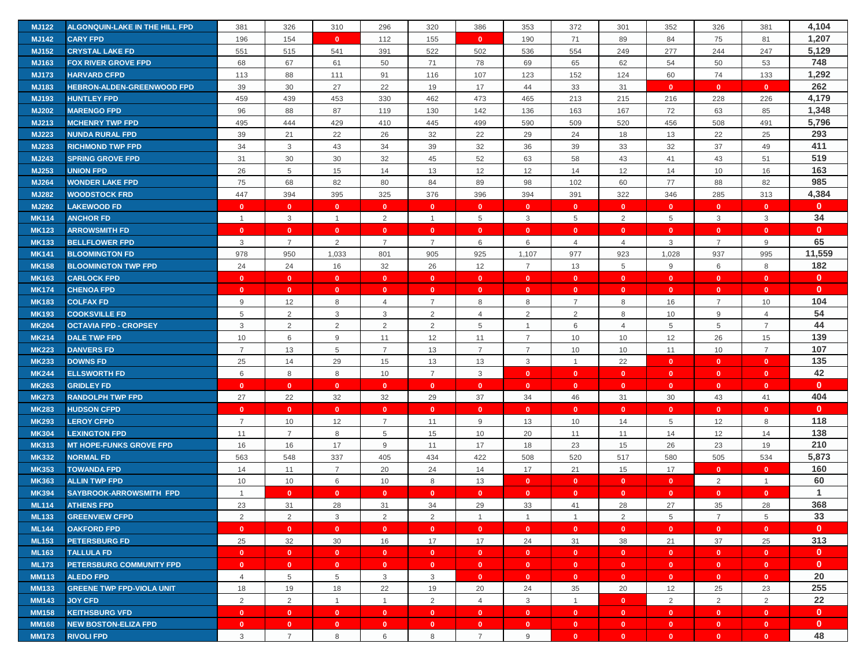| <b>MJ122</b> | ALGONQUIN-LAKE IN THE HILL FPD    | 381            | 326            | 310            | 296            | 320            | 386            | 353                     | 372            | 301            | 352            | 326            | 381            | 4,104        |
|--------------|-----------------------------------|----------------|----------------|----------------|----------------|----------------|----------------|-------------------------|----------------|----------------|----------------|----------------|----------------|--------------|
| <b>MJ142</b> | <b>CARY FPD</b>                   | 196            | 154            | $\mathbf{0}$   | 112            | 155            | $\mathbf{0}$   | 190                     | 71             | 89             | 84             | 75             | 81             | 1,207        |
| <b>MJ152</b> | <b>CRYSTAL LAKE FD</b>            | 551            | 515            | 541            | 391            | 522            | 502            | 536                     | 554            | 249            | 277            | 244            | 247            | 5,129        |
| MJ163        | <b>FOX RIVER GROVE FPD</b>        | 68             | 67             | 61             | 50             | 71             | 78             | 69                      | 65             | 62             | 54             | 50             | 53             | 748          |
| <b>MJ173</b> | <b>HARVARD CFPD</b>               | 113            | 88             | 111            | 91             | 116            | 107            | 123                     | 152            | 124            | 60             | 74             | 133            | 1,292        |
| MJ183        | <b>HEBRON-ALDEN-GREENWOOD FPD</b> | 39             | 30             | 27             | 22             | 19             | 17             | 44                      | 33             | 31             | $\mathbf{0}$   | $\mathbf{0}$   | $\mathbf{0}$   | 262          |
| MJ193        | <b>HUNTLEY FPD</b>                | 459            | 439            | 453            | 330            | 462            | 473            | 465                     | 213            | 215            | 216            | 228            | 226            | 4,179        |
| <b>MJ202</b> | <b>MARENGO FPD</b>                | 96             | 88             | 87             | 119            | 130            | 142            | 136                     | 163            | 167            | 72             | 63             | 85             | 1,348        |
| MJ213        | <b>MCHENRY TWP FPD</b>            | 495            | 444            | 429            | 410            | 445            | 499            | 590                     | 509            | 520            | 456            | 508            | 491            | 5,796        |
| <b>MJ223</b> | <b>NUNDA RURAL FPD</b>            | 39             | 21             | 22             | 26             | 32             | 22             | 29                      | 24             | 18             | 13             | 22             | 25             | 293          |
| MJ233        | <b>RICHMOND TWP FPD</b>           | 34             | 3              | 43             | 34             | 39             | 32             | 36                      | 39             | 33             | 32             | 37             | 49             | 411          |
| <b>MJ243</b> | <b>SPRING GROVE FPD</b>           | 31             | 30             | 30             | 32             | 45             | 52             | 63                      | 58             | 43             | 41             | 43             | 51             | 519          |
| MJ253        | <b>UNION FPD</b>                  | 26             | 5              | 15             | 14             | 13             | 12             | 12                      | 14             | 12             | 14             | 10             | 16             | 163          |
| <b>MJ264</b> | <b>WONDER LAKE FPD</b>            | 75             | 68             | 82             | 80             | 84             | 89             | 98                      | 102            | 60             | 77             | 88             | 82             | 985          |
| <b>MJ282</b> | <b>WOODSTOCK FRD</b>              | 447            | 394            | 395            | 325            | 376            | 396            | 394                     | 391            | 322            | 346            | 285            | 313            | 4,384        |
| <b>MJ292</b> | <b>LAKEWOOD FD</b>                | $\mathbf{0}$   | $\mathbf{0}$   | $\mathbf{0}$   | $\mathbf{0}$   | $\mathbf{0}$   | $\mathbf{0}$   | $\mathbf{0}$            | $\mathbf{0}$   | $\mathbf{0}$   | $\mathbf{0}$   | $\mathbf{0}$   | $\mathbf{0}$   | $\mathbf{0}$ |
| <b>MK114</b> | <b>ANCHOR FD</b>                  | $\overline{1}$ | $\mathsf 3$    | $\overline{1}$ | 2              | $\mathbf{1}$   | 5              | 3                       | 5              | $\overline{2}$ | 5              | 3              | 3              | 34           |
| <b>MK123</b> | <b>ARROWSMITH FD</b>              | $\mathbf{0}$   | $\mathbf{0}$   | $\mathbf{0}$   | $\mathbf{0}$   | $\mathbf{0}$   | $\mathbf{0}$   | $\mathbf{0}$            | $\mathbf{0}$   | $\mathbf{0}$   | $\mathbf{0}$   | $\mathbf{0}$   | $\mathbf{0}$   | $\mathbf{0}$ |
| <b>MK133</b> | <b>BELLFLOWER FPD</b>             | 3              | $\overline{7}$ | $\overline{2}$ | $\overline{7}$ | $\overline{7}$ | 6              | 6                       | $\overline{4}$ | $\overline{4}$ | 3              | $\overline{7}$ | 9              | 65           |
| <b>MK141</b> | <b>BLOOMINGTON FD</b>             | 978            | 950            | 1,033          | 801            | 905            | 925            | 1,107                   | 977            | 923            | 1,028          | 937            | 995            | 11,559       |
| <b>MK158</b> | <b>BLOOMINGTON TWP FPD</b>        | 24             | 24             | 16             | 32             | 26             | 12             | $\overline{7}$          | 13             | 5              | 9              | 6              | 8              | 182          |
| <b>MK163</b> | <b>CARLOCK FPD</b>                | $\mathbf{0}$   | $\mathbf{0}$   | $\mathbf{0}$   | $\mathbf{0}$   | $\mathbf{0}$   | $\mathbf{0}$   | $\mathbf{0}$            | $\mathbf{0}$   | $\mathbf{0}$   | $\mathbf{0}$   | $\mathbf{0}$   | $\mathbf{0}$   | $\mathbf{0}$ |
| <b>MK174</b> | <b>CHENOA FPD</b>                 | $\mathbf{0}$   | $\mathbf{0}$   | $\mathbf{0}$   | $\mathbf{0}$   | $\mathbf{0}$   | $\mathbf{0}$   | $\mathbf{0}$            | $\mathbf{0}$   | $\mathbf{0}$   | $\mathbf{0}$   | $\mathbf{0}$   | $\mathbf{0}$   | $\mathbf{0}$ |
| <b>MK183</b> | <b>COLFAX FD</b>                  | 9              | 12             | 8              | 4              | $\overline{7}$ | 8              | 8                       | 7              | 8              | 16             | $\overline{7}$ | 10             | 104          |
| <b>MK193</b> | <b>COOKSVILLE FD</b>              | 5              | 2              | $\mathbf{3}$   | 3              | 2              | $\overline{4}$ | 2                       | 2              | 8              | 10             | 9              | $\overline{4}$ | 54           |
| <b>MK204</b> | <b>OCTAVIA FPD - CROPSEY</b>      | 3              | $\overline{2}$ | 2              | 2              | 2              | 5              | $\overline{1}$          | 6              | $\overline{4}$ | 5              | 5              | $\overline{7}$ | 44           |
| <b>MK214</b> | <b>DALE TWP FPD</b>               | 10             | 6              | 9              | 11             | 12             | 11             | $\overline{7}$          | 10             | 10             | 12             | 26             | 15             | 139          |
| <b>MK223</b> | <b>DANVERS FD</b>                 | $\overline{7}$ | 13             | 5              | $\overline{7}$ | 13             | $\overline{7}$ | $\overline{7}$          | 10             | 10             | 11             | 10             | $\overline{7}$ | 107          |
| <b>MK233</b> | <b>DOWNS FD</b>                   | 25             | 14             | 29             | 15             | 13             | 13             | 3                       | $\mathbf{1}$   | 22             | $\mathbf{0}$   | $\mathbf{0}$   | $\bf{0}$       | 135          |
| <b>MK244</b> | <b>ELLSWORTH FD</b>               | 6              | 8              | 8              | 10             | $\overline{7}$ | 3              | $\mathbf{0}$            | $\mathbf{0}$   | $\mathbf{0}$   | $\mathbf{0}$   | $\mathbf{0}$   | $\mathbf{0}$   | 42           |
| <b>MK263</b> | <b>GRIDLEY FD</b>                 | $\mathbf{0}$   | $\mathbf{0}$   | $\mathbf{0}$   | $\mathbf{0}$   | $\mathbf{0}$   | $\mathbf{0}$   | $\mathbf{0}$            | $\mathbf{0}$   | $\mathbf{0}$   | $\mathbf{0}$   | $\mathbf{0}$   | $\mathbf{0}$   | $\mathbf{0}$ |
| <b>MK273</b> | <b>RANDOLPH TWP FPD</b>           | 27             | 22             | 32             | 32             | 29             | 37             | 34                      | 46             | 31             | 30             | 43             | 41             | 404          |
| <b>MK283</b> | <b>HUDSON CFPD</b>                | $\mathbf{0}$   | $\mathbf{0}$   | $\mathbf{0}$   | $\mathbf{0}$   | $\mathbf{0}$   | $\mathbf{0}$   | $\mathbf{0}$            | $\mathbf{0}$   | $\mathbf{0}$   | $\overline{0}$ | $\mathbf{0}$   | $\mathbf{0}$   | $\mathbf{0}$ |
| <b>MK293</b> | <b>LEROY CFPD</b>                 | $\overline{7}$ | 10             | 12             | $\overline{7}$ | 11             | 9              | 13                      | 10             | 14             | 5              | 12             | 8              | 118          |
| <b>MK304</b> | <b>LEXINGTON FPD</b>              | 11             | $\overline{7}$ | 8              | 5              | 15             | 10             | 20                      | 11             | 11             | 14             | 12             | 14             | 138          |
| <b>MK313</b> | <b>MT HOPE-FUNKS GROVE FPD</b>    | 16             | 16             | 17             | 9              | 11             | 17             | 18                      | 23             | 15             | 26             | 23             | 19             | 210          |
| <b>MK332</b> | <b>NORMAL FD</b>                  | 563            | 548            | 337            | 405            | 434            | 422            | 508                     | 520            | 517            | 580            | 505            | 534            | 5,873        |
| <b>MK353</b> | <b>TOWANDA FPD</b>                | 14             | 11             | $\overline{7}$ | 20             | 24             | 14             | 17                      | 21             | 15             | 17             | $\mathbf{0}$   | $\mathbf{0}$   | 160          |
| <b>MK363</b> | <b>ALLIN TWP FPD</b>              | 10             | 10             | 6              | 10             | 8              | 13             | $\mathbf{0}$            | $\mathbf{0}$   | $\mathbf{0}$   | $\mathbf{0}$   | 2              | $\overline{1}$ | 60           |
| <b>MK394</b> | <b>SAYBROOK-ARROWSMITH FPD</b>    | $\overline{1}$ | $\mathbf{0}$   | $\mathbf{0}$   | $\mathbf{0}$   | $\mathbf{0}$   | $\mathbf{0}$   | $\mathbf{0}$            | $\mathbf{0}$   | $\mathbf{0}$   | $\mathbf{0}$   | $\mathbf{0}$   | $\mathbf{0}$   | $\mathbf{1}$ |
| <b>ML114</b> | <b>ATHENS FPD</b>                 | 23             | 31             | 28             | 31             | 34             | 29             | 33                      | 41             | 28             | 27             | 35             | 28             | 368          |
| <b>ML133</b> | <b>GREENVIEW CFPD</b>             | 2              | 2              | 3              | 2              | 2              | $\overline{1}$ | $\overline{1}$          | $\mathbf{1}$   | 2              | 5              | $\overline{7}$ | 5              | 33           |
| <b>ML144</b> | <b>OAKFORD FPD</b>                | $\mathbf{0}$   | $\mathbf{0}$   | $\mathbf{0}$   | $\mathbf{0}$   | $\mathbf{0}$   | $\mathbf{0}$   | $\mathbf{0}$            | $\mathbf{0}$   | $\mathbf{0}$   | $\mathbf{0}$   | $\mathbf{0}$   | $\mathbf{0}$   | $\mathbf{0}$ |
| <b>ML153</b> | <b>PETERSBURG FD</b>              | 25             | 32             | 30             | 16             | 17             | 17             | 24                      | 31             | 38             | 21             | 37             | 25             | 313          |
| <b>ML163</b> | <b>TALLULA FD</b>                 | $\mathbf{0}$   | $\bullet$      | $\bullet$      | $\bullet$      | $\bullet$      | $\mathbf{0}$   | $\overline{\mathbf{0}}$ | $\mathbf{0}$   | $\mathbf{0}$   | $\mathbf{0}$   | $\mathbf{0}$   | $\mathbf{0}$   | $\mathbf{0}$ |
| <b>ML173</b> | <b>PETERSBURG COMMUNITY FPD</b>   | $\mathbf{0}$   | $\mathbf{0}$   | $\mathbf{0}$   | $\mathbf{0}$   | $\mathbf{0}$   | $\mathbf{0}$   | $\mathbf{0}$            | $\mathbf{0}$   | $\mathbf{0}$   | $\bullet$      | $\mathbf{0}$   | $\mathbf{0}$   | $\mathbf{0}$ |
| <b>MM113</b> | <b>ALEDO FPD</b>                  | $\overline{4}$ | 5              | 5              | 3              | 3              | $\mathbf{0}$   | $\mathbf{0}$            | $\mathbf{0}$   | $\mathbf{0}$   | $\mathbf{0}$   | $\mathbf{0}$   | $\mathbf{0}$   | 20           |
| <b>MM133</b> | <b>GREENE TWP FPD-VIOLA UNIT</b>  | 18             | 19             | 18             | 22             | 19             | 20             | 24                      | 35             | 20             | 12             | 25             | 23             | 255          |
| <b>MM143</b> | <b>JOY CFD</b>                    | 2              | $\overline{2}$ | $\mathbf{1}$   | $\overline{1}$ | $\overline{2}$ | $\overline{4}$ | $\mathbf{3}$            | $\mathbf{1}$   | $\mathbf{0}$   | $\overline{2}$ | $\overline{2}$ | $\overline{2}$ | 22           |
| <b>MM158</b> | <b>KEITHSBURG VFD</b>             | $\mathbf{0}$   | $\mathbf{0}$   | $\mathbf{0}$   | $\mathbf{0}$   | $\mathbf{0}$   | $\mathbf{0}$   | $\mathbf{0}$            | $\mathbf{0}$   | $\mathbf{0}$   | $\mathbf{0}$   | $\mathbf{0}$   | $\mathbf{0}$   | $\mathbf{0}$ |
| <b>MM168</b> | <b>NEW BOSTON-ELIZA FPD</b>       | $\mathbf{0}$   | $\mathbf{0}$   | $\mathbf{0}$   | $\mathbf{0}$   | $\mathbf{0}$   | $\mathbf{0}$   | $\mathbf{0}$            | $\mathbf{0}$   | $\mathbf{0}$   | $\bullet$      | $\bullet$      | $\mathbf{0}$   | $\mathbf{0}$ |
| <b>MM173</b> | <b>RIVOLI FPD</b>                 | 3              | $\overline{7}$ | 8              | 6              | 8              | $\overline{7}$ | 9                       | $\mathbf{0}$   | $\mathbf{0}$   | $\mathbf{0}$   | $\mathbf{0}$   | $\mathbf{0}$   | 48           |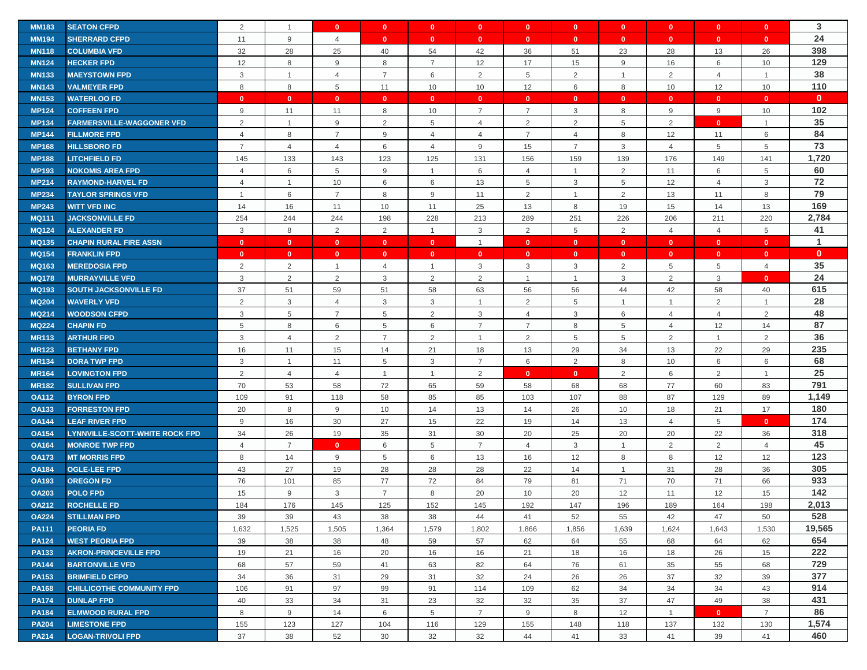| <b>MM183</b> | <b>SEATON CFPD</b>                    | 2              | $\overline{1}$   | $\mathbf{0}$   | $\mathbf{0}$   | $\mathbf{0}$   | $\mathbf{0}$   | $\mathbf{0}$   | $\mathbf{0}$   | $\mathbf{0}$   | $\mathbf{0}$   | $\mathbf{0}$   | $\bf{0}$       | 3            |
|--------------|---------------------------------------|----------------|------------------|----------------|----------------|----------------|----------------|----------------|----------------|----------------|----------------|----------------|----------------|--------------|
| <b>MM194</b> | <b>SHERRARD CFPD</b>                  | 11             | $\boldsymbol{9}$ | $\overline{4}$ | $\mathbf{0}$   | $\mathbf{0}$   | $\mathbf{0}$   | $\mathbf{0}$   | $\mathbf{0}$   | $\mathbf{0}$   | $\mathbf{0}$   | $\mathbf{0}$   | $\mathbf{0}$   | 24           |
| <b>MN118</b> | <b>COLUMBIA VFD</b>                   | 32             | 28               | 25             | 40             | 54             | 42             | 36             | 51             | 23             | 28             | 13             | 26             | 398          |
| <b>MN124</b> | <b>HECKER FPD</b>                     | 12             | 8                | 9              | 8              | $\overline{7}$ | 12             | 17             | 15             | 9              | 16             | 6              | 10             | 129          |
| <b>MN133</b> | <b>MAEYSTOWN FPD</b>                  | 3              | $\mathbf{1}$     | $\overline{4}$ | $\overline{7}$ | $\,6$          | $\overline{2}$ | 5              | 2              | $\overline{1}$ | 2              | $\overline{4}$ | $\overline{1}$ | 38           |
| <b>MN143</b> | <b>VALMEYER FPD</b>                   | 8              | 8                | 5              | 11             | 10             | 10             | 12             | 6              | 8              | 10             | 12             | 10             | 110          |
| <b>MN153</b> | <b>WATERLOO FD</b>                    | $\mathbf{0}$   | $\mathbf{0}$     | $\mathbf{0}$   | $\mathbf{0}$   | $\mathbf{0}$   | $\mathbf{0}$   | $\mathbf{0}$   | $\mathbf{0}$   | $\mathbf{0}$   | $\mathbf{0}$   | $\mathbf{0}$   | $\mathbf{0}$   | $\mathbf{0}$ |
| <b>MP124</b> | <b>COFFEEN FPD</b>                    | 9              | 11               | 11             | 8              | 10             | $\overline{7}$ | $\overline{7}$ | 3              | 8              | 9              | 9              | 10             | 102          |
| <b>MP134</b> | <b>FARMERSVILLE-WAGGONER VFD</b>      | $\overline{2}$ | $\mathbf{1}$     | 9              | $\overline{2}$ | 5              | $\overline{4}$ | $\overline{2}$ | 2              | 5              | 2              | $\mathbf{0}$   | $\overline{1}$ | 35           |
| <b>MP144</b> | <b>FILLMORE FPD</b>                   | 4              | $\,8\,$          | $\overline{7}$ | 9              | $\overline{4}$ | $\overline{4}$ | $\overline{7}$ | $\overline{4}$ | 8              | 12             | 11             | 6              | 84           |
| <b>MP168</b> | <b>HILLSBORO FD</b>                   | $\overline{7}$ | $\overline{4}$   | $\overline{4}$ | 6              | $\overline{4}$ | 9              | 15             | $\overline{7}$ | 3              | $\overline{4}$ | 5              | 5              | 73           |
| <b>MP188</b> | <b>LITCHFIELD FD</b>                  | 145            | 133              | 143            | 123            | 125            | 131            | 156            | 159            | 139            | 176            | 149            | 141            | 1,720        |
| <b>MP193</b> | <b>NOKOMIS AREA FPD</b>               | 4              | 6                | 5              | 9              | $\mathbf{1}$   | 6              | $\overline{4}$ | $\mathbf{1}$   | $\overline{2}$ | 11             | 6              | 5              | 60           |
| <b>MP214</b> | <b>RAYMOND-HARVEL FD</b>              | $\overline{4}$ | $\mathbf{1}$     | 10             | 6              | 6              | 13             | 5              | 3              | 5              | 12             | $\overline{4}$ | 3              | 72           |
| <b>MP234</b> | <b>TAYLOR SPRINGS VFD</b>             | $\overline{1}$ | $\,6\,$          | $\overline{7}$ | 8              | $9$            | 11             | $\overline{2}$ | $\mathbf{1}$   | $\overline{2}$ | 13             | 11             | 8              | 79           |
| <b>MP243</b> | <b>WITT VFD INC</b>                   | 14             | 16               | 11             | 10             | 11             | 25             | 13             | 8              | 19             | 15             | 14             | 13             | 169          |
| <b>MQ111</b> | <b>JACKSONVILLE FD</b>                | 254            | 244              | 244            | 198            | 228            | 213            | 289            | 251            | 226            | 206            | 211            | 220            | 2,784        |
| <b>MQ124</b> | <b>ALEXANDER FD</b>                   | 3              | 8                | 2              | 2              | $\mathbf{1}$   | 3              | 2              | 5              | 2              | $\overline{4}$ | $\overline{4}$ | 5              | 41           |
| <b>MQ135</b> | <b>CHAPIN RURAL FIRE ASSN</b>         | $\mathbf{0}$   | $\mathbf{0}$     | $\mathbf{0}$   | $\mathbf{0}$   | $\mathbf{0}$   | $\overline{1}$ | $\mathbf{0}$   | $\mathbf{0}$   | $\mathbf{0}$   | $\mathbf{0}$   | $\mathbf{0}$   | $\mathbf{0}$   | $\mathbf{1}$ |
| <b>MQ154</b> | <b>FRANKLIN FPD</b>                   | $\mathbf{0}$   | $\mathbf{0}$     | $\mathbf{0}$   | $\mathbf{0}$   | $\mathbf{0}$   | $\mathbf{0}$   | $\mathbf{0}$   | $\mathbf{0}$   | $\mathbf{0}$   | $\mathbf{0}$   | $\mathbf{0}$   | $\mathbf{0}$   | $\mathbf{0}$ |
| <b>MQ163</b> | <b>MEREDOSIA FPD</b>                  | 2              | $\overline{2}$   | $\overline{1}$ | 4              | $\mathbf{1}$   | 3              | 3              | 3              | 2              | 5              | 5              | $\overline{4}$ | 35           |
| <b>MQ178</b> | <b>MURRAYVILLE VFD</b>                | 3              | $\overline{2}$   | 2              | 3              | 2              | 2              | $\mathbf{1}$   | $\overline{1}$ | $\mathbf{3}$   | 2              | 3              | $\mathbf{0}$   | 24           |
| <b>MQ193</b> | <b>SOUTH JACKSONVILLE FD</b>          | 37             | 51               | 59             | 51             | 58             | 63             | 56             | 56             | 44             | 42             | 58             | 40             | 615          |
| <b>MQ204</b> | <b>WAVERLY VFD</b>                    | 2              | $\mathsf 3$      | $\overline{4}$ | 3              | 3              | $\overline{1}$ | $\overline{2}$ | 5              | $\mathbf{1}$   | $\mathbf{1}$   | 2              | $\mathbf{1}$   | 28           |
| <b>MQ214</b> | <b>WOODSON CFPD</b>                   | 3              | 5                | $\overline{7}$ | 5              | 2              | 3              | $\overline{4}$ | 3              | 6              | $\overline{4}$ | $\overline{4}$ | $\overline{2}$ | 48           |
| <b>MQ224</b> | <b>CHAPIN FD</b>                      | 5              | 8                | 6              | 5              | 6              | $\overline{7}$ | $\overline{7}$ | 8              | 5              | $\overline{4}$ | 12             | 14             | 87           |
| <b>MR113</b> | <b>ARTHUR FPD</b>                     | 3              | $\overline{4}$   | 2              | $\overline{7}$ | 2              | $\overline{1}$ | $\overline{2}$ | 5              | 5              | $\overline{2}$ | $\mathbf{1}$   | $\overline{2}$ | 36           |
| <b>MR123</b> | <b>BETHANY FPD</b>                    | 16             | 11               | 15             | 14             | 21             | 18             | 13             | 29             | 34             | 13             | 22             | 29             | 235          |
| <b>MR134</b> | <b>DORA TWP FPD</b>                   | 3              | $\mathbf{1}$     | 11             | 5              | 3              | $\overline{7}$ | 6              | 2              | 8              | 10             | 6              | $\,6\,$        | 68           |
| <b>MR164</b> | <b>LOVINGTON FPD</b>                  | 2              | $\overline{4}$   | $\overline{4}$ | $\overline{1}$ | $\mathbf{1}$   | 2              | $\mathbf{0}$   | $\mathbf{0}$   | $\overline{2}$ | 6              | 2              | $\mathbf{1}$   | 25           |
| <b>MR182</b> | <b>SULLIVAN FPD</b>                   | 70             | 53               | 58             | 72             | 65             | 59             | 58             | 68             | 68             | 77             | 60             | 83             | 791          |
| <b>OA112</b> | <b>BYRON FPD</b>                      | 109            | 91               | 118            | 58             | 85             | 85             | 103            | 107            | 88             | 87             | 129            | 89             | 1,149        |
| <b>OA133</b> | <b>FORRESTON FPD</b>                  | 20             | 8                | 9              | 10             | 14             | 13             | 14             | 26             | 10             | 18             | 21             | 17             | 180          |
| <b>OA144</b> | <b>LEAF RIVER FPD</b>                 | 9              | 16               | 30             | 27             | 15             | 22             | 19             | 14             | 13             | $\overline{4}$ | 5              | $\mathbf{0}$   | 174          |
| <b>OA154</b> | <b>LYNNVILLE-SCOTT-WHITE ROCK FPD</b> | 34             | 26               | 19             | 35             | 31             | 30             | 20             | 25             | 20             | 20             | 22             | 36             | 318          |
| <b>OA164</b> | <b>MONROE TWP FPD</b>                 | $\overline{4}$ | $\overline{7}$   | $\mathbf{0}$   | 6              | 5              | $\overline{7}$ | $\overline{4}$ | 3              | $\overline{1}$ | 2              | 2              | $\overline{4}$ | 45           |
| <b>OA173</b> | <b>MT MORRIS FPD</b>                  | 8              | 14               | 9              | 5              | 6              | 13             | 16             | 12             | 8              | 8              | 12             | 12             | 123          |
| <b>OA184</b> | <b>OGLE-LEE FPD</b>                   | 43             | 27               | 19             | 28             | 28             | 28             | 22             | 14             | $\mathbf{1}$   | 31             | 28             | 36             | 305          |
| <b>OA193</b> | <b>OREGON FD</b>                      | 76             | 101              | 85             | 77             | 72             | 84             | 79             | 81             | 71             | 70             | 71             | 66             | 933          |
| <b>OA203</b> | <b>POLO FPD</b>                       | 15             | $9\,$            | 3              | $\overline{7}$ | 8              | 20             | 10             | 20             | 12             | 11             | 12             | 15             | 142          |
| <b>OA212</b> | <b>ROCHELLE FD</b>                    | 184            | 176              | 145            | 125            | 152            | 145            | 192            | 147            | 196            | 189            | 164            | 198            | 2,013        |
| <b>OA224</b> | <b>STILLMAN FPD</b>                   | 39             | 39               | 43             | 38             | 38             | 44             | 41             | 52             | 55             | 42             | 47             | 50             | 528          |
| <b>PA111</b> | <b>PEORIA FD</b>                      | 1,632          | 1,525            | 1,505          | 1,364          | 1,579          | 1,802          | 1,866          | 1,856          | 1,639          | 1,624          | 1,643          | 1,530          | 19,565       |
| <b>PA124</b> | <b>WEST PEORIA FPD</b>                | 39             | 38               | 38             | 48             | 59             | 57             | 62             | 64             | 55             | 68             | 64             | 62             | 654          |
| <b>PA133</b> | <b>AKRON-PRINCEVILLE FPD</b>          | 19             | 21               | 16             | 20             | 16             | 16             | 21             | 18             | 16             | 18             | 26             | 15             | 222          |
| <b>PA144</b> | <b>BARTONVILLE VFD</b>                | 68             | 57               | 59             | 41             | 63             | 82             | 64             | 76             | 61             | 35             | 55             | 68             | 729          |
| <b>PA153</b> | <b>BRIMFIELD CFPD</b>                 | 34             | 36               | 31             | 29             | 31             | 32             | 24             | 26             | 26             | 37             | 32             | 39             | 377          |
| <b>PA168</b> | <b>CHILLICOTHE COMMUNITY FPD</b>      | 106            | 91               | 97             | 99             | 91             | 114            | 109            | 62             | 34             | 34             | 34             | 43             | 914          |
| <b>PA174</b> | <b>DUNLAP FPD</b>                     | 40             | 33               | 34             | 31             | 23             | 32             | 32             | 35             | 37             | 47             | 49             | 38             | 431          |
| <b>PA184</b> | <b>ELMWOOD RURAL FPD</b>              | 8              | 9                | 14             | 6              | 5              | $\overline{7}$ | 9              | 8              | 12             | $\overline{1}$ | $\mathbf{0}$   | $\overline{7}$ | 86           |
| <b>PA204</b> | <b>LIMESTONE FPD</b>                  | 155            | 123              | 127            | 104            | 116            | 129            | 155            | 148            | 118            | 137            | 132            | 130            | 1,574        |
| <b>PA214</b> | <b>LOGAN-TRIVOLI FPD</b>              | 37             | 38               | 52             | 30             | 32             | 32             | 44             | 41             | 33             | 41             | 39             | 41             | 460          |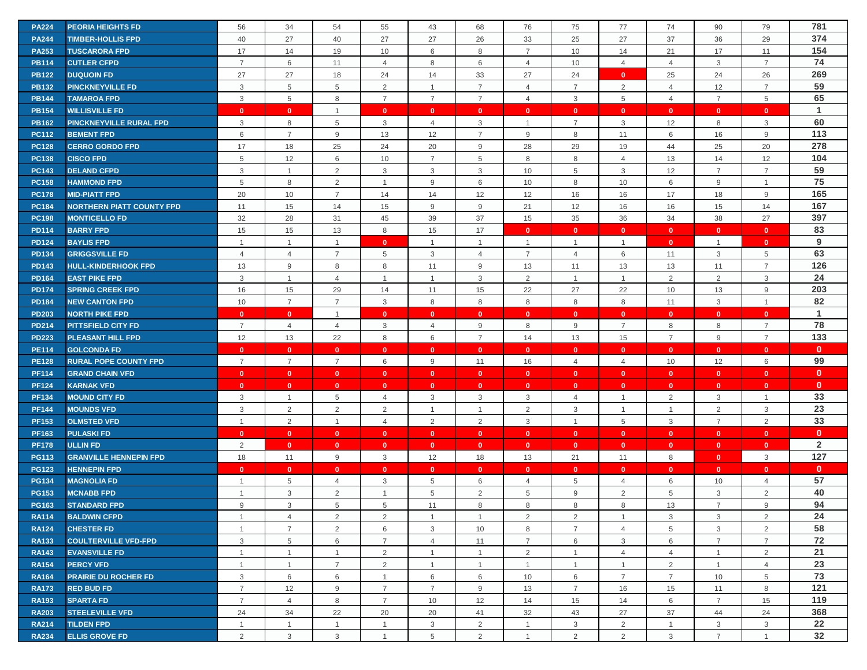| <b>PA224</b> | <b>PEORIA HEIGHTS FD</b>         | 56             | 34             | 54             | 55             | 43              | 68             | 76             | 75             | 77              | 74             | 90             | 79             | 781            |
|--------------|----------------------------------|----------------|----------------|----------------|----------------|-----------------|----------------|----------------|----------------|-----------------|----------------|----------------|----------------|----------------|
| <b>PA244</b> | <b>TIMBER-HOLLIS FPD</b>         | 40             | 27             | 40             | 27             | 27              | 26             | 33             | 25             | 27              | 37             | 36             | 29             | 374            |
| <b>PA253</b> | <b>TUSCARORA FPD</b>             | 17             | 14             | 19             | 10             | 6               | 8              | $\overline{7}$ | 10             | 14              | 21             | 17             | 11             | 154            |
| <b>PB114</b> | <b>CUTLER CFPD</b>               | $\overline{7}$ | 6              | 11             | $\overline{4}$ | 8               | 6              | 4              | 10             | $\overline{4}$  | $\overline{4}$ | 3              | $\overline{7}$ | 74             |
| <b>PB122</b> | <b>DUQUOIN FD</b>                | 27             | 27             | 18             | 24             | 14              | 33             | 27             | 24             | $\mathbf{0}$    | 25             | 24             | 26             | 269            |
| <b>PB132</b> | <b>PINCKNEYVILLE FD</b>          | 3              | 5              | 5              | 2              | $\mathbf{1}$    | $\overline{7}$ | 4              | $\overline{7}$ | 2               | $\overline{4}$ | 12             | $\overline{7}$ | 59             |
| <b>PB144</b> | <b>TAMAROA FPD</b>               | 3              | 5              | 8              | $\overline{7}$ | $\overline{7}$  | $\overline{7}$ | 4              | 3              | $5\phantom{.0}$ | $\overline{4}$ | $\overline{7}$ | $\overline{5}$ | 65             |
| <b>PB154</b> | <b>WILLISVILLE FD</b>            | $\mathbf{0}$   | $\mathbf{0}$   | $\overline{1}$ | $\Omega$       | $\mathbf{0}$    | $\mathbf{0}$   | $\Omega$       | $\mathbf{0}$   | $\mathbf{0}$    | $\mathbf{0}$   | $\mathbf{0}$   | $\mathbf{0}$   | $\mathbf{1}$   |
| <b>PB162</b> | <b>PINCKNEYVILLE RURAL FPD</b>   | 3              | 8              | 5              | 3              | $\overline{4}$  | 3              | -1             | $\overline{7}$ | 3               | 12             | 8              | 3              | 60             |
| <b>PC112</b> | <b>BEMENT FPD</b>                | 6              | $\overline{7}$ | 9              | 13             | 12              | $\overline{7}$ | 9              | 8              | 11              | 6              | 16             | $9\,$          | 113            |
| <b>PC128</b> | <b>CERRO GORDO FPD</b>           | 17             | 18             | 25             | 24             | 20              | 9              | 28             | 29             | 19              | 44             | 25             | 20             | 278            |
| <b>PC138</b> | <b>CISCO FPD</b>                 | 5              | 12             | 6              | 10             | $\overline{7}$  | 5              | 8              | 8              | $\overline{4}$  | 13             | 14             | 12             | 104            |
| <b>PC143</b> | <b>DELAND CFPD</b>               | 3              | $\overline{1}$ | $\overline{2}$ | 3              | 3               | 3              | 10             | 5              | 3               | 12             | $\overline{7}$ | $\overline{7}$ | 59             |
| <b>PC158</b> | <b>HAMMOND FPD</b>               | 5              | 8              | $\overline{2}$ | $\mathbf 1$    | 9               | 6              | 10             | 8              | 10              | 6              | 9              | $\mathbf{1}$   | 75             |
| <b>PC178</b> | <b>MID-PIATT FPD</b>             | 20             | 10             | $\overline{7}$ | 14             | 14              | 12             | 12             | 16             | 16              | 17             | 18             | 9              | 165            |
| <b>PC184</b> | <b>NORTHERN PIATT COUNTY FPD</b> | 11             | 15             | 14             | 15             | 9               | 9              | 21             | 12             | 16              | 16             | 15             | 14             | 167            |
| <b>PC198</b> | <b>MONTICELLO FD</b>             | 32             | 28             | 31             | 45             | 39              | 37             | 15             | 35             | 36              | 34             | 38             | 27             | 397            |
| <b>PD114</b> | <b>BARRY FPD</b>                 | 15             | 15             | 13             | 8              | 15              | 17             | $\mathbf{0}$   | $\mathbf{0}$   | $\mathbf{0}$    | $\mathbf{0}$   | $\mathbf{0}$   | $\mathbf{0}$   | 83             |
| <b>PD124</b> | <b>BAYLIS FPD</b>                | $\mathbf{1}$   | $\overline{1}$ | $\overline{1}$ | $\Omega$       | $\overline{1}$  | $\overline{1}$ | $\overline{1}$ | $\mathbf{1}$   | $\mathbf{1}$    | $\mathbf{0}$   | $\mathbf{1}$   | $\mathbf{0}$   | 9              |
| <b>PD134</b> | <b>GRIGGSVILLE FD</b>            | $\overline{4}$ | $\overline{4}$ | $\overline{7}$ | 5              | 3               | $\overline{4}$ | $\overline{7}$ | $\overline{4}$ | 6               | 11             | 3              | 5              | 63             |
| <b>PD143</b> | <b>HULL-KINDERHOOK FPD</b>       | 13             | 9              | 8              | 8              | 11              | 9              | 13             | 11             | 13              | 13             | 11             | $\overline{7}$ | 126            |
| <b>PD164</b> | <b>EAST PIKE FPD</b>             | 3              | $\overline{1}$ | $\overline{4}$ | $\overline{1}$ | $\overline{1}$  | 3              | 2              | $\overline{1}$ | $\overline{1}$  | $\overline{2}$ | 2              | 3              | 24             |
| <b>PD174</b> | <b>SPRING CREEK FPD</b>          | 16             | 15             | 29             | 14             | 11              | 15             | 22             | 27             | 22              | 10             | 13             | 9              | 203            |
| <b>PD184</b> | <b>NEW CANTON FPD</b>            | 10             | $\overline{7}$ | $\overline{7}$ | 3              | 8               | 8              | 8              | 8              | 8               | 11             | 3              | $\mathbf{1}$   | 82             |
| <b>PD203</b> | <b>NORTH PIKE FPD</b>            | $\mathbf{0}$   | $\mathbf{0}$   | $\overline{1}$ | $\mathbf{0}$   | $\mathbf{0}$    | $\mathbf{0}$   | $\Omega$       | $\mathbf{0}$   | $\mathbf{0}$    | $\mathbf{0}$   | $\mathbf{0}$   | $\mathbf{0}$   | $\mathbf{1}$   |
| <b>PD214</b> | <b>PITTSFIELD CITY FD</b>        | $\overline{7}$ | $\overline{4}$ | $\overline{4}$ | 3              | $\overline{4}$  | 9              | 8              | 9              | $\overline{7}$  | 8              | 8              | $\overline{7}$ | 78             |
| <b>PD223</b> | <b>PLEASANT HILL FPD</b>         | 12             | 13             | 22             | 8              | 6               | $\overline{7}$ | 14             | 13             | 15              | $\overline{7}$ | 9              | $\overline{7}$ | 133            |
| <b>PE114</b> | <b>GOLCONDA FD</b>               | $\mathbf{0}$   | $\mathbf{0}$   | $\mathbf{0}$   | $\mathbf{0}$   | $\mathbf{0}$    | $\mathbf{0}$   | $\mathbf{0}$   | $\mathbf{0}$   | $\mathbf{0}$    | $\mathbf{0}$   | $\mathbf{0}$   | $\mathbf{0}$   | $\mathbf{0}$   |
| <b>PE128</b> | <b>RURAL POPE COUNTY FPD</b>     | $\overline{7}$ | $\overline{7}$ | $\overline{7}$ | 6              | 9               | 11             | 16             | $\overline{4}$ | $\overline{4}$  | 10             | 12             | 6              | 99             |
| <b>PF114</b> | <b>GRAND CHAIN VFD</b>           | $\mathbf{0}$   | $\mathbf{0}$   | $\mathbf{0}$   | $\mathbf{0}$   | $\mathbf{0}$    | $\mathbf{0}$   | $\mathbf{0}$   | $\mathbf{0}$   | $\mathbf{0}$    | $\mathbf{0}$   | $\mathbf{0}$   | $\mathbf{0}$   | $\mathbf{0}$   |
| <b>PF124</b> | <b>KARNAK VFD</b>                | $\mathbf{0}$   | $\mathbf{0}$   | $\mathbf{0}$   | $\mathbf{0}$   | $\mathbf{0}$    | $\mathbf{0}$   | $\mathbf{0}$   | $\mathbf{0}$   | $\mathbf{0}$    | $\overline{0}$ | $\mathbf{0}$   | $\mathbf{0}$   | $\mathbf{0}$   |
| <b>PF134</b> | <b>MOUND CITY FD</b>             | 3              | 1              | 5              | $\overline{4}$ | $\mathbf{3}$    | 3              | 3              | $\overline{4}$ | $\overline{1}$  | $\overline{2}$ | 3              | $\overline{1}$ | 33             |
| <b>PF144</b> | <b>MOUNDS VFD</b>                | 3              | $\overline{2}$ | $\overline{2}$ | 2              | $\overline{1}$  | $\overline{1}$ | 2              | 3              | $\overline{1}$  | $\overline{1}$ | 2              | $\mathbf{3}$   | 23             |
| <b>PF153</b> | <b>OLMSTED VFD</b>               | $\overline{1}$ | 2              | $\mathbf{1}$   | $\overline{4}$ | 2               | 2              | 3              | $\mathbf{1}$   | 5               | $\mathbf{3}$   | $\overline{7}$ | 2              | 33             |
| <b>PF163</b> | <b>PULASKI FD</b>                | $\mathbf{0}$   | $\bullet$      | $\mathbf{0}$   | $\mathbf{0}$   | $\mathbf{0}$    | $\mathbf{0}$   | $\mathbf{0}$   | $\bullet$      | $\mathbf{0}$    | $\mathbf{0}$   | $\mathbf{0}$   | $\mathbf{0}$   | $\mathbf{0}$   |
| <b>PF178</b> | <b>ULLIN FD</b>                  | $\overline{2}$ | $\mathbf{0}$   | $\mathbf{0}$   | $\mathbf{0}$   | $\mathbf{0}$    | $\mathbf{0}$   | $\mathbf{0}$   | $\mathbf{0}$   | $\mathbf{0}$    | $\mathbf{0}$   | $\mathbf{0}$   | $\mathbf{0}$   | $\overline{2}$ |
| <b>PG113</b> | <b>GRANVILLE HENNEPIN FPD</b>    | 18             | 11             | 9              | 3              | 12              | 18             | 13             | 21             | 11              | 8              | $\mathbf{0}$   | 3              | 127            |
| <b>PG123</b> | <b>HENNEPIN FPD</b>              | $\mathbf{0}$   | $\mathbf{0}$   | $\mathbf{0}$   | $\mathbf{0}$   | $\mathbf{0}$    | $\mathbf{0}$   | $\mathbf{0}$   | $\mathbf{0}$   | $\mathbf{0}$    | $\mathbf{0}$   | $\mathbf{0}$   | $\mathbf{0}$   | $\mathbf{0}$   |
| <b>PG134</b> | <b>MAGNOLIA FD</b>               | $\overline{1}$ | 5              | 4              | 3              | $5\phantom{.0}$ | 6              | 4              | 5              | 4               | 6              | 10             | $\overline{4}$ | 57             |
| <b>PG153</b> | <b>MCNABB FPD</b>                | $\mathbf{1}$   | $\sqrt{3}$     | $\overline{2}$ | $\mathbf{1}$   | $5\phantom{.0}$ | $\overline{2}$ | 5              | 9              | 2               | 5              | 3              | $\overline{2}$ | 40             |
| PG163        | <b>STANDARD FPD</b>              | 9              | 3              | 5              | 5              | 11              | 8              | 8              | 8              | 8               | 13             | $\overline{7}$ | 9              | 94             |
| <b>RA114</b> | <b>BALDWIN CFPD</b>              | $\overline{1}$ | 4              | 2              | 2              | $\overline{1}$  | $\overline{1}$ | 2              | 2              | $\mathbf{1}$    | 3              | 3              | 2              | 24             |
| <b>RA124</b> | <b>CHESTER FD</b>                | $\mathbf{1}$   | $\overline{7}$ | 2              | 6              | 3               | 10             | 8              | $\overline{7}$ | $\overline{4}$  | 5              | 3              | 2              | 58             |
| <b>RA133</b> | <b>COULTERVILLE VFD-FPD</b>      | 3              | 5              | 6              | $\overline{7}$ | $\overline{4}$  | 11             | $\overline{7}$ | 6              | $\mathbf{3}$    | 6              | $\overline{7}$ | $\overline{7}$ | 72             |
|              |                                  | $\overline{1}$ | $\overline{1}$ | $\mathbf{1}$   | $\overline{2}$ | $\overline{1}$  | $\overline{1}$ | $\overline{2}$ | $\mathbf{1}$   | $\overline{4}$  | 4              | $\mathbf{1}$   | $\overline{2}$ | 21             |
| <b>RA143</b> | <b>EVANSVILLE FD</b>             |                |                |                |                |                 |                |                |                |                 |                |                |                |                |
| <b>RA154</b> | <b>PERCY VFD</b>                 | $\mathbf{1}$   | $\overline{1}$ | $\overline{7}$ | $\overline{2}$ | $\overline{1}$  | $\overline{1}$ | $\overline{1}$ | $\mathbf{1}$   | $\mathbf{1}$    | $\overline{2}$ | $\mathbf{1}$   | 4              | 23             |
| <b>RA164</b> | <b>PRAIRIE DU ROCHER FD</b>      | 3              | 6              | 6              | $\mathbf{1}$   | 6               | 6              | 10             | 6              | $\overline{7}$  | $\overline{7}$ | 10             | 5              | 73             |
| <b>RA173</b> | <b>RED BUD FD</b>                | $\overline{7}$ | 12             | 9              | $\overline{7}$ | $\overline{7}$  | 9              | 13             | $\overline{7}$ | 16              | 15             | 11             | 8              | 121            |
| <b>RA193</b> | <b>SPARTA FD</b>                 | $\overline{7}$ | $\overline{4}$ | 8              | $\overline{7}$ | 10              | 12             | 14             | 15             | 14              | 6              | $\overline{7}$ | 15             | 119            |
| <b>RA203</b> | <b>STEELEVILLE VFD</b>           | 24             | 34             | 22             | 20             | 20              | 41             | 32             | 43             | 27              | 37             | 44             | 24             | 368            |
| <b>RA214</b> | <b>TILDEN FPD</b>                | $\overline{1}$ | $\mathbf{1}$   | $\mathbf{1}$   | $\mathbf{1}$   | 3               | 2              | $\overline{1}$ | 3              | 2               | $\mathbf{1}$   | 3              | 3              | 22             |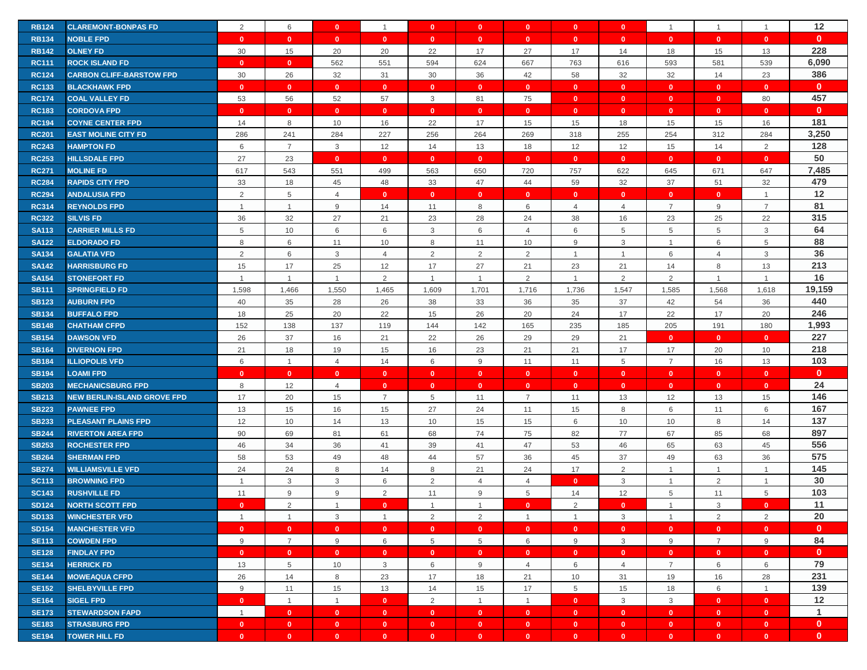| $\mathbf{0}$<br><b>RB134</b><br><b>NOBLE FPD</b><br>$\mathbf{0}$<br>$\mathbf{0}$<br>$\mathbf{0}$<br>$\mathbf{0}$<br>$\mathbf{0}$<br>$\mathbf{0}$<br>$\mathbf{0}$<br>$\mathbf{0}$<br>$\mathbf{0}$<br>$\mathbf{0}$<br>$\mathbf{0}$<br>$\mathbf{0}$<br>228<br>17<br>30<br>15<br>20<br>20<br>22<br>17<br>27<br><b>RB142</b><br><b>OLNEY FD</b><br>14<br>18<br>15<br>13<br>6,090<br>667<br>539<br><b>RC111</b><br><b>ROCK ISLAND FD</b><br>$\mathbf{0}$<br>562<br>551<br>594<br>624<br>763<br>616<br>593<br>581<br>$\mathbf{0}$<br>386<br>30<br>26<br>32<br>31<br>30<br>36<br>42<br>58<br>32<br>32<br>23<br><b>RC124</b><br><b>CARBON CLIFF-BARSTOW FPD</b><br>14<br>$\mathbf{0}$<br><b>RC133</b><br><b>BLACKHAWK FPD</b><br>$\mathbf{0}$<br>$\mathbf{0}$<br>$\mathbf{0}$<br>$\mathbf{0}$<br>$\mathbf{0}$<br>$\mathbf{0}$<br>$\mathbf{0}$<br>$\mathbf{0}$<br>$\mathbf{0}$<br>$\mathbf{0}$<br>$\mathbf{0}$<br>$\mathbf{0}$<br>457<br><b>RC174</b><br><b>COAL VALLEY FD</b><br>53<br>56<br>52<br>57<br>3<br>81<br>75<br>$\mathbf{0}$<br>80<br>$\mathbf{0}$<br>$\overline{0}$<br>$\mathbf{0}$<br>$\mathbf{0}$<br><b>RC183</b><br>$\mathbf{0}$<br>$\mathbf{0}$<br>$\mathbf{0}$<br>$\mathbf{0}$<br>$\mathbf{0}$<br>$\mathbf{0}$<br><b>CORDOVA FPD</b><br>$\mathbf{0}$<br>$\mathbf{0}$<br>$\mathbf{0}$<br>$\mathbf{0}$<br>$\mathbf{0}$<br>$\mathbf{0}$<br>181<br>8<br>10<br>16<br>22<br>17<br>15<br>18<br>16<br><b>RC194</b><br>14<br>15<br>15<br>15<br><b>COYNE CENTER FPD</b><br>3,250<br><b>RC201</b><br>286<br>241<br>284<br>227<br>256<br>264<br>269<br>318<br>255<br>254<br>312<br>284<br><b>EAST MOLINE CITY FD</b><br>128<br>$\sqrt{2}$<br>$\overline{7}$<br>3<br>12<br>14<br>13<br>18<br>12<br>12<br>15<br><b>RC243</b><br><b>HAMPTON FD</b><br>6<br>14<br>50<br>27<br>23<br><b>RC253</b><br><b>HILLSDALE FPD</b><br>$\mathbf{0}$<br>$\mathbf{0}$<br>$\mathbf{0}$<br>$\mathbf{0}$<br>$\mathbf{0}$<br>$\mathbf{0}$<br>$\mathbf{0}$<br>$\mathbf{0}$<br>$\mathbf{0}$<br>$\mathbf{0}$<br>7,485<br><b>RC271</b><br>617<br>543<br>551<br>499<br>563<br>650<br>720<br>757<br>622<br>645<br>671<br>647<br><b>MOLINE FD</b><br>479<br>33<br>47<br>32<br><b>RC284</b><br><b>RAPIDS CITY FPD</b><br>18<br>45<br>48<br>33<br>44<br>59<br>32<br>37<br>51<br>12<br>2<br>5<br>$\overline{4}$<br>$\overline{1}$<br><b>RC294</b><br><b>ANDALUSIA FPD</b><br>$\mathbf{0}$<br>$\mathbf{0}$<br>$\mathbf{0}$<br>$\mathbf{0}$<br>$\mathbf{0}$<br>$\mathbf{0}$<br>$\mathbf{0}$<br>$\mathbf{0}$<br>81<br>9<br>8<br>$\overline{7}$<br>9<br>$\overline{7}$<br><b>RC314</b><br>14<br>11<br>$\overline{4}$<br>$\overline{4}$<br><b>REYNOLDS FPD</b><br>$\overline{1}$<br>$\mathbf{1}$<br>6<br>315<br>36<br>32<br>27<br>24<br>38<br>23<br>22<br><b>RC322</b><br><b>SILVIS FD</b><br>21<br>23<br>28<br>16<br>25<br>64<br>5<br>10<br>3<br>6<br>6<br>$\overline{5}$<br>5<br>$\ensuremath{\mathsf{3}}$<br><b>SA113</b><br><b>CARRIER MILLS FD</b><br>6<br>6<br>5<br>$\overline{4}$<br>88<br>6<br>8<br>9<br>3<br>5<br><b>SA122</b><br><b>ELDORADO FD</b><br>8<br>11<br>10<br>11<br>10<br>6<br>$\overline{1}$<br>36<br>2<br>6<br>$\mathbf{3}$<br>2<br>2<br>$\overline{2}$<br>$\mathsf 3$<br>6<br><b>SA134</b><br><b>GALATIA VFD</b><br>$\overline{4}$<br>$\overline{1}$<br>$\overline{4}$<br>213<br><b>SA142</b><br><b>HARRISBURG FD</b><br>15<br>17<br>25<br>12<br>17<br>27<br>21<br>23<br>21<br>14<br>8<br>13<br>16<br>2<br>2<br>2<br>2<br><b>SA154</b><br><b>STONEFORT FD</b><br>$\overline{1}$<br>$\mathbf{1}$<br>$\overline{1}$<br>$\mathbf{1}$<br>$\overline{1}$<br>$\mathbf{1}$<br>$\overline{1}$<br>$\mathbf{1}$<br>19,159<br>1,598<br>1,550<br>1,736<br><b>SB111</b><br>1,466<br>1,465<br>1,609<br>1,701<br>1,716<br>1,547<br>1,585<br>1,568<br>1,618<br><b>SPRINGFIELD FD</b><br>440<br>35<br>28<br>35<br>37<br><b>SB123</b><br>40<br>26<br>38<br>33<br>36<br>42<br>54<br>36<br><b>AUBURN FPD</b><br>246<br>25<br>22<br>20<br>17<br>18<br>20<br>26<br>24<br>22<br>17<br>20<br><b>SB134</b><br><b>BUFFALO FPD</b><br>15<br>1,993<br>152<br>138<br>137<br>142<br>180<br><b>SB148</b><br><b>CHATHAM CFPD</b><br>119<br>144<br>165<br>235<br>185<br>205<br>191<br>227<br>37<br>16<br>21<br>22<br>26<br>29<br>29<br>21<br><b>SB154</b><br><b>DAWSON VFD</b><br>26<br>$\mathbf{0}$<br>$\mathbf{0}$<br>$\mathbf{0}$<br>218<br>18<br><b>SB164</b><br><b>DIVERNON FPD</b><br>21<br>19<br>15<br>16<br>23<br>21<br>21<br>17<br>17<br>20<br>10<br>103<br>6<br>9<br>5<br>$\overline{7}$<br>13<br><b>SB184</b><br><b>ILLIOPOLIS VFD</b><br>6<br>$\mathbf{1}$<br>$\overline{4}$<br>14<br>11<br>11<br>16<br>$\mathbf{0}$<br><b>SB194</b><br><b>LOAMIFPD</b><br>$\mathbf{0}$<br>$\mathbf{0}$<br>$\mathbf{0}$<br>$\mathbf{0}$<br>$\mathbf{0}$<br>$\mathbf{0}$<br>$\mathbf{0}$<br>$\mathbf{0}$<br>$\mathbf{0}$<br>$\mathbf{0}$<br>$\mathbf{0}$<br>$\mathbf{0}$<br>24<br>8<br>12<br><b>SB203</b><br>$\overline{4}$<br>$\mathbf{0}$<br>$\mathbf{0}$<br>$\mathbf{0}$<br>$\bullet$<br>$\mathbf{0}$<br><b>MECHANICSBURG FPD</b><br>$\mathbf{0}$<br>$\mathbf{0}$<br>$\mathbf{0}$<br>$\mathbf{0}$<br>146<br>17<br>15<br><b>SB213</b><br><b>NEW BERLIN-ISLAND GROVE FPD</b><br>20<br>$\overline{7}$<br>5<br>$\overline{7}$<br>13<br>12<br>13<br>15<br>11<br>11<br>167<br>13<br>15<br>16<br>27<br>24<br>15<br>8<br>6<br><b>SB223</b><br><b>PAWNEE FPD</b><br>15<br>11<br>6<br>11<br>137<br>12<br>10<br>14<br>13<br>10<br>15<br>15<br>6<br>10<br>8<br>14<br><b>SB233</b><br><b>PLEASANT PLAINS FPD</b><br>10<br>897<br>90<br>82<br>77<br><b>SB244</b><br><b>RIVERTON AREA FPD</b><br>69<br>81<br>61<br>68<br>74<br>75<br>67<br>85<br>68<br>556<br>46<br>34<br>36<br>41<br>39<br>47<br>53<br>46<br>65<br>45<br><b>SB253</b><br><b>ROCHESTER FPD</b><br>41<br>63<br>575<br>58<br>53<br>49<br>48<br>44<br>57<br>36<br>45<br>37<br>49<br>63<br>36<br><b>SB264</b><br><b>SHERMAN FPD</b><br>145<br>24<br>24<br>8<br>24<br>17<br>$\overline{2}$<br><b>SB274</b><br>8<br>14<br>21<br><b>WILLIAMSVILLE VFD</b><br>$\overline{1}$<br>$\mathbf{1}$<br>$\mathbf{1}$<br>30<br>2<br>3<br>3<br>3<br>2<br><b>SC113</b><br><b>BROWNING FPD</b><br>6<br>$\overline{4}$<br>$\overline{4}$<br>$\mathbf{0}$<br>$\mathbf{1}$<br>$\overline{1}$<br>$\mathbf{1}$<br>103<br>9<br>9<br>12<br>$\,$ 5 $\,$<br><b>SC143</b><br><b>RUSHVILLE FD</b><br>11<br>2<br>11<br>9<br>5<br>14<br>5<br>11<br>11<br>2<br>2<br><b>SD124</b><br><b>NORTH SCOTT FPD</b><br>3<br>$\mathbf{0}$<br>$\Omega$<br>$\overline{1}$<br>$\mathbf{0}$<br>$\mathbf{1}$<br>$\overline{1}$<br>$\Omega$<br>$\mathbf{0}$<br>$\overline{1}$<br>20<br><b>SD133</b><br><b>WINCHESTER VFD</b><br>3<br>$\overline{2}$<br>2<br>3<br>2<br>2<br>$\mathbf{1}$<br>$\mathbf{1}$<br>$\overline{1}$<br>-1<br>$\mathbf{1}$<br>$\overline{1}$<br>$\mathbf{0}$<br>$\mathbf{0}$<br>$\mathbf{0}$<br><b>SD154</b><br><b>MANCHESTER VFD</b><br>$\mathbf{0}$<br>$\mathbf{0}$<br>$\mathbf{0}$<br>$\mathbf{0}$<br>$\mathbf{0}$<br>$\overline{\mathbf{0}}$<br>$\mathbf{0}$<br>$\mathbf{0}$<br>$\mathbf{0}$<br>$\mathbf{0}$<br>84<br>9<br>$\overline{7}$<br>9<br>5<br>5<br>9<br>3<br>9<br>$\overline{7}$<br>9<br><b>SE113</b><br><b>COWDEN FPD</b><br>6<br>6<br>$\mathbf{0}$<br><b>SE128</b><br><b>FINDLAY FPD</b><br>$\mathbf{0}$<br>$\mathbf{0}$<br>$\mathbf{0}$<br>$\mathbf{0}$<br>$\mathbf{0}$<br>$\mathbf{0}$<br>$\mathbf{0}$<br>$\mathbf{0}$<br>$\bullet$<br>$\mathbf{0}$<br>$\overline{0}$<br>$\bullet$<br>79<br><b>SE134</b><br><b>HERRICK FD</b><br>13<br>$5\phantom{.0}$<br>10<br>3<br>6<br>9<br>6<br>$\overline{7}$<br>6<br>4<br>$\overline{4}$<br>6<br>231<br>26<br>14<br>23<br>28<br><b>SE144</b><br><b>MOWEAQUA CFPD</b><br>8<br>17<br>18<br>21<br>10<br>31<br>19<br>16<br>139<br>$9\,$<br>11<br>15<br>$5\phantom{.0}$<br>15<br>6<br><b>SE152</b><br><b>SHELBYVILLE FPD</b><br>13<br>14<br>15<br>17<br>18<br>$\overline{1}$<br>12<br>$\overline{2}$<br>$\mathbf{0}$<br>$\mathbf{3}$<br>$\mathbf{3}$<br><b>SE164</b><br><b>SIGEL FPD</b><br>$\mathbf{0}$<br>$\overline{1}$<br>$\overline{1}$<br>$\mathbf{0}$<br>$\overline{1}$<br>$\overline{1}$<br>$\mathbf{0}$<br>$\mathbf{0}$<br>$\mathbf{1}$<br><b>SE173</b><br><b>STEWARDSON FAPD</b><br>$\overline{1}$<br>$\bullet$<br>$\bullet$<br>$\bullet$<br>$\mathbf{0}$<br>$\mathbf{0}$<br>$\mathbf{0}$<br>$\overline{0}$<br>$\bullet$<br>$\mathbf{0}$<br>$\mathbf{0}$<br>$\bullet$<br>$\mathbf{0}$<br><b>SE183</b><br><b>STRASBURG FPD</b><br>$\mathbf{0}$<br>$\mathbf{0}$<br>$\mathbf{0}$<br>$\mathbf{0}$<br>$\mathbf{0}$<br>$\mathbf{0}$<br>$\bullet$<br>$\bullet$<br>$\mathbf{0}$<br>$\mathbf{0}$<br>$\bullet$<br>$\bullet$<br><b>TOWER HILL FD</b><br>$\mathbf{0}$<br>$\mathbf{0}$<br>$\mathbf{0}$<br>$\mathbf{0}$ | <b>RB124</b> | <b>CLAREMONT-BONPAS FD</b> | 2 | 6 | $\mathbf{0}$ | $\mathbf{1}$ | $\mathbf{0}$ | $\mathbf{0}$ | $\mathbf{0}$ | $\mathbf{0}$ | $\mathbf{0}$ | $\overline{1}$ | $\mathbf{1}$ | $\mathbf{1}$ | 12           |
|--------------------------------------------------------------------------------------------------------------------------------------------------------------------------------------------------------------------------------------------------------------------------------------------------------------------------------------------------------------------------------------------------------------------------------------------------------------------------------------------------------------------------------------------------------------------------------------------------------------------------------------------------------------------------------------------------------------------------------------------------------------------------------------------------------------------------------------------------------------------------------------------------------------------------------------------------------------------------------------------------------------------------------------------------------------------------------------------------------------------------------------------------------------------------------------------------------------------------------------------------------------------------------------------------------------------------------------------------------------------------------------------------------------------------------------------------------------------------------------------------------------------------------------------------------------------------------------------------------------------------------------------------------------------------------------------------------------------------------------------------------------------------------------------------------------------------------------------------------------------------------------------------------------------------------------------------------------------------------------------------------------------------------------------------------------------------------------------------------------------------------------------------------------------------------------------------------------------------------------------------------------------------------------------------------------------------------------------------------------------------------------------------------------------------------------------------------------------------------------------------------------------------------------------------------------------------------------------------------------------------------------------------------------------------------------------------------------------------------------------------------------------------------------------------------------------------------------------------------------------------------------------------------------------------------------------------------------------------------------------------------------------------------------------------------------------------------------------------------------------------------------------------------------------------------------------------------------------------------------------------------------------------------------------------------------------------------------------------------------------------------------------------------------------------------------------------------------------------------------------------------------------------------------------------------------------------------------------------------------------------------------------------------------------------------------------------------------------------------------------------------------------------------------------------------------------------------------------------------------------------------------------------------------------------------------------------------------------------------------------------------------------------------------------------------------------------------------------------------------------------------------------------------------------------------------------------------------------------------------------------------------------------------------------------------------------------------------------------------------------------------------------------------------------------------------------------------------------------------------------------------------------------------------------------------------------------------------------------------------------------------------------------------------------------------------------------------------------------------------------------------------------------------------------------------------------------------------------------------------------------------------------------------------------------------------------------------------------------------------------------------------------------------------------------------------------------------------------------------------------------------------------------------------------------------------------------------------------------------------------------------------------------------------------------------------------------------------------------------------------------------------------------------------------------------------------------------------------------------------------------------------------------------------------------------------------------------------------------------------------------------------------------------------------------------------------------------------------------------------------------------------------------------------------------------------------------------------------------------------------------------------------------------------------------------------------------------------------------------------------------------------------------------------------------------------------------------------------------------------------------------------------------------------------------------------------------------------------------------------------------------------------------------------------------------------------------------------------------------------------------------------------------------------------------------------------------------------------------------------------------------------------------------------------------------------------------------------------------------------------------------------------------------------------------------------------------------------------------------------------------------------------------------------------------------------------------------------------------------------------------------------------------------------------------------------------------------------------------------------------------------------------------------------------------------------------------------------------------------------------------------------------------------------------------------------------------------------------------------------------------------------------------------------------------------------------------------------------------------------------------------------------------------------------------------------------------------------------------------------------------------------------------------------------------------------------------------------------------------------------------------------------------------------------------------------------------------------------------------------------------------------------------------------------------------------------------------------------------------------------------------------------------------------------------------------------------------------------------------------------------------------------------------------------------------------------------------------------------------------------------------------------------------------------------------------------------------------------------------------------------------------------------------------------------------------------------------------------------------------------------------------------------------------------------------------------------------------------------------------------------------------------------------------------------------------------------------------------------------------------------------------|--------------|----------------------------|---|---|--------------|--------------|--------------|--------------|--------------|--------------|--------------|----------------|--------------|--------------|--------------|
|                                                                                                                                                                                                                                                                                                                                                                                                                                                                                                                                                                                                                                                                                                                                                                                                                                                                                                                                                                                                                                                                                                                                                                                                                                                                                                                                                                                                                                                                                                                                                                                                                                                                                                                                                                                                                                                                                                                                                                                                                                                                                                                                                                                                                                                                                                                                                                                                                                                                                                                                                                                                                                                                                                                                                                                                                                                                                                                                                                                                                                                                                                                                                                                                                                                                                                                                                                                                                                                                                                                                                                                                                                                                                                                                                                                                                                                                                                                                                                                                                                                                                                                                                                                                                                                                                                                                                                                                                                                                                                                                                                                                                                                                                                                                                                                                                                                                                                                                                                                                                                                                                                                                                                                                                                                                                                                                                                                                                                                                                                                                                                                                                                                                                                                                                                                                                                                                                                                                                                                                                                                                                                                                                                                                                                                                                                                                                                                                                                                                                                                                                                                                                                                                                                                                                                                                                                                                                                                                                                                                                                                                                                                                                                                                                                                                                                                                                                                                                                                                                                                                                                                                                                                                                                                                                                                                                                                                                                                                                                                                                                                                                                                                                                                                                                                                                                                                                                                                                                                                                                                                                                                                                                      |              |                            |   |   |              |              |              |              |              |              |              |                |              |              |              |
|                                                                                                                                                                                                                                                                                                                                                                                                                                                                                                                                                                                                                                                                                                                                                                                                                                                                                                                                                                                                                                                                                                                                                                                                                                                                                                                                                                                                                                                                                                                                                                                                                                                                                                                                                                                                                                                                                                                                                                                                                                                                                                                                                                                                                                                                                                                                                                                                                                                                                                                                                                                                                                                                                                                                                                                                                                                                                                                                                                                                                                                                                                                                                                                                                                                                                                                                                                                                                                                                                                                                                                                                                                                                                                                                                                                                                                                                                                                                                                                                                                                                                                                                                                                                                                                                                                                                                                                                                                                                                                                                                                                                                                                                                                                                                                                                                                                                                                                                                                                                                                                                                                                                                                                                                                                                                                                                                                                                                                                                                                                                                                                                                                                                                                                                                                                                                                                                                                                                                                                                                                                                                                                                                                                                                                                                                                                                                                                                                                                                                                                                                                                                                                                                                                                                                                                                                                                                                                                                                                                                                                                                                                                                                                                                                                                                                                                                                                                                                                                                                                                                                                                                                                                                                                                                                                                                                                                                                                                                                                                                                                                                                                                                                                                                                                                                                                                                                                                                                                                                                                                                                                                                                                      |              |                            |   |   |              |              |              |              |              |              |              |                |              |              |              |
|                                                                                                                                                                                                                                                                                                                                                                                                                                                                                                                                                                                                                                                                                                                                                                                                                                                                                                                                                                                                                                                                                                                                                                                                                                                                                                                                                                                                                                                                                                                                                                                                                                                                                                                                                                                                                                                                                                                                                                                                                                                                                                                                                                                                                                                                                                                                                                                                                                                                                                                                                                                                                                                                                                                                                                                                                                                                                                                                                                                                                                                                                                                                                                                                                                                                                                                                                                                                                                                                                                                                                                                                                                                                                                                                                                                                                                                                                                                                                                                                                                                                                                                                                                                                                                                                                                                                                                                                                                                                                                                                                                                                                                                                                                                                                                                                                                                                                                                                                                                                                                                                                                                                                                                                                                                                                                                                                                                                                                                                                                                                                                                                                                                                                                                                                                                                                                                                                                                                                                                                                                                                                                                                                                                                                                                                                                                                                                                                                                                                                                                                                                                                                                                                                                                                                                                                                                                                                                                                                                                                                                                                                                                                                                                                                                                                                                                                                                                                                                                                                                                                                                                                                                                                                                                                                                                                                                                                                                                                                                                                                                                                                                                                                                                                                                                                                                                                                                                                                                                                                                                                                                                                                                      |              |                            |   |   |              |              |              |              |              |              |              |                |              |              |              |
|                                                                                                                                                                                                                                                                                                                                                                                                                                                                                                                                                                                                                                                                                                                                                                                                                                                                                                                                                                                                                                                                                                                                                                                                                                                                                                                                                                                                                                                                                                                                                                                                                                                                                                                                                                                                                                                                                                                                                                                                                                                                                                                                                                                                                                                                                                                                                                                                                                                                                                                                                                                                                                                                                                                                                                                                                                                                                                                                                                                                                                                                                                                                                                                                                                                                                                                                                                                                                                                                                                                                                                                                                                                                                                                                                                                                                                                                                                                                                                                                                                                                                                                                                                                                                                                                                                                                                                                                                                                                                                                                                                                                                                                                                                                                                                                                                                                                                                                                                                                                                                                                                                                                                                                                                                                                                                                                                                                                                                                                                                                                                                                                                                                                                                                                                                                                                                                                                                                                                                                                                                                                                                                                                                                                                                                                                                                                                                                                                                                                                                                                                                                                                                                                                                                                                                                                                                                                                                                                                                                                                                                                                                                                                                                                                                                                                                                                                                                                                                                                                                                                                                                                                                                                                                                                                                                                                                                                                                                                                                                                                                                                                                                                                                                                                                                                                                                                                                                                                                                                                                                                                                                                                                      |              |                            |   |   |              |              |              |              |              |              |              |                |              |              |              |
|                                                                                                                                                                                                                                                                                                                                                                                                                                                                                                                                                                                                                                                                                                                                                                                                                                                                                                                                                                                                                                                                                                                                                                                                                                                                                                                                                                                                                                                                                                                                                                                                                                                                                                                                                                                                                                                                                                                                                                                                                                                                                                                                                                                                                                                                                                                                                                                                                                                                                                                                                                                                                                                                                                                                                                                                                                                                                                                                                                                                                                                                                                                                                                                                                                                                                                                                                                                                                                                                                                                                                                                                                                                                                                                                                                                                                                                                                                                                                                                                                                                                                                                                                                                                                                                                                                                                                                                                                                                                                                                                                                                                                                                                                                                                                                                                                                                                                                                                                                                                                                                                                                                                                                                                                                                                                                                                                                                                                                                                                                                                                                                                                                                                                                                                                                                                                                                                                                                                                                                                                                                                                                                                                                                                                                                                                                                                                                                                                                                                                                                                                                                                                                                                                                                                                                                                                                                                                                                                                                                                                                                                                                                                                                                                                                                                                                                                                                                                                                                                                                                                                                                                                                                                                                                                                                                                                                                                                                                                                                                                                                                                                                                                                                                                                                                                                                                                                                                                                                                                                                                                                                                                                                      |              |                            |   |   |              |              |              |              |              |              |              |                |              |              |              |
|                                                                                                                                                                                                                                                                                                                                                                                                                                                                                                                                                                                                                                                                                                                                                                                                                                                                                                                                                                                                                                                                                                                                                                                                                                                                                                                                                                                                                                                                                                                                                                                                                                                                                                                                                                                                                                                                                                                                                                                                                                                                                                                                                                                                                                                                                                                                                                                                                                                                                                                                                                                                                                                                                                                                                                                                                                                                                                                                                                                                                                                                                                                                                                                                                                                                                                                                                                                                                                                                                                                                                                                                                                                                                                                                                                                                                                                                                                                                                                                                                                                                                                                                                                                                                                                                                                                                                                                                                                                                                                                                                                                                                                                                                                                                                                                                                                                                                                                                                                                                                                                                                                                                                                                                                                                                                                                                                                                                                                                                                                                                                                                                                                                                                                                                                                                                                                                                                                                                                                                                                                                                                                                                                                                                                                                                                                                                                                                                                                                                                                                                                                                                                                                                                                                                                                                                                                                                                                                                                                                                                                                                                                                                                                                                                                                                                                                                                                                                                                                                                                                                                                                                                                                                                                                                                                                                                                                                                                                                                                                                                                                                                                                                                                                                                                                                                                                                                                                                                                                                                                                                                                                                                                      |              |                            |   |   |              |              |              |              |              |              |              |                |              |              |              |
|                                                                                                                                                                                                                                                                                                                                                                                                                                                                                                                                                                                                                                                                                                                                                                                                                                                                                                                                                                                                                                                                                                                                                                                                                                                                                                                                                                                                                                                                                                                                                                                                                                                                                                                                                                                                                                                                                                                                                                                                                                                                                                                                                                                                                                                                                                                                                                                                                                                                                                                                                                                                                                                                                                                                                                                                                                                                                                                                                                                                                                                                                                                                                                                                                                                                                                                                                                                                                                                                                                                                                                                                                                                                                                                                                                                                                                                                                                                                                                                                                                                                                                                                                                                                                                                                                                                                                                                                                                                                                                                                                                                                                                                                                                                                                                                                                                                                                                                                                                                                                                                                                                                                                                                                                                                                                                                                                                                                                                                                                                                                                                                                                                                                                                                                                                                                                                                                                                                                                                                                                                                                                                                                                                                                                                                                                                                                                                                                                                                                                                                                                                                                                                                                                                                                                                                                                                                                                                                                                                                                                                                                                                                                                                                                                                                                                                                                                                                                                                                                                                                                                                                                                                                                                                                                                                                                                                                                                                                                                                                                                                                                                                                                                                                                                                                                                                                                                                                                                                                                                                                                                                                                                                      |              |                            |   |   |              |              |              |              |              |              |              |                |              |              |              |
|                                                                                                                                                                                                                                                                                                                                                                                                                                                                                                                                                                                                                                                                                                                                                                                                                                                                                                                                                                                                                                                                                                                                                                                                                                                                                                                                                                                                                                                                                                                                                                                                                                                                                                                                                                                                                                                                                                                                                                                                                                                                                                                                                                                                                                                                                                                                                                                                                                                                                                                                                                                                                                                                                                                                                                                                                                                                                                                                                                                                                                                                                                                                                                                                                                                                                                                                                                                                                                                                                                                                                                                                                                                                                                                                                                                                                                                                                                                                                                                                                                                                                                                                                                                                                                                                                                                                                                                                                                                                                                                                                                                                                                                                                                                                                                                                                                                                                                                                                                                                                                                                                                                                                                                                                                                                                                                                                                                                                                                                                                                                                                                                                                                                                                                                                                                                                                                                                                                                                                                                                                                                                                                                                                                                                                                                                                                                                                                                                                                                                                                                                                                                                                                                                                                                                                                                                                                                                                                                                                                                                                                                                                                                                                                                                                                                                                                                                                                                                                                                                                                                                                                                                                                                                                                                                                                                                                                                                                                                                                                                                                                                                                                                                                                                                                                                                                                                                                                                                                                                                                                                                                                                                                      |              |                            |   |   |              |              |              |              |              |              |              |                |              |              |              |
|                                                                                                                                                                                                                                                                                                                                                                                                                                                                                                                                                                                                                                                                                                                                                                                                                                                                                                                                                                                                                                                                                                                                                                                                                                                                                                                                                                                                                                                                                                                                                                                                                                                                                                                                                                                                                                                                                                                                                                                                                                                                                                                                                                                                                                                                                                                                                                                                                                                                                                                                                                                                                                                                                                                                                                                                                                                                                                                                                                                                                                                                                                                                                                                                                                                                                                                                                                                                                                                                                                                                                                                                                                                                                                                                                                                                                                                                                                                                                                                                                                                                                                                                                                                                                                                                                                                                                                                                                                                                                                                                                                                                                                                                                                                                                                                                                                                                                                                                                                                                                                                                                                                                                                                                                                                                                                                                                                                                                                                                                                                                                                                                                                                                                                                                                                                                                                                                                                                                                                                                                                                                                                                                                                                                                                                                                                                                                                                                                                                                                                                                                                                                                                                                                                                                                                                                                                                                                                                                                                                                                                                                                                                                                                                                                                                                                                                                                                                                                                                                                                                                                                                                                                                                                                                                                                                                                                                                                                                                                                                                                                                                                                                                                                                                                                                                                                                                                                                                                                                                                                                                                                                                                                      |              |                            |   |   |              |              |              |              |              |              |              |                |              |              |              |
|                                                                                                                                                                                                                                                                                                                                                                                                                                                                                                                                                                                                                                                                                                                                                                                                                                                                                                                                                                                                                                                                                                                                                                                                                                                                                                                                                                                                                                                                                                                                                                                                                                                                                                                                                                                                                                                                                                                                                                                                                                                                                                                                                                                                                                                                                                                                                                                                                                                                                                                                                                                                                                                                                                                                                                                                                                                                                                                                                                                                                                                                                                                                                                                                                                                                                                                                                                                                                                                                                                                                                                                                                                                                                                                                                                                                                                                                                                                                                                                                                                                                                                                                                                                                                                                                                                                                                                                                                                                                                                                                                                                                                                                                                                                                                                                                                                                                                                                                                                                                                                                                                                                                                                                                                                                                                                                                                                                                                                                                                                                                                                                                                                                                                                                                                                                                                                                                                                                                                                                                                                                                                                                                                                                                                                                                                                                                                                                                                                                                                                                                                                                                                                                                                                                                                                                                                                                                                                                                                                                                                                                                                                                                                                                                                                                                                                                                                                                                                                                                                                                                                                                                                                                                                                                                                                                                                                                                                                                                                                                                                                                                                                                                                                                                                                                                                                                                                                                                                                                                                                                                                                                                                                      |              |                            |   |   |              |              |              |              |              |              |              |                |              |              |              |
|                                                                                                                                                                                                                                                                                                                                                                                                                                                                                                                                                                                                                                                                                                                                                                                                                                                                                                                                                                                                                                                                                                                                                                                                                                                                                                                                                                                                                                                                                                                                                                                                                                                                                                                                                                                                                                                                                                                                                                                                                                                                                                                                                                                                                                                                                                                                                                                                                                                                                                                                                                                                                                                                                                                                                                                                                                                                                                                                                                                                                                                                                                                                                                                                                                                                                                                                                                                                                                                                                                                                                                                                                                                                                                                                                                                                                                                                                                                                                                                                                                                                                                                                                                                                                                                                                                                                                                                                                                                                                                                                                                                                                                                                                                                                                                                                                                                                                                                                                                                                                                                                                                                                                                                                                                                                                                                                                                                                                                                                                                                                                                                                                                                                                                                                                                                                                                                                                                                                                                                                                                                                                                                                                                                                                                                                                                                                                                                                                                                                                                                                                                                                                                                                                                                                                                                                                                                                                                                                                                                                                                                                                                                                                                                                                                                                                                                                                                                                                                                                                                                                                                                                                                                                                                                                                                                                                                                                                                                                                                                                                                                                                                                                                                                                                                                                                                                                                                                                                                                                                                                                                                                                                                      |              |                            |   |   |              |              |              |              |              |              |              |                |              |              |              |
|                                                                                                                                                                                                                                                                                                                                                                                                                                                                                                                                                                                                                                                                                                                                                                                                                                                                                                                                                                                                                                                                                                                                                                                                                                                                                                                                                                                                                                                                                                                                                                                                                                                                                                                                                                                                                                                                                                                                                                                                                                                                                                                                                                                                                                                                                                                                                                                                                                                                                                                                                                                                                                                                                                                                                                                                                                                                                                                                                                                                                                                                                                                                                                                                                                                                                                                                                                                                                                                                                                                                                                                                                                                                                                                                                                                                                                                                                                                                                                                                                                                                                                                                                                                                                                                                                                                                                                                                                                                                                                                                                                                                                                                                                                                                                                                                                                                                                                                                                                                                                                                                                                                                                                                                                                                                                                                                                                                                                                                                                                                                                                                                                                                                                                                                                                                                                                                                                                                                                                                                                                                                                                                                                                                                                                                                                                                                                                                                                                                                                                                                                                                                                                                                                                                                                                                                                                                                                                                                                                                                                                                                                                                                                                                                                                                                                                                                                                                                                                                                                                                                                                                                                                                                                                                                                                                                                                                                                                                                                                                                                                                                                                                                                                                                                                                                                                                                                                                                                                                                                                                                                                                                                                      |              |                            |   |   |              |              |              |              |              |              |              |                |              |              |              |
|                                                                                                                                                                                                                                                                                                                                                                                                                                                                                                                                                                                                                                                                                                                                                                                                                                                                                                                                                                                                                                                                                                                                                                                                                                                                                                                                                                                                                                                                                                                                                                                                                                                                                                                                                                                                                                                                                                                                                                                                                                                                                                                                                                                                                                                                                                                                                                                                                                                                                                                                                                                                                                                                                                                                                                                                                                                                                                                                                                                                                                                                                                                                                                                                                                                                                                                                                                                                                                                                                                                                                                                                                                                                                                                                                                                                                                                                                                                                                                                                                                                                                                                                                                                                                                                                                                                                                                                                                                                                                                                                                                                                                                                                                                                                                                                                                                                                                                                                                                                                                                                                                                                                                                                                                                                                                                                                                                                                                                                                                                                                                                                                                                                                                                                                                                                                                                                                                                                                                                                                                                                                                                                                                                                                                                                                                                                                                                                                                                                                                                                                                                                                                                                                                                                                                                                                                                                                                                                                                                                                                                                                                                                                                                                                                                                                                                                                                                                                                                                                                                                                                                                                                                                                                                                                                                                                                                                                                                                                                                                                                                                                                                                                                                                                                                                                                                                                                                                                                                                                                                                                                                                                                                      |              |                            |   |   |              |              |              |              |              |              |              |                |              |              |              |
|                                                                                                                                                                                                                                                                                                                                                                                                                                                                                                                                                                                                                                                                                                                                                                                                                                                                                                                                                                                                                                                                                                                                                                                                                                                                                                                                                                                                                                                                                                                                                                                                                                                                                                                                                                                                                                                                                                                                                                                                                                                                                                                                                                                                                                                                                                                                                                                                                                                                                                                                                                                                                                                                                                                                                                                                                                                                                                                                                                                                                                                                                                                                                                                                                                                                                                                                                                                                                                                                                                                                                                                                                                                                                                                                                                                                                                                                                                                                                                                                                                                                                                                                                                                                                                                                                                                                                                                                                                                                                                                                                                                                                                                                                                                                                                                                                                                                                                                                                                                                                                                                                                                                                                                                                                                                                                                                                                                                                                                                                                                                                                                                                                                                                                                                                                                                                                                                                                                                                                                                                                                                                                                                                                                                                                                                                                                                                                                                                                                                                                                                                                                                                                                                                                                                                                                                                                                                                                                                                                                                                                                                                                                                                                                                                                                                                                                                                                                                                                                                                                                                                                                                                                                                                                                                                                                                                                                                                                                                                                                                                                                                                                                                                                                                                                                                                                                                                                                                                                                                                                                                                                                                                                      |              |                            |   |   |              |              |              |              |              |              |              |                |              |              |              |
|                                                                                                                                                                                                                                                                                                                                                                                                                                                                                                                                                                                                                                                                                                                                                                                                                                                                                                                                                                                                                                                                                                                                                                                                                                                                                                                                                                                                                                                                                                                                                                                                                                                                                                                                                                                                                                                                                                                                                                                                                                                                                                                                                                                                                                                                                                                                                                                                                                                                                                                                                                                                                                                                                                                                                                                                                                                                                                                                                                                                                                                                                                                                                                                                                                                                                                                                                                                                                                                                                                                                                                                                                                                                                                                                                                                                                                                                                                                                                                                                                                                                                                                                                                                                                                                                                                                                                                                                                                                                                                                                                                                                                                                                                                                                                                                                                                                                                                                                                                                                                                                                                                                                                                                                                                                                                                                                                                                                                                                                                                                                                                                                                                                                                                                                                                                                                                                                                                                                                                                                                                                                                                                                                                                                                                                                                                                                                                                                                                                                                                                                                                                                                                                                                                                                                                                                                                                                                                                                                                                                                                                                                                                                                                                                                                                                                                                                                                                                                                                                                                                                                                                                                                                                                                                                                                                                                                                                                                                                                                                                                                                                                                                                                                                                                                                                                                                                                                                                                                                                                                                                                                                                                                      |              |                            |   |   |              |              |              |              |              |              |              |                |              |              |              |
|                                                                                                                                                                                                                                                                                                                                                                                                                                                                                                                                                                                                                                                                                                                                                                                                                                                                                                                                                                                                                                                                                                                                                                                                                                                                                                                                                                                                                                                                                                                                                                                                                                                                                                                                                                                                                                                                                                                                                                                                                                                                                                                                                                                                                                                                                                                                                                                                                                                                                                                                                                                                                                                                                                                                                                                                                                                                                                                                                                                                                                                                                                                                                                                                                                                                                                                                                                                                                                                                                                                                                                                                                                                                                                                                                                                                                                                                                                                                                                                                                                                                                                                                                                                                                                                                                                                                                                                                                                                                                                                                                                                                                                                                                                                                                                                                                                                                                                                                                                                                                                                                                                                                                                                                                                                                                                                                                                                                                                                                                                                                                                                                                                                                                                                                                                                                                                                                                                                                                                                                                                                                                                                                                                                                                                                                                                                                                                                                                                                                                                                                                                                                                                                                                                                                                                                                                                                                                                                                                                                                                                                                                                                                                                                                                                                                                                                                                                                                                                                                                                                                                                                                                                                                                                                                                                                                                                                                                                                                                                                                                                                                                                                                                                                                                                                                                                                                                                                                                                                                                                                                                                                                                                      |              |                            |   |   |              |              |              |              |              |              |              |                |              |              |              |
|                                                                                                                                                                                                                                                                                                                                                                                                                                                                                                                                                                                                                                                                                                                                                                                                                                                                                                                                                                                                                                                                                                                                                                                                                                                                                                                                                                                                                                                                                                                                                                                                                                                                                                                                                                                                                                                                                                                                                                                                                                                                                                                                                                                                                                                                                                                                                                                                                                                                                                                                                                                                                                                                                                                                                                                                                                                                                                                                                                                                                                                                                                                                                                                                                                                                                                                                                                                                                                                                                                                                                                                                                                                                                                                                                                                                                                                                                                                                                                                                                                                                                                                                                                                                                                                                                                                                                                                                                                                                                                                                                                                                                                                                                                                                                                                                                                                                                                                                                                                                                                                                                                                                                                                                                                                                                                                                                                                                                                                                                                                                                                                                                                                                                                                                                                                                                                                                                                                                                                                                                                                                                                                                                                                                                                                                                                                                                                                                                                                                                                                                                                                                                                                                                                                                                                                                                                                                                                                                                                                                                                                                                                                                                                                                                                                                                                                                                                                                                                                                                                                                                                                                                                                                                                                                                                                                                                                                                                                                                                                                                                                                                                                                                                                                                                                                                                                                                                                                                                                                                                                                                                                                                                      |              |                            |   |   |              |              |              |              |              |              |              |                |              |              |              |
|                                                                                                                                                                                                                                                                                                                                                                                                                                                                                                                                                                                                                                                                                                                                                                                                                                                                                                                                                                                                                                                                                                                                                                                                                                                                                                                                                                                                                                                                                                                                                                                                                                                                                                                                                                                                                                                                                                                                                                                                                                                                                                                                                                                                                                                                                                                                                                                                                                                                                                                                                                                                                                                                                                                                                                                                                                                                                                                                                                                                                                                                                                                                                                                                                                                                                                                                                                                                                                                                                                                                                                                                                                                                                                                                                                                                                                                                                                                                                                                                                                                                                                                                                                                                                                                                                                                                                                                                                                                                                                                                                                                                                                                                                                                                                                                                                                                                                                                                                                                                                                                                                                                                                                                                                                                                                                                                                                                                                                                                                                                                                                                                                                                                                                                                                                                                                                                                                                                                                                                                                                                                                                                                                                                                                                                                                                                                                                                                                                                                                                                                                                                                                                                                                                                                                                                                                                                                                                                                                                                                                                                                                                                                                                                                                                                                                                                                                                                                                                                                                                                                                                                                                                                                                                                                                                                                                                                                                                                                                                                                                                                                                                                                                                                                                                                                                                                                                                                                                                                                                                                                                                                                                                      |              |                            |   |   |              |              |              |              |              |              |              |                |              |              |              |
|                                                                                                                                                                                                                                                                                                                                                                                                                                                                                                                                                                                                                                                                                                                                                                                                                                                                                                                                                                                                                                                                                                                                                                                                                                                                                                                                                                                                                                                                                                                                                                                                                                                                                                                                                                                                                                                                                                                                                                                                                                                                                                                                                                                                                                                                                                                                                                                                                                                                                                                                                                                                                                                                                                                                                                                                                                                                                                                                                                                                                                                                                                                                                                                                                                                                                                                                                                                                                                                                                                                                                                                                                                                                                                                                                                                                                                                                                                                                                                                                                                                                                                                                                                                                                                                                                                                                                                                                                                                                                                                                                                                                                                                                                                                                                                                                                                                                                                                                                                                                                                                                                                                                                                                                                                                                                                                                                                                                                                                                                                                                                                                                                                                                                                                                                                                                                                                                                                                                                                                                                                                                                                                                                                                                                                                                                                                                                                                                                                                                                                                                                                                                                                                                                                                                                                                                                                                                                                                                                                                                                                                                                                                                                                                                                                                                                                                                                                                                                                                                                                                                                                                                                                                                                                                                                                                                                                                                                                                                                                                                                                                                                                                                                                                                                                                                                                                                                                                                                                                                                                                                                                                                                                      |              |                            |   |   |              |              |              |              |              |              |              |                |              |              |              |
|                                                                                                                                                                                                                                                                                                                                                                                                                                                                                                                                                                                                                                                                                                                                                                                                                                                                                                                                                                                                                                                                                                                                                                                                                                                                                                                                                                                                                                                                                                                                                                                                                                                                                                                                                                                                                                                                                                                                                                                                                                                                                                                                                                                                                                                                                                                                                                                                                                                                                                                                                                                                                                                                                                                                                                                                                                                                                                                                                                                                                                                                                                                                                                                                                                                                                                                                                                                                                                                                                                                                                                                                                                                                                                                                                                                                                                                                                                                                                                                                                                                                                                                                                                                                                                                                                                                                                                                                                                                                                                                                                                                                                                                                                                                                                                                                                                                                                                                                                                                                                                                                                                                                                                                                                                                                                                                                                                                                                                                                                                                                                                                                                                                                                                                                                                                                                                                                                                                                                                                                                                                                                                                                                                                                                                                                                                                                                                                                                                                                                                                                                                                                                                                                                                                                                                                                                                                                                                                                                                                                                                                                                                                                                                                                                                                                                                                                                                                                                                                                                                                                                                                                                                                                                                                                                                                                                                                                                                                                                                                                                                                                                                                                                                                                                                                                                                                                                                                                                                                                                                                                                                                                                                      |              |                            |   |   |              |              |              |              |              |              |              |                |              |              |              |
|                                                                                                                                                                                                                                                                                                                                                                                                                                                                                                                                                                                                                                                                                                                                                                                                                                                                                                                                                                                                                                                                                                                                                                                                                                                                                                                                                                                                                                                                                                                                                                                                                                                                                                                                                                                                                                                                                                                                                                                                                                                                                                                                                                                                                                                                                                                                                                                                                                                                                                                                                                                                                                                                                                                                                                                                                                                                                                                                                                                                                                                                                                                                                                                                                                                                                                                                                                                                                                                                                                                                                                                                                                                                                                                                                                                                                                                                                                                                                                                                                                                                                                                                                                                                                                                                                                                                                                                                                                                                                                                                                                                                                                                                                                                                                                                                                                                                                                                                                                                                                                                                                                                                                                                                                                                                                                                                                                                                                                                                                                                                                                                                                                                                                                                                                                                                                                                                                                                                                                                                                                                                                                                                                                                                                                                                                                                                                                                                                                                                                                                                                                                                                                                                                                                                                                                                                                                                                                                                                                                                                                                                                                                                                                                                                                                                                                                                                                                                                                                                                                                                                                                                                                                                                                                                                                                                                                                                                                                                                                                                                                                                                                                                                                                                                                                                                                                                                                                                                                                                                                                                                                                                                                      |              |                            |   |   |              |              |              |              |              |              |              |                |              |              |              |
|                                                                                                                                                                                                                                                                                                                                                                                                                                                                                                                                                                                                                                                                                                                                                                                                                                                                                                                                                                                                                                                                                                                                                                                                                                                                                                                                                                                                                                                                                                                                                                                                                                                                                                                                                                                                                                                                                                                                                                                                                                                                                                                                                                                                                                                                                                                                                                                                                                                                                                                                                                                                                                                                                                                                                                                                                                                                                                                                                                                                                                                                                                                                                                                                                                                                                                                                                                                                                                                                                                                                                                                                                                                                                                                                                                                                                                                                                                                                                                                                                                                                                                                                                                                                                                                                                                                                                                                                                                                                                                                                                                                                                                                                                                                                                                                                                                                                                                                                                                                                                                                                                                                                                                                                                                                                                                                                                                                                                                                                                                                                                                                                                                                                                                                                                                                                                                                                                                                                                                                                                                                                                                                                                                                                                                                                                                                                                                                                                                                                                                                                                                                                                                                                                                                                                                                                                                                                                                                                                                                                                                                                                                                                                                                                                                                                                                                                                                                                                                                                                                                                                                                                                                                                                                                                                                                                                                                                                                                                                                                                                                                                                                                                                                                                                                                                                                                                                                                                                                                                                                                                                                                                                                      |              |                            |   |   |              |              |              |              |              |              |              |                |              |              |              |
|                                                                                                                                                                                                                                                                                                                                                                                                                                                                                                                                                                                                                                                                                                                                                                                                                                                                                                                                                                                                                                                                                                                                                                                                                                                                                                                                                                                                                                                                                                                                                                                                                                                                                                                                                                                                                                                                                                                                                                                                                                                                                                                                                                                                                                                                                                                                                                                                                                                                                                                                                                                                                                                                                                                                                                                                                                                                                                                                                                                                                                                                                                                                                                                                                                                                                                                                                                                                                                                                                                                                                                                                                                                                                                                                                                                                                                                                                                                                                                                                                                                                                                                                                                                                                                                                                                                                                                                                                                                                                                                                                                                                                                                                                                                                                                                                                                                                                                                                                                                                                                                                                                                                                                                                                                                                                                                                                                                                                                                                                                                                                                                                                                                                                                                                                                                                                                                                                                                                                                                                                                                                                                                                                                                                                                                                                                                                                                                                                                                                                                                                                                                                                                                                                                                                                                                                                                                                                                                                                                                                                                                                                                                                                                                                                                                                                                                                                                                                                                                                                                                                                                                                                                                                                                                                                                                                                                                                                                                                                                                                                                                                                                                                                                                                                                                                                                                                                                                                                                                                                                                                                                                                                                      |              |                            |   |   |              |              |              |              |              |              |              |                |              |              |              |
|                                                                                                                                                                                                                                                                                                                                                                                                                                                                                                                                                                                                                                                                                                                                                                                                                                                                                                                                                                                                                                                                                                                                                                                                                                                                                                                                                                                                                                                                                                                                                                                                                                                                                                                                                                                                                                                                                                                                                                                                                                                                                                                                                                                                                                                                                                                                                                                                                                                                                                                                                                                                                                                                                                                                                                                                                                                                                                                                                                                                                                                                                                                                                                                                                                                                                                                                                                                                                                                                                                                                                                                                                                                                                                                                                                                                                                                                                                                                                                                                                                                                                                                                                                                                                                                                                                                                                                                                                                                                                                                                                                                                                                                                                                                                                                                                                                                                                                                                                                                                                                                                                                                                                                                                                                                                                                                                                                                                                                                                                                                                                                                                                                                                                                                                                                                                                                                                                                                                                                                                                                                                                                                                                                                                                                                                                                                                                                                                                                                                                                                                                                                                                                                                                                                                                                                                                                                                                                                                                                                                                                                                                                                                                                                                                                                                                                                                                                                                                                                                                                                                                                                                                                                                                                                                                                                                                                                                                                                                                                                                                                                                                                                                                                                                                                                                                                                                                                                                                                                                                                                                                                                                                                      |              |                            |   |   |              |              |              |              |              |              |              |                |              |              |              |
|                                                                                                                                                                                                                                                                                                                                                                                                                                                                                                                                                                                                                                                                                                                                                                                                                                                                                                                                                                                                                                                                                                                                                                                                                                                                                                                                                                                                                                                                                                                                                                                                                                                                                                                                                                                                                                                                                                                                                                                                                                                                                                                                                                                                                                                                                                                                                                                                                                                                                                                                                                                                                                                                                                                                                                                                                                                                                                                                                                                                                                                                                                                                                                                                                                                                                                                                                                                                                                                                                                                                                                                                                                                                                                                                                                                                                                                                                                                                                                                                                                                                                                                                                                                                                                                                                                                                                                                                                                                                                                                                                                                                                                                                                                                                                                                                                                                                                                                                                                                                                                                                                                                                                                                                                                                                                                                                                                                                                                                                                                                                                                                                                                                                                                                                                                                                                                                                                                                                                                                                                                                                                                                                                                                                                                                                                                                                                                                                                                                                                                                                                                                                                                                                                                                                                                                                                                                                                                                                                                                                                                                                                                                                                                                                                                                                                                                                                                                                                                                                                                                                                                                                                                                                                                                                                                                                                                                                                                                                                                                                                                                                                                                                                                                                                                                                                                                                                                                                                                                                                                                                                                                                                                      |              |                            |   |   |              |              |              |              |              |              |              |                |              |              |              |
|                                                                                                                                                                                                                                                                                                                                                                                                                                                                                                                                                                                                                                                                                                                                                                                                                                                                                                                                                                                                                                                                                                                                                                                                                                                                                                                                                                                                                                                                                                                                                                                                                                                                                                                                                                                                                                                                                                                                                                                                                                                                                                                                                                                                                                                                                                                                                                                                                                                                                                                                                                                                                                                                                                                                                                                                                                                                                                                                                                                                                                                                                                                                                                                                                                                                                                                                                                                                                                                                                                                                                                                                                                                                                                                                                                                                                                                                                                                                                                                                                                                                                                                                                                                                                                                                                                                                                                                                                                                                                                                                                                                                                                                                                                                                                                                                                                                                                                                                                                                                                                                                                                                                                                                                                                                                                                                                                                                                                                                                                                                                                                                                                                                                                                                                                                                                                                                                                                                                                                                                                                                                                                                                                                                                                                                                                                                                                                                                                                                                                                                                                                                                                                                                                                                                                                                                                                                                                                                                                                                                                                                                                                                                                                                                                                                                                                                                                                                                                                                                                                                                                                                                                                                                                                                                                                                                                                                                                                                                                                                                                                                                                                                                                                                                                                                                                                                                                                                                                                                                                                                                                                                                                                      |              |                            |   |   |              |              |              |              |              |              |              |                |              |              |              |
|                                                                                                                                                                                                                                                                                                                                                                                                                                                                                                                                                                                                                                                                                                                                                                                                                                                                                                                                                                                                                                                                                                                                                                                                                                                                                                                                                                                                                                                                                                                                                                                                                                                                                                                                                                                                                                                                                                                                                                                                                                                                                                                                                                                                                                                                                                                                                                                                                                                                                                                                                                                                                                                                                                                                                                                                                                                                                                                                                                                                                                                                                                                                                                                                                                                                                                                                                                                                                                                                                                                                                                                                                                                                                                                                                                                                                                                                                                                                                                                                                                                                                                                                                                                                                                                                                                                                                                                                                                                                                                                                                                                                                                                                                                                                                                                                                                                                                                                                                                                                                                                                                                                                                                                                                                                                                                                                                                                                                                                                                                                                                                                                                                                                                                                                                                                                                                                                                                                                                                                                                                                                                                                                                                                                                                                                                                                                                                                                                                                                                                                                                                                                                                                                                                                                                                                                                                                                                                                                                                                                                                                                                                                                                                                                                                                                                                                                                                                                                                                                                                                                                                                                                                                                                                                                                                                                                                                                                                                                                                                                                                                                                                                                                                                                                                                                                                                                                                                                                                                                                                                                                                                                                                      |              |                            |   |   |              |              |              |              |              |              |              |                |              |              |              |
|                                                                                                                                                                                                                                                                                                                                                                                                                                                                                                                                                                                                                                                                                                                                                                                                                                                                                                                                                                                                                                                                                                                                                                                                                                                                                                                                                                                                                                                                                                                                                                                                                                                                                                                                                                                                                                                                                                                                                                                                                                                                                                                                                                                                                                                                                                                                                                                                                                                                                                                                                                                                                                                                                                                                                                                                                                                                                                                                                                                                                                                                                                                                                                                                                                                                                                                                                                                                                                                                                                                                                                                                                                                                                                                                                                                                                                                                                                                                                                                                                                                                                                                                                                                                                                                                                                                                                                                                                                                                                                                                                                                                                                                                                                                                                                                                                                                                                                                                                                                                                                                                                                                                                                                                                                                                                                                                                                                                                                                                                                                                                                                                                                                                                                                                                                                                                                                                                                                                                                                                                                                                                                                                                                                                                                                                                                                                                                                                                                                                                                                                                                                                                                                                                                                                                                                                                                                                                                                                                                                                                                                                                                                                                                                                                                                                                                                                                                                                                                                                                                                                                                                                                                                                                                                                                                                                                                                                                                                                                                                                                                                                                                                                                                                                                                                                                                                                                                                                                                                                                                                                                                                                                                      |              |                            |   |   |              |              |              |              |              |              |              |                |              |              |              |
|                                                                                                                                                                                                                                                                                                                                                                                                                                                                                                                                                                                                                                                                                                                                                                                                                                                                                                                                                                                                                                                                                                                                                                                                                                                                                                                                                                                                                                                                                                                                                                                                                                                                                                                                                                                                                                                                                                                                                                                                                                                                                                                                                                                                                                                                                                                                                                                                                                                                                                                                                                                                                                                                                                                                                                                                                                                                                                                                                                                                                                                                                                                                                                                                                                                                                                                                                                                                                                                                                                                                                                                                                                                                                                                                                                                                                                                                                                                                                                                                                                                                                                                                                                                                                                                                                                                                                                                                                                                                                                                                                                                                                                                                                                                                                                                                                                                                                                                                                                                                                                                                                                                                                                                                                                                                                                                                                                                                                                                                                                                                                                                                                                                                                                                                                                                                                                                                                                                                                                                                                                                                                                                                                                                                                                                                                                                                                                                                                                                                                                                                                                                                                                                                                                                                                                                                                                                                                                                                                                                                                                                                                                                                                                                                                                                                                                                                                                                                                                                                                                                                                                                                                                                                                                                                                                                                                                                                                                                                                                                                                                                                                                                                                                                                                                                                                                                                                                                                                                                                                                                                                                                                                                      |              |                            |   |   |              |              |              |              |              |              |              |                |              |              |              |
|                                                                                                                                                                                                                                                                                                                                                                                                                                                                                                                                                                                                                                                                                                                                                                                                                                                                                                                                                                                                                                                                                                                                                                                                                                                                                                                                                                                                                                                                                                                                                                                                                                                                                                                                                                                                                                                                                                                                                                                                                                                                                                                                                                                                                                                                                                                                                                                                                                                                                                                                                                                                                                                                                                                                                                                                                                                                                                                                                                                                                                                                                                                                                                                                                                                                                                                                                                                                                                                                                                                                                                                                                                                                                                                                                                                                                                                                                                                                                                                                                                                                                                                                                                                                                                                                                                                                                                                                                                                                                                                                                                                                                                                                                                                                                                                                                                                                                                                                                                                                                                                                                                                                                                                                                                                                                                                                                                                                                                                                                                                                                                                                                                                                                                                                                                                                                                                                                                                                                                                                                                                                                                                                                                                                                                                                                                                                                                                                                                                                                                                                                                                                                                                                                                                                                                                                                                                                                                                                                                                                                                                                                                                                                                                                                                                                                                                                                                                                                                                                                                                                                                                                                                                                                                                                                                                                                                                                                                                                                                                                                                                                                                                                                                                                                                                                                                                                                                                                                                                                                                                                                                                                                                      |              |                            |   |   |              |              |              |              |              |              |              |                |              |              |              |
|                                                                                                                                                                                                                                                                                                                                                                                                                                                                                                                                                                                                                                                                                                                                                                                                                                                                                                                                                                                                                                                                                                                                                                                                                                                                                                                                                                                                                                                                                                                                                                                                                                                                                                                                                                                                                                                                                                                                                                                                                                                                                                                                                                                                                                                                                                                                                                                                                                                                                                                                                                                                                                                                                                                                                                                                                                                                                                                                                                                                                                                                                                                                                                                                                                                                                                                                                                                                                                                                                                                                                                                                                                                                                                                                                                                                                                                                                                                                                                                                                                                                                                                                                                                                                                                                                                                                                                                                                                                                                                                                                                                                                                                                                                                                                                                                                                                                                                                                                                                                                                                                                                                                                                                                                                                                                                                                                                                                                                                                                                                                                                                                                                                                                                                                                                                                                                                                                                                                                                                                                                                                                                                                                                                                                                                                                                                                                                                                                                                                                                                                                                                                                                                                                                                                                                                                                                                                                                                                                                                                                                                                                                                                                                                                                                                                                                                                                                                                                                                                                                                                                                                                                                                                                                                                                                                                                                                                                                                                                                                                                                                                                                                                                                                                                                                                                                                                                                                                                                                                                                                                                                                                                                      |              |                            |   |   |              |              |              |              |              |              |              |                |              |              |              |
|                                                                                                                                                                                                                                                                                                                                                                                                                                                                                                                                                                                                                                                                                                                                                                                                                                                                                                                                                                                                                                                                                                                                                                                                                                                                                                                                                                                                                                                                                                                                                                                                                                                                                                                                                                                                                                                                                                                                                                                                                                                                                                                                                                                                                                                                                                                                                                                                                                                                                                                                                                                                                                                                                                                                                                                                                                                                                                                                                                                                                                                                                                                                                                                                                                                                                                                                                                                                                                                                                                                                                                                                                                                                                                                                                                                                                                                                                                                                                                                                                                                                                                                                                                                                                                                                                                                                                                                                                                                                                                                                                                                                                                                                                                                                                                                                                                                                                                                                                                                                                                                                                                                                                                                                                                                                                                                                                                                                                                                                                                                                                                                                                                                                                                                                                                                                                                                                                                                                                                                                                                                                                                                                                                                                                                                                                                                                                                                                                                                                                                                                                                                                                                                                                                                                                                                                                                                                                                                                                                                                                                                                                                                                                                                                                                                                                                                                                                                                                                                                                                                                                                                                                                                                                                                                                                                                                                                                                                                                                                                                                                                                                                                                                                                                                                                                                                                                                                                                                                                                                                                                                                                                                                      |              |                            |   |   |              |              |              |              |              |              |              |                |              |              |              |
|                                                                                                                                                                                                                                                                                                                                                                                                                                                                                                                                                                                                                                                                                                                                                                                                                                                                                                                                                                                                                                                                                                                                                                                                                                                                                                                                                                                                                                                                                                                                                                                                                                                                                                                                                                                                                                                                                                                                                                                                                                                                                                                                                                                                                                                                                                                                                                                                                                                                                                                                                                                                                                                                                                                                                                                                                                                                                                                                                                                                                                                                                                                                                                                                                                                                                                                                                                                                                                                                                                                                                                                                                                                                                                                                                                                                                                                                                                                                                                                                                                                                                                                                                                                                                                                                                                                                                                                                                                                                                                                                                                                                                                                                                                                                                                                                                                                                                                                                                                                                                                                                                                                                                                                                                                                                                                                                                                                                                                                                                                                                                                                                                                                                                                                                                                                                                                                                                                                                                                                                                                                                                                                                                                                                                                                                                                                                                                                                                                                                                                                                                                                                                                                                                                                                                                                                                                                                                                                                                                                                                                                                                                                                                                                                                                                                                                                                                                                                                                                                                                                                                                                                                                                                                                                                                                                                                                                                                                                                                                                                                                                                                                                                                                                                                                                                                                                                                                                                                                                                                                                                                                                                                                      |              |                            |   |   |              |              |              |              |              |              |              |                |              |              |              |
|                                                                                                                                                                                                                                                                                                                                                                                                                                                                                                                                                                                                                                                                                                                                                                                                                                                                                                                                                                                                                                                                                                                                                                                                                                                                                                                                                                                                                                                                                                                                                                                                                                                                                                                                                                                                                                                                                                                                                                                                                                                                                                                                                                                                                                                                                                                                                                                                                                                                                                                                                                                                                                                                                                                                                                                                                                                                                                                                                                                                                                                                                                                                                                                                                                                                                                                                                                                                                                                                                                                                                                                                                                                                                                                                                                                                                                                                                                                                                                                                                                                                                                                                                                                                                                                                                                                                                                                                                                                                                                                                                                                                                                                                                                                                                                                                                                                                                                                                                                                                                                                                                                                                                                                                                                                                                                                                                                                                                                                                                                                                                                                                                                                                                                                                                                                                                                                                                                                                                                                                                                                                                                                                                                                                                                                                                                                                                                                                                                                                                                                                                                                                                                                                                                                                                                                                                                                                                                                                                                                                                                                                                                                                                                                                                                                                                                                                                                                                                                                                                                                                                                                                                                                                                                                                                                                                                                                                                                                                                                                                                                                                                                                                                                                                                                                                                                                                                                                                                                                                                                                                                                                                                                      |              |                            |   |   |              |              |              |              |              |              |              |                |              |              |              |
|                                                                                                                                                                                                                                                                                                                                                                                                                                                                                                                                                                                                                                                                                                                                                                                                                                                                                                                                                                                                                                                                                                                                                                                                                                                                                                                                                                                                                                                                                                                                                                                                                                                                                                                                                                                                                                                                                                                                                                                                                                                                                                                                                                                                                                                                                                                                                                                                                                                                                                                                                                                                                                                                                                                                                                                                                                                                                                                                                                                                                                                                                                                                                                                                                                                                                                                                                                                                                                                                                                                                                                                                                                                                                                                                                                                                                                                                                                                                                                                                                                                                                                                                                                                                                                                                                                                                                                                                                                                                                                                                                                                                                                                                                                                                                                                                                                                                                                                                                                                                                                                                                                                                                                                                                                                                                                                                                                                                                                                                                                                                                                                                                                                                                                                                                                                                                                                                                                                                                                                                                                                                                                                                                                                                                                                                                                                                                                                                                                                                                                                                                                                                                                                                                                                                                                                                                                                                                                                                                                                                                                                                                                                                                                                                                                                                                                                                                                                                                                                                                                                                                                                                                                                                                                                                                                                                                                                                                                                                                                                                                                                                                                                                                                                                                                                                                                                                                                                                                                                                                                                                                                                                                                      |              |                            |   |   |              |              |              |              |              |              |              |                |              |              |              |
|                                                                                                                                                                                                                                                                                                                                                                                                                                                                                                                                                                                                                                                                                                                                                                                                                                                                                                                                                                                                                                                                                                                                                                                                                                                                                                                                                                                                                                                                                                                                                                                                                                                                                                                                                                                                                                                                                                                                                                                                                                                                                                                                                                                                                                                                                                                                                                                                                                                                                                                                                                                                                                                                                                                                                                                                                                                                                                                                                                                                                                                                                                                                                                                                                                                                                                                                                                                                                                                                                                                                                                                                                                                                                                                                                                                                                                                                                                                                                                                                                                                                                                                                                                                                                                                                                                                                                                                                                                                                                                                                                                                                                                                                                                                                                                                                                                                                                                                                                                                                                                                                                                                                                                                                                                                                                                                                                                                                                                                                                                                                                                                                                                                                                                                                                                                                                                                                                                                                                                                                                                                                                                                                                                                                                                                                                                                                                                                                                                                                                                                                                                                                                                                                                                                                                                                                                                                                                                                                                                                                                                                                                                                                                                                                                                                                                                                                                                                                                                                                                                                                                                                                                                                                                                                                                                                                                                                                                                                                                                                                                                                                                                                                                                                                                                                                                                                                                                                                                                                                                                                                                                                                                                      |              |                            |   |   |              |              |              |              |              |              |              |                |              |              |              |
|                                                                                                                                                                                                                                                                                                                                                                                                                                                                                                                                                                                                                                                                                                                                                                                                                                                                                                                                                                                                                                                                                                                                                                                                                                                                                                                                                                                                                                                                                                                                                                                                                                                                                                                                                                                                                                                                                                                                                                                                                                                                                                                                                                                                                                                                                                                                                                                                                                                                                                                                                                                                                                                                                                                                                                                                                                                                                                                                                                                                                                                                                                                                                                                                                                                                                                                                                                                                                                                                                                                                                                                                                                                                                                                                                                                                                                                                                                                                                                                                                                                                                                                                                                                                                                                                                                                                                                                                                                                                                                                                                                                                                                                                                                                                                                                                                                                                                                                                                                                                                                                                                                                                                                                                                                                                                                                                                                                                                                                                                                                                                                                                                                                                                                                                                                                                                                                                                                                                                                                                                                                                                                                                                                                                                                                                                                                                                                                                                                                                                                                                                                                                                                                                                                                                                                                                                                                                                                                                                                                                                                                                                                                                                                                                                                                                                                                                                                                                                                                                                                                                                                                                                                                                                                                                                                                                                                                                                                                                                                                                                                                                                                                                                                                                                                                                                                                                                                                                                                                                                                                                                                                                                                      |              |                            |   |   |              |              |              |              |              |              |              |                |              |              |              |
|                                                                                                                                                                                                                                                                                                                                                                                                                                                                                                                                                                                                                                                                                                                                                                                                                                                                                                                                                                                                                                                                                                                                                                                                                                                                                                                                                                                                                                                                                                                                                                                                                                                                                                                                                                                                                                                                                                                                                                                                                                                                                                                                                                                                                                                                                                                                                                                                                                                                                                                                                                                                                                                                                                                                                                                                                                                                                                                                                                                                                                                                                                                                                                                                                                                                                                                                                                                                                                                                                                                                                                                                                                                                                                                                                                                                                                                                                                                                                                                                                                                                                                                                                                                                                                                                                                                                                                                                                                                                                                                                                                                                                                                                                                                                                                                                                                                                                                                                                                                                                                                                                                                                                                                                                                                                                                                                                                                                                                                                                                                                                                                                                                                                                                                                                                                                                                                                                                                                                                                                                                                                                                                                                                                                                                                                                                                                                                                                                                                                                                                                                                                                                                                                                                                                                                                                                                                                                                                                                                                                                                                                                                                                                                                                                                                                                                                                                                                                                                                                                                                                                                                                                                                                                                                                                                                                                                                                                                                                                                                                                                                                                                                                                                                                                                                                                                                                                                                                                                                                                                                                                                                                                                      |              |                            |   |   |              |              |              |              |              |              |              |                |              |              |              |
|                                                                                                                                                                                                                                                                                                                                                                                                                                                                                                                                                                                                                                                                                                                                                                                                                                                                                                                                                                                                                                                                                                                                                                                                                                                                                                                                                                                                                                                                                                                                                                                                                                                                                                                                                                                                                                                                                                                                                                                                                                                                                                                                                                                                                                                                                                                                                                                                                                                                                                                                                                                                                                                                                                                                                                                                                                                                                                                                                                                                                                                                                                                                                                                                                                                                                                                                                                                                                                                                                                                                                                                                                                                                                                                                                                                                                                                                                                                                                                                                                                                                                                                                                                                                                                                                                                                                                                                                                                                                                                                                                                                                                                                                                                                                                                                                                                                                                                                                                                                                                                                                                                                                                                                                                                                                                                                                                                                                                                                                                                                                                                                                                                                                                                                                                                                                                                                                                                                                                                                                                                                                                                                                                                                                                                                                                                                                                                                                                                                                                                                                                                                                                                                                                                                                                                                                                                                                                                                                                                                                                                                                                                                                                                                                                                                                                                                                                                                                                                                                                                                                                                                                                                                                                                                                                                                                                                                                                                                                                                                                                                                                                                                                                                                                                                                                                                                                                                                                                                                                                                                                                                                                                                      |              |                            |   |   |              |              |              |              |              |              |              |                |              |              |              |
|                                                                                                                                                                                                                                                                                                                                                                                                                                                                                                                                                                                                                                                                                                                                                                                                                                                                                                                                                                                                                                                                                                                                                                                                                                                                                                                                                                                                                                                                                                                                                                                                                                                                                                                                                                                                                                                                                                                                                                                                                                                                                                                                                                                                                                                                                                                                                                                                                                                                                                                                                                                                                                                                                                                                                                                                                                                                                                                                                                                                                                                                                                                                                                                                                                                                                                                                                                                                                                                                                                                                                                                                                                                                                                                                                                                                                                                                                                                                                                                                                                                                                                                                                                                                                                                                                                                                                                                                                                                                                                                                                                                                                                                                                                                                                                                                                                                                                                                                                                                                                                                                                                                                                                                                                                                                                                                                                                                                                                                                                                                                                                                                                                                                                                                                                                                                                                                                                                                                                                                                                                                                                                                                                                                                                                                                                                                                                                                                                                                                                                                                                                                                                                                                                                                                                                                                                                                                                                                                                                                                                                                                                                                                                                                                                                                                                                                                                                                                                                                                                                                                                                                                                                                                                                                                                                                                                                                                                                                                                                                                                                                                                                                                                                                                                                                                                                                                                                                                                                                                                                                                                                                                                                      |              |                            |   |   |              |              |              |              |              |              |              |                |              |              |              |
|                                                                                                                                                                                                                                                                                                                                                                                                                                                                                                                                                                                                                                                                                                                                                                                                                                                                                                                                                                                                                                                                                                                                                                                                                                                                                                                                                                                                                                                                                                                                                                                                                                                                                                                                                                                                                                                                                                                                                                                                                                                                                                                                                                                                                                                                                                                                                                                                                                                                                                                                                                                                                                                                                                                                                                                                                                                                                                                                                                                                                                                                                                                                                                                                                                                                                                                                                                                                                                                                                                                                                                                                                                                                                                                                                                                                                                                                                                                                                                                                                                                                                                                                                                                                                                                                                                                                                                                                                                                                                                                                                                                                                                                                                                                                                                                                                                                                                                                                                                                                                                                                                                                                                                                                                                                                                                                                                                                                                                                                                                                                                                                                                                                                                                                                                                                                                                                                                                                                                                                                                                                                                                                                                                                                                                                                                                                                                                                                                                                                                                                                                                                                                                                                                                                                                                                                                                                                                                                                                                                                                                                                                                                                                                                                                                                                                                                                                                                                                                                                                                                                                                                                                                                                                                                                                                                                                                                                                                                                                                                                                                                                                                                                                                                                                                                                                                                                                                                                                                                                                                                                                                                                                                      |              |                            |   |   |              |              |              |              |              |              |              |                |              |              |              |
|                                                                                                                                                                                                                                                                                                                                                                                                                                                                                                                                                                                                                                                                                                                                                                                                                                                                                                                                                                                                                                                                                                                                                                                                                                                                                                                                                                                                                                                                                                                                                                                                                                                                                                                                                                                                                                                                                                                                                                                                                                                                                                                                                                                                                                                                                                                                                                                                                                                                                                                                                                                                                                                                                                                                                                                                                                                                                                                                                                                                                                                                                                                                                                                                                                                                                                                                                                                                                                                                                                                                                                                                                                                                                                                                                                                                                                                                                                                                                                                                                                                                                                                                                                                                                                                                                                                                                                                                                                                                                                                                                                                                                                                                                                                                                                                                                                                                                                                                                                                                                                                                                                                                                                                                                                                                                                                                                                                                                                                                                                                                                                                                                                                                                                                                                                                                                                                                                                                                                                                                                                                                                                                                                                                                                                                                                                                                                                                                                                                                                                                                                                                                                                                                                                                                                                                                                                                                                                                                                                                                                                                                                                                                                                                                                                                                                                                                                                                                                                                                                                                                                                                                                                                                                                                                                                                                                                                                                                                                                                                                                                                                                                                                                                                                                                                                                                                                                                                                                                                                                                                                                                                                                                      |              |                            |   |   |              |              |              |              |              |              |              |                |              |              |              |
|                                                                                                                                                                                                                                                                                                                                                                                                                                                                                                                                                                                                                                                                                                                                                                                                                                                                                                                                                                                                                                                                                                                                                                                                                                                                                                                                                                                                                                                                                                                                                                                                                                                                                                                                                                                                                                                                                                                                                                                                                                                                                                                                                                                                                                                                                                                                                                                                                                                                                                                                                                                                                                                                                                                                                                                                                                                                                                                                                                                                                                                                                                                                                                                                                                                                                                                                                                                                                                                                                                                                                                                                                                                                                                                                                                                                                                                                                                                                                                                                                                                                                                                                                                                                                                                                                                                                                                                                                                                                                                                                                                                                                                                                                                                                                                                                                                                                                                                                                                                                                                                                                                                                                                                                                                                                                                                                                                                                                                                                                                                                                                                                                                                                                                                                                                                                                                                                                                                                                                                                                                                                                                                                                                                                                                                                                                                                                                                                                                                                                                                                                                                                                                                                                                                                                                                                                                                                                                                                                                                                                                                                                                                                                                                                                                                                                                                                                                                                                                                                                                                                                                                                                                                                                                                                                                                                                                                                                                                                                                                                                                                                                                                                                                                                                                                                                                                                                                                                                                                                                                                                                                                                                                      |              |                            |   |   |              |              |              |              |              |              |              |                |              |              |              |
|                                                                                                                                                                                                                                                                                                                                                                                                                                                                                                                                                                                                                                                                                                                                                                                                                                                                                                                                                                                                                                                                                                                                                                                                                                                                                                                                                                                                                                                                                                                                                                                                                                                                                                                                                                                                                                                                                                                                                                                                                                                                                                                                                                                                                                                                                                                                                                                                                                                                                                                                                                                                                                                                                                                                                                                                                                                                                                                                                                                                                                                                                                                                                                                                                                                                                                                                                                                                                                                                                                                                                                                                                                                                                                                                                                                                                                                                                                                                                                                                                                                                                                                                                                                                                                                                                                                                                                                                                                                                                                                                                                                                                                                                                                                                                                                                                                                                                                                                                                                                                                                                                                                                                                                                                                                                                                                                                                                                                                                                                                                                                                                                                                                                                                                                                                                                                                                                                                                                                                                                                                                                                                                                                                                                                                                                                                                                                                                                                                                                                                                                                                                                                                                                                                                                                                                                                                                                                                                                                                                                                                                                                                                                                                                                                                                                                                                                                                                                                                                                                                                                                                                                                                                                                                                                                                                                                                                                                                                                                                                                                                                                                                                                                                                                                                                                                                                                                                                                                                                                                                                                                                                                                                      |              |                            |   |   |              |              |              |              |              |              |              |                |              |              |              |
|                                                                                                                                                                                                                                                                                                                                                                                                                                                                                                                                                                                                                                                                                                                                                                                                                                                                                                                                                                                                                                                                                                                                                                                                                                                                                                                                                                                                                                                                                                                                                                                                                                                                                                                                                                                                                                                                                                                                                                                                                                                                                                                                                                                                                                                                                                                                                                                                                                                                                                                                                                                                                                                                                                                                                                                                                                                                                                                                                                                                                                                                                                                                                                                                                                                                                                                                                                                                                                                                                                                                                                                                                                                                                                                                                                                                                                                                                                                                                                                                                                                                                                                                                                                                                                                                                                                                                                                                                                                                                                                                                                                                                                                                                                                                                                                                                                                                                                                                                                                                                                                                                                                                                                                                                                                                                                                                                                                                                                                                                                                                                                                                                                                                                                                                                                                                                                                                                                                                                                                                                                                                                                                                                                                                                                                                                                                                                                                                                                                                                                                                                                                                                                                                                                                                                                                                                                                                                                                                                                                                                                                                                                                                                                                                                                                                                                                                                                                                                                                                                                                                                                                                                                                                                                                                                                                                                                                                                                                                                                                                                                                                                                                                                                                                                                                                                                                                                                                                                                                                                                                                                                                                                                      |              |                            |   |   |              |              |              |              |              |              |              |                |              |              |              |
|                                                                                                                                                                                                                                                                                                                                                                                                                                                                                                                                                                                                                                                                                                                                                                                                                                                                                                                                                                                                                                                                                                                                                                                                                                                                                                                                                                                                                                                                                                                                                                                                                                                                                                                                                                                                                                                                                                                                                                                                                                                                                                                                                                                                                                                                                                                                                                                                                                                                                                                                                                                                                                                                                                                                                                                                                                                                                                                                                                                                                                                                                                                                                                                                                                                                                                                                                                                                                                                                                                                                                                                                                                                                                                                                                                                                                                                                                                                                                                                                                                                                                                                                                                                                                                                                                                                                                                                                                                                                                                                                                                                                                                                                                                                                                                                                                                                                                                                                                                                                                                                                                                                                                                                                                                                                                                                                                                                                                                                                                                                                                                                                                                                                                                                                                                                                                                                                                                                                                                                                                                                                                                                                                                                                                                                                                                                                                                                                                                                                                                                                                                                                                                                                                                                                                                                                                                                                                                                                                                                                                                                                                                                                                                                                                                                                                                                                                                                                                                                                                                                                                                                                                                                                                                                                                                                                                                                                                                                                                                                                                                                                                                                                                                                                                                                                                                                                                                                                                                                                                                                                                                                                                                      |              |                            |   |   |              |              |              |              |              |              |              |                |              |              |              |
|                                                                                                                                                                                                                                                                                                                                                                                                                                                                                                                                                                                                                                                                                                                                                                                                                                                                                                                                                                                                                                                                                                                                                                                                                                                                                                                                                                                                                                                                                                                                                                                                                                                                                                                                                                                                                                                                                                                                                                                                                                                                                                                                                                                                                                                                                                                                                                                                                                                                                                                                                                                                                                                                                                                                                                                                                                                                                                                                                                                                                                                                                                                                                                                                                                                                                                                                                                                                                                                                                                                                                                                                                                                                                                                                                                                                                                                                                                                                                                                                                                                                                                                                                                                                                                                                                                                                                                                                                                                                                                                                                                                                                                                                                                                                                                                                                                                                                                                                                                                                                                                                                                                                                                                                                                                                                                                                                                                                                                                                                                                                                                                                                                                                                                                                                                                                                                                                                                                                                                                                                                                                                                                                                                                                                                                                                                                                                                                                                                                                                                                                                                                                                                                                                                                                                                                                                                                                                                                                                                                                                                                                                                                                                                                                                                                                                                                                                                                                                                                                                                                                                                                                                                                                                                                                                                                                                                                                                                                                                                                                                                                                                                                                                                                                                                                                                                                                                                                                                                                                                                                                                                                                                                      |              |                            |   |   |              |              |              |              |              |              |              |                |              |              |              |
|                                                                                                                                                                                                                                                                                                                                                                                                                                                                                                                                                                                                                                                                                                                                                                                                                                                                                                                                                                                                                                                                                                                                                                                                                                                                                                                                                                                                                                                                                                                                                                                                                                                                                                                                                                                                                                                                                                                                                                                                                                                                                                                                                                                                                                                                                                                                                                                                                                                                                                                                                                                                                                                                                                                                                                                                                                                                                                                                                                                                                                                                                                                                                                                                                                                                                                                                                                                                                                                                                                                                                                                                                                                                                                                                                                                                                                                                                                                                                                                                                                                                                                                                                                                                                                                                                                                                                                                                                                                                                                                                                                                                                                                                                                                                                                                                                                                                                                                                                                                                                                                                                                                                                                                                                                                                                                                                                                                                                                                                                                                                                                                                                                                                                                                                                                                                                                                                                                                                                                                                                                                                                                                                                                                                                                                                                                                                                                                                                                                                                                                                                                                                                                                                                                                                                                                                                                                                                                                                                                                                                                                                                                                                                                                                                                                                                                                                                                                                                                                                                                                                                                                                                                                                                                                                                                                                                                                                                                                                                                                                                                                                                                                                                                                                                                                                                                                                                                                                                                                                                                                                                                                                                                      |              |                            |   |   |              |              |              |              |              |              |              |                |              |              |              |
|                                                                                                                                                                                                                                                                                                                                                                                                                                                                                                                                                                                                                                                                                                                                                                                                                                                                                                                                                                                                                                                                                                                                                                                                                                                                                                                                                                                                                                                                                                                                                                                                                                                                                                                                                                                                                                                                                                                                                                                                                                                                                                                                                                                                                                                                                                                                                                                                                                                                                                                                                                                                                                                                                                                                                                                                                                                                                                                                                                                                                                                                                                                                                                                                                                                                                                                                                                                                                                                                                                                                                                                                                                                                                                                                                                                                                                                                                                                                                                                                                                                                                                                                                                                                                                                                                                                                                                                                                                                                                                                                                                                                                                                                                                                                                                                                                                                                                                                                                                                                                                                                                                                                                                                                                                                                                                                                                                                                                                                                                                                                                                                                                                                                                                                                                                                                                                                                                                                                                                                                                                                                                                                                                                                                                                                                                                                                                                                                                                                                                                                                                                                                                                                                                                                                                                                                                                                                                                                                                                                                                                                                                                                                                                                                                                                                                                                                                                                                                                                                                                                                                                                                                                                                                                                                                                                                                                                                                                                                                                                                                                                                                                                                                                                                                                                                                                                                                                                                                                                                                                                                                                                                                                      |              |                            |   |   |              |              |              |              |              |              |              |                |              |              |              |
|                                                                                                                                                                                                                                                                                                                                                                                                                                                                                                                                                                                                                                                                                                                                                                                                                                                                                                                                                                                                                                                                                                                                                                                                                                                                                                                                                                                                                                                                                                                                                                                                                                                                                                                                                                                                                                                                                                                                                                                                                                                                                                                                                                                                                                                                                                                                                                                                                                                                                                                                                                                                                                                                                                                                                                                                                                                                                                                                                                                                                                                                                                                                                                                                                                                                                                                                                                                                                                                                                                                                                                                                                                                                                                                                                                                                                                                                                                                                                                                                                                                                                                                                                                                                                                                                                                                                                                                                                                                                                                                                                                                                                                                                                                                                                                                                                                                                                                                                                                                                                                                                                                                                                                                                                                                                                                                                                                                                                                                                                                                                                                                                                                                                                                                                                                                                                                                                                                                                                                                                                                                                                                                                                                                                                                                                                                                                                                                                                                                                                                                                                                                                                                                                                                                                                                                                                                                                                                                                                                                                                                                                                                                                                                                                                                                                                                                                                                                                                                                                                                                                                                                                                                                                                                                                                                                                                                                                                                                                                                                                                                                                                                                                                                                                                                                                                                                                                                                                                                                                                                                                                                                                                                      |              |                            |   |   |              |              |              |              |              |              |              |                |              |              |              |
|                                                                                                                                                                                                                                                                                                                                                                                                                                                                                                                                                                                                                                                                                                                                                                                                                                                                                                                                                                                                                                                                                                                                                                                                                                                                                                                                                                                                                                                                                                                                                                                                                                                                                                                                                                                                                                                                                                                                                                                                                                                                                                                                                                                                                                                                                                                                                                                                                                                                                                                                                                                                                                                                                                                                                                                                                                                                                                                                                                                                                                                                                                                                                                                                                                                                                                                                                                                                                                                                                                                                                                                                                                                                                                                                                                                                                                                                                                                                                                                                                                                                                                                                                                                                                                                                                                                                                                                                                                                                                                                                                                                                                                                                                                                                                                                                                                                                                                                                                                                                                                                                                                                                                                                                                                                                                                                                                                                                                                                                                                                                                                                                                                                                                                                                                                                                                                                                                                                                                                                                                                                                                                                                                                                                                                                                                                                                                                                                                                                                                                                                                                                                                                                                                                                                                                                                                                                                                                                                                                                                                                                                                                                                                                                                                                                                                                                                                                                                                                                                                                                                                                                                                                                                                                                                                                                                                                                                                                                                                                                                                                                                                                                                                                                                                                                                                                                                                                                                                                                                                                                                                                                                                                      |              |                            |   |   |              |              |              |              |              |              |              |                |              |              |              |
|                                                                                                                                                                                                                                                                                                                                                                                                                                                                                                                                                                                                                                                                                                                                                                                                                                                                                                                                                                                                                                                                                                                                                                                                                                                                                                                                                                                                                                                                                                                                                                                                                                                                                                                                                                                                                                                                                                                                                                                                                                                                                                                                                                                                                                                                                                                                                                                                                                                                                                                                                                                                                                                                                                                                                                                                                                                                                                                                                                                                                                                                                                                                                                                                                                                                                                                                                                                                                                                                                                                                                                                                                                                                                                                                                                                                                                                                                                                                                                                                                                                                                                                                                                                                                                                                                                                                                                                                                                                                                                                                                                                                                                                                                                                                                                                                                                                                                                                                                                                                                                                                                                                                                                                                                                                                                                                                                                                                                                                                                                                                                                                                                                                                                                                                                                                                                                                                                                                                                                                                                                                                                                                                                                                                                                                                                                                                                                                                                                                                                                                                                                                                                                                                                                                                                                                                                                                                                                                                                                                                                                                                                                                                                                                                                                                                                                                                                                                                                                                                                                                                                                                                                                                                                                                                                                                                                                                                                                                                                                                                                                                                                                                                                                                                                                                                                                                                                                                                                                                                                                                                                                                                                                      |              |                            |   |   |              |              |              |              |              |              |              |                |              |              |              |
|                                                                                                                                                                                                                                                                                                                                                                                                                                                                                                                                                                                                                                                                                                                                                                                                                                                                                                                                                                                                                                                                                                                                                                                                                                                                                                                                                                                                                                                                                                                                                                                                                                                                                                                                                                                                                                                                                                                                                                                                                                                                                                                                                                                                                                                                                                                                                                                                                                                                                                                                                                                                                                                                                                                                                                                                                                                                                                                                                                                                                                                                                                                                                                                                                                                                                                                                                                                                                                                                                                                                                                                                                                                                                                                                                                                                                                                                                                                                                                                                                                                                                                                                                                                                                                                                                                                                                                                                                                                                                                                                                                                                                                                                                                                                                                                                                                                                                                                                                                                                                                                                                                                                                                                                                                                                                                                                                                                                                                                                                                                                                                                                                                                                                                                                                                                                                                                                                                                                                                                                                                                                                                                                                                                                                                                                                                                                                                                                                                                                                                                                                                                                                                                                                                                                                                                                                                                                                                                                                                                                                                                                                                                                                                                                                                                                                                                                                                                                                                                                                                                                                                                                                                                                                                                                                                                                                                                                                                                                                                                                                                                                                                                                                                                                                                                                                                                                                                                                                                                                                                                                                                                                                                      | <b>SE194</b> |                            |   |   | $\mathbf{0}$ |              | $\mathbf{0}$ | $\mathbf{0}$ | $\mathbf{0}$ | $\mathbf{0}$ | $\mathbf{0}$ | $\mathbf{0}$   |              | $\mathbf{0}$ | $\mathbf{0}$ |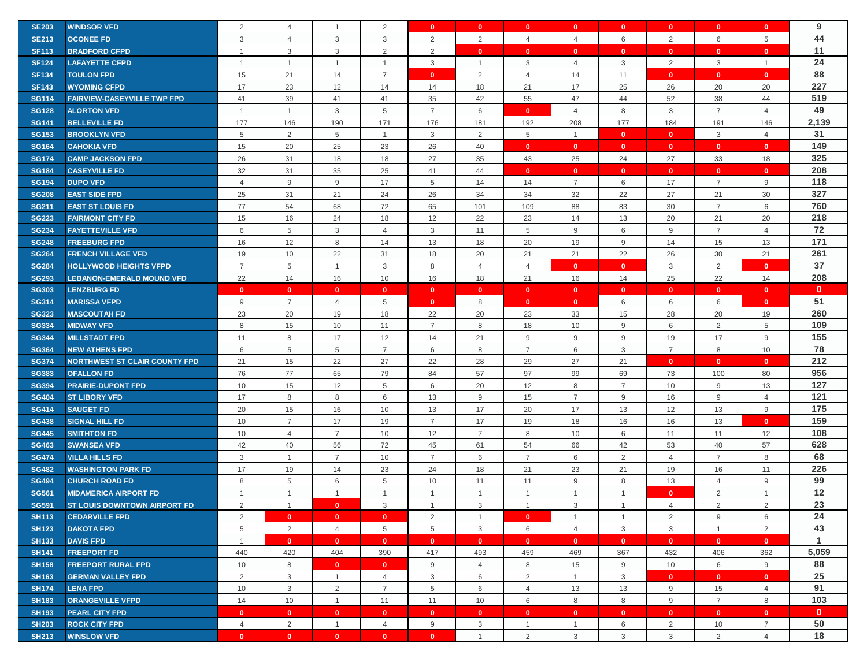| <b>WINDSOR VFD</b><br><b>SE203</b><br>2<br>$\overline{4}$<br>2<br>$\mathbf{0}$<br>$\mathbf{0}$<br>$\mathbf{0}$<br>$\mathbf{0}$<br>$\mathbf{0}$<br>$\overline{1}$<br>44<br>3<br>2<br>2<br>2<br><b>SE213</b><br><b>OCONEE FD</b><br>3<br>$\overline{4}$<br>3<br>$\overline{4}$<br>$\overline{4}$<br>6<br>6<br>5<br>11<br>$\mathbf{3}$<br>$\mathbf{3}$<br>$\overline{2}$<br>$\overline{2}$<br><b>SF113</b><br><b>BRADFORD CFPD</b><br>$\mathbf{0}$<br>$\mathbf{0}$<br>$\mathbf{0}$<br>$\overline{1}$<br>$\mathbf{0}$<br>$\mathbf{0}$<br>$\mathbf{0}$<br>$\mathbf{0}$<br>24<br>3<br>2<br><b>SF124</b><br><b>LAFAYETTE CFPD</b><br>$\overline{1}$<br>$\mathbf{1}$<br>$\overline{1}$<br>$\mathbf{1}$<br>$\overline{1}$<br>3<br>$\overline{4}$<br>3<br>3<br>$\mathbf{1}$<br>88<br><b>SF134</b><br>21<br>$\overline{7}$<br>2<br>11<br>15<br>14<br>$\mathbf{0}$<br>14<br>$\mathbf{0}$<br>$\mathbf{0}$<br><b>TOULON FPD</b><br>$\overline{4}$<br>$\mathbf{0}$<br>227<br>23<br>21<br>17<br>25<br><b>SF143</b><br>17<br>12<br>14<br>14<br>18<br>26<br>20<br>20<br><b>WYOMING CFPD</b><br>519<br><b>SG114</b><br><b>FAIRVIEW-CASEYVILLE TWP FPD</b><br>41<br>39<br>41<br>35<br>42<br>55<br>47<br>44<br>52<br>38<br>44<br>41<br>49<br>$\mathbf{3}$<br>$\overline{7}$<br>8<br>$\mathbf{3}$<br>$\overline{7}$<br><b>SG128</b><br><b>ALORTON VFD</b><br>$\mathbf{1}$<br>5<br>6<br>$\overline{4}$<br>$\overline{4}$<br>$\overline{1}$<br>$\mathbf{0}$<br>2,139<br>177<br>190<br>171<br>192<br>208<br>177<br>184<br>146<br><b>SG141</b><br><b>BELLEVILLE FD</b><br>146<br>176<br>181<br>191<br>31<br>2<br><b>SG153</b><br>5<br>$\overline{2}$<br>5<br>3<br>$5\phantom{.0}$<br>$\mathbf{0}$<br>$\mathbf{0}$<br>3<br>$\overline{4}$<br><b>BROOKLYN VFD</b><br>$\overline{1}$<br>$\mathbf{1}$<br>149<br>20<br><b>SG164</b><br><b>CAHOKIA VFD</b><br>15<br>25<br>23<br>26<br>40<br>$\mathbf{0}$<br>$\mathbf{0}$<br>$\mathbf{0}$<br>$\mathbf{0}$<br>$\bullet$<br>$\mathbf{0}$<br>325<br>24<br><b>SG174</b><br><b>CAMP JACKSON FPD</b><br>26<br>31<br>18<br>18<br>27<br>35<br>43<br>25<br>27<br>33<br>18<br>208<br><b>SG184</b><br>32<br>31<br>35<br>25<br>41<br>44<br><b>CASEYVILLE FD</b><br>$\mathbf{0}$<br>$\mathbf{0}$<br>$\mathbf{0}$<br>$\mathbf{0}$<br>$\mathbf{0}$<br>$\mathbf{0}$<br>118<br><b>SG194</b><br><b>DUPO VFD</b><br>9<br>9<br>17<br>5<br>$\overline{7}$<br>6<br>17<br>$\overline{7}$<br>9<br>$\overline{4}$<br>14<br>14<br>327<br>25<br>31<br>21<br>26<br>32<br>22<br>27<br>21<br>30<br><b>SG208</b><br><b>EAST SIDE FPD</b><br>24<br>34<br>34<br>760<br>68<br>88<br>83<br>30<br>$\overline{7}$<br><b>SG211</b><br><b>EAST ST LOUIS FD</b><br>77<br>54<br>72<br>65<br>101<br>109<br>6<br>218<br><b>SG223</b><br>15<br>16<br>24<br>18<br>12<br>22<br>23<br>14<br>13<br>20<br>21<br>20<br><b>FAIRMONT CITY FD</b><br>72<br>$\,$ 5<br><b>SG234</b><br><b>FAYETTEVILLE VFD</b><br>6<br>3<br>3<br>11<br>5<br>9<br>6<br>9<br>$\overline{7}$<br>$\overline{4}$<br>4<br>171<br>12<br>8<br>20<br><b>SG248</b><br>16<br>14<br>13<br>18<br>19<br>9<br>14<br>15<br>13<br><b>FREEBURG FPD</b><br>261<br>10<br>22<br>31<br>20<br>21<br>21<br>22<br>26<br>30<br>21<br><b>SG264</b><br>19<br>18<br><b>FRENCH VILLAGE VFD</b><br>37<br><b>SG284</b><br><b>HOLLYWOOD HEIGHTS VFPD</b><br>$\overline{7}$<br>5<br>3<br>8<br>$\overline{4}$<br>$\mathbf{0}$<br>3<br>$\overline{2}$<br>$\mathbf{0}$<br>$\mathbf{1}$<br>$\overline{4}$<br>$\mathbf{0}$<br>208<br>22<br>14<br>16<br>25<br>22<br><b>SG293</b><br><b>LEBANON-EMERALD MOUND VFD</b><br>10<br>16<br>18<br>21<br>16<br>14<br>14<br>$\mathbf{0}$<br><b>SG303</b><br><b>LENZBURG FD</b><br>$\mathbf{0}$<br>$\mathbf{0}$<br>$\mathbf{0}$<br>$\mathbf{0}$<br>$\mathbf{0}$<br>$\mathbf{0}$<br>$\mathbf{0}$<br>$\mathbf{0}$<br>$\mathbf{0}$<br>$\mathbf{0}$<br>$\mathbf{0}$<br>$\mathbf{0}$<br>51<br><b>SG314</b><br>$\overline{7}$<br><b>MARISSA VFPD</b><br>9<br>$\overline{4}$<br>5<br>$\mathbf{0}$<br>8<br>$\mathbf{0}$<br>6<br>6<br>6<br>$\mathbf{0}$<br>$\mathbf{0}$<br>260<br>23<br>20<br><b>MASCOUTAH FD</b><br>19<br>18<br>22<br>20<br>23<br>33<br>15<br>28<br>20<br>19<br><b>SG323</b><br>109<br>$\overline{7}$<br>8<br>$\overline{2}$<br><b>SG334</b><br><b>MIDWAY VFD</b><br>8<br>15<br>10<br>11<br>18<br>10<br>9<br>6<br>5<br>155<br>8<br>17<br>$9\,$<br>9<br><b>SG344</b><br>12<br>14<br>21<br>9<br>9<br>19<br>17<br><b>MILLSTADT FPD</b><br>11<br>78<br><b>SG364</b><br><b>NEW ATHENS FPD</b><br>6<br>5<br>5<br>8<br>6<br>3<br>$\overline{7}$<br>8<br>10<br>7<br>6<br>7<br>212<br>21<br>22<br>27<br>22<br>28<br>29<br>27<br>21<br><b>SG374</b><br><b>NORTHWEST ST CLAIR COUNTY FPD</b><br>15<br>$\mathbf{0}$<br>$\mathbf{0}$<br>$\mathbf{0}$<br>956<br>76<br>77<br>65<br>79<br>97<br>99<br>69<br><b>SG383</b><br><b>OFALLON FD</b><br>84<br>57<br>73<br>100<br>80<br>127<br>12<br>6<br>20<br>$\overline{7}$<br><b>SG394</b><br>10<br>15<br>5<br>12<br>8<br>10<br>9<br>13<br><b>PRAIRIE-DUPONT FPD</b><br>121<br>8<br>8<br>9<br>$\overline{7}$<br><b>SG404</b><br><b>ST LIBORY VFD</b><br>17<br>6<br>13<br>15<br>9<br>16<br>9<br>$\overline{4}$<br>175<br>20<br>17<br>9<br><b>SG414</b><br><b>SAUGET FD</b><br>15<br>16<br>10<br>13<br>20<br>17<br>13<br>12<br>13<br>159<br>$\overline{7}$<br>17<br>$\overline{7}$<br><b>SG438</b><br><b>SIGNAL HILL FD</b><br>19<br>17<br>19<br>18<br>16<br>16<br>13<br>$\mathbf{0}$<br>10<br>108<br><b>SG445</b><br><b>SMITHTON FD</b><br>10<br>$\overline{4}$<br>$\overline{7}$<br>10<br>12<br>$\overline{7}$<br>10<br>6<br>12<br>8<br>11<br>11<br>628<br>42<br>40<br>56<br>66<br>42<br><b>SG463</b><br><b>SWANSEA VFD</b><br>72<br>45<br>61<br>54<br>53<br>40<br>57<br>68<br>3<br>$\overline{7}$<br>$\overline{7}$<br>6<br>$\overline{7}$<br>$\overline{2}$<br>$\overline{7}$<br>8<br><b>SG474</b><br><b>VILLA HILLS FD</b><br>$\mathbf{1}$<br>10<br>6<br>$\overline{4}$<br>226<br><b>SG482</b><br>17<br>19<br>14<br>23<br>24<br>18<br>21<br>23<br>21<br>11<br><b>WASHINGTON PARK FD</b><br>19<br>16<br>99<br>8<br>5<br>6<br><b>SG494</b><br>5<br>10<br>11<br>11<br>9<br>8<br>13<br>$\overline{4}$<br>9<br><b>CHURCH ROAD FD</b><br>12<br><b>SG561</b><br><b>MIDAMERICA AIRPORT FD</b><br>$\mathbf{1}$<br>2<br>$\overline{1}$<br>$\mathbf{1}$<br>$\overline{1}$<br>$\overline{1}$<br>$\overline{1}$<br>$\mathbf{1}$<br>$\mathbf{1}$<br>$\mathbf{0}$<br>$\mathbf{1}$<br>23<br>2<br>2<br><b>SG591</b><br><b>ST LOUIS DOWNTOWN AIRPORT FD</b><br>2<br>$\mathbf{0}$<br>3<br>3<br>3<br>$\overline{1}$<br>$\overline{4}$<br>$\mathbf{1}$<br>$\overline{1}$<br>$\mathbf{1}$<br>24<br><b>SH113</b><br><b>CEDARVILLE FPD</b><br>2<br>$\mathbf{0}$<br>$\bullet$<br>2<br>9<br>$\mathbf{0}$<br>2<br>$\overline{1}$<br>$\overline{0}$<br>$\mathbf{1}$<br>6<br>$\mathbf{1}$<br>43<br>$\mathbf{3}$<br><b>DAKOTA FPD</b><br>5<br>$\overline{2}$<br>$\overline{4}$<br>5<br>5<br>$\mathbf{3}$<br>6<br>$\overline{4}$<br>$\mathbf{3}$<br>$\overline{1}$<br>$\overline{2}$<br><b>SH123</b><br>1<br><b>DAVIS FPD</b><br><b>SH133</b><br>$\mathbf{1}$<br>$\mathbf{0}$<br>$\mathbf{0}$<br>$\mathbf{0}$<br>$\mathbf{0}$<br>$\mathbf{0}$<br>$\mathbf{0}$<br>$\mathbf{0}$<br>$\mathbf{0}$<br>$\mathbf{0}$<br>$\mathbf{0}$<br>$\mathbf{0}$<br>5,059<br>440<br>404<br>432<br><b>SH141</b><br><b>FREEPORT FD</b><br>420<br>390<br>417<br>493<br>459<br>469<br>367<br>406<br>362<br>88<br><b>SH158</b><br><b>FREEPORT RURAL FPD</b><br>10<br>8<br>9<br>$\overline{4}$<br>8<br>15<br>9<br>10<br>6<br>9<br>$\mathbf{0}$<br>$\mathbf{0}$<br>25<br>2<br>3<br>$\overline{2}$<br>$\mathbf{3}$<br><b>SH163</b><br><b>GERMAN VALLEY FPD</b><br>$\mathbf{1}$<br>3<br>6<br>$\mathbf{0}$<br>$\mathbf{0}$<br>$\mathbf{0}$<br>$\overline{4}$<br>$\mathbf{1}$<br>91<br>$\overline{2}$<br>$\mathbf{3}$<br>$\overline{7}$<br>5<br>6<br>13<br>9<br><b>SH174</b><br><b>LENA FPD</b><br>10<br>$\overline{4}$<br>13<br>15<br>$\overline{4}$<br>103<br>8<br>8<br>9<br>$\overline{7}$<br><b>SH183</b><br><b>ORANGEVILLE VFPD</b><br>14<br>10<br>$\mathbf{1}$<br>11<br>11<br>10<br>6<br>8<br>$\mathbf{0}$<br><b>SH193</b><br><b>PEARL CITY FPD</b><br>$\mathbf{0}$<br>$\mathbf{0}$<br>$\mathbf{0}$<br>$\bullet$<br>$\mathbf{0}$<br>$\mathbf{0}$<br>$\mathbf{0}$<br>$\mathbf{0}$<br>$\mathbf{0}$<br>$\mathbf{0}$<br>$\bullet$<br>$\mathbf{0}$<br>50<br>$\overline{2}$<br>2<br><b>SH203</b><br><b>ROCK CITY FPD</b><br>$\overline{4}$<br>$\mathbf{1}$<br>9<br>3<br>$\mathbf{1}$<br>6<br>10<br>$\overline{7}$<br>$\overline{4}$<br>$\mathbf{1}$<br>18<br>3<br>$\mathbf{3}$<br>$\overline{2}$<br>$\mathbf{0}$<br>$\mathbf{0}$<br>2<br>3<br><b>WINSLOW VFD</b><br>$\mathbf{0}$<br>$\mathbf{0}$<br>$\overline{4}$<br>$\overline{1}$ |              |  |              | $\mathbf{0}$ |  |  | $\mathbf{0}$ | $\mathbf{0}$ | 9 |
|-----------------------------------------------------------------------------------------------------------------------------------------------------------------------------------------------------------------------------------------------------------------------------------------------------------------------------------------------------------------------------------------------------------------------------------------------------------------------------------------------------------------------------------------------------------------------------------------------------------------------------------------------------------------------------------------------------------------------------------------------------------------------------------------------------------------------------------------------------------------------------------------------------------------------------------------------------------------------------------------------------------------------------------------------------------------------------------------------------------------------------------------------------------------------------------------------------------------------------------------------------------------------------------------------------------------------------------------------------------------------------------------------------------------------------------------------------------------------------------------------------------------------------------------------------------------------------------------------------------------------------------------------------------------------------------------------------------------------------------------------------------------------------------------------------------------------------------------------------------------------------------------------------------------------------------------------------------------------------------------------------------------------------------------------------------------------------------------------------------------------------------------------------------------------------------------------------------------------------------------------------------------------------------------------------------------------------------------------------------------------------------------------------------------------------------------------------------------------------------------------------------------------------------------------------------------------------------------------------------------------------------------------------------------------------------------------------------------------------------------------------------------------------------------------------------------------------------------------------------------------------------------------------------------------------------------------------------------------------------------------------------------------------------------------------------------------------------------------------------------------------------------------------------------------------------------------------------------------------------------------------------------------------------------------------------------------------------------------------------------------------------------------------------------------------------------------------------------------------------------------------------------------------------------------------------------------------------------------------------------------------------------------------------------------------------------------------------------------------------------------------------------------------------------------------------------------------------------------------------------------------------------------------------------------------------------------------------------------------------------------------------------------------------------------------------------------------------------------------------------------------------------------------------------------------------------------------------------------------------------------------------------------------------------------------------------------------------------------------------------------------------------------------------------------------------------------------------------------------------------------------------------------------------------------------------------------------------------------------------------------------------------------------------------------------------------------------------------------------------------------------------------------------------------------------------------------------------------------------------------------------------------------------------------------------------------------------------------------------------------------------------------------------------------------------------------------------------------------------------------------------------------------------------------------------------------------------------------------------------------------------------------------------------------------------------------------------------------------------------------------------------------------------------------------------------------------------------------------------------------------------------------------------------------------------------------------------------------------------------------------------------------------------------------------------------------------------------------------------------------------------------------------------------------------------------------------------------------------------------------------------------------------------------------------------------------------------------------------------------------------------------------------------------------------------------------------------------------------------------------------------------------------------------------------------------------------------------------------------------------------------------------------------------------------------------------------------------------------------------------------------------------------------------------------------------------------------------------------------------------------------------------------------------------------------------------------------------------------------------------------------------------------------------------------------------------------------------------------------------------------------------------------------------------------------------------------------------------------------------------------------------------------------------------------------------------------------------------------------------------------------------------------------------------------------------------------------------------------------------------------------------------------------------------------------------------------------------------------------------------------------------------------------------------------------------------------------------------------------------------------------------------------------------------------------------------------------------------------------------------------------------------------------------------------------------------------------------------------------------------------------------------------------------------------------------------------------------------------------------------------------------------------------------------------------------------------------------------------------------------------------------------------------------------------------------------------------------------------------------------------------------------------------------------------------------------------------------------------------------------------------------------------------------------------------------------------------------------------------------------------------------------------------------------------------------------------------------------------------------------------------------------------------------------------------------------------------------------------------------------------------------------------------------------------------------------------------------------------------------------------------------------------------|--------------|--|--------------|--------------|--|--|--------------|--------------|---|
|                                                                                                                                                                                                                                                                                                                                                                                                                                                                                                                                                                                                                                                                                                                                                                                                                                                                                                                                                                                                                                                                                                                                                                                                                                                                                                                                                                                                                                                                                                                                                                                                                                                                                                                                                                                                                                                                                                                                                                                                                                                                                                                                                                                                                                                                                                                                                                                                                                                                                                                                                                                                                                                                                                                                                                                                                                                                                                                                                                                                                                                                                                                                                                                                                                                                                                                                                                                                                                                                                                                                                                                                                                                                                                                                                                                                                                                                                                                                                                                                                                                                                                                                                                                                                                                                                                                                                                                                                                                                                                                                                                                                                                                                                                                                                                                                                                                                                                                                                                                                                                                                                                                                                                                                                                                                                                                                                                                                                                                                                                                                                                                                                                                                                                                                                                                                                                                                                                                                                                                                                                                                                                                                                                                                                                                                                                                                                                                                                                                                                                                                                                                                                                                                                                                                                                                                                                                                                                                                                                                                                                                                                                                                                                                                                                                                                                                                                                                                                                                                                                                                                                                                                                                                                                                                                                                                                                                                                                                                                                                                                                                                                                                                                                                                                                                                                                                                                                                                                                                                                                                                                                                                                                                     |              |  |              |              |  |  |              |              |   |
|                                                                                                                                                                                                                                                                                                                                                                                                                                                                                                                                                                                                                                                                                                                                                                                                                                                                                                                                                                                                                                                                                                                                                                                                                                                                                                                                                                                                                                                                                                                                                                                                                                                                                                                                                                                                                                                                                                                                                                                                                                                                                                                                                                                                                                                                                                                                                                                                                                                                                                                                                                                                                                                                                                                                                                                                                                                                                                                                                                                                                                                                                                                                                                                                                                                                                                                                                                                                                                                                                                                                                                                                                                                                                                                                                                                                                                                                                                                                                                                                                                                                                                                                                                                                                                                                                                                                                                                                                                                                                                                                                                                                                                                                                                                                                                                                                                                                                                                                                                                                                                                                                                                                                                                                                                                                                                                                                                                                                                                                                                                                                                                                                                                                                                                                                                                                                                                                                                                                                                                                                                                                                                                                                                                                                                                                                                                                                                                                                                                                                                                                                                                                                                                                                                                                                                                                                                                                                                                                                                                                                                                                                                                                                                                                                                                                                                                                                                                                                                                                                                                                                                                                                                                                                                                                                                                                                                                                                                                                                                                                                                                                                                                                                                                                                                                                                                                                                                                                                                                                                                                                                                                                                                                     |              |  |              |              |  |  |              |              |   |
|                                                                                                                                                                                                                                                                                                                                                                                                                                                                                                                                                                                                                                                                                                                                                                                                                                                                                                                                                                                                                                                                                                                                                                                                                                                                                                                                                                                                                                                                                                                                                                                                                                                                                                                                                                                                                                                                                                                                                                                                                                                                                                                                                                                                                                                                                                                                                                                                                                                                                                                                                                                                                                                                                                                                                                                                                                                                                                                                                                                                                                                                                                                                                                                                                                                                                                                                                                                                                                                                                                                                                                                                                                                                                                                                                                                                                                                                                                                                                                                                                                                                                                                                                                                                                                                                                                                                                                                                                                                                                                                                                                                                                                                                                                                                                                                                                                                                                                                                                                                                                                                                                                                                                                                                                                                                                                                                                                                                                                                                                                                                                                                                                                                                                                                                                                                                                                                                                                                                                                                                                                                                                                                                                                                                                                                                                                                                                                                                                                                                                                                                                                                                                                                                                                                                                                                                                                                                                                                                                                                                                                                                                                                                                                                                                                                                                                                                                                                                                                                                                                                                                                                                                                                                                                                                                                                                                                                                                                                                                                                                                                                                                                                                                                                                                                                                                                                                                                                                                                                                                                                                                                                                                                                     |              |  |              |              |  |  |              |              |   |
|                                                                                                                                                                                                                                                                                                                                                                                                                                                                                                                                                                                                                                                                                                                                                                                                                                                                                                                                                                                                                                                                                                                                                                                                                                                                                                                                                                                                                                                                                                                                                                                                                                                                                                                                                                                                                                                                                                                                                                                                                                                                                                                                                                                                                                                                                                                                                                                                                                                                                                                                                                                                                                                                                                                                                                                                                                                                                                                                                                                                                                                                                                                                                                                                                                                                                                                                                                                                                                                                                                                                                                                                                                                                                                                                                                                                                                                                                                                                                                                                                                                                                                                                                                                                                                                                                                                                                                                                                                                                                                                                                                                                                                                                                                                                                                                                                                                                                                                                                                                                                                                                                                                                                                                                                                                                                                                                                                                                                                                                                                                                                                                                                                                                                                                                                                                                                                                                                                                                                                                                                                                                                                                                                                                                                                                                                                                                                                                                                                                                                                                                                                                                                                                                                                                                                                                                                                                                                                                                                                                                                                                                                                                                                                                                                                                                                                                                                                                                                                                                                                                                                                                                                                                                                                                                                                                                                                                                                                                                                                                                                                                                                                                                                                                                                                                                                                                                                                                                                                                                                                                                                                                                                                                     |              |  |              |              |  |  |              |              |   |
|                                                                                                                                                                                                                                                                                                                                                                                                                                                                                                                                                                                                                                                                                                                                                                                                                                                                                                                                                                                                                                                                                                                                                                                                                                                                                                                                                                                                                                                                                                                                                                                                                                                                                                                                                                                                                                                                                                                                                                                                                                                                                                                                                                                                                                                                                                                                                                                                                                                                                                                                                                                                                                                                                                                                                                                                                                                                                                                                                                                                                                                                                                                                                                                                                                                                                                                                                                                                                                                                                                                                                                                                                                                                                                                                                                                                                                                                                                                                                                                                                                                                                                                                                                                                                                                                                                                                                                                                                                                                                                                                                                                                                                                                                                                                                                                                                                                                                                                                                                                                                                                                                                                                                                                                                                                                                                                                                                                                                                                                                                                                                                                                                                                                                                                                                                                                                                                                                                                                                                                                                                                                                                                                                                                                                                                                                                                                                                                                                                                                                                                                                                                                                                                                                                                                                                                                                                                                                                                                                                                                                                                                                                                                                                                                                                                                                                                                                                                                                                                                                                                                                                                                                                                                                                                                                                                                                                                                                                                                                                                                                                                                                                                                                                                                                                                                                                                                                                                                                                                                                                                                                                                                                                                     |              |  |              |              |  |  |              |              |   |
|                                                                                                                                                                                                                                                                                                                                                                                                                                                                                                                                                                                                                                                                                                                                                                                                                                                                                                                                                                                                                                                                                                                                                                                                                                                                                                                                                                                                                                                                                                                                                                                                                                                                                                                                                                                                                                                                                                                                                                                                                                                                                                                                                                                                                                                                                                                                                                                                                                                                                                                                                                                                                                                                                                                                                                                                                                                                                                                                                                                                                                                                                                                                                                                                                                                                                                                                                                                                                                                                                                                                                                                                                                                                                                                                                                                                                                                                                                                                                                                                                                                                                                                                                                                                                                                                                                                                                                                                                                                                                                                                                                                                                                                                                                                                                                                                                                                                                                                                                                                                                                                                                                                                                                                                                                                                                                                                                                                                                                                                                                                                                                                                                                                                                                                                                                                                                                                                                                                                                                                                                                                                                                                                                                                                                                                                                                                                                                                                                                                                                                                                                                                                                                                                                                                                                                                                                                                                                                                                                                                                                                                                                                                                                                                                                                                                                                                                                                                                                                                                                                                                                                                                                                                                                                                                                                                                                                                                                                                                                                                                                                                                                                                                                                                                                                                                                                                                                                                                                                                                                                                                                                                                                                                     |              |  |              |              |  |  |              |              |   |
|                                                                                                                                                                                                                                                                                                                                                                                                                                                                                                                                                                                                                                                                                                                                                                                                                                                                                                                                                                                                                                                                                                                                                                                                                                                                                                                                                                                                                                                                                                                                                                                                                                                                                                                                                                                                                                                                                                                                                                                                                                                                                                                                                                                                                                                                                                                                                                                                                                                                                                                                                                                                                                                                                                                                                                                                                                                                                                                                                                                                                                                                                                                                                                                                                                                                                                                                                                                                                                                                                                                                                                                                                                                                                                                                                                                                                                                                                                                                                                                                                                                                                                                                                                                                                                                                                                                                                                                                                                                                                                                                                                                                                                                                                                                                                                                                                                                                                                                                                                                                                                                                                                                                                                                                                                                                                                                                                                                                                                                                                                                                                                                                                                                                                                                                                                                                                                                                                                                                                                                                                                                                                                                                                                                                                                                                                                                                                                                                                                                                                                                                                                                                                                                                                                                                                                                                                                                                                                                                                                                                                                                                                                                                                                                                                                                                                                                                                                                                                                                                                                                                                                                                                                                                                                                                                                                                                                                                                                                                                                                                                                                                                                                                                                                                                                                                                                                                                                                                                                                                                                                                                                                                                                                     |              |  |              |              |  |  |              |              |   |
|                                                                                                                                                                                                                                                                                                                                                                                                                                                                                                                                                                                                                                                                                                                                                                                                                                                                                                                                                                                                                                                                                                                                                                                                                                                                                                                                                                                                                                                                                                                                                                                                                                                                                                                                                                                                                                                                                                                                                                                                                                                                                                                                                                                                                                                                                                                                                                                                                                                                                                                                                                                                                                                                                                                                                                                                                                                                                                                                                                                                                                                                                                                                                                                                                                                                                                                                                                                                                                                                                                                                                                                                                                                                                                                                                                                                                                                                                                                                                                                                                                                                                                                                                                                                                                                                                                                                                                                                                                                                                                                                                                                                                                                                                                                                                                                                                                                                                                                                                                                                                                                                                                                                                                                                                                                                                                                                                                                                                                                                                                                                                                                                                                                                                                                                                                                                                                                                                                                                                                                                                                                                                                                                                                                                                                                                                                                                                                                                                                                                                                                                                                                                                                                                                                                                                                                                                                                                                                                                                                                                                                                                                                                                                                                                                                                                                                                                                                                                                                                                                                                                                                                                                                                                                                                                                                                                                                                                                                                                                                                                                                                                                                                                                                                                                                                                                                                                                                                                                                                                                                                                                                                                                                                     |              |  |              |              |  |  |              |              |   |
|                                                                                                                                                                                                                                                                                                                                                                                                                                                                                                                                                                                                                                                                                                                                                                                                                                                                                                                                                                                                                                                                                                                                                                                                                                                                                                                                                                                                                                                                                                                                                                                                                                                                                                                                                                                                                                                                                                                                                                                                                                                                                                                                                                                                                                                                                                                                                                                                                                                                                                                                                                                                                                                                                                                                                                                                                                                                                                                                                                                                                                                                                                                                                                                                                                                                                                                                                                                                                                                                                                                                                                                                                                                                                                                                                                                                                                                                                                                                                                                                                                                                                                                                                                                                                                                                                                                                                                                                                                                                                                                                                                                                                                                                                                                                                                                                                                                                                                                                                                                                                                                                                                                                                                                                                                                                                                                                                                                                                                                                                                                                                                                                                                                                                                                                                                                                                                                                                                                                                                                                                                                                                                                                                                                                                                                                                                                                                                                                                                                                                                                                                                                                                                                                                                                                                                                                                                                                                                                                                                                                                                                                                                                                                                                                                                                                                                                                                                                                                                                                                                                                                                                                                                                                                                                                                                                                                                                                                                                                                                                                                                                                                                                                                                                                                                                                                                                                                                                                                                                                                                                                                                                                                                                     |              |  |              |              |  |  |              |              |   |
|                                                                                                                                                                                                                                                                                                                                                                                                                                                                                                                                                                                                                                                                                                                                                                                                                                                                                                                                                                                                                                                                                                                                                                                                                                                                                                                                                                                                                                                                                                                                                                                                                                                                                                                                                                                                                                                                                                                                                                                                                                                                                                                                                                                                                                                                                                                                                                                                                                                                                                                                                                                                                                                                                                                                                                                                                                                                                                                                                                                                                                                                                                                                                                                                                                                                                                                                                                                                                                                                                                                                                                                                                                                                                                                                                                                                                                                                                                                                                                                                                                                                                                                                                                                                                                                                                                                                                                                                                                                                                                                                                                                                                                                                                                                                                                                                                                                                                                                                                                                                                                                                                                                                                                                                                                                                                                                                                                                                                                                                                                                                                                                                                                                                                                                                                                                                                                                                                                                                                                                                                                                                                                                                                                                                                                                                                                                                                                                                                                                                                                                                                                                                                                                                                                                                                                                                                                                                                                                                                                                                                                                                                                                                                                                                                                                                                                                                                                                                                                                                                                                                                                                                                                                                                                                                                                                                                                                                                                                                                                                                                                                                                                                                                                                                                                                                                                                                                                                                                                                                                                                                                                                                                                                     |              |  |              |              |  |  |              |              |   |
|                                                                                                                                                                                                                                                                                                                                                                                                                                                                                                                                                                                                                                                                                                                                                                                                                                                                                                                                                                                                                                                                                                                                                                                                                                                                                                                                                                                                                                                                                                                                                                                                                                                                                                                                                                                                                                                                                                                                                                                                                                                                                                                                                                                                                                                                                                                                                                                                                                                                                                                                                                                                                                                                                                                                                                                                                                                                                                                                                                                                                                                                                                                                                                                                                                                                                                                                                                                                                                                                                                                                                                                                                                                                                                                                                                                                                                                                                                                                                                                                                                                                                                                                                                                                                                                                                                                                                                                                                                                                                                                                                                                                                                                                                                                                                                                                                                                                                                                                                                                                                                                                                                                                                                                                                                                                                                                                                                                                                                                                                                                                                                                                                                                                                                                                                                                                                                                                                                                                                                                                                                                                                                                                                                                                                                                                                                                                                                                                                                                                                                                                                                                                                                                                                                                                                                                                                                                                                                                                                                                                                                                                                                                                                                                                                                                                                                                                                                                                                                                                                                                                                                                                                                                                                                                                                                                                                                                                                                                                                                                                                                                                                                                                                                                                                                                                                                                                                                                                                                                                                                                                                                                                                                                     |              |  |              |              |  |  |              |              |   |
|                                                                                                                                                                                                                                                                                                                                                                                                                                                                                                                                                                                                                                                                                                                                                                                                                                                                                                                                                                                                                                                                                                                                                                                                                                                                                                                                                                                                                                                                                                                                                                                                                                                                                                                                                                                                                                                                                                                                                                                                                                                                                                                                                                                                                                                                                                                                                                                                                                                                                                                                                                                                                                                                                                                                                                                                                                                                                                                                                                                                                                                                                                                                                                                                                                                                                                                                                                                                                                                                                                                                                                                                                                                                                                                                                                                                                                                                                                                                                                                                                                                                                                                                                                                                                                                                                                                                                                                                                                                                                                                                                                                                                                                                                                                                                                                                                                                                                                                                                                                                                                                                                                                                                                                                                                                                                                                                                                                                                                                                                                                                                                                                                                                                                                                                                                                                                                                                                                                                                                                                                                                                                                                                                                                                                                                                                                                                                                                                                                                                                                                                                                                                                                                                                                                                                                                                                                                                                                                                                                                                                                                                                                                                                                                                                                                                                                                                                                                                                                                                                                                                                                                                                                                                                                                                                                                                                                                                                                                                                                                                                                                                                                                                                                                                                                                                                                                                                                                                                                                                                                                                                                                                                                                     |              |  |              |              |  |  |              |              |   |
|                                                                                                                                                                                                                                                                                                                                                                                                                                                                                                                                                                                                                                                                                                                                                                                                                                                                                                                                                                                                                                                                                                                                                                                                                                                                                                                                                                                                                                                                                                                                                                                                                                                                                                                                                                                                                                                                                                                                                                                                                                                                                                                                                                                                                                                                                                                                                                                                                                                                                                                                                                                                                                                                                                                                                                                                                                                                                                                                                                                                                                                                                                                                                                                                                                                                                                                                                                                                                                                                                                                                                                                                                                                                                                                                                                                                                                                                                                                                                                                                                                                                                                                                                                                                                                                                                                                                                                                                                                                                                                                                                                                                                                                                                                                                                                                                                                                                                                                                                                                                                                                                                                                                                                                                                                                                                                                                                                                                                                                                                                                                                                                                                                                                                                                                                                                                                                                                                                                                                                                                                                                                                                                                                                                                                                                                                                                                                                                                                                                                                                                                                                                                                                                                                                                                                                                                                                                                                                                                                                                                                                                                                                                                                                                                                                                                                                                                                                                                                                                                                                                                                                                                                                                                                                                                                                                                                                                                                                                                                                                                                                                                                                                                                                                                                                                                                                                                                                                                                                                                                                                                                                                                                                                     |              |  |              |              |  |  |              |              |   |
|                                                                                                                                                                                                                                                                                                                                                                                                                                                                                                                                                                                                                                                                                                                                                                                                                                                                                                                                                                                                                                                                                                                                                                                                                                                                                                                                                                                                                                                                                                                                                                                                                                                                                                                                                                                                                                                                                                                                                                                                                                                                                                                                                                                                                                                                                                                                                                                                                                                                                                                                                                                                                                                                                                                                                                                                                                                                                                                                                                                                                                                                                                                                                                                                                                                                                                                                                                                                                                                                                                                                                                                                                                                                                                                                                                                                                                                                                                                                                                                                                                                                                                                                                                                                                                                                                                                                                                                                                                                                                                                                                                                                                                                                                                                                                                                                                                                                                                                                                                                                                                                                                                                                                                                                                                                                                                                                                                                                                                                                                                                                                                                                                                                                                                                                                                                                                                                                                                                                                                                                                                                                                                                                                                                                                                                                                                                                                                                                                                                                                                                                                                                                                                                                                                                                                                                                                                                                                                                                                                                                                                                                                                                                                                                                                                                                                                                                                                                                                                                                                                                                                                                                                                                                                                                                                                                                                                                                                                                                                                                                                                                                                                                                                                                                                                                                                                                                                                                                                                                                                                                                                                                                                                                     |              |  |              |              |  |  |              |              |   |
|                                                                                                                                                                                                                                                                                                                                                                                                                                                                                                                                                                                                                                                                                                                                                                                                                                                                                                                                                                                                                                                                                                                                                                                                                                                                                                                                                                                                                                                                                                                                                                                                                                                                                                                                                                                                                                                                                                                                                                                                                                                                                                                                                                                                                                                                                                                                                                                                                                                                                                                                                                                                                                                                                                                                                                                                                                                                                                                                                                                                                                                                                                                                                                                                                                                                                                                                                                                                                                                                                                                                                                                                                                                                                                                                                                                                                                                                                                                                                                                                                                                                                                                                                                                                                                                                                                                                                                                                                                                                                                                                                                                                                                                                                                                                                                                                                                                                                                                                                                                                                                                                                                                                                                                                                                                                                                                                                                                                                                                                                                                                                                                                                                                                                                                                                                                                                                                                                                                                                                                                                                                                                                                                                                                                                                                                                                                                                                                                                                                                                                                                                                                                                                                                                                                                                                                                                                                                                                                                                                                                                                                                                                                                                                                                                                                                                                                                                                                                                                                                                                                                                                                                                                                                                                                                                                                                                                                                                                                                                                                                                                                                                                                                                                                                                                                                                                                                                                                                                                                                                                                                                                                                                                                     |              |  |              |              |  |  |              |              |   |
|                                                                                                                                                                                                                                                                                                                                                                                                                                                                                                                                                                                                                                                                                                                                                                                                                                                                                                                                                                                                                                                                                                                                                                                                                                                                                                                                                                                                                                                                                                                                                                                                                                                                                                                                                                                                                                                                                                                                                                                                                                                                                                                                                                                                                                                                                                                                                                                                                                                                                                                                                                                                                                                                                                                                                                                                                                                                                                                                                                                                                                                                                                                                                                                                                                                                                                                                                                                                                                                                                                                                                                                                                                                                                                                                                                                                                                                                                                                                                                                                                                                                                                                                                                                                                                                                                                                                                                                                                                                                                                                                                                                                                                                                                                                                                                                                                                                                                                                                                                                                                                                                                                                                                                                                                                                                                                                                                                                                                                                                                                                                                                                                                                                                                                                                                                                                                                                                                                                                                                                                                                                                                                                                                                                                                                                                                                                                                                                                                                                                                                                                                                                                                                                                                                                                                                                                                                                                                                                                                                                                                                                                                                                                                                                                                                                                                                                                                                                                                                                                                                                                                                                                                                                                                                                                                                                                                                                                                                                                                                                                                                                                                                                                                                                                                                                                                                                                                                                                                                                                                                                                                                                                                                                     |              |  |              |              |  |  |              |              |   |
|                                                                                                                                                                                                                                                                                                                                                                                                                                                                                                                                                                                                                                                                                                                                                                                                                                                                                                                                                                                                                                                                                                                                                                                                                                                                                                                                                                                                                                                                                                                                                                                                                                                                                                                                                                                                                                                                                                                                                                                                                                                                                                                                                                                                                                                                                                                                                                                                                                                                                                                                                                                                                                                                                                                                                                                                                                                                                                                                                                                                                                                                                                                                                                                                                                                                                                                                                                                                                                                                                                                                                                                                                                                                                                                                                                                                                                                                                                                                                                                                                                                                                                                                                                                                                                                                                                                                                                                                                                                                                                                                                                                                                                                                                                                                                                                                                                                                                                                                                                                                                                                                                                                                                                                                                                                                                                                                                                                                                                                                                                                                                                                                                                                                                                                                                                                                                                                                                                                                                                                                                                                                                                                                                                                                                                                                                                                                                                                                                                                                                                                                                                                                                                                                                                                                                                                                                                                                                                                                                                                                                                                                                                                                                                                                                                                                                                                                                                                                                                                                                                                                                                                                                                                                                                                                                                                                                                                                                                                                                                                                                                                                                                                                                                                                                                                                                                                                                                                                                                                                                                                                                                                                                                                     |              |  |              |              |  |  |              |              |   |
|                                                                                                                                                                                                                                                                                                                                                                                                                                                                                                                                                                                                                                                                                                                                                                                                                                                                                                                                                                                                                                                                                                                                                                                                                                                                                                                                                                                                                                                                                                                                                                                                                                                                                                                                                                                                                                                                                                                                                                                                                                                                                                                                                                                                                                                                                                                                                                                                                                                                                                                                                                                                                                                                                                                                                                                                                                                                                                                                                                                                                                                                                                                                                                                                                                                                                                                                                                                                                                                                                                                                                                                                                                                                                                                                                                                                                                                                                                                                                                                                                                                                                                                                                                                                                                                                                                                                                                                                                                                                                                                                                                                                                                                                                                                                                                                                                                                                                                                                                                                                                                                                                                                                                                                                                                                                                                                                                                                                                                                                                                                                                                                                                                                                                                                                                                                                                                                                                                                                                                                                                                                                                                                                                                                                                                                                                                                                                                                                                                                                                                                                                                                                                                                                                                                                                                                                                                                                                                                                                                                                                                                                                                                                                                                                                                                                                                                                                                                                                                                                                                                                                                                                                                                                                                                                                                                                                                                                                                                                                                                                                                                                                                                                                                                                                                                                                                                                                                                                                                                                                                                                                                                                                                                     |              |  |              |              |  |  |              |              |   |
|                                                                                                                                                                                                                                                                                                                                                                                                                                                                                                                                                                                                                                                                                                                                                                                                                                                                                                                                                                                                                                                                                                                                                                                                                                                                                                                                                                                                                                                                                                                                                                                                                                                                                                                                                                                                                                                                                                                                                                                                                                                                                                                                                                                                                                                                                                                                                                                                                                                                                                                                                                                                                                                                                                                                                                                                                                                                                                                                                                                                                                                                                                                                                                                                                                                                                                                                                                                                                                                                                                                                                                                                                                                                                                                                                                                                                                                                                                                                                                                                                                                                                                                                                                                                                                                                                                                                                                                                                                                                                                                                                                                                                                                                                                                                                                                                                                                                                                                                                                                                                                                                                                                                                                                                                                                                                                                                                                                                                                                                                                                                                                                                                                                                                                                                                                                                                                                                                                                                                                                                                                                                                                                                                                                                                                                                                                                                                                                                                                                                                                                                                                                                                                                                                                                                                                                                                                                                                                                                                                                                                                                                                                                                                                                                                                                                                                                                                                                                                                                                                                                                                                                                                                                                                                                                                                                                                                                                                                                                                                                                                                                                                                                                                                                                                                                                                                                                                                                                                                                                                                                                                                                                                                                     |              |  |              |              |  |  |              |              |   |
|                                                                                                                                                                                                                                                                                                                                                                                                                                                                                                                                                                                                                                                                                                                                                                                                                                                                                                                                                                                                                                                                                                                                                                                                                                                                                                                                                                                                                                                                                                                                                                                                                                                                                                                                                                                                                                                                                                                                                                                                                                                                                                                                                                                                                                                                                                                                                                                                                                                                                                                                                                                                                                                                                                                                                                                                                                                                                                                                                                                                                                                                                                                                                                                                                                                                                                                                                                                                                                                                                                                                                                                                                                                                                                                                                                                                                                                                                                                                                                                                                                                                                                                                                                                                                                                                                                                                                                                                                                                                                                                                                                                                                                                                                                                                                                                                                                                                                                                                                                                                                                                                                                                                                                                                                                                                                                                                                                                                                                                                                                                                                                                                                                                                                                                                                                                                                                                                                                                                                                                                                                                                                                                                                                                                                                                                                                                                                                                                                                                                                                                                                                                                                                                                                                                                                                                                                                                                                                                                                                                                                                                                                                                                                                                                                                                                                                                                                                                                                                                                                                                                                                                                                                                                                                                                                                                                                                                                                                                                                                                                                                                                                                                                                                                                                                                                                                                                                                                                                                                                                                                                                                                                                                                     |              |  |              |              |  |  |              |              |   |
|                                                                                                                                                                                                                                                                                                                                                                                                                                                                                                                                                                                                                                                                                                                                                                                                                                                                                                                                                                                                                                                                                                                                                                                                                                                                                                                                                                                                                                                                                                                                                                                                                                                                                                                                                                                                                                                                                                                                                                                                                                                                                                                                                                                                                                                                                                                                                                                                                                                                                                                                                                                                                                                                                                                                                                                                                                                                                                                                                                                                                                                                                                                                                                                                                                                                                                                                                                                                                                                                                                                                                                                                                                                                                                                                                                                                                                                                                                                                                                                                                                                                                                                                                                                                                                                                                                                                                                                                                                                                                                                                                                                                                                                                                                                                                                                                                                                                                                                                                                                                                                                                                                                                                                                                                                                                                                                                                                                                                                                                                                                                                                                                                                                                                                                                                                                                                                                                                                                                                                                                                                                                                                                                                                                                                                                                                                                                                                                                                                                                                                                                                                                                                                                                                                                                                                                                                                                                                                                                                                                                                                                                                                                                                                                                                                                                                                                                                                                                                                                                                                                                                                                                                                                                                                                                                                                                                                                                                                                                                                                                                                                                                                                                                                                                                                                                                                                                                                                                                                                                                                                                                                                                                                                     |              |  |              |              |  |  |              |              |   |
|                                                                                                                                                                                                                                                                                                                                                                                                                                                                                                                                                                                                                                                                                                                                                                                                                                                                                                                                                                                                                                                                                                                                                                                                                                                                                                                                                                                                                                                                                                                                                                                                                                                                                                                                                                                                                                                                                                                                                                                                                                                                                                                                                                                                                                                                                                                                                                                                                                                                                                                                                                                                                                                                                                                                                                                                                                                                                                                                                                                                                                                                                                                                                                                                                                                                                                                                                                                                                                                                                                                                                                                                                                                                                                                                                                                                                                                                                                                                                                                                                                                                                                                                                                                                                                                                                                                                                                                                                                                                                                                                                                                                                                                                                                                                                                                                                                                                                                                                                                                                                                                                                                                                                                                                                                                                                                                                                                                                                                                                                                                                                                                                                                                                                                                                                                                                                                                                                                                                                                                                                                                                                                                                                                                                                                                                                                                                                                                                                                                                                                                                                                                                                                                                                                                                                                                                                                                                                                                                                                                                                                                                                                                                                                                                                                                                                                                                                                                                                                                                                                                                                                                                                                                                                                                                                                                                                                                                                                                                                                                                                                                                                                                                                                                                                                                                                                                                                                                                                                                                                                                                                                                                                                                     |              |  |              |              |  |  |              |              |   |
|                                                                                                                                                                                                                                                                                                                                                                                                                                                                                                                                                                                                                                                                                                                                                                                                                                                                                                                                                                                                                                                                                                                                                                                                                                                                                                                                                                                                                                                                                                                                                                                                                                                                                                                                                                                                                                                                                                                                                                                                                                                                                                                                                                                                                                                                                                                                                                                                                                                                                                                                                                                                                                                                                                                                                                                                                                                                                                                                                                                                                                                                                                                                                                                                                                                                                                                                                                                                                                                                                                                                                                                                                                                                                                                                                                                                                                                                                                                                                                                                                                                                                                                                                                                                                                                                                                                                                                                                                                                                                                                                                                                                                                                                                                                                                                                                                                                                                                                                                                                                                                                                                                                                                                                                                                                                                                                                                                                                                                                                                                                                                                                                                                                                                                                                                                                                                                                                                                                                                                                                                                                                                                                                                                                                                                                                                                                                                                                                                                                                                                                                                                                                                                                                                                                                                                                                                                                                                                                                                                                                                                                                                                                                                                                                                                                                                                                                                                                                                                                                                                                                                                                                                                                                                                                                                                                                                                                                                                                                                                                                                                                                                                                                                                                                                                                                                                                                                                                                                                                                                                                                                                                                                                                     |              |  |              |              |  |  |              |              |   |
|                                                                                                                                                                                                                                                                                                                                                                                                                                                                                                                                                                                                                                                                                                                                                                                                                                                                                                                                                                                                                                                                                                                                                                                                                                                                                                                                                                                                                                                                                                                                                                                                                                                                                                                                                                                                                                                                                                                                                                                                                                                                                                                                                                                                                                                                                                                                                                                                                                                                                                                                                                                                                                                                                                                                                                                                                                                                                                                                                                                                                                                                                                                                                                                                                                                                                                                                                                                                                                                                                                                                                                                                                                                                                                                                                                                                                                                                                                                                                                                                                                                                                                                                                                                                                                                                                                                                                                                                                                                                                                                                                                                                                                                                                                                                                                                                                                                                                                                                                                                                                                                                                                                                                                                                                                                                                                                                                                                                                                                                                                                                                                                                                                                                                                                                                                                                                                                                                                                                                                                                                                                                                                                                                                                                                                                                                                                                                                                                                                                                                                                                                                                                                                                                                                                                                                                                                                                                                                                                                                                                                                                                                                                                                                                                                                                                                                                                                                                                                                                                                                                                                                                                                                                                                                                                                                                                                                                                                                                                                                                                                                                                                                                                                                                                                                                                                                                                                                                                                                                                                                                                                                                                                                                     |              |  |              |              |  |  |              |              |   |
|                                                                                                                                                                                                                                                                                                                                                                                                                                                                                                                                                                                                                                                                                                                                                                                                                                                                                                                                                                                                                                                                                                                                                                                                                                                                                                                                                                                                                                                                                                                                                                                                                                                                                                                                                                                                                                                                                                                                                                                                                                                                                                                                                                                                                                                                                                                                                                                                                                                                                                                                                                                                                                                                                                                                                                                                                                                                                                                                                                                                                                                                                                                                                                                                                                                                                                                                                                                                                                                                                                                                                                                                                                                                                                                                                                                                                                                                                                                                                                                                                                                                                                                                                                                                                                                                                                                                                                                                                                                                                                                                                                                                                                                                                                                                                                                                                                                                                                                                                                                                                                                                                                                                                                                                                                                                                                                                                                                                                                                                                                                                                                                                                                                                                                                                                                                                                                                                                                                                                                                                                                                                                                                                                                                                                                                                                                                                                                                                                                                                                                                                                                                                                                                                                                                                                                                                                                                                                                                                                                                                                                                                                                                                                                                                                                                                                                                                                                                                                                                                                                                                                                                                                                                                                                                                                                                                                                                                                                                                                                                                                                                                                                                                                                                                                                                                                                                                                                                                                                                                                                                                                                                                                                                     |              |  |              |              |  |  |              |              |   |
|                                                                                                                                                                                                                                                                                                                                                                                                                                                                                                                                                                                                                                                                                                                                                                                                                                                                                                                                                                                                                                                                                                                                                                                                                                                                                                                                                                                                                                                                                                                                                                                                                                                                                                                                                                                                                                                                                                                                                                                                                                                                                                                                                                                                                                                                                                                                                                                                                                                                                                                                                                                                                                                                                                                                                                                                                                                                                                                                                                                                                                                                                                                                                                                                                                                                                                                                                                                                                                                                                                                                                                                                                                                                                                                                                                                                                                                                                                                                                                                                                                                                                                                                                                                                                                                                                                                                                                                                                                                                                                                                                                                                                                                                                                                                                                                                                                                                                                                                                                                                                                                                                                                                                                                                                                                                                                                                                                                                                                                                                                                                                                                                                                                                                                                                                                                                                                                                                                                                                                                                                                                                                                                                                                                                                                                                                                                                                                                                                                                                                                                                                                                                                                                                                                                                                                                                                                                                                                                                                                                                                                                                                                                                                                                                                                                                                                                                                                                                                                                                                                                                                                                                                                                                                                                                                                                                                                                                                                                                                                                                                                                                                                                                                                                                                                                                                                                                                                                                                                                                                                                                                                                                                                                     |              |  |              |              |  |  |              |              |   |
|                                                                                                                                                                                                                                                                                                                                                                                                                                                                                                                                                                                                                                                                                                                                                                                                                                                                                                                                                                                                                                                                                                                                                                                                                                                                                                                                                                                                                                                                                                                                                                                                                                                                                                                                                                                                                                                                                                                                                                                                                                                                                                                                                                                                                                                                                                                                                                                                                                                                                                                                                                                                                                                                                                                                                                                                                                                                                                                                                                                                                                                                                                                                                                                                                                                                                                                                                                                                                                                                                                                                                                                                                                                                                                                                                                                                                                                                                                                                                                                                                                                                                                                                                                                                                                                                                                                                                                                                                                                                                                                                                                                                                                                                                                                                                                                                                                                                                                                                                                                                                                                                                                                                                                                                                                                                                                                                                                                                                                                                                                                                                                                                                                                                                                                                                                                                                                                                                                                                                                                                                                                                                                                                                                                                                                                                                                                                                                                                                                                                                                                                                                                                                                                                                                                                                                                                                                                                                                                                                                                                                                                                                                                                                                                                                                                                                                                                                                                                                                                                                                                                                                                                                                                                                                                                                                                                                                                                                                                                                                                                                                                                                                                                                                                                                                                                                                                                                                                                                                                                                                                                                                                                                                                     |              |  |              |              |  |  |              |              |   |
|                                                                                                                                                                                                                                                                                                                                                                                                                                                                                                                                                                                                                                                                                                                                                                                                                                                                                                                                                                                                                                                                                                                                                                                                                                                                                                                                                                                                                                                                                                                                                                                                                                                                                                                                                                                                                                                                                                                                                                                                                                                                                                                                                                                                                                                                                                                                                                                                                                                                                                                                                                                                                                                                                                                                                                                                                                                                                                                                                                                                                                                                                                                                                                                                                                                                                                                                                                                                                                                                                                                                                                                                                                                                                                                                                                                                                                                                                                                                                                                                                                                                                                                                                                                                                                                                                                                                                                                                                                                                                                                                                                                                                                                                                                                                                                                                                                                                                                                                                                                                                                                                                                                                                                                                                                                                                                                                                                                                                                                                                                                                                                                                                                                                                                                                                                                                                                                                                                                                                                                                                                                                                                                                                                                                                                                                                                                                                                                                                                                                                                                                                                                                                                                                                                                                                                                                                                                                                                                                                                                                                                                                                                                                                                                                                                                                                                                                                                                                                                                                                                                                                                                                                                                                                                                                                                                                                                                                                                                                                                                                                                                                                                                                                                                                                                                                                                                                                                                                                                                                                                                                                                                                                                                     |              |  |              |              |  |  |              |              |   |
|                                                                                                                                                                                                                                                                                                                                                                                                                                                                                                                                                                                                                                                                                                                                                                                                                                                                                                                                                                                                                                                                                                                                                                                                                                                                                                                                                                                                                                                                                                                                                                                                                                                                                                                                                                                                                                                                                                                                                                                                                                                                                                                                                                                                                                                                                                                                                                                                                                                                                                                                                                                                                                                                                                                                                                                                                                                                                                                                                                                                                                                                                                                                                                                                                                                                                                                                                                                                                                                                                                                                                                                                                                                                                                                                                                                                                                                                                                                                                                                                                                                                                                                                                                                                                                                                                                                                                                                                                                                                                                                                                                                                                                                                                                                                                                                                                                                                                                                                                                                                                                                                                                                                                                                                                                                                                                                                                                                                                                                                                                                                                                                                                                                                                                                                                                                                                                                                                                                                                                                                                                                                                                                                                                                                                                                                                                                                                                                                                                                                                                                                                                                                                                                                                                                                                                                                                                                                                                                                                                                                                                                                                                                                                                                                                                                                                                                                                                                                                                                                                                                                                                                                                                                                                                                                                                                                                                                                                                                                                                                                                                                                                                                                                                                                                                                                                                                                                                                                                                                                                                                                                                                                                                                     |              |  |              |              |  |  |              |              |   |
|                                                                                                                                                                                                                                                                                                                                                                                                                                                                                                                                                                                                                                                                                                                                                                                                                                                                                                                                                                                                                                                                                                                                                                                                                                                                                                                                                                                                                                                                                                                                                                                                                                                                                                                                                                                                                                                                                                                                                                                                                                                                                                                                                                                                                                                                                                                                                                                                                                                                                                                                                                                                                                                                                                                                                                                                                                                                                                                                                                                                                                                                                                                                                                                                                                                                                                                                                                                                                                                                                                                                                                                                                                                                                                                                                                                                                                                                                                                                                                                                                                                                                                                                                                                                                                                                                                                                                                                                                                                                                                                                                                                                                                                                                                                                                                                                                                                                                                                                                                                                                                                                                                                                                                                                                                                                                                                                                                                                                                                                                                                                                                                                                                                                                                                                                                                                                                                                                                                                                                                                                                                                                                                                                                                                                                                                                                                                                                                                                                                                                                                                                                                                                                                                                                                                                                                                                                                                                                                                                                                                                                                                                                                                                                                                                                                                                                                                                                                                                                                                                                                                                                                                                                                                                                                                                                                                                                                                                                                                                                                                                                                                                                                                                                                                                                                                                                                                                                                                                                                                                                                                                                                                                                                     |              |  |              |              |  |  |              |              |   |
|                                                                                                                                                                                                                                                                                                                                                                                                                                                                                                                                                                                                                                                                                                                                                                                                                                                                                                                                                                                                                                                                                                                                                                                                                                                                                                                                                                                                                                                                                                                                                                                                                                                                                                                                                                                                                                                                                                                                                                                                                                                                                                                                                                                                                                                                                                                                                                                                                                                                                                                                                                                                                                                                                                                                                                                                                                                                                                                                                                                                                                                                                                                                                                                                                                                                                                                                                                                                                                                                                                                                                                                                                                                                                                                                                                                                                                                                                                                                                                                                                                                                                                                                                                                                                                                                                                                                                                                                                                                                                                                                                                                                                                                                                                                                                                                                                                                                                                                                                                                                                                                                                                                                                                                                                                                                                                                                                                                                                                                                                                                                                                                                                                                                                                                                                                                                                                                                                                                                                                                                                                                                                                                                                                                                                                                                                                                                                                                                                                                                                                                                                                                                                                                                                                                                                                                                                                                                                                                                                                                                                                                                                                                                                                                                                                                                                                                                                                                                                                                                                                                                                                                                                                                                                                                                                                                                                                                                                                                                                                                                                                                                                                                                                                                                                                                                                                                                                                                                                                                                                                                                                                                                                                                     |              |  |              |              |  |  |              |              |   |
|                                                                                                                                                                                                                                                                                                                                                                                                                                                                                                                                                                                                                                                                                                                                                                                                                                                                                                                                                                                                                                                                                                                                                                                                                                                                                                                                                                                                                                                                                                                                                                                                                                                                                                                                                                                                                                                                                                                                                                                                                                                                                                                                                                                                                                                                                                                                                                                                                                                                                                                                                                                                                                                                                                                                                                                                                                                                                                                                                                                                                                                                                                                                                                                                                                                                                                                                                                                                                                                                                                                                                                                                                                                                                                                                                                                                                                                                                                                                                                                                                                                                                                                                                                                                                                                                                                                                                                                                                                                                                                                                                                                                                                                                                                                                                                                                                                                                                                                                                                                                                                                                                                                                                                                                                                                                                                                                                                                                                                                                                                                                                                                                                                                                                                                                                                                                                                                                                                                                                                                                                                                                                                                                                                                                                                                                                                                                                                                                                                                                                                                                                                                                                                                                                                                                                                                                                                                                                                                                                                                                                                                                                                                                                                                                                                                                                                                                                                                                                                                                                                                                                                                                                                                                                                                                                                                                                                                                                                                                                                                                                                                                                                                                                                                                                                                                                                                                                                                                                                                                                                                                                                                                                                                     |              |  |              |              |  |  |              |              |   |
|                                                                                                                                                                                                                                                                                                                                                                                                                                                                                                                                                                                                                                                                                                                                                                                                                                                                                                                                                                                                                                                                                                                                                                                                                                                                                                                                                                                                                                                                                                                                                                                                                                                                                                                                                                                                                                                                                                                                                                                                                                                                                                                                                                                                                                                                                                                                                                                                                                                                                                                                                                                                                                                                                                                                                                                                                                                                                                                                                                                                                                                                                                                                                                                                                                                                                                                                                                                                                                                                                                                                                                                                                                                                                                                                                                                                                                                                                                                                                                                                                                                                                                                                                                                                                                                                                                                                                                                                                                                                                                                                                                                                                                                                                                                                                                                                                                                                                                                                                                                                                                                                                                                                                                                                                                                                                                                                                                                                                                                                                                                                                                                                                                                                                                                                                                                                                                                                                                                                                                                                                                                                                                                                                                                                                                                                                                                                                                                                                                                                                                                                                                                                                                                                                                                                                                                                                                                                                                                                                                                                                                                                                                                                                                                                                                                                                                                                                                                                                                                                                                                                                                                                                                                                                                                                                                                                                                                                                                                                                                                                                                                                                                                                                                                                                                                                                                                                                                                                                                                                                                                                                                                                                                                     |              |  |              |              |  |  |              |              |   |
|                                                                                                                                                                                                                                                                                                                                                                                                                                                                                                                                                                                                                                                                                                                                                                                                                                                                                                                                                                                                                                                                                                                                                                                                                                                                                                                                                                                                                                                                                                                                                                                                                                                                                                                                                                                                                                                                                                                                                                                                                                                                                                                                                                                                                                                                                                                                                                                                                                                                                                                                                                                                                                                                                                                                                                                                                                                                                                                                                                                                                                                                                                                                                                                                                                                                                                                                                                                                                                                                                                                                                                                                                                                                                                                                                                                                                                                                                                                                                                                                                                                                                                                                                                                                                                                                                                                                                                                                                                                                                                                                                                                                                                                                                                                                                                                                                                                                                                                                                                                                                                                                                                                                                                                                                                                                                                                                                                                                                                                                                                                                                                                                                                                                                                                                                                                                                                                                                                                                                                                                                                                                                                                                                                                                                                                                                                                                                                                                                                                                                                                                                                                                                                                                                                                                                                                                                                                                                                                                                                                                                                                                                                                                                                                                                                                                                                                                                                                                                                                                                                                                                                                                                                                                                                                                                                                                                                                                                                                                                                                                                                                                                                                                                                                                                                                                                                                                                                                                                                                                                                                                                                                                                                                     |              |  |              |              |  |  |              |              |   |
|                                                                                                                                                                                                                                                                                                                                                                                                                                                                                                                                                                                                                                                                                                                                                                                                                                                                                                                                                                                                                                                                                                                                                                                                                                                                                                                                                                                                                                                                                                                                                                                                                                                                                                                                                                                                                                                                                                                                                                                                                                                                                                                                                                                                                                                                                                                                                                                                                                                                                                                                                                                                                                                                                                                                                                                                                                                                                                                                                                                                                                                                                                                                                                                                                                                                                                                                                                                                                                                                                                                                                                                                                                                                                                                                                                                                                                                                                                                                                                                                                                                                                                                                                                                                                                                                                                                                                                                                                                                                                                                                                                                                                                                                                                                                                                                                                                                                                                                                                                                                                                                                                                                                                                                                                                                                                                                                                                                                                                                                                                                                                                                                                                                                                                                                                                                                                                                                                                                                                                                                                                                                                                                                                                                                                                                                                                                                                                                                                                                                                                                                                                                                                                                                                                                                                                                                                                                                                                                                                                                                                                                                                                                                                                                                                                                                                                                                                                                                                                                                                                                                                                                                                                                                                                                                                                                                                                                                                                                                                                                                                                                                                                                                                                                                                                                                                                                                                                                                                                                                                                                                                                                                                                                     |              |  |              |              |  |  |              |              |   |
|                                                                                                                                                                                                                                                                                                                                                                                                                                                                                                                                                                                                                                                                                                                                                                                                                                                                                                                                                                                                                                                                                                                                                                                                                                                                                                                                                                                                                                                                                                                                                                                                                                                                                                                                                                                                                                                                                                                                                                                                                                                                                                                                                                                                                                                                                                                                                                                                                                                                                                                                                                                                                                                                                                                                                                                                                                                                                                                                                                                                                                                                                                                                                                                                                                                                                                                                                                                                                                                                                                                                                                                                                                                                                                                                                                                                                                                                                                                                                                                                                                                                                                                                                                                                                                                                                                                                                                                                                                                                                                                                                                                                                                                                                                                                                                                                                                                                                                                                                                                                                                                                                                                                                                                                                                                                                                                                                                                                                                                                                                                                                                                                                                                                                                                                                                                                                                                                                                                                                                                                                                                                                                                                                                                                                                                                                                                                                                                                                                                                                                                                                                                                                                                                                                                                                                                                                                                                                                                                                                                                                                                                                                                                                                                                                                                                                                                                                                                                                                                                                                                                                                                                                                                                                                                                                                                                                                                                                                                                                                                                                                                                                                                                                                                                                                                                                                                                                                                                                                                                                                                                                                                                                                                     |              |  |              |              |  |  |              |              |   |
|                                                                                                                                                                                                                                                                                                                                                                                                                                                                                                                                                                                                                                                                                                                                                                                                                                                                                                                                                                                                                                                                                                                                                                                                                                                                                                                                                                                                                                                                                                                                                                                                                                                                                                                                                                                                                                                                                                                                                                                                                                                                                                                                                                                                                                                                                                                                                                                                                                                                                                                                                                                                                                                                                                                                                                                                                                                                                                                                                                                                                                                                                                                                                                                                                                                                                                                                                                                                                                                                                                                                                                                                                                                                                                                                                                                                                                                                                                                                                                                                                                                                                                                                                                                                                                                                                                                                                                                                                                                                                                                                                                                                                                                                                                                                                                                                                                                                                                                                                                                                                                                                                                                                                                                                                                                                                                                                                                                                                                                                                                                                                                                                                                                                                                                                                                                                                                                                                                                                                                                                                                                                                                                                                                                                                                                                                                                                                                                                                                                                                                                                                                                                                                                                                                                                                                                                                                                                                                                                                                                                                                                                                                                                                                                                                                                                                                                                                                                                                                                                                                                                                                                                                                                                                                                                                                                                                                                                                                                                                                                                                                                                                                                                                                                                                                                                                                                                                                                                                                                                                                                                                                                                                                                     |              |  |              |              |  |  |              |              |   |
|                                                                                                                                                                                                                                                                                                                                                                                                                                                                                                                                                                                                                                                                                                                                                                                                                                                                                                                                                                                                                                                                                                                                                                                                                                                                                                                                                                                                                                                                                                                                                                                                                                                                                                                                                                                                                                                                                                                                                                                                                                                                                                                                                                                                                                                                                                                                                                                                                                                                                                                                                                                                                                                                                                                                                                                                                                                                                                                                                                                                                                                                                                                                                                                                                                                                                                                                                                                                                                                                                                                                                                                                                                                                                                                                                                                                                                                                                                                                                                                                                                                                                                                                                                                                                                                                                                                                                                                                                                                                                                                                                                                                                                                                                                                                                                                                                                                                                                                                                                                                                                                                                                                                                                                                                                                                                                                                                                                                                                                                                                                                                                                                                                                                                                                                                                                                                                                                                                                                                                                                                                                                                                                                                                                                                                                                                                                                                                                                                                                                                                                                                                                                                                                                                                                                                                                                                                                                                                                                                                                                                                                                                                                                                                                                                                                                                                                                                                                                                                                                                                                                                                                                                                                                                                                                                                                                                                                                                                                                                                                                                                                                                                                                                                                                                                                                                                                                                                                                                                                                                                                                                                                                                                                     |              |  |              |              |  |  |              |              |   |
|                                                                                                                                                                                                                                                                                                                                                                                                                                                                                                                                                                                                                                                                                                                                                                                                                                                                                                                                                                                                                                                                                                                                                                                                                                                                                                                                                                                                                                                                                                                                                                                                                                                                                                                                                                                                                                                                                                                                                                                                                                                                                                                                                                                                                                                                                                                                                                                                                                                                                                                                                                                                                                                                                                                                                                                                                                                                                                                                                                                                                                                                                                                                                                                                                                                                                                                                                                                                                                                                                                                                                                                                                                                                                                                                                                                                                                                                                                                                                                                                                                                                                                                                                                                                                                                                                                                                                                                                                                                                                                                                                                                                                                                                                                                                                                                                                                                                                                                                                                                                                                                                                                                                                                                                                                                                                                                                                                                                                                                                                                                                                                                                                                                                                                                                                                                                                                                                                                                                                                                                                                                                                                                                                                                                                                                                                                                                                                                                                                                                                                                                                                                                                                                                                                                                                                                                                                                                                                                                                                                                                                                                                                                                                                                                                                                                                                                                                                                                                                                                                                                                                                                                                                                                                                                                                                                                                                                                                                                                                                                                                                                                                                                                                                                                                                                                                                                                                                                                                                                                                                                                                                                                                                                     |              |  |              |              |  |  |              |              |   |
|                                                                                                                                                                                                                                                                                                                                                                                                                                                                                                                                                                                                                                                                                                                                                                                                                                                                                                                                                                                                                                                                                                                                                                                                                                                                                                                                                                                                                                                                                                                                                                                                                                                                                                                                                                                                                                                                                                                                                                                                                                                                                                                                                                                                                                                                                                                                                                                                                                                                                                                                                                                                                                                                                                                                                                                                                                                                                                                                                                                                                                                                                                                                                                                                                                                                                                                                                                                                                                                                                                                                                                                                                                                                                                                                                                                                                                                                                                                                                                                                                                                                                                                                                                                                                                                                                                                                                                                                                                                                                                                                                                                                                                                                                                                                                                                                                                                                                                                                                                                                                                                                                                                                                                                                                                                                                                                                                                                                                                                                                                                                                                                                                                                                                                                                                                                                                                                                                                                                                                                                                                                                                                                                                                                                                                                                                                                                                                                                                                                                                                                                                                                                                                                                                                                                                                                                                                                                                                                                                                                                                                                                                                                                                                                                                                                                                                                                                                                                                                                                                                                                                                                                                                                                                                                                                                                                                                                                                                                                                                                                                                                                                                                                                                                                                                                                                                                                                                                                                                                                                                                                                                                                                                                     |              |  |              |              |  |  |              |              |   |
|                                                                                                                                                                                                                                                                                                                                                                                                                                                                                                                                                                                                                                                                                                                                                                                                                                                                                                                                                                                                                                                                                                                                                                                                                                                                                                                                                                                                                                                                                                                                                                                                                                                                                                                                                                                                                                                                                                                                                                                                                                                                                                                                                                                                                                                                                                                                                                                                                                                                                                                                                                                                                                                                                                                                                                                                                                                                                                                                                                                                                                                                                                                                                                                                                                                                                                                                                                                                                                                                                                                                                                                                                                                                                                                                                                                                                                                                                                                                                                                                                                                                                                                                                                                                                                                                                                                                                                                                                                                                                                                                                                                                                                                                                                                                                                                                                                                                                                                                                                                                                                                                                                                                                                                                                                                                                                                                                                                                                                                                                                                                                                                                                                                                                                                                                                                                                                                                                                                                                                                                                                                                                                                                                                                                                                                                                                                                                                                                                                                                                                                                                                                                                                                                                                                                                                                                                                                                                                                                                                                                                                                                                                                                                                                                                                                                                                                                                                                                                                                                                                                                                                                                                                                                                                                                                                                                                                                                                                                                                                                                                                                                                                                                                                                                                                                                                                                                                                                                                                                                                                                                                                                                                                                     |              |  |              |              |  |  |              |              |   |
|                                                                                                                                                                                                                                                                                                                                                                                                                                                                                                                                                                                                                                                                                                                                                                                                                                                                                                                                                                                                                                                                                                                                                                                                                                                                                                                                                                                                                                                                                                                                                                                                                                                                                                                                                                                                                                                                                                                                                                                                                                                                                                                                                                                                                                                                                                                                                                                                                                                                                                                                                                                                                                                                                                                                                                                                                                                                                                                                                                                                                                                                                                                                                                                                                                                                                                                                                                                                                                                                                                                                                                                                                                                                                                                                                                                                                                                                                                                                                                                                                                                                                                                                                                                                                                                                                                                                                                                                                                                                                                                                                                                                                                                                                                                                                                                                                                                                                                                                                                                                                                                                                                                                                                                                                                                                                                                                                                                                                                                                                                                                                                                                                                                                                                                                                                                                                                                                                                                                                                                                                                                                                                                                                                                                                                                                                                                                                                                                                                                                                                                                                                                                                                                                                                                                                                                                                                                                                                                                                                                                                                                                                                                                                                                                                                                                                                                                                                                                                                                                                                                                                                                                                                                                                                                                                                                                                                                                                                                                                                                                                                                                                                                                                                                                                                                                                                                                                                                                                                                                                                                                                                                                                                                     |              |  |              |              |  |  |              |              |   |
|                                                                                                                                                                                                                                                                                                                                                                                                                                                                                                                                                                                                                                                                                                                                                                                                                                                                                                                                                                                                                                                                                                                                                                                                                                                                                                                                                                                                                                                                                                                                                                                                                                                                                                                                                                                                                                                                                                                                                                                                                                                                                                                                                                                                                                                                                                                                                                                                                                                                                                                                                                                                                                                                                                                                                                                                                                                                                                                                                                                                                                                                                                                                                                                                                                                                                                                                                                                                                                                                                                                                                                                                                                                                                                                                                                                                                                                                                                                                                                                                                                                                                                                                                                                                                                                                                                                                                                                                                                                                                                                                                                                                                                                                                                                                                                                                                                                                                                                                                                                                                                                                                                                                                                                                                                                                                                                                                                                                                                                                                                                                                                                                                                                                                                                                                                                                                                                                                                                                                                                                                                                                                                                                                                                                                                                                                                                                                                                                                                                                                                                                                                                                                                                                                                                                                                                                                                                                                                                                                                                                                                                                                                                                                                                                                                                                                                                                                                                                                                                                                                                                                                                                                                                                                                                                                                                                                                                                                                                                                                                                                                                                                                                                                                                                                                                                                                                                                                                                                                                                                                                                                                                                                                                     |              |  |              |              |  |  |              |              |   |
|                                                                                                                                                                                                                                                                                                                                                                                                                                                                                                                                                                                                                                                                                                                                                                                                                                                                                                                                                                                                                                                                                                                                                                                                                                                                                                                                                                                                                                                                                                                                                                                                                                                                                                                                                                                                                                                                                                                                                                                                                                                                                                                                                                                                                                                                                                                                                                                                                                                                                                                                                                                                                                                                                                                                                                                                                                                                                                                                                                                                                                                                                                                                                                                                                                                                                                                                                                                                                                                                                                                                                                                                                                                                                                                                                                                                                                                                                                                                                                                                                                                                                                                                                                                                                                                                                                                                                                                                                                                                                                                                                                                                                                                                                                                                                                                                                                                                                                                                                                                                                                                                                                                                                                                                                                                                                                                                                                                                                                                                                                                                                                                                                                                                                                                                                                                                                                                                                                                                                                                                                                                                                                                                                                                                                                                                                                                                                                                                                                                                                                                                                                                                                                                                                                                                                                                                                                                                                                                                                                                                                                                                                                                                                                                                                                                                                                                                                                                                                                                                                                                                                                                                                                                                                                                                                                                                                                                                                                                                                                                                                                                                                                                                                                                                                                                                                                                                                                                                                                                                                                                                                                                                                                                     |              |  |              |              |  |  |              |              |   |
|                                                                                                                                                                                                                                                                                                                                                                                                                                                                                                                                                                                                                                                                                                                                                                                                                                                                                                                                                                                                                                                                                                                                                                                                                                                                                                                                                                                                                                                                                                                                                                                                                                                                                                                                                                                                                                                                                                                                                                                                                                                                                                                                                                                                                                                                                                                                                                                                                                                                                                                                                                                                                                                                                                                                                                                                                                                                                                                                                                                                                                                                                                                                                                                                                                                                                                                                                                                                                                                                                                                                                                                                                                                                                                                                                                                                                                                                                                                                                                                                                                                                                                                                                                                                                                                                                                                                                                                                                                                                                                                                                                                                                                                                                                                                                                                                                                                                                                                                                                                                                                                                                                                                                                                                                                                                                                                                                                                                                                                                                                                                                                                                                                                                                                                                                                                                                                                                                                                                                                                                                                                                                                                                                                                                                                                                                                                                                                                                                                                                                                                                                                                                                                                                                                                                                                                                                                                                                                                                                                                                                                                                                                                                                                                                                                                                                                                                                                                                                                                                                                                                                                                                                                                                                                                                                                                                                                                                                                                                                                                                                                                                                                                                                                                                                                                                                                                                                                                                                                                                                                                                                                                                                                                     |              |  |              |              |  |  |              |              |   |
|                                                                                                                                                                                                                                                                                                                                                                                                                                                                                                                                                                                                                                                                                                                                                                                                                                                                                                                                                                                                                                                                                                                                                                                                                                                                                                                                                                                                                                                                                                                                                                                                                                                                                                                                                                                                                                                                                                                                                                                                                                                                                                                                                                                                                                                                                                                                                                                                                                                                                                                                                                                                                                                                                                                                                                                                                                                                                                                                                                                                                                                                                                                                                                                                                                                                                                                                                                                                                                                                                                                                                                                                                                                                                                                                                                                                                                                                                                                                                                                                                                                                                                                                                                                                                                                                                                                                                                                                                                                                                                                                                                                                                                                                                                                                                                                                                                                                                                                                                                                                                                                                                                                                                                                                                                                                                                                                                                                                                                                                                                                                                                                                                                                                                                                                                                                                                                                                                                                                                                                                                                                                                                                                                                                                                                                                                                                                                                                                                                                                                                                                                                                                                                                                                                                                                                                                                                                                                                                                                                                                                                                                                                                                                                                                                                                                                                                                                                                                                                                                                                                                                                                                                                                                                                                                                                                                                                                                                                                                                                                                                                                                                                                                                                                                                                                                                                                                                                                                                                                                                                                                                                                                                                                     |              |  |              |              |  |  |              |              |   |
|                                                                                                                                                                                                                                                                                                                                                                                                                                                                                                                                                                                                                                                                                                                                                                                                                                                                                                                                                                                                                                                                                                                                                                                                                                                                                                                                                                                                                                                                                                                                                                                                                                                                                                                                                                                                                                                                                                                                                                                                                                                                                                                                                                                                                                                                                                                                                                                                                                                                                                                                                                                                                                                                                                                                                                                                                                                                                                                                                                                                                                                                                                                                                                                                                                                                                                                                                                                                                                                                                                                                                                                                                                                                                                                                                                                                                                                                                                                                                                                                                                                                                                                                                                                                                                                                                                                                                                                                                                                                                                                                                                                                                                                                                                                                                                                                                                                                                                                                                                                                                                                                                                                                                                                                                                                                                                                                                                                                                                                                                                                                                                                                                                                                                                                                                                                                                                                                                                                                                                                                                                                                                                                                                                                                                                                                                                                                                                                                                                                                                                                                                                                                                                                                                                                                                                                                                                                                                                                                                                                                                                                                                                                                                                                                                                                                                                                                                                                                                                                                                                                                                                                                                                                                                                                                                                                                                                                                                                                                                                                                                                                                                                                                                                                                                                                                                                                                                                                                                                                                                                                                                                                                                                                     |              |  |              |              |  |  |              |              |   |
|                                                                                                                                                                                                                                                                                                                                                                                                                                                                                                                                                                                                                                                                                                                                                                                                                                                                                                                                                                                                                                                                                                                                                                                                                                                                                                                                                                                                                                                                                                                                                                                                                                                                                                                                                                                                                                                                                                                                                                                                                                                                                                                                                                                                                                                                                                                                                                                                                                                                                                                                                                                                                                                                                                                                                                                                                                                                                                                                                                                                                                                                                                                                                                                                                                                                                                                                                                                                                                                                                                                                                                                                                                                                                                                                                                                                                                                                                                                                                                                                                                                                                                                                                                                                                                                                                                                                                                                                                                                                                                                                                                                                                                                                                                                                                                                                                                                                                                                                                                                                                                                                                                                                                                                                                                                                                                                                                                                                                                                                                                                                                                                                                                                                                                                                                                                                                                                                                                                                                                                                                                                                                                                                                                                                                                                                                                                                                                                                                                                                                                                                                                                                                                                                                                                                                                                                                                                                                                                                                                                                                                                                                                                                                                                                                                                                                                                                                                                                                                                                                                                                                                                                                                                                                                                                                                                                                                                                                                                                                                                                                                                                                                                                                                                                                                                                                                                                                                                                                                                                                                                                                                                                                                                     |              |  |              |              |  |  |              |              |   |
|                                                                                                                                                                                                                                                                                                                                                                                                                                                                                                                                                                                                                                                                                                                                                                                                                                                                                                                                                                                                                                                                                                                                                                                                                                                                                                                                                                                                                                                                                                                                                                                                                                                                                                                                                                                                                                                                                                                                                                                                                                                                                                                                                                                                                                                                                                                                                                                                                                                                                                                                                                                                                                                                                                                                                                                                                                                                                                                                                                                                                                                                                                                                                                                                                                                                                                                                                                                                                                                                                                                                                                                                                                                                                                                                                                                                                                                                                                                                                                                                                                                                                                                                                                                                                                                                                                                                                                                                                                                                                                                                                                                                                                                                                                                                                                                                                                                                                                                                                                                                                                                                                                                                                                                                                                                                                                                                                                                                                                                                                                                                                                                                                                                                                                                                                                                                                                                                                                                                                                                                                                                                                                                                                                                                                                                                                                                                                                                                                                                                                                                                                                                                                                                                                                                                                                                                                                                                                                                                                                                                                                                                                                                                                                                                                                                                                                                                                                                                                                                                                                                                                                                                                                                                                                                                                                                                                                                                                                                                                                                                                                                                                                                                                                                                                                                                                                                                                                                                                                                                                                                                                                                                                                                     |              |  |              |              |  |  |              |              |   |
|                                                                                                                                                                                                                                                                                                                                                                                                                                                                                                                                                                                                                                                                                                                                                                                                                                                                                                                                                                                                                                                                                                                                                                                                                                                                                                                                                                                                                                                                                                                                                                                                                                                                                                                                                                                                                                                                                                                                                                                                                                                                                                                                                                                                                                                                                                                                                                                                                                                                                                                                                                                                                                                                                                                                                                                                                                                                                                                                                                                                                                                                                                                                                                                                                                                                                                                                                                                                                                                                                                                                                                                                                                                                                                                                                                                                                                                                                                                                                                                                                                                                                                                                                                                                                                                                                                                                                                                                                                                                                                                                                                                                                                                                                                                                                                                                                                                                                                                                                                                                                                                                                                                                                                                                                                                                                                                                                                                                                                                                                                                                                                                                                                                                                                                                                                                                                                                                                                                                                                                                                                                                                                                                                                                                                                                                                                                                                                                                                                                                                                                                                                                                                                                                                                                                                                                                                                                                                                                                                                                                                                                                                                                                                                                                                                                                                                                                                                                                                                                                                                                                                                                                                                                                                                                                                                                                                                                                                                                                                                                                                                                                                                                                                                                                                                                                                                                                                                                                                                                                                                                                                                                                                                                     |              |  |              |              |  |  |              |              |   |
|                                                                                                                                                                                                                                                                                                                                                                                                                                                                                                                                                                                                                                                                                                                                                                                                                                                                                                                                                                                                                                                                                                                                                                                                                                                                                                                                                                                                                                                                                                                                                                                                                                                                                                                                                                                                                                                                                                                                                                                                                                                                                                                                                                                                                                                                                                                                                                                                                                                                                                                                                                                                                                                                                                                                                                                                                                                                                                                                                                                                                                                                                                                                                                                                                                                                                                                                                                                                                                                                                                                                                                                                                                                                                                                                                                                                                                                                                                                                                                                                                                                                                                                                                                                                                                                                                                                                                                                                                                                                                                                                                                                                                                                                                                                                                                                                                                                                                                                                                                                                                                                                                                                                                                                                                                                                                                                                                                                                                                                                                                                                                                                                                                                                                                                                                                                                                                                                                                                                                                                                                                                                                                                                                                                                                                                                                                                                                                                                                                                                                                                                                                                                                                                                                                                                                                                                                                                                                                                                                                                                                                                                                                                                                                                                                                                                                                                                                                                                                                                                                                                                                                                                                                                                                                                                                                                                                                                                                                                                                                                                                                                                                                                                                                                                                                                                                                                                                                                                                                                                                                                                                                                                                                                     |              |  |              |              |  |  |              |              |   |
|                                                                                                                                                                                                                                                                                                                                                                                                                                                                                                                                                                                                                                                                                                                                                                                                                                                                                                                                                                                                                                                                                                                                                                                                                                                                                                                                                                                                                                                                                                                                                                                                                                                                                                                                                                                                                                                                                                                                                                                                                                                                                                                                                                                                                                                                                                                                                                                                                                                                                                                                                                                                                                                                                                                                                                                                                                                                                                                                                                                                                                                                                                                                                                                                                                                                                                                                                                                                                                                                                                                                                                                                                                                                                                                                                                                                                                                                                                                                                                                                                                                                                                                                                                                                                                                                                                                                                                                                                                                                                                                                                                                                                                                                                                                                                                                                                                                                                                                                                                                                                                                                                                                                                                                                                                                                                                                                                                                                                                                                                                                                                                                                                                                                                                                                                                                                                                                                                                                                                                                                                                                                                                                                                                                                                                                                                                                                                                                                                                                                                                                                                                                                                                                                                                                                                                                                                                                                                                                                                                                                                                                                                                                                                                                                                                                                                                                                                                                                                                                                                                                                                                                                                                                                                                                                                                                                                                                                                                                                                                                                                                                                                                                                                                                                                                                                                                                                                                                                                                                                                                                                                                                                                                                     |              |  |              |              |  |  |              |              |   |
|                                                                                                                                                                                                                                                                                                                                                                                                                                                                                                                                                                                                                                                                                                                                                                                                                                                                                                                                                                                                                                                                                                                                                                                                                                                                                                                                                                                                                                                                                                                                                                                                                                                                                                                                                                                                                                                                                                                                                                                                                                                                                                                                                                                                                                                                                                                                                                                                                                                                                                                                                                                                                                                                                                                                                                                                                                                                                                                                                                                                                                                                                                                                                                                                                                                                                                                                                                                                                                                                                                                                                                                                                                                                                                                                                                                                                                                                                                                                                                                                                                                                                                                                                                                                                                                                                                                                                                                                                                                                                                                                                                                                                                                                                                                                                                                                                                                                                                                                                                                                                                                                                                                                                                                                                                                                                                                                                                                                                                                                                                                                                                                                                                                                                                                                                                                                                                                                                                                                                                                                                                                                                                                                                                                                                                                                                                                                                                                                                                                                                                                                                                                                                                                                                                                                                                                                                                                                                                                                                                                                                                                                                                                                                                                                                                                                                                                                                                                                                                                                                                                                                                                                                                                                                                                                                                                                                                                                                                                                                                                                                                                                                                                                                                                                                                                                                                                                                                                                                                                                                                                                                                                                                                                     | <b>SH213</b> |  | $\mathbf{0}$ |              |  |  |              |              |   |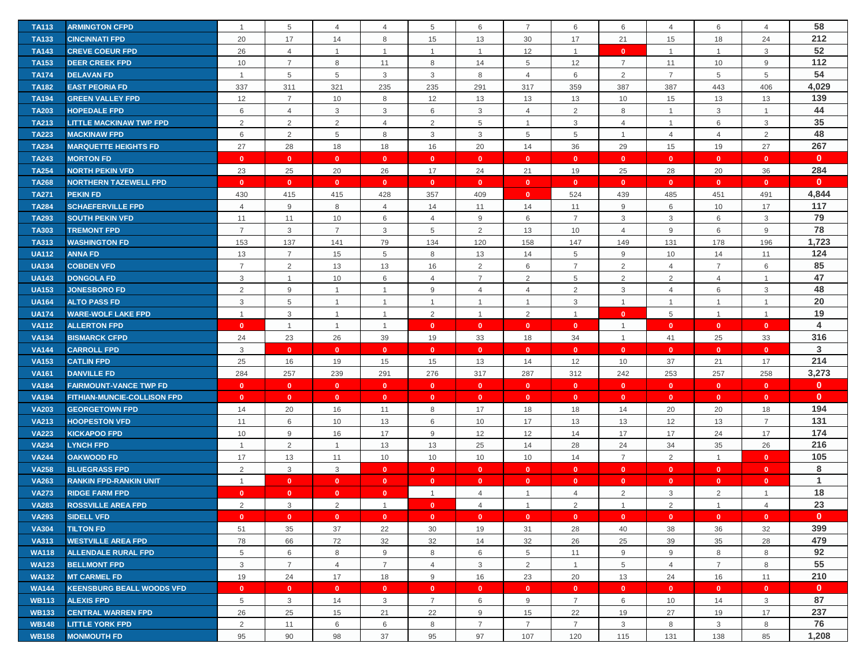| <b>TA113</b> | <b>ARMINGTON CFPD</b>              |                | 5              | 4                       | $\overline{4}$ | 5               | 6              | $\overline{7}$ | 6              | 6              | $\overline{4}$ | 6              | 4              | 58           |
|--------------|------------------------------------|----------------|----------------|-------------------------|----------------|-----------------|----------------|----------------|----------------|----------------|----------------|----------------|----------------|--------------|
| <b>TA133</b> | <b>CINCINNATI FPD</b>              | 20             | 17             | 14                      | 8              | 15              | 13             | 30             | 17             | 21             | 15             | 18             | 24             | 212          |
| <b>TA143</b> | <b>CREVE COEUR FPD</b>             | 26             | $\overline{4}$ | $\mathbf{1}$            | $\mathbf 1$    | $\overline{1}$  | $\overline{1}$ | 12             | $\mathbf{1}$   | $\mathbf{0}$   | $\overline{1}$ | $\mathbf{1}$   | 3              | 52           |
| <b>TA153</b> | <b>DEER CREEK FPD</b>              | 10             | $\overline{7}$ | 8                       | 11             | 8               | 14             | 5              | 12             | $\overline{7}$ | 11             | 10             | 9              | 112          |
| <b>TA174</b> | <b>DELAVAN FD</b>                  | $\overline{1}$ | 5              | 5                       | 3              | 3               | 8              | $\overline{4}$ | 6              | $\overline{2}$ | $\overline{7}$ | 5              | 5              | 54           |
| <b>TA182</b> | <b>EAST PEORIA FD</b>              | 337            | 311            | 321                     | 235            | 235             | 291            | 317            | 359            | 387            | 387            | 443            | 406            | 4,029        |
| <b>TA194</b> | <b>GREEN VALLEY FPD</b>            | 12             | $\overline{7}$ | 10                      | 8              | 12              | 13             | 13             | 13             | 10             | 15             | 13             | 13             | 139          |
| <b>TA203</b> | <b>HOPEDALE FPD</b>                | 6              | $\overline{4}$ | 3                       | 3              | 6               | 3              | 4              | 2              | 8              | $\overline{1}$ | 3              | $\overline{1}$ | 44           |
| <b>TA213</b> | <b>LITTLE MACKINAW TWP FPD</b>     | 2              | $\overline{2}$ | $\overline{2}$          | $\overline{4}$ | 2               | 5              | $\overline{1}$ | 3              | $\overline{4}$ | $\mathbf{1}$   | 6              | 3              | 35           |
| <b>TA223</b> | <b>MACKINAW FPD</b>                | 6              | $\overline{2}$ | 5                       | 8              | 3               | 3              | 5              | $\overline{5}$ | $\mathbf{1}$   | $\overline{4}$ | $\overline{4}$ | 2              | 48           |
| <b>TA234</b> | <b>MARQUETTE HEIGHTS FD</b>        | 27             | 28             | 18                      | 18             | 16              | 20             | 14             | 36             | 29             | 15             | 19             | 27             | 267          |
| <b>TA243</b> | <b>MORTON FD</b>                   | $\mathbf{0}$   | $\bullet$      | $\overline{\mathbf{0}}$ | $\mathbf{0}$   | $\mathbf{0}$    | $\mathbf{0}$   | $\mathbf{0}$   | $\mathbf{0}$   | $\mathbf{0}$   | $\mathbf{0}$   | $\mathbf{0}$   | $\mathbf{0}$   | $\mathbf{0}$ |
| <b>TA254</b> | <b>NORTH PEKIN VFD</b>             | 23             | 25             | 20                      | 26             | 17              | 24             | 21             | 19             | 25             | 28             | 20             | 36             | 284          |
| <b>TA268</b> | <b>NORTHERN TAZEWELL FPD</b>       | $\mathbf{0}$   | $\mathbf{0}$   | $\mathbf{0}$            | $\mathbf{0}$   | $\mathbf{0}$    | $\mathbf{0}$   | $\mathbf{0}$   | $\mathbf{0}$   | $\mathbf{0}$   | $\mathbf{0}$   | $\mathbf{0}$   | $\mathbf{0}$   | $\mathbf{0}$ |
| <b>TA271</b> | <b>PEKIN FD</b>                    | 430            | 415            | 415                     | 428            | 357             | 409            | $\mathbf{0}$   | 524            | 439            | 485            | 451            | 491            | 4,844        |
| <b>TA284</b> | <b>SCHAEFERVILLE FPD</b>           | $\overline{4}$ | 9              | 8                       | $\overline{4}$ | 14              | 11             | 14             | 11             | $9\,$          | 6              | 10             | 17             | 117          |
| <b>TA293</b> | <b>SOUTH PEKIN VFD</b>             | 11             | 11             | 10                      | 6              | $\overline{4}$  | 9              | 6              | $\overline{7}$ | 3              | 3              | 6              | $\mathbf{3}$   | 79           |
| <b>TA303</b> | <b>TREMONT FPD</b>                 | $\overline{7}$ | $\mathbf{3}$   | 7                       | 3              | $5\phantom{.0}$ | $\overline{2}$ | 13             | 10             | $\overline{4}$ | 9              | 6              | 9              | 78           |
| <b>TA313</b> | <b>WASHINGTON FD</b>               | 153            | 137            | 141                     | 79             | 134             | 120            | 158            | 147            | 149            | 131            | 178            | 196            | 1,723        |
| <b>UA112</b> | <b>ANNA FD</b>                     | 13             | $\overline{7}$ | 15                      | 5              | 8               | 13             | 14             | 5              | 9              | 10             | 14             | 11             | 124          |
| <b>UA134</b> | <b>COBDEN VFD</b>                  | $\overline{7}$ | $\overline{2}$ | 13                      | 13             | 16              | $\overline{2}$ | 6              | $\overline{7}$ | $\overline{2}$ | $\overline{4}$ | $\overline{7}$ | 6              | 85           |
| <b>UA143</b> | <b>DONGOLA FD</b>                  | 3              | $\mathbf{1}$   | 10                      | 6              | $\overline{4}$  | $\overline{7}$ | 2              | 5              | $\overline{2}$ | $\overline{2}$ | 4              | $\overline{1}$ | 47           |
| <b>UA153</b> | <b>JONESBORO FD</b>                | 2              | 9              | $\overline{1}$          | $\overline{1}$ | 9               | $\overline{4}$ | $\overline{4}$ | 2              | 3              | $\overline{4}$ | 6              | $\mathbf{3}$   | 48           |
| <b>UA164</b> | <b>ALTO PASS FD</b>                | 3              | 5              | $\overline{1}$          | $\mathbf 1$    | $\overline{1}$  | $\overline{1}$ | $\overline{1}$ | 3              | $\mathbf{1}$   | $\mathbf{1}$   | $\mathbf{1}$   | $\overline{1}$ | 20           |
| <b>UA174</b> | <b>WARE-WOLF LAKE FPD</b>          | $\overline{1}$ | 3              | $\overline{1}$          | $\mathbf 1$    | 2               | $\overline{1}$ | 2              | $\mathbf{1}$   | $\mathbf{0}$   | 5              | $\overline{1}$ | $\overline{1}$ | 19           |
| <b>VA112</b> | <b>ALLERTON FPD</b>                | $\mathbf{0}$   | $\mathbf{1}$   | $\mathbf{1}$            | $\overline{1}$ | $\mathbf{0}$    | $\bullet$      | $\mathbf{0}$   | $\mathbf{0}$   | $\mathbf{1}$   | $\mathbf{0}$   | $\mathbf{0}$   | $\mathbf{0}$   | 4            |
| <b>VA134</b> | <b>BISMARCK CFPD</b>               | 24             | 23             | 26                      | 39             | 19              | 33             | 18             | 34             | $\overline{1}$ | 41             | 25             | 33             | 316          |
| <b>VA144</b> | <b>CARROLL FPD</b>                 | 3              | $\mathbf{0}$   | $\overline{0}$          | $\mathbf{0}$   | $\mathbf{0}$    | $\mathbf{0}$   | $\mathbf{0}$   | $\mathbf{0}$   | $\mathbf{0}$   | $\mathbf{0}$   | $\mathbf{0}$   | $\mathbf{0}$   | 3            |
| <b>VA153</b> | <b>CATLIN FPD</b>                  | 25             | 16             | 19                      | 15             | 15              | 13             | 14             | 12             | 10             | 37             | 21             | 17             | 214          |
| <b>VA161</b> | <b>DANVILLE FD</b>                 | 284            | 257            | 239                     | 291            | 276             | 317            | 287            | 312            | 242            | 253            | 257            | 258            | 3,273        |
| <b>VA184</b> | <b>FAIRMOUNT-VANCE TWP FD</b>      | $\mathbf{0}$   | $\mathbf{0}$   | $\mathbf{0}$            | $\mathbf{0}$   | $\mathbf{0}$    | $\mathbf{0}$   | $\mathbf{0}$   | $\mathbf{0}$   | $\mathbf{0}$   | $\mathbf{0}$   | $\mathbf{0}$   | $\mathbf{0}$   | $\mathbf{0}$ |
| <b>VA194</b> | <b>FITHIAN-MUNCIE-COLLISON FPD</b> | $\mathbf{0}$   | $\mathbf{0}$   | $\mathbf{0}$            | $\mathbf{0}$   | $\mathbf{0}$    | $\mathbf{0}$   | $\mathbf{0}$   | $\mathbf{0}$   | $\mathbf{0}$   | $\overline{0}$ | $\bullet$      | $\mathbf{0}$   | $\mathbf{0}$ |
| <b>VA203</b> | <b>GEORGETOWN FPD</b>              | 14             | 20             | 16                      | 11             | 8               | 17             | 18             | 18             | 14             | 20             | 20             | 18             | 194          |
| <b>VA213</b> | <b>HOOPESTON VFD</b>               | 11             | 6              | 10                      | 13             | 6               | 10             | 17             | 13             | 13             | 12             | 13             | $\overline{7}$ | 131          |
| <b>VA223</b> | <b>KICKAPOO FPD</b>                | 10             | 9              | 16                      | 17             | $9\,$           | 12             | 12             | 14             | 17             | 17             | 24             | 17             | 174          |
| <b>VA234</b> | <b>LYNCH FPD</b>                   | $\overline{1}$ | 2              | $\overline{1}$          | 13             | 13              | 25             | 14             | 28             | 24             | 34             | 35             | 26             | 216          |
| <b>VA244</b> | <b>OAKWOOD FD</b>                  | 17             | 13             | 11                      | 10             | 10              | 10             | 10             | 14             | $\overline{7}$ | 2              | $\mathbf{1}$   | $\mathbf{0}$   | 105          |
| <b>VA258</b> | <b>BLUEGRASS FPD</b>               | $\overline{2}$ | $\mathbf{3}$   | $\mathbf{3}$            | $\mathbf{0}$   | $\mathbf{0}$    | $\bullet$      | $\mathbf{0}$   | $\mathbf{0}$   | $\mathbf{0}$   | $\mathbf{0}$   | $\mathbf{0}$   | $\mathbf{0}$   | 8            |
| <b>VA263</b> | <b>RANKIN FPD-RANKIN UNIT</b>      | $\overline{1}$ | $\mathbf{0}$   | $\overline{0}$          | $\mathbf{0}$   | $\mathbf{0}$    | $\mathbf{0}$   | $\mathbf{0}$   | $\mathbf{0}$   | $\mathbf{0}$   | $\mathbf{0}$   | $\mathbf{0}$   | $\mathbf{0}$   | 1            |
| <b>VA273</b> | <b>RIDGE FARM FPD</b>              | $\mathbf{0}$   | $\mathbf{0}$   | $\mathbf{0}$            | $\mathbf{0}$   | $\mathbf{1}$    | $\overline{4}$ | $\overline{1}$ | $\overline{4}$ | $\overline{2}$ | 3              | $\overline{2}$ | $\mathbf{1}$   | 18           |
| <b>VA283</b> | <b>ROSSVILLE AREA FPD</b>          | 2              | 3              | $\sqrt{2}$              |                | $\mathbf{0}$    | $\overline{4}$ | $\overline{1}$ | 2              |                | $\overline{2}$ | 1              | $\overline{4}$ | 23           |
| <b>VA293</b> | <b>SIDELL VFD</b>                  | $\mathbf{0}$   | $\mathbf{0}$   | $\mathbf{0}$            | $\mathbf{0}$   | $\mathbf{0}$    | $\mathbf{0}$   | $\mathbf{0}$   | $\mathbf{0}$   | $\mathbf{0}$   | $\mathbf{0}$   | $\mathbf{0}$   | $\mathbf{0}$   | $\mathbf{0}$ |
| <b>VA304</b> | <b>TILTON FD</b>                   | 51             | 35             | 37                      | 22             | 30              | 19             | 31             | 28             | 40             | 38             | 36             | 32             | 399          |
| <b>VA313</b> | <b>WESTVILLE AREA FPD</b>          | 78             | 66             | 72                      | 32             | 32              | 14             | 32             | 26             | 25             | 39             | 35             | 28             | 479          |
| <b>WA118</b> | <b>ALLENDALE RURAL FPD</b>         | 5              | 6              | 8                       | 9              | 8               | 6              | 5              | 11             | 9              | 9              | 8              | 8              | 92           |
| <b>WA123</b> | <b>BELLMONT FPD</b>                | 3              | $\overline{7}$ | 4                       | $\overline{7}$ | $\overline{4}$  | 3              | $\overline{2}$ | $\mathbf{1}$   | 5              | 4              | $\overline{7}$ | 8              | 55           |
| <b>WA132</b> | <b>MT CARMEL FD</b>                | 19             | 24             | 17                      | 18             | 9               | 16             | 23             | 20             | 13             | 24             | 16             | 11             | 210          |
| <b>WA144</b> | <b>KEENSBURG BEALL WOODS VFD</b>   | $\mathbf{0}$   | $\mathbf{0}$   | $\mathbf{0}$            | $\mathbf{0}$   | $\mathbf{0}$    | $\mathbf{0}$   | $\mathbf{0}$   | $\mathbf{0}$   | $\mathbf{0}$   | $\mathbf{0}$   | $\mathbf{0}$   | $\mathbf{0}$   | $\mathbf{0}$ |
| <b>WB113</b> | <b>ALEXIS FPD</b>                  | 5              | $\mathbf{3}$   | 14                      | 3              | $\overline{7}$  | 6              | 9              | $\overline{7}$ | 6              | 10             | 14             | 3              | 87           |
| <b>WB133</b> | <b>CENTRAL WARREN FPD</b>          | 26             | 25             | 15                      | 21             | 22              | 9              | 15             | 22             | 19             | 27             | 19             | 17             | 237          |
| <b>WB148</b> | <b>LITTLE YORK FPD</b>             | $\overline{2}$ | 11             | 6                       | 6              | 8               | $\overline{7}$ | $\overline{7}$ | $\overline{7}$ | 3              | 8              | 3              | 8              | 76           |
| <b>WB158</b> | <b>MONMOUTH FD</b>                 | 95             | 90             | 98                      | 37             | 95              | 97             | 107            | 120            | 115            | 131            | 138            | 85             | 1,208        |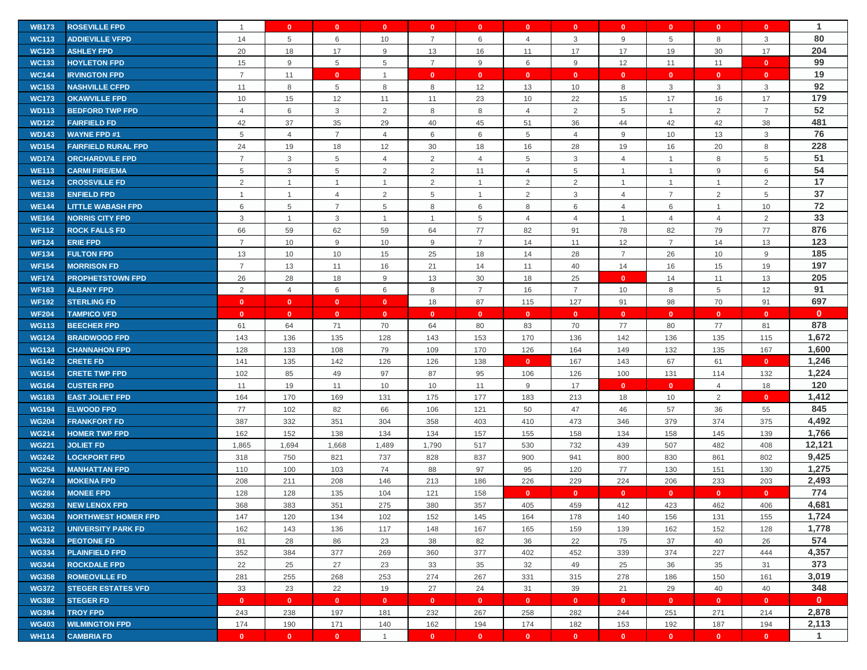| <b>WB173</b> | <b>ROSEVILLE FPD</b>       | $\overline{1}$ | $\mathbf{0}$   | $\mathbf{0}$            | $\mathbf{0}$   | $\mathbf{0}$    | $\mathbf{0}$   | $\mathbf{0}$   | $\mathbf{0}$   | $\mathbf{0}$   | $\mathbf{0}$   | $\mathbf{0}$   | $\mathbf{0}$   | $\mathbf{1}$ |
|--------------|----------------------------|----------------|----------------|-------------------------|----------------|-----------------|----------------|----------------|----------------|----------------|----------------|----------------|----------------|--------------|
| <b>WC113</b> | <b>ADDIEVILLE VFPD</b>     | 14             | 5              | 6                       | 10             | $\overline{7}$  | 6              | $\overline{4}$ | 3              | 9              | 5              | 8              | 3              | 80           |
| <b>WC123</b> | <b>ASHLEY FPD</b>          | 20             | 18             | 17                      | 9              | 13              | 16             | 11             | 17             | 17             | 19             | 30             | 17             | 204          |
| <b>WC133</b> | <b>HOYLETON FPD</b>        | 15             | 9              | 5                       | 5              | $\overline{7}$  | 9              | 6              | $9\,$          | 12             | 11             | 11             | $\mathbf{0}$   | 99           |
| <b>WC144</b> | <b>IRVINGTON FPD</b>       | $\overline{7}$ | 11             | $\overline{\mathbf{0}}$ | $\overline{1}$ | $\mathbf{0}$    | $\mathbf{0}$   | $\mathbf{0}$   | $\mathbf{0}$   | $\mathbf{0}$   | $\mathbf{0}$   | $\mathbf{0}$   | $\mathbf{0}$   | 19           |
| <b>WC153</b> | <b>NASHVILLE CFPD</b>      | 11             | 8              | $\overline{5}$          | 8              | 8               | 12             | 13             | 10             | 8              | 3              | 3              | 3              | 92           |
| <b>WC173</b> | <b>OKAWVILLE FPD</b>       | 10             | 15             | 12                      | 11             | 11              | 23             | 10             | 22             | 15             | 17             | 16             | 17             | 179          |
| <b>WD113</b> | <b>BEDFORD TWP FPD</b>     | $\overline{4}$ | 6              | 3                       | 2              | 8               | 8              | 4              | 2              | 5              | $\mathbf{1}$   | $\overline{2}$ | $\overline{7}$ | 52           |
| <b>WD122</b> | <b>FAIRFIELD FD</b>        | 42             | 37             | 35                      | 29             | 40              | 45             | 51             | 36             | 44             | 42             | 42             | 38             | 481          |
| <b>WD143</b> | <b>WAYNE FPD #1</b>        | 5              | $\overline{4}$ | $\overline{7}$          | $\overline{4}$ | 6               | 6              | 5              | $\overline{4}$ | 9              | 10             | 13             | 3              | 76           |
| <b>WD154</b> | <b>FAIRFIELD RURAL FPD</b> | 24             | 19             | 18                      | 12             | 30              | 18             | 16             | 28             | 19             | 16             | 20             | 8              | 228          |
| <b>WD174</b> | <b>ORCHARDVILE FPD</b>     | $\overline{7}$ | $\mathbf{3}$   | 5                       | $\overline{4}$ | 2               | $\overline{4}$ | 5              | 3              | $\overline{4}$ | $\overline{1}$ | 8              | 5              | 51           |
| <b>WE113</b> | <b>CARMI FIRE/EMA</b>      | 5              | 3              | 5                       | 2              | 2               | 11             | $\overline{4}$ | 5              | $\overline{1}$ | $\mathbf 1$    | 9              | 6              | 54           |
| <b>WE124</b> | <b>CROSSVILLE FD</b>       | 2              | $\overline{1}$ | $\overline{1}$          | $\overline{1}$ | 2               | $\overline{1}$ | 2              | $\overline{2}$ | $\overline{1}$ | $\mathbf{1}$   | $\mathbf{1}$   | $\sqrt{2}$     | 17           |
| <b>WE138</b> | <b>ENFIELD FPD</b>         | $\overline{1}$ | $\overline{1}$ | $\overline{4}$          | $\overline{2}$ | $5\phantom{.0}$ | $\overline{1}$ | $\overline{2}$ | 3              | $\overline{4}$ | $\overline{7}$ | $\overline{2}$ | 5              | 37           |
| <b>WE144</b> | <b>LITTLE WABASH FPD</b>   | 6              | 5              | $\overline{7}$          | 5              | 8               | 6              | 8              | 6              | $\overline{4}$ | 6              | $\mathbf{1}$   | 10             | 72           |
| <b>WE164</b> | <b>NORRIS CITY FPD</b>     | 3              | $\mathbf{1}$   | 3                       | -1             | $\overline{1}$  | 5              | 4              | $\overline{4}$ | $\mathbf{1}$   | $\overline{4}$ | $\overline{4}$ | $\overline{2}$ | 33           |
| <b>WF112</b> | <b>ROCK FALLS FD</b>       | 66             | 59             | 62                      | 59             | 64              | 77             | 82             | 91             | 78             | 82             | 79             | 77             | 876          |
| <b>WF124</b> | <b>ERIE FPD</b>            | $\overline{7}$ | 10             | 9                       | 10             | 9               | $\overline{7}$ | 14             | 11             | 12             | $\overline{7}$ | 14             | 13             | 123          |
| <b>WF134</b> | <b>FULTON FPD</b>          | 13             | 10             | 10                      | 15             | 25              | 18             | 14             | 28             | $\overline{7}$ | 26             | 10             | $9\,$          | 185          |
| <b>WF154</b> | <b>MORRISON FD</b>         | $\overline{7}$ | 13             | 11                      | 16             | 21              | 14             | 11             | 40             | 14             | 16             | 15             | 19             | 197          |
| <b>WF174</b> | <b>PROPHETSTOWN FPD</b>    | 26             | 28             | 18                      | 9              | 13              | 30             | 18             | 25             | $\mathbf{0}$   | 14             | 11             | 13             | 205          |
| <b>WF183</b> | <b>ALBANY FPD</b>          | 2              | $\overline{4}$ | 6                       | 6              | 8               | $\overline{7}$ | 16             | $\overline{7}$ | 10             | 8              | 5              | 12             | 91           |
| <b>WF192</b> | <b>STERLING FD</b>         | $\mathbf{0}$   | $\mathbf{0}$   | $\mathbf{0}$            | $\mathbf{0}$   | 18              | 87             | 115            | 127            | 91             | 98             | 70             | 91             | 697          |
| <b>WF204</b> | <b>TAMPICO VFD</b>         | $\mathbf{0}$   | $\mathbf{0}$   | $\mathbf{0}$            | $\mathbf{0}$   | $\mathbf{0}$    | $\mathbf{0}$   | $\mathbf{0}$   | $\mathbf{0}$   | $\mathbf{0}$   | $\mathbf{0}$   | $\mathbf{0}$   | $\mathbf{0}$   | $\mathbf{0}$ |
| <b>WG113</b> | <b>BEECHER FPD</b>         | 61             | 64             | 71                      | 70             | 64              | 80             | 83             | 70             | 77             | 80             | 77             | 81             | 878          |
| <b>WG124</b> | <b>BRAIDWOOD FPD</b>       | 143            | 136            | 135                     | 128            | 143             | 153            | 170            | 136            | 142            | 136            | 135            | 115            | 1,672        |
| <b>WG134</b> | <b>CHANNAHON FPD</b>       | 128            | 133            | 108                     | 79             | 109             | 170            | 126            | 164            | 149            | 132            | 135            | 167            | 1,600        |
| <b>WG142</b> | <b>CRETE FD</b>            | 141            | 135            | 142                     | 126            | 126             | 138            | $\mathbf{0}$   | 167            | 143            | 67             | 61             | $\mathbf{0}$   | 1,246        |
| <b>WG154</b> | <b>CRETE TWP FPD</b>       | 102            | 85             | 49                      | 97             | 87              | 95             | 106            | 126            | 100            | 131            | 114            | 132            | 1,224        |
| <b>WG164</b> | <b>CUSTER FPD</b>          | 11             | 19             | 11                      | 10             | 10              | 11             | 9              | 17             | $\mathbf{0}$   | $\mathbf{0}$   | $\overline{4}$ | 18             | 120          |
| <b>WG183</b> | <b>EAST JOLIET FPD</b>     | 164            | 170            | 169                     | 131            | 175             | 177            | 183            | 213            | 18             | 10             | $\overline{2}$ | $\mathbf{0}$   | 1,412        |
| <b>WG194</b> | <b>ELWOOD FPD</b>          | 77             | 102            | 82                      | 66             | 106             | 121            | 50             | 47             | 46             | 57             | 36             | 55             | 845          |
| <b>WG204</b> | <b>FRANKFORT FD</b>        | 387            | 332            | 351                     | 304            | 358             | 403            | 410            | 473            | 346            | 379            | 374            | 375            | 4,492        |
| <b>WG214</b> | <b>HOMER TWP FPD</b>       | 162            | 152            | 138                     | 134            | 134             | 157            | 155            | 158            | 134            | 158            | 145            | 139            | 1,766        |
| <b>WG221</b> | <b>JOLIET FD</b>           | 1,865          | 1,694          | 1,668                   | 1,489          | 1,790           | 517            | 530            | 732            | 439            | 507            | 482            | 408            | 12,121       |
| <b>WG242</b> | <b>LOCKPORT FPD</b>        | 318            | 750            | 821                     | 737            | 828             | 837            | 900            | 941            | 800            | 830            | 861            | 802            | 9,425        |
| <b>WG254</b> | <b>MANHATTAN FPD</b>       | 110            | 100            | 103                     | 74             | 88              | 97             | 95             | 120            | 77             | 130            | 151            | 130            | 1,275        |
| <b>WG274</b> | <b>MOKENA FPD</b>          | 208            | 211            | 208                     | 146            | 213             | 186            | 226            | 229            | 224            | 206            | 233            | 203            | 2,493        |
| <b>WG284</b> | <b>MONEE FPD</b>           | 128            | 128            | 135                     | 104            | 121             | 158            | $\Omega$       | $\mathbf{0}$   | $\mathbf{0}$   | $\mathbf{0}$   | $\mathbf{0}$   | $\mathbf{0}$   | 774          |
| <b>WG293</b> | <b>NEW LENOX FPD</b>       | 368            | 383            | 351                     | 275            | 380             | 357            | 405            | 459            | 412            | 423            | 462            | 406            | 4,681        |
| <b>WG304</b> | <b>NORTHWEST HOMER FPD</b> | 147            | 120            | 134                     | 102            | 152             | 145            | 164            | 178            | 140            | 156            | 131            | 155            | 1,724        |
| <b>WG312</b> | <b>UNIVERSITY PARK FD</b>  | 162            | 143            | 136                     | 117            | 148             | 167            | 165            | 159            | 139            | 162            | 152            | 128            | 1,778        |
| <b>WG324</b> | <b>PEOTONE FD</b>          | 81             | 28             | 86                      | 23             | 38              | 82             | 36             | 22             | 75             | 37             | 40             | 26             | 574          |
| <b>WG334</b> | <b>PLAINFIELD FPD</b>      | 352            | 384            | 377                     | 269            | 360             | 377            | 402            | 452            | 339            | 374            | 227            | 444            | 4,357        |
| <b>WG344</b> | <b>ROCKDALE FPD</b>        | 22             | 25             | 27                      | 23             | 33              | 35             | 32             | 49             | 25             | 36             | 35             | 31             | 373          |
| <b>WG358</b> | <b>ROMEOVILLE FD</b>       | 281            | 255            | 268                     | 253            | 274             | 267            | 331            | 315            | 278            | 186            | 150            | 161            | 3,019        |
| <b>WG372</b> | <b>STEGER ESTATES VFD</b>  | 33             | 23             | 22                      | 19             | 27              | 24             | 31             | 39             | 21             | 29             | 40             | 40             | 348          |
| <b>WG382</b> | <b>STEGER FD</b>           | $\mathbf{0}$   | $\mathbf{0}$   | $\overline{0}$          | $\mathbf{0}$   | $\mathbf{0}$    | $\mathbf{0}$   | $\mathbf{0}$   | $\mathbf{0}$   | $\mathbf{0}$   | $\mathbf{0}$   | $\mathbf{0}$   | $\mathbf{0}$   | $\mathbf{0}$ |
| <b>WG394</b> | <b>TROY FPD</b>            | 243            | 238            | 197                     | 181            | 232             | 267            | 258            | 282            | 244            | 251            | 271            | 214            | 2,878        |
| <b>WG403</b> | <b>WILMINGTON FPD</b>      | 174            | 190            | 171                     | 140            | 162             | 194            | 174            | 182            | 153            | 192            | 187            | 194            | 2,113        |
| <b>WH114</b> | <b>CAMBRIA FD</b>          | $\mathbf{0}$   | $\mathbf{0}$   | $\mathbf{0}$            | $\overline{1}$ | $\mathbf{0}$    | $\mathbf{0}$   | $\mathbf{0}$   | $\mathbf{0}$   | $\mathbf{0}$   | $\mathbf{0}$   | $\mathbf{0}$   | $\mathbf{0}$   | $\mathbf{1}$ |